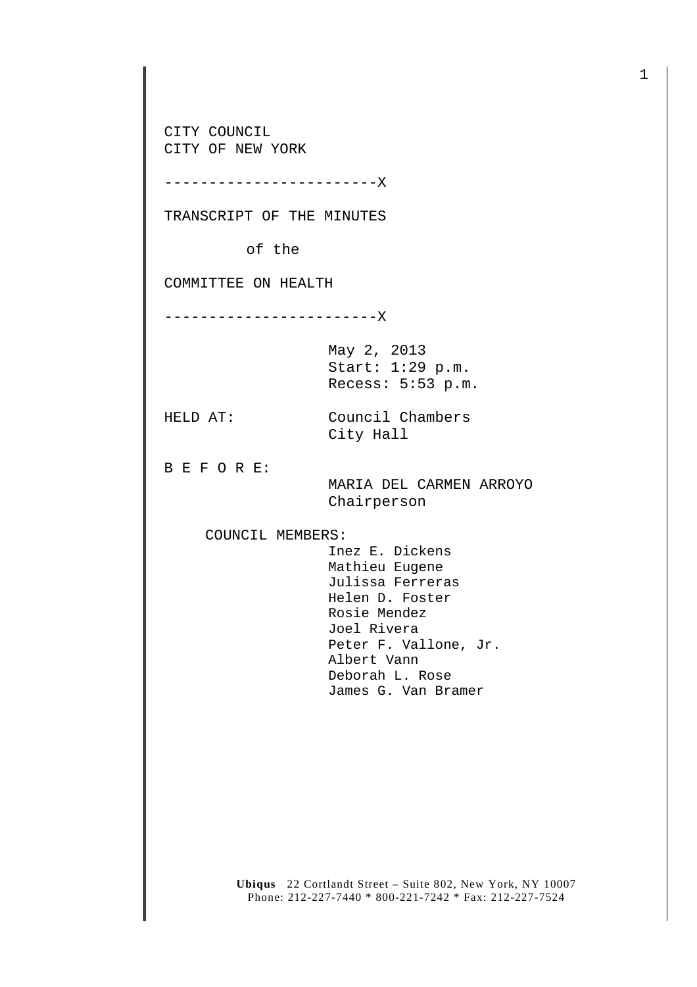CITY COUNCIL CITY OF NEW YORK

------------------------X

TRANSCRIPT OF THE MINUTES

of the

COMMITTEE ON HEALTH

------------------------X

May 2, 2013 Start: 1:29 p.m. Recess: 5:53 p.m.

HELD AT: Council Chambers City Hall

B E F O R E:

 MARIA DEL CARMEN ARROYO Chairperson

COUNCIL MEMBERS:

 Inez E. Dickens Mathieu Eugene Julissa Ferreras Helen D. Foster Rosie Mendez Joel Rivera Peter F. Vallone, Jr. Albert Vann Deborah L. Rose James G. Van Bramer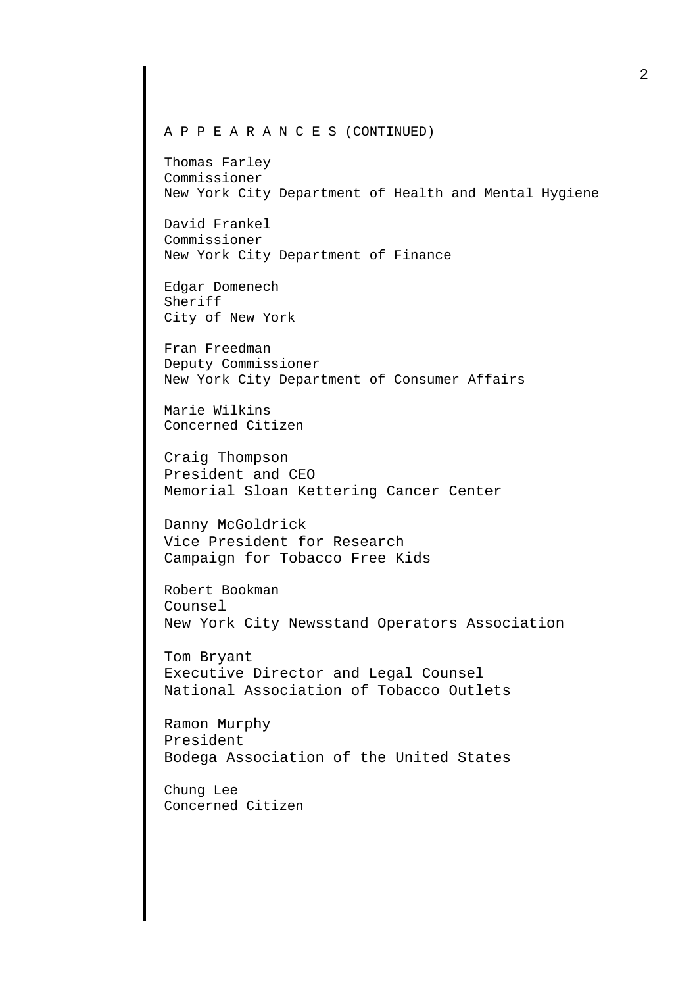Thomas Farley Commissioner New York City Department of Health and Mental Hygiene

David Frankel Commissioner New York City Department of Finance

Edgar Domenech Sheriff City of New York

Fran Freedman Deputy Commissioner New York City Department of Consumer Affairs

Marie Wilkins Concerned Citizen

Craig Thompson President and CEO Memorial Sloan Kettering Cancer Center

Danny McGoldrick Vice President for Research Campaign for Tobacco Free Kids

Robert Bookman Counsel New York City Newsstand Operators Association

Tom Bryant Executive Director and Legal Counsel National Association of Tobacco Outlets

Ramon Murphy President Bodega Association of the United States

Chung Lee Concerned Citizen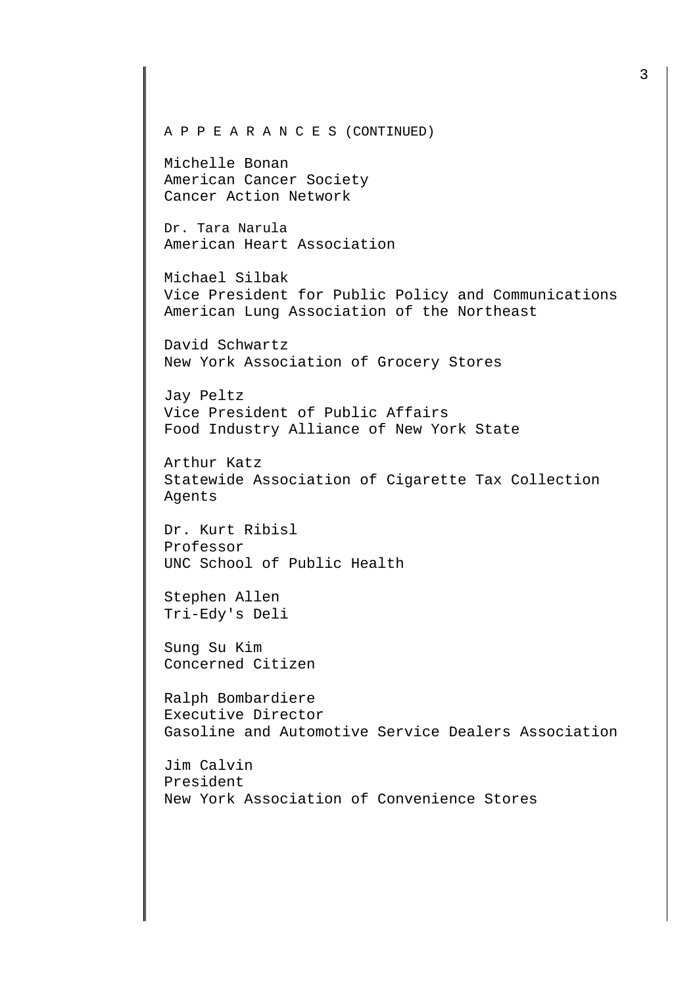Michelle Bonan American Cancer Society Cancer Action Network

Dr. Tara Narula American Heart Association

Michael Silbak Vice President for Public Policy and Communications American Lung Association of the Northeast

David Schwartz New York Association of Grocery Stores

Jay Peltz Vice President of Public Affairs Food Industry Alliance of New York State

Arthur Katz Statewide Association of Cigarette Tax Collection Agents

Dr. Kurt Ribisl Professor UNC School of Public Health

Stephen Allen Tri-Edy's Deli

Sung Su Kim Concerned Citizen

Ralph Bombardiere Executive Director Gasoline and Automotive Service Dealers Association

Jim Calvin President New York Association of Convenience Stores 3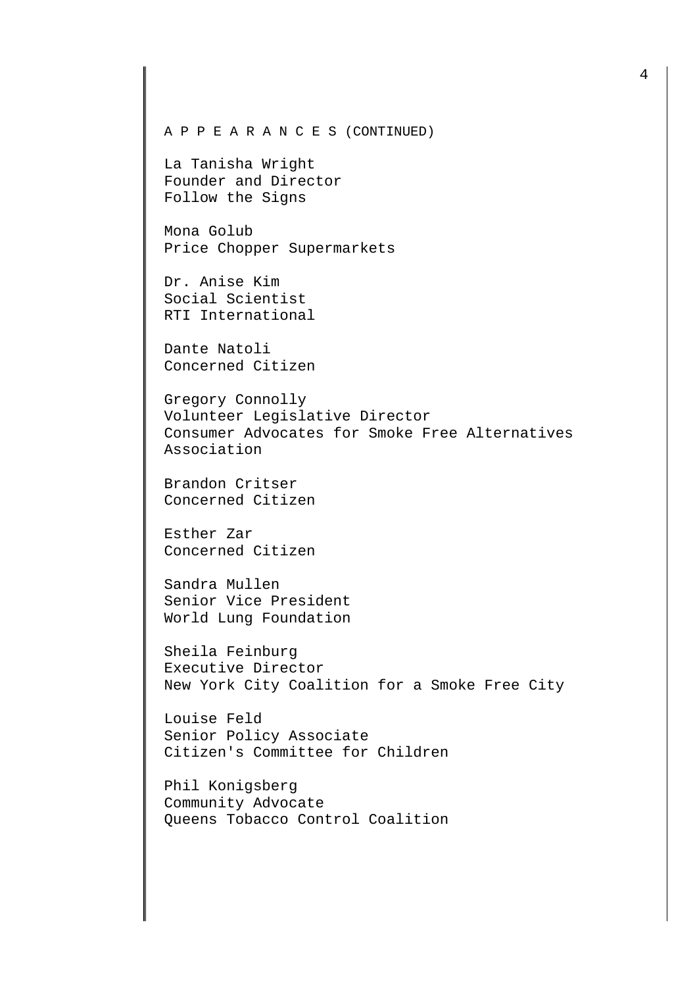La Tanisha Wright Founder and Director Follow the Signs

Mona Golub Price Chopper Supermarkets

Dr. Anise Kim Social Scientist RTI International

Dante Natoli Concerned Citizen

Gregory Connolly Volunteer Legislative Director Consumer Advocates for Smoke Free Alternatives Association

Brandon Critser Concerned Citizen

Esther Zar Concerned Citizen

Sandra Mullen Senior Vice President World Lung Foundation

Sheila Feinburg Executive Director New York City Coalition for a Smoke Free City

Louise Feld Senior Policy Associate Citizen's Committee for Children

Phil Konigsberg Community Advocate Queens Tobacco Control Coalition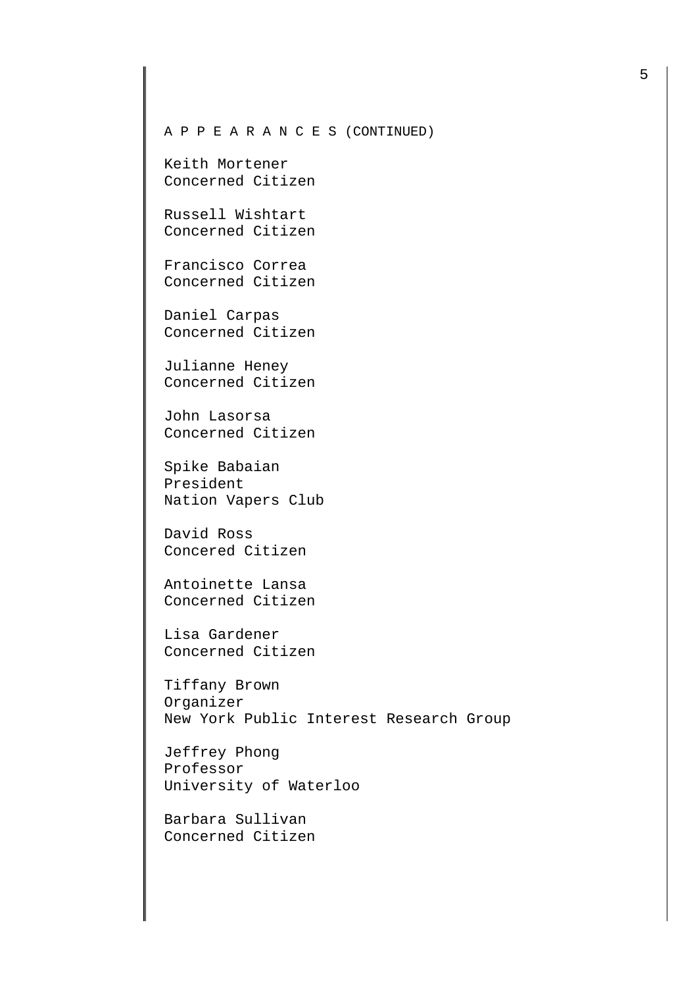Keith Mortener Concerned Citizen

Russell Wishtart Concerned Citizen

Francisco Correa Concerned Citizen

Daniel Carpas Concerned Citizen

Julianne Heney Concerned Citizen

John Lasorsa Concerned Citizen

Spike Babaian President Nation Vapers Club

David Ross Concered Citizen

Antoinette Lansa Concerned Citizen

Lisa Gardener Concerned Citizen

Tiffany Brown Organizer New York Public Interest Research Group

Jeffrey Phong Professor University of Waterloo

Barbara Sullivan Concerned Citizen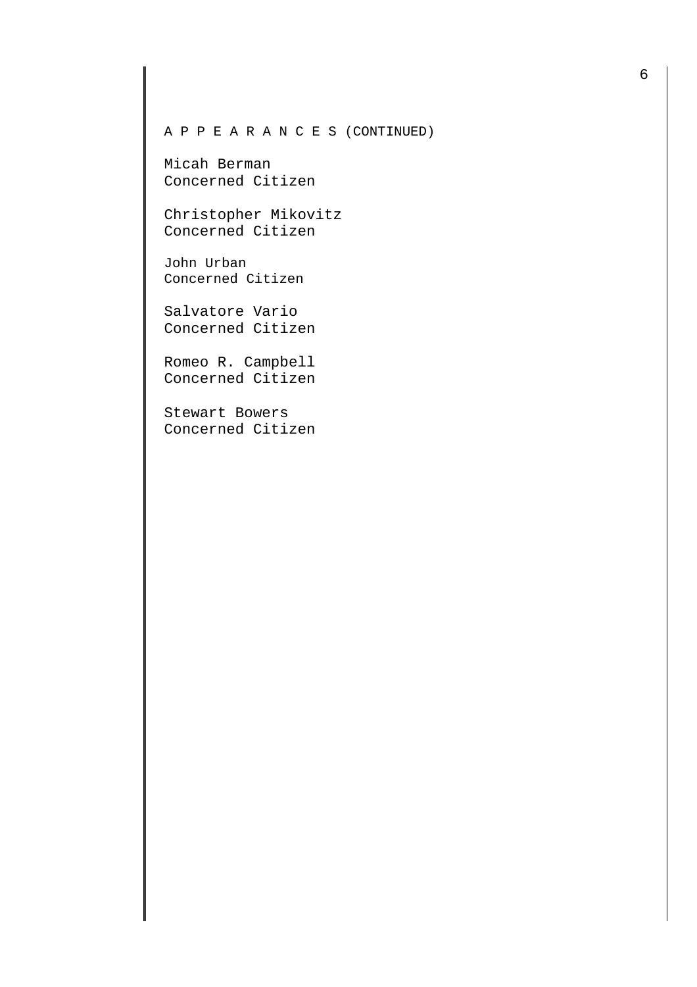Micah Berman Concerned Citizen

Christopher Mikovitz Concerned Citizen

John Urban Concerned Citizen

Salvatore Vario Concerned Citizen

Romeo R. Campbell Concerned Citizen

Stewart Bowers Concerned Citizen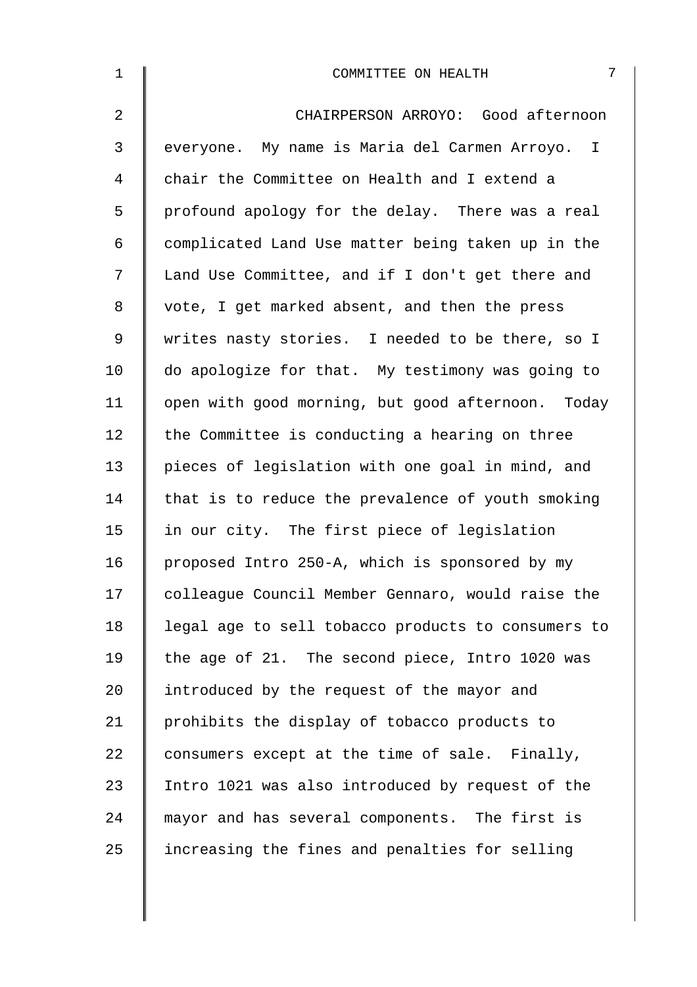| $\mathbf 1$ | 7<br>COMMITTEE ON HEALTH                           |
|-------------|----------------------------------------------------|
| 2           | CHAIRPERSON ARROYO: Good afternoon                 |
| 3           | everyone. My name is Maria del Carmen Arroyo. I    |
| 4           | chair the Committee on Health and I extend a       |
| 5           | profound apology for the delay. There was a real   |
| 6           | complicated Land Use matter being taken up in the  |
| 7           | Land Use Committee, and if I don't get there and   |
| 8           | vote, I get marked absent, and then the press      |
| 9           | writes nasty stories. I needed to be there, so I   |
| 10          | do apologize for that. My testimony was going to   |
| 11          | open with good morning, but good afternoon. Today  |
| 12          | the Committee is conducting a hearing on three     |
| 13          | pieces of legislation with one goal in mind, and   |
| 14          | that is to reduce the prevalence of youth smoking  |
| 15          | in our city. The first piece of legislation        |
| 16          | proposed Intro 250-A, which is sponsored by my     |
| 17          | colleague Council Member Gennaro, would raise the  |
| 18          | legal age to sell tobacco products to consumers to |
| 19          | the age of 21. The second piece, Intro 1020 was    |
| 20          | introduced by the request of the mayor and         |
| 21          | prohibits the display of tobacco products to       |
| 22          | consumers except at the time of sale. Finally,     |
| 23          | Intro 1021 was also introduced by request of the   |
| 24          | mayor and has several components. The first is     |
| 25          | increasing the fines and penalties for selling     |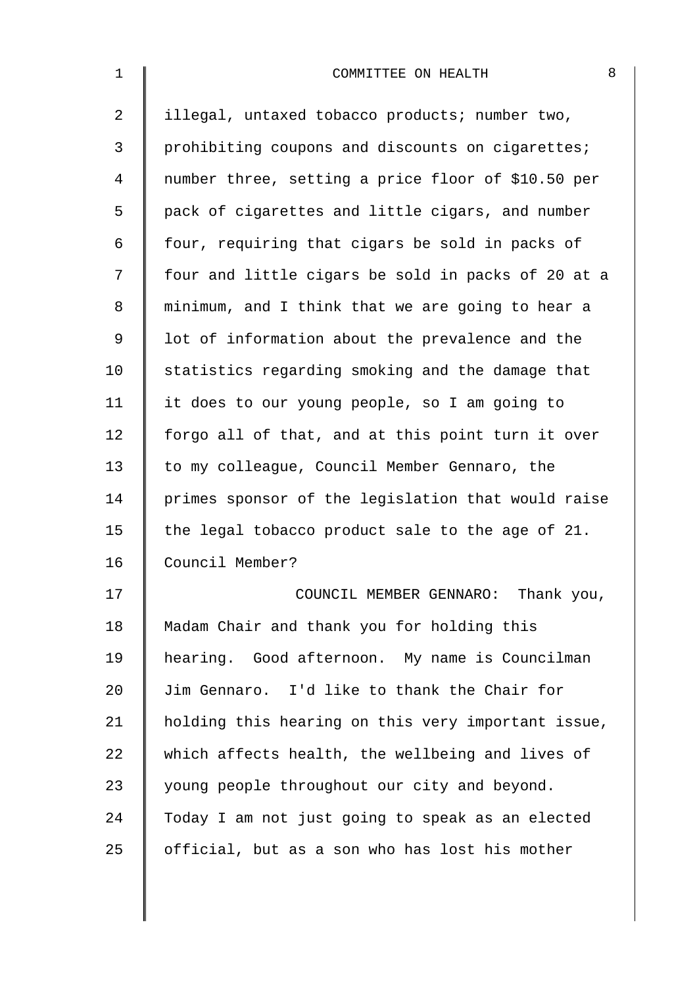| $\mathbf{1}$ | 8<br>COMMITTEE ON HEALTH                           |
|--------------|----------------------------------------------------|
| 2            | illegal, untaxed tobacco products; number two,     |
| 3            | prohibiting coupons and discounts on cigarettes;   |
| 4            | number three, setting a price floor of \$10.50 per |
| 5            | pack of cigarettes and little cigars, and number   |
| 6            | four, requiring that cigars be sold in packs of    |
| 7            | four and little cigars be sold in packs of 20 at a |
| 8            | minimum, and I think that we are going to hear a   |
| $\mathsf 9$  | lot of information about the prevalence and the    |
| 10           | statistics regarding smoking and the damage that   |
| 11           | it does to our young people, so I am going to      |
| 12           | forgo all of that, and at this point turn it over  |
| 13           | to my colleague, Council Member Gennaro, the       |
| 14           | primes sponsor of the legislation that would raise |
| 15           | the legal tobacco product sale to the age of 21.   |
| 16           | Council Member?                                    |
| 17           | COUNCIL MEMBER GENNARO: Thank you,                 |
| 18           | Madam Chair and thank you for holding this         |
| 19           | hearing. Good afternoon. My name is Councilman     |
| 20           | Jim Gennaro. I'd like to thank the Chair for       |
| 21           | holding this hearing on this very important issue, |
| 22           | which affects health, the wellbeing and lives of   |
| 23           | young people throughout our city and beyond.       |
| 24           | Today I am not just going to speak as an elected   |
| 25           | official, but as a son who has lost his mother     |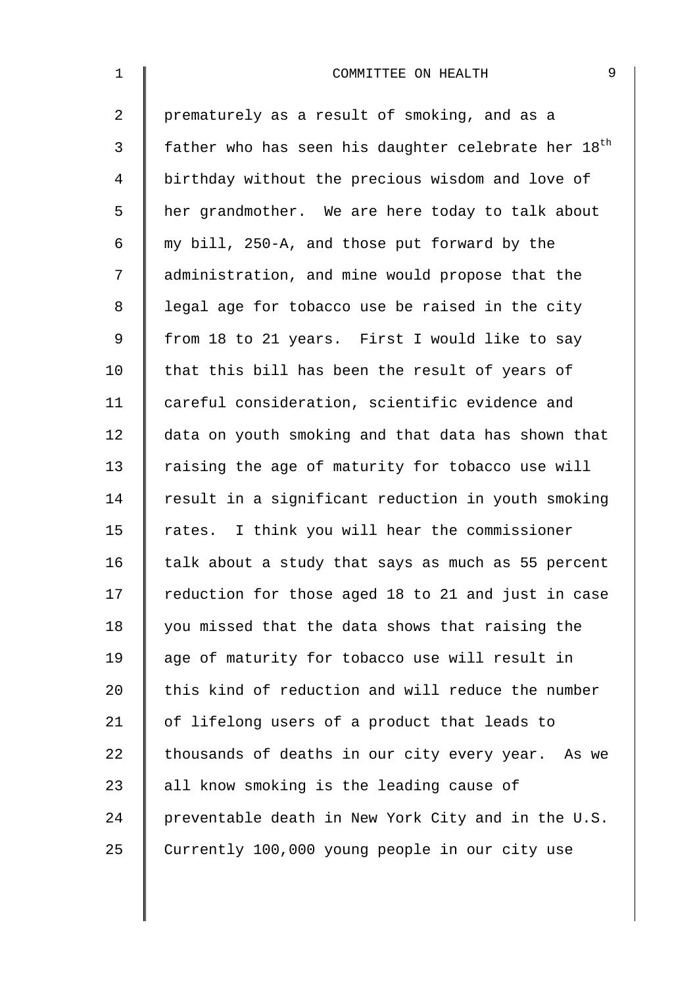| $\mathbf{1}$ | 9<br>COMMITTEE ON HEALTH                                        |
|--------------|-----------------------------------------------------------------|
| 2            | prematurely as a result of smoking, and as a                    |
| 3            | father who has seen his daughter celebrate her 18 <sup>th</sup> |
| 4            | birthday without the precious wisdom and love of                |
| 5            | her grandmother. We are here today to talk about                |
| 6            | my bill, 250-A, and those put forward by the                    |
| 7            | administration, and mine would propose that the                 |
| 8            | legal age for tobacco use be raised in the city                 |
| 9            | from 18 to 21 years. First I would like to say                  |
| 10           | that this bill has been the result of years of                  |
| 11           | careful consideration, scientific evidence and                  |
| 12           | data on youth smoking and that data has shown that              |
| 13           | raising the age of maturity for tobacco use will                |
| 14           | result in a significant reduction in youth smoking              |
| 15           | rates. I think you will hear the commissioner                   |
| 16           | talk about a study that says as much as 55 percent              |
| 17           | reduction for those aged 18 to 21 and just in case              |
| 18           | you missed that the data shows that raising the                 |
| 19           | age of maturity for tobacco use will result in                  |
| 20           | this kind of reduction and will reduce the number               |
| 21           | of lifelong users of a product that leads to                    |
| 22           | thousands of deaths in our city every year. As we               |
| 23           | all know smoking is the leading cause of                        |
| 24           | preventable death in New York City and in the U.S.              |
| 25           | Currently 100,000 young people in our city use                  |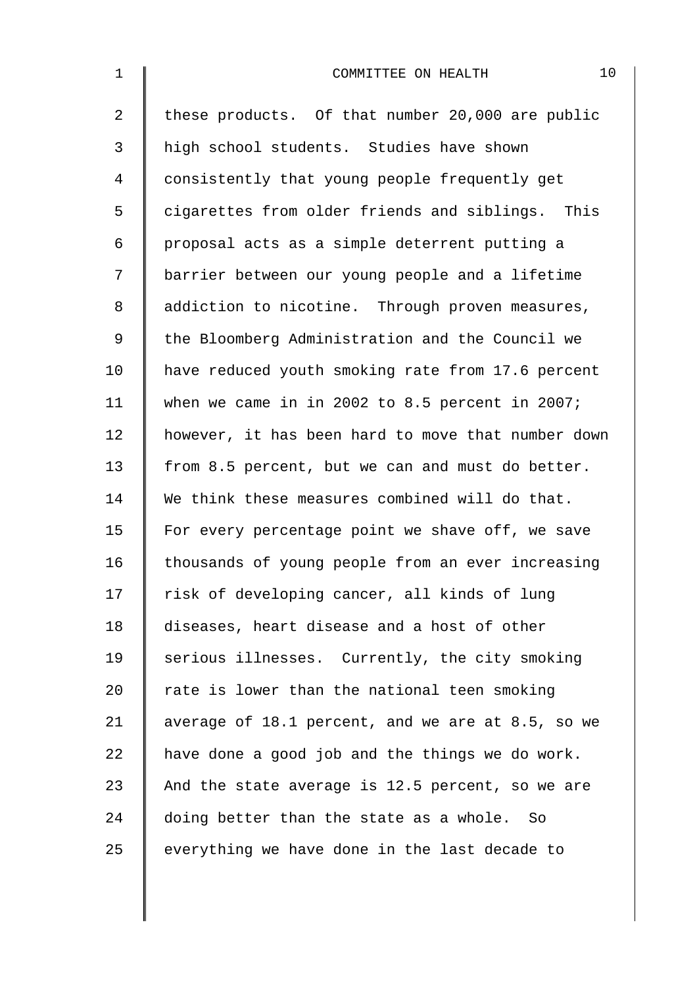| $\mathbf 1$    | 10<br>COMMITTEE ON HEALTH                          |
|----------------|----------------------------------------------------|
| $\overline{2}$ | these products. Of that number 20,000 are public   |
| 3              | high school students. Studies have shown           |
| 4              | consistently that young people frequently get      |
| 5              | cigarettes from older friends and siblings. This   |
| 6              | proposal acts as a simple deterrent putting a      |
| 7              | barrier between our young people and a lifetime    |
| 8              | addiction to nicotine. Through proven measures,    |
| $\mathsf 9$    | the Bloomberg Administration and the Council we    |
| 10             | have reduced youth smoking rate from 17.6 percent  |
| 11             | when we came in in 2002 to 8.5 percent in 2007;    |
| 12             | however, it has been hard to move that number down |
| 13             | from 8.5 percent, but we can and must do better.   |
| 14             | We think these measures combined will do that.     |
| 15             | For every percentage point we shave off, we save   |
| 16             | thousands of young people from an ever increasing  |
| 17             | risk of developing cancer, all kinds of lung       |
| 18             | diseases, heart disease and a host of other        |
| 19             | serious illnesses. Currently, the city smoking     |
| 20             | rate is lower than the national teen smoking       |
| 21             | average of 18.1 percent, and we are at 8.5, so we  |
| 22             | have done a good job and the things we do work.    |
| 23             | And the state average is 12.5 percent, so we are   |
| 24             | doing better than the state as a whole. So         |
| 25             | everything we have done in the last decade to      |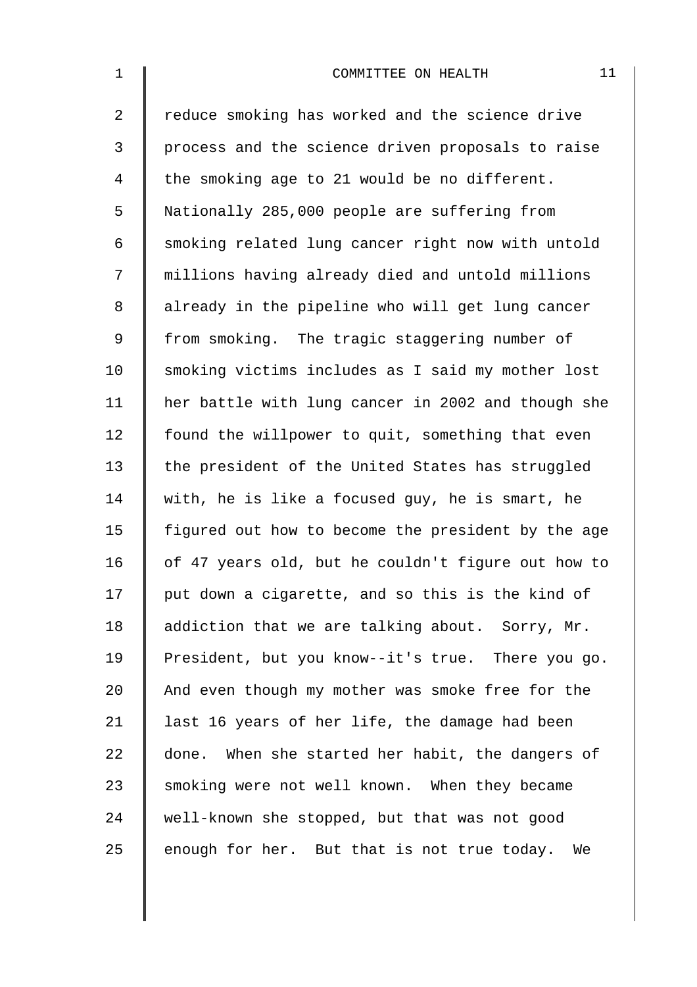2 Teduce smoking has worked and the science drive 3 | process and the science driven proposals to raise 4 the smoking age to 21 would be no different. 5 Nationally 285,000 people are suffering from 6 Smoking related lung cancer right now with untold 7 millions having already died and untold millions 8 | already in the pipeline who will get lung cancer 9 from smoking. The tragic staggering number of 10 Smoking victims includes as I said my mother lost 11 her battle with lung cancer in 2002 and though she 12 | found the willpower to quit, something that even 13 the president of the United States has struggled 14 with, he is like a focused quy, he is smart, he 15  $\parallel$  figured out how to become the president by the age 16  $\parallel$  of 47 years old, but he couldn't figure out how to 17  $\parallel$  put down a cigarette, and so this is the kind of 18  $\parallel$  addiction that we are talking about. Sorry, Mr. 19 President, but you know--it's true. There you go. 20 And even though my mother was smoke free for the 21  $\parallel$  last 16 years of her life, the damage had been  $22$  done. When she started her habit, the dangers of  $23$   $\parallel$  smoking were not well known. When they became 24 well-known she stopped, but that was not good 25 enough for her. But that is not true today. We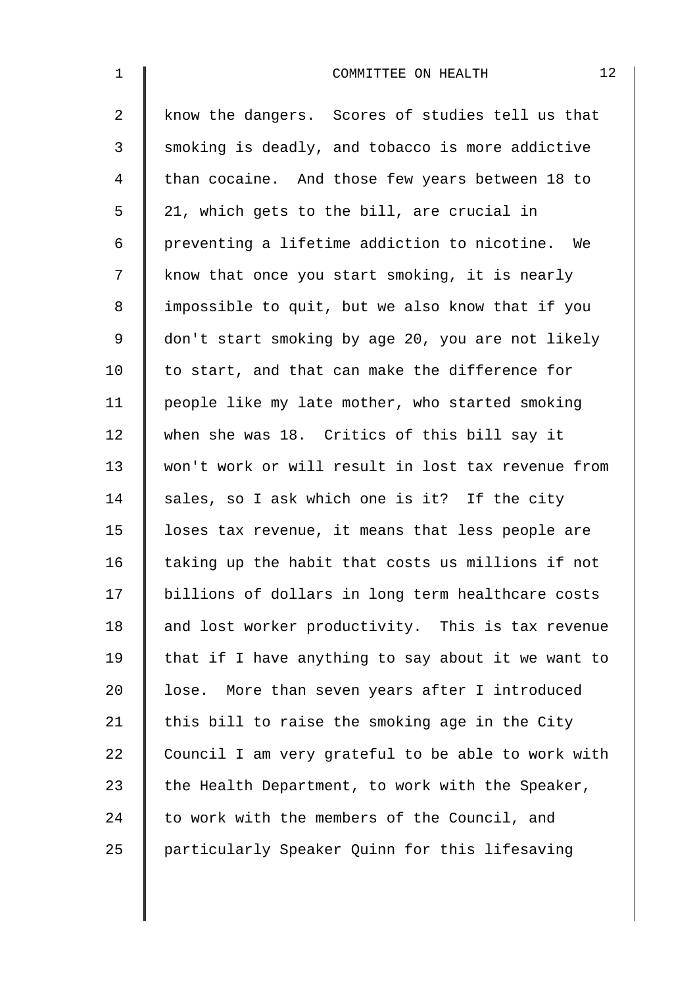| $\mathbf{1}$ | 12<br>COMMITTEE ON HEALTH                          |
|--------------|----------------------------------------------------|
| 2            | know the dangers. Scores of studies tell us that   |
| 3            | smoking is deadly, and tobacco is more addictive   |
| 4            | than cocaine. And those few years between 18 to    |
| 5            | 21, which gets to the bill, are crucial in         |
| 6            | preventing a lifetime addiction to nicotine. We    |
| 7            | know that once you start smoking, it is nearly     |
| 8            | impossible to quit, but we also know that if you   |
| 9            | don't start smoking by age 20, you are not likely  |
| 10           | to start, and that can make the difference for     |
| 11           | people like my late mother, who started smoking    |
| 12           | when she was 18. Critics of this bill say it       |
| 13           | won't work or will result in lost tax revenue from |
| 14           | sales, so I ask which one is it? If the city       |
| 15           | loses tax revenue, it means that less people are   |
| 16           | taking up the habit that costs us millions if not  |
| 17           | billions of dollars in long term healthcare costs  |
| 18           | and lost worker productivity. This is tax revenue  |
| 19           | that if I have anything to say about it we want to |
| 20           | lose. More than seven years after I introduced     |
| 21           | this bill to raise the smoking age in the City     |
| 22           | Council I am very grateful to be able to work with |
| 23           | the Health Department, to work with the Speaker,   |
| 24           | to work with the members of the Council, and       |
| 25           | particularly Speaker Quinn for this lifesaving     |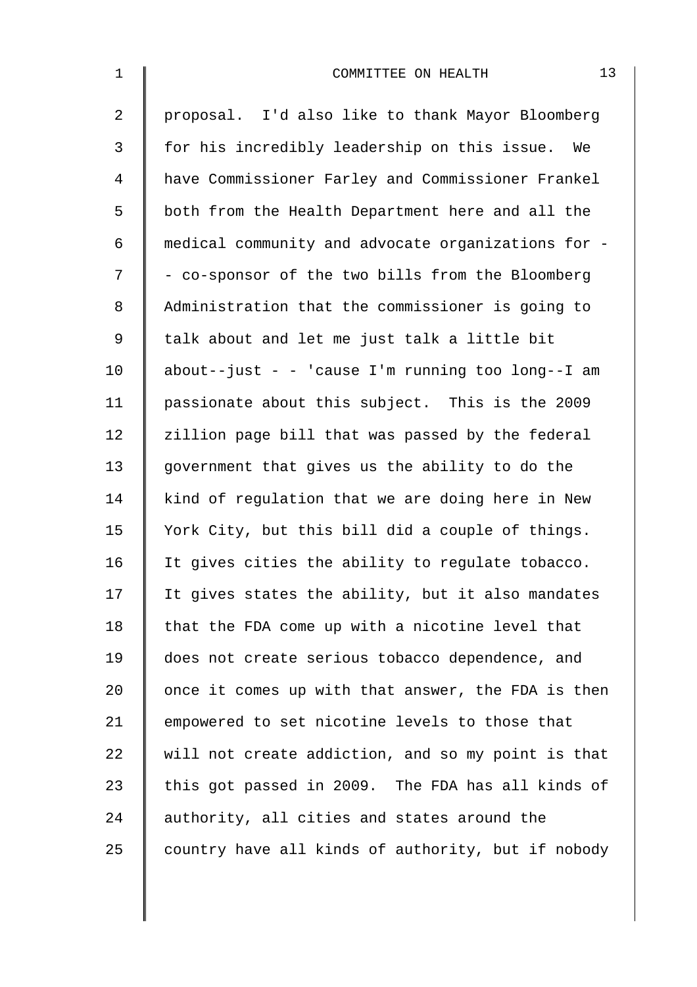| $\mathbf{1}$   | 13<br>COMMITTEE ON HEALTH                          |
|----------------|----------------------------------------------------|
| $\overline{2}$ | proposal. I'd also like to thank Mayor Bloomberg   |
| 3              | for his incredibly leadership on this issue. We    |
| $\overline{4}$ | have Commissioner Farley and Commissioner Frankel  |
| 5              | both from the Health Department here and all the   |
| 6              | medical community and advocate organizations for - |
| 7              | - co-sponsor of the two bills from the Bloomberg   |
| 8              | Administration that the commissioner is going to   |
| 9              | talk about and let me just talk a little bit       |
| 10             | about--just - - 'cause I'm running too long--I am  |
| 11             | passionate about this subject. This is the 2009    |
| 12             | zillion page bill that was passed by the federal   |
| 13             | government that gives us the ability to do the     |
| 14             | kind of regulation that we are doing here in New   |
| 15             | York City, but this bill did a couple of things.   |
| 16             | It gives cities the ability to regulate tobacco.   |
| 17             | It gives states the ability, but it also mandates  |
| 18             | that the FDA come up with a nicotine level that    |
| 19             | does not create serious tobacco dependence, and    |
| 20             | once it comes up with that answer, the FDA is then |
| 21             | empowered to set nicotine levels to those that     |
| 22             | will not create addiction, and so my point is that |
| 23             | this got passed in 2009. The FDA has all kinds of  |
| 24             | authority, all cities and states around the        |
| 25             | country have all kinds of authority, but if nobody |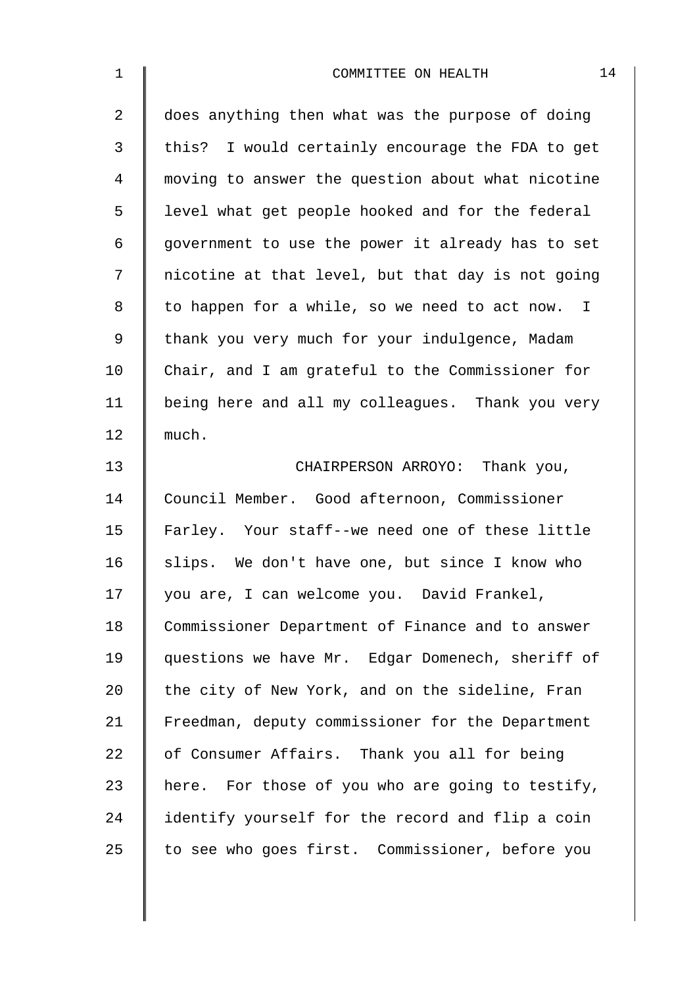| $\mathbf 1$    | 14<br>COMMITTEE ON HEALTH                         |
|----------------|---------------------------------------------------|
| $\overline{2}$ | does anything then what was the purpose of doing  |
| 3              | this? I would certainly encourage the FDA to get  |
| 4              | moving to answer the question about what nicotine |
| 5              | level what get people hooked and for the federal  |
| 6              | government to use the power it already has to set |
| 7              | nicotine at that level, but that day is not going |
| 8              | to happen for a while, so we need to act now. I   |
| $\mathsf 9$    | thank you very much for your indulgence, Madam    |
| 10             | Chair, and I am grateful to the Commissioner for  |
| 11             | being here and all my colleagues. Thank you very  |
| 12             | much.                                             |
| 13             | CHAIRPERSON ARROYO: Thank you,                    |
| 14             | Council Member. Good afternoon, Commissioner      |
| 15             | Farley. Your staff--we need one of these little   |
| 16             | slips. We don't have one, but since I know who    |
| 17             | you are, I can welcome you. David Frankel,        |
| 18             | Commissioner Department of Finance and to answer  |
| 19             | questions we have Mr. Edgar Domenech, sheriff of  |
| 20             | the city of New York, and on the sideline, Fran   |
| 21             | Freedman, deputy commissioner for the Department  |
| 22             | of Consumer Affairs. Thank you all for being      |
| 23             | here. For those of you who are going to testify,  |
| 24             | identify yourself for the record and flip a coin  |
| 25             | to see who goes first. Commissioner, before you   |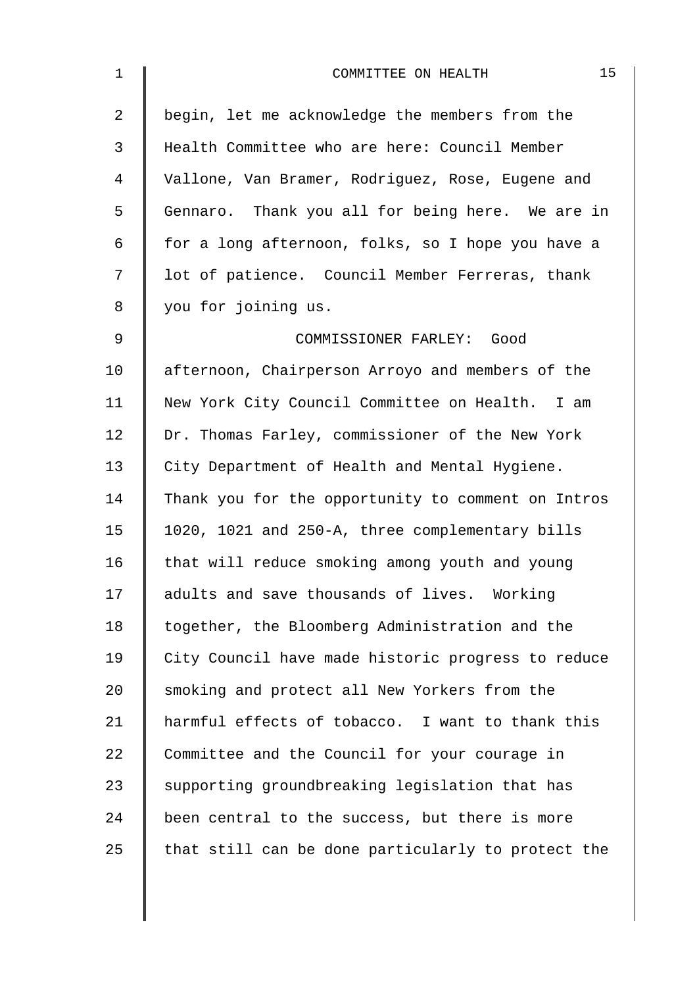| $\mathbf 1$    | 15<br>COMMITTEE ON HEALTH                          |
|----------------|----------------------------------------------------|
| $\overline{2}$ | begin, let me acknowledge the members from the     |
| 3              | Health Committee who are here: Council Member      |
| 4              | Vallone, Van Bramer, Rodriguez, Rose, Eugene and   |
| 5              | Gennaro. Thank you all for being here. We are in   |
| 6              | for a long afternoon, folks, so I hope you have a  |
| 7              | lot of patience. Council Member Ferreras, thank    |
| 8              | you for joining us.                                |
| $\mathsf 9$    | COMMISSIONER FARLEY: Good                          |
| 10             | afternoon, Chairperson Arroyo and members of the   |
| 11             | New York City Council Committee on Health. I am    |
| 12             | Dr. Thomas Farley, commissioner of the New York    |
| 13             | City Department of Health and Mental Hygiene.      |
| 14             | Thank you for the opportunity to comment on Intros |
| 15             | 1020, 1021 and 250-A, three complementary bills    |
| 16             | that will reduce smoking among youth and young     |
| 17             | adults and save thousands of lives. Working        |
| 18             | together, the Bloomberg Administration and the     |
| 19             | City Council have made historic progress to reduce |
| 20             | smoking and protect all New Yorkers from the       |
| 21             | harmful effects of tobacco. I want to thank this   |
| 22             | Committee and the Council for your courage in      |
| 23             | supporting groundbreaking legislation that has     |
| 24             | been central to the success, but there is more     |
| 25             | that still can be done particularly to protect the |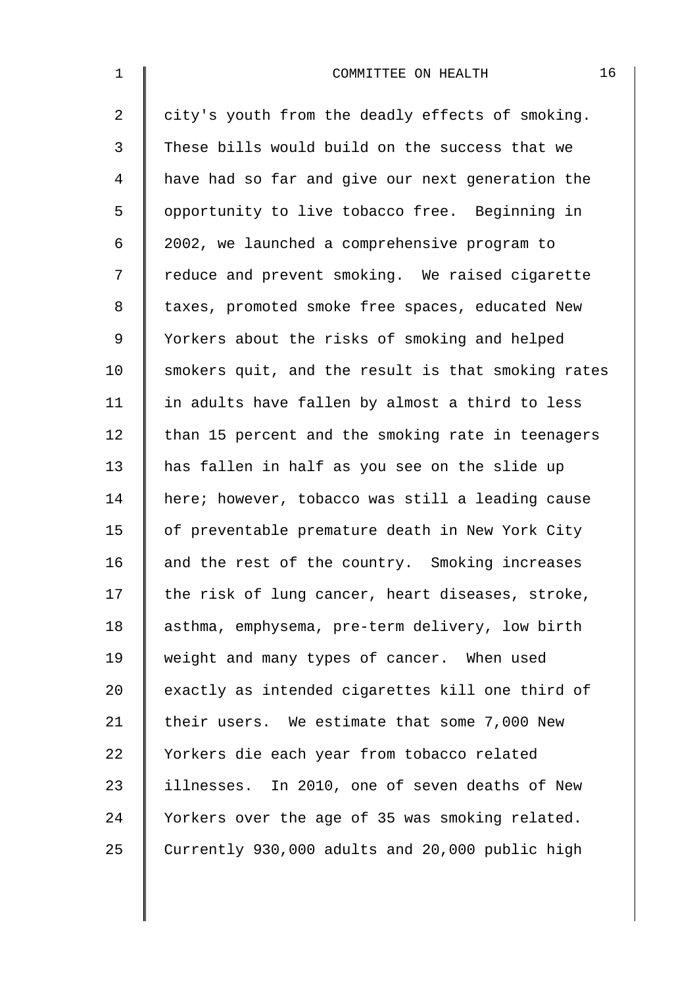| $\mathbf{1}$   | 16<br>COMMITTEE ON HEALTH                          |
|----------------|----------------------------------------------------|
| $\overline{2}$ | city's youth from the deadly effects of smoking.   |
| 3              | These bills would build on the success that we     |
| $\overline{4}$ | have had so far and give our next generation the   |
| 5              | opportunity to live tobacco free. Beginning in     |
| 6              | 2002, we launched a comprehensive program to       |
| 7              | reduce and prevent smoking. We raised cigarette    |
| 8              | taxes, promoted smoke free spaces, educated New    |
| 9              | Yorkers about the risks of smoking and helped      |
| 10             | smokers quit, and the result is that smoking rates |
| 11             | in adults have fallen by almost a third to less    |
| 12             | than 15 percent and the smoking rate in teenagers  |
| 13             | has fallen in half as you see on the slide up      |
| 14             | here; however, tobacco was still a leading cause   |
| 15             | of preventable premature death in New York City    |
| 16             | and the rest of the country. Smoking increases     |
| 17             | the risk of lung cancer, heart diseases, stroke,   |
| 18             | asthma, emphysema, pre-term delivery, low birth    |
| 19             | weight and many types of cancer. When used         |
| 20             | exactly as intended cigarettes kill one third of   |
| 21             | their users. We estimate that some 7,000 New       |
| 22             | Yorkers die each year from tobacco related         |
| 23             | illnesses. In 2010, one of seven deaths of New     |
| 24             | Yorkers over the age of 35 was smoking related.    |
| 25             | Currently 930,000 adults and 20,000 public high    |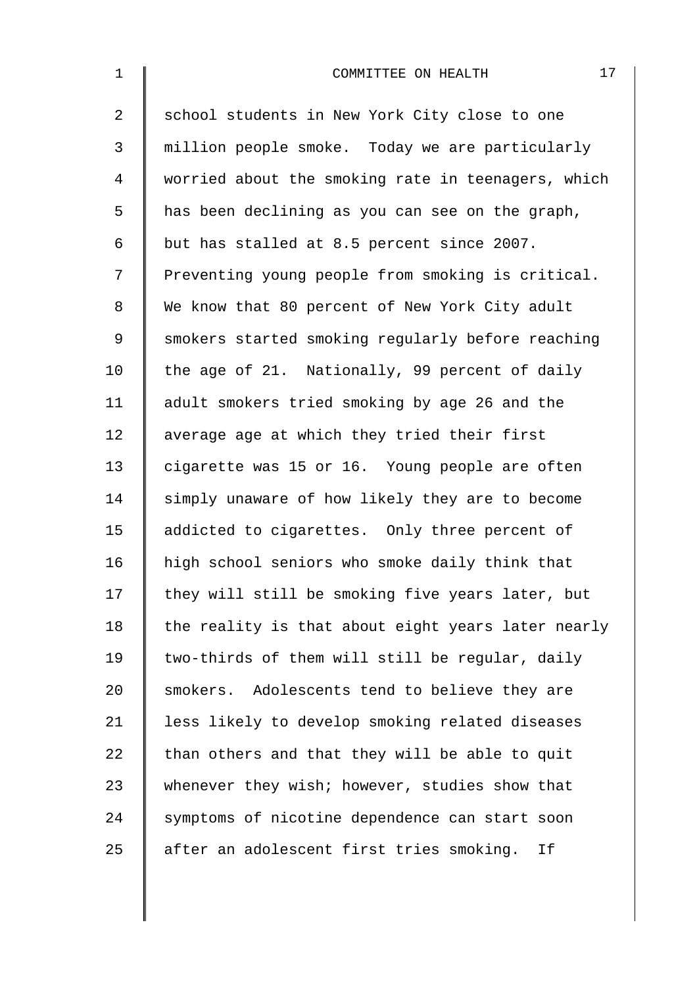| $\mathbf 1$    | 17<br>COMMITTEE ON HEALTH                          |
|----------------|----------------------------------------------------|
| $\overline{a}$ | school students in New York City close to one      |
| 3              | million people smoke. Today we are particularly    |
| $\overline{4}$ | worried about the smoking rate in teenagers, which |
| 5              | has been declining as you can see on the graph,    |
| 6              | but has stalled at 8.5 percent since 2007.         |
| 7              | Preventing young people from smoking is critical.  |
| $\,8\,$        | We know that 80 percent of New York City adult     |
| $\mathsf 9$    | smokers started smoking regularly before reaching  |
| 10             | the age of 21. Nationally, 99 percent of daily     |
| 11             | adult smokers tried smoking by age 26 and the      |
| 12             | average age at which they tried their first        |
| 13             | cigarette was 15 or 16. Young people are often     |
| 14             | simply unaware of how likely they are to become    |
| 15             | addicted to cigarettes. Only three percent of      |
| 16             | high school seniors who smoke daily think that     |
| 17             | they will still be smoking five years later, but   |
| 18             | the reality is that about eight years later nearly |
| 19             | two-thirds of them will still be regular, daily    |
| 20             | smokers. Adolescents tend to believe they are      |
| 21             | less likely to develop smoking related diseases    |
| 22             | than others and that they will be able to quit     |
| 23             | whenever they wish; however, studies show that     |
| 24             | symptoms of nicotine dependence can start soon     |
| 25             | after an adolescent first tries smoking.<br>Ιf     |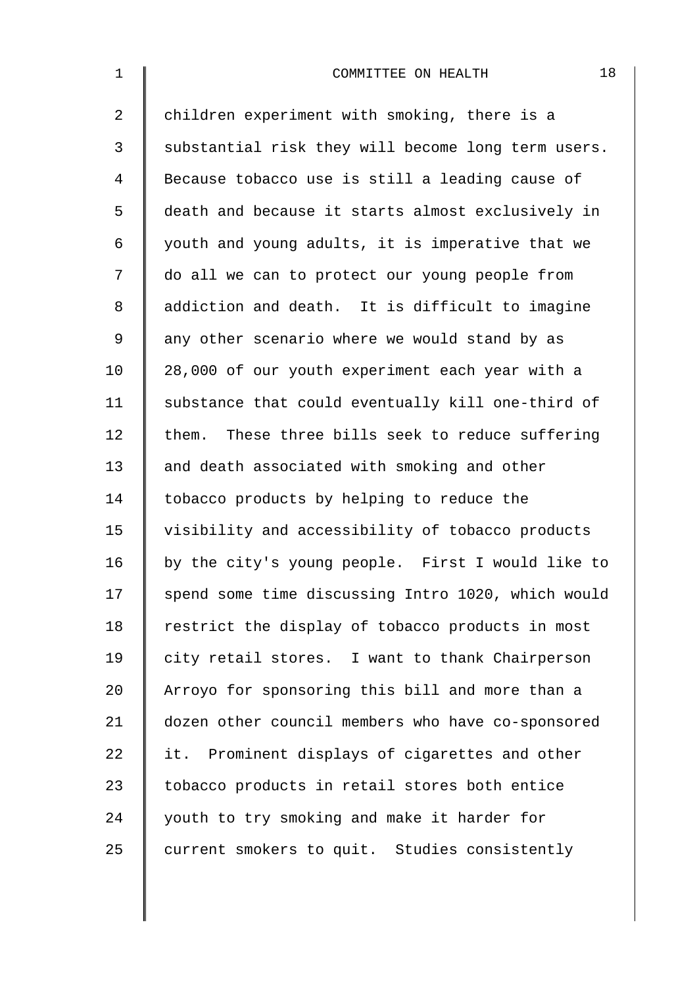| $\mathbf 1$    | 18<br>COMMITTEE ON HEALTH                          |
|----------------|----------------------------------------------------|
| $\overline{2}$ | children experiment with smoking, there is a       |
| 3              | substantial risk they will become long term users. |
| 4              | Because tobacco use is still a leading cause of    |
| 5              | death and because it starts almost exclusively in  |
| 6              | youth and young adults, it is imperative that we   |
| 7              | do all we can to protect our young people from     |
| 8              | addiction and death. It is difficult to imagine    |
| 9              | any other scenario where we would stand by as      |
| 10             | 28,000 of our youth experiment each year with a    |
| 11             | substance that could eventually kill one-third of  |
| 12             | them. These three bills seek to reduce suffering   |
| 13             | and death associated with smoking and other        |
| 14             | tobacco products by helping to reduce the          |
| 15             | visibility and accessibility of tobacco products   |
| 16             | by the city's young people. First I would like to  |
| 17             | spend some time discussing Intro 1020, which would |
| 18             | restrict the display of tobacco products in most   |
| 19             | city retail stores. I want to thank Chairperson    |
| 20             | Arroyo for sponsoring this bill and more than a    |
| 21             | dozen other council members who have co-sponsored  |
| 22             | it. Prominent displays of cigarettes and other     |
| 23             | tobacco products in retail stores both entice      |
| 24             | youth to try smoking and make it harder for        |
| 25             | current smokers to quit. Studies consistently      |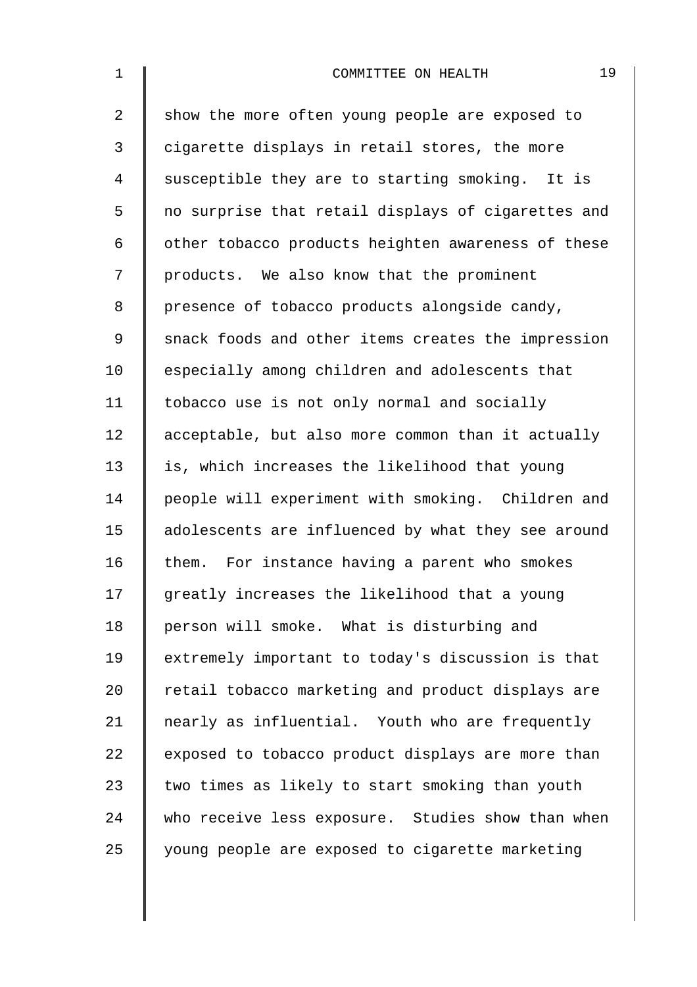| $\mathbf 1$    | 19<br>COMMITTEE ON HEALTH                          |
|----------------|----------------------------------------------------|
| $\overline{2}$ | show the more often young people are exposed to    |
| 3              | cigarette displays in retail stores, the more      |
| 4              | susceptible they are to starting smoking. It is    |
| 5              | no surprise that retail displays of cigarettes and |
| 6              | other tobacco products heighten awareness of these |
| 7              | products. We also know that the prominent          |
| 8              | presence of tobacco products alongside candy,      |
| 9              | snack foods and other items creates the impression |
| 10             | especially among children and adolescents that     |
| 11             | tobacco use is not only normal and socially        |
| 12             | acceptable, but also more common than it actually  |
| 13             | is, which increases the likelihood that young      |
| 14             | people will experiment with smoking. Children and  |
| 15             | adolescents are influenced by what they see around |
| 16             | them. For instance having a parent who smokes      |
| 17             | greatly increases the likelihood that a young      |
| 18             | person will smoke. What is disturbing and          |
| 19             | extremely important to today's discussion is that  |
| 20             | retail tobacco marketing and product displays are  |
| 21             | nearly as influential. Youth who are frequently    |
| 22             | exposed to tobacco product displays are more than  |
| 23             | two times as likely to start smoking than youth    |
| 24             | who receive less exposure. Studies show than when  |
| 25             | young people are exposed to cigarette marketing    |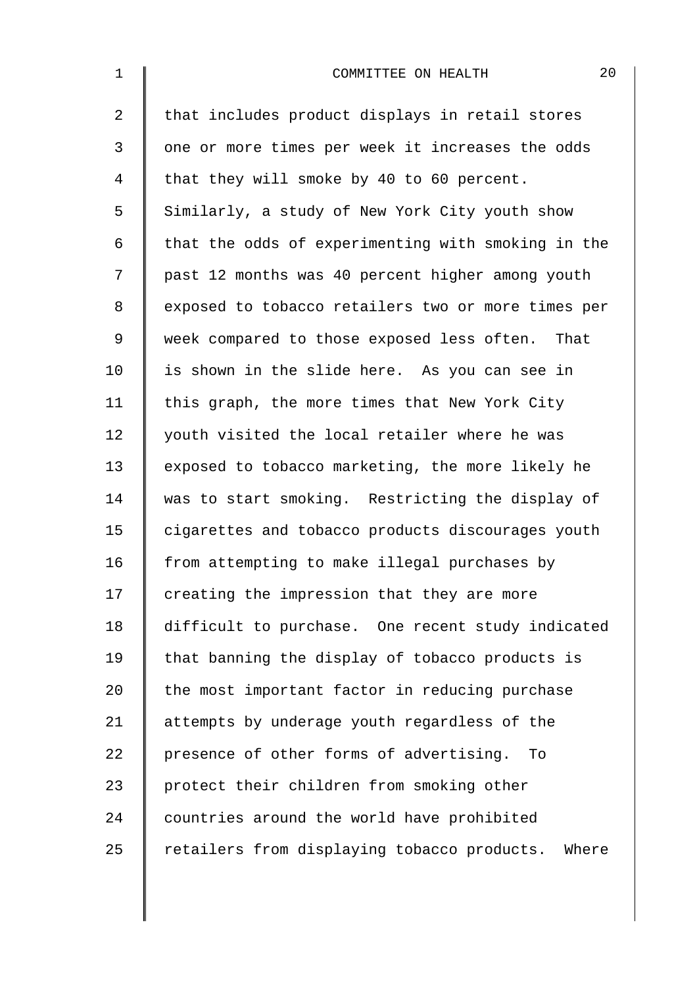| $\mathbf 1$    | 20<br>COMMITTEE ON HEALTH                          |
|----------------|----------------------------------------------------|
| $\overline{2}$ | that includes product displays in retail stores    |
| 3              | one or more times per week it increases the odds   |
| $\overline{4}$ | that they will smoke by 40 to 60 percent.          |
| 5              | Similarly, a study of New York City youth show     |
| 6              | that the odds of experimenting with smoking in the |
| 7              | past 12 months was 40 percent higher among youth   |
| 8              | exposed to tobacco retailers two or more times per |
| $\mathsf 9$    | week compared to those exposed less often. That    |
| 10             | is shown in the slide here. As you can see in      |
| 11             | this graph, the more times that New York City      |
| 12             | youth visited the local retailer where he was      |
| 13             | exposed to tobacco marketing, the more likely he   |
| 14             | was to start smoking. Restricting the display of   |
| 15             | cigarettes and tobacco products discourages youth  |
| 16             | from attempting to make illegal purchases by       |
| 17             | creating the impression that they are more         |
| 18             | difficult to purchase. One recent study indicated  |
| 19             | that banning the display of tobacco products is    |
| 20             | the most important factor in reducing purchase     |
| 21             | attempts by underage youth regardless of the       |
| 22             | presence of other forms of advertising.<br>To      |
| 23             | protect their children from smoking other          |
| 24             | countries around the world have prohibited         |
| 25             | retailers from displaying tobacco products. Where  |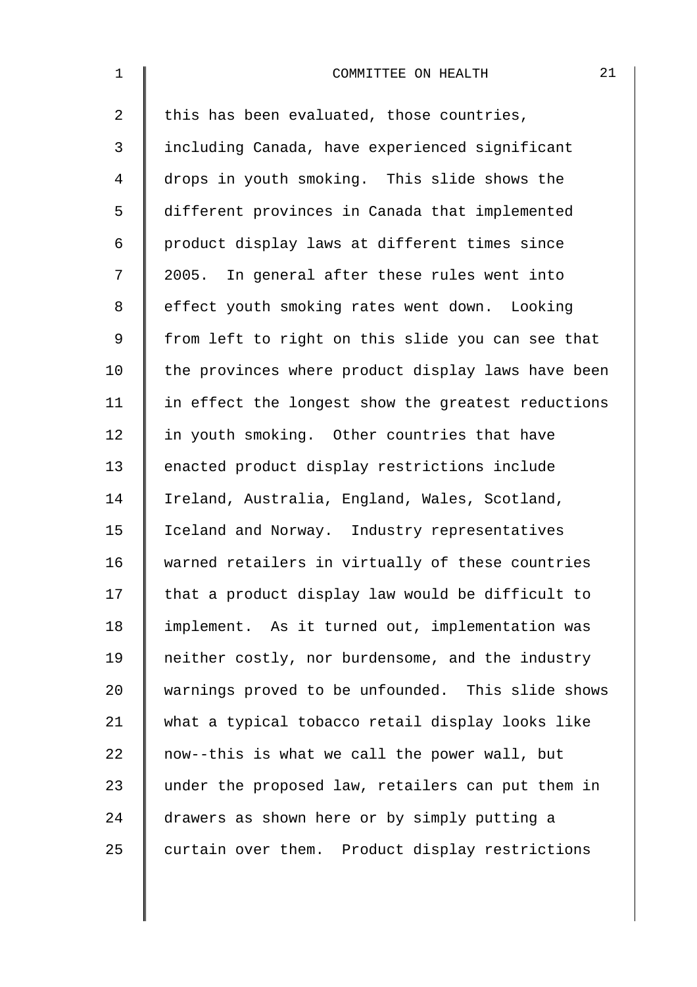| $\mathbf 1$    | 21<br>COMMITTEE ON HEALTH                          |
|----------------|----------------------------------------------------|
| $\overline{2}$ | this has been evaluated, those countries,          |
| $\mathsf{3}$   | including Canada, have experienced significant     |
| $\overline{4}$ | drops in youth smoking. This slide shows the       |
| 5              | different provinces in Canada that implemented     |
| 6              | product display laws at different times since      |
| 7              | 2005. In general after these rules went into       |
| 8              | effect youth smoking rates went down. Looking      |
| $\mathsf 9$    | from left to right on this slide you can see that  |
| 10             | the provinces where product display laws have been |
| 11             | in effect the longest show the greatest reductions |
| 12             | in youth smoking. Other countries that have        |
| 13             | enacted product display restrictions include       |
| 14             | Ireland, Australia, England, Wales, Scotland,      |
| 15             | Iceland and Norway. Industry representatives       |
| 16             | warned retailers in virtually of these countries   |
| 17             | that a product display law would be difficult to   |
| 18             | implement. As it turned out, implementation was    |
| 19             | neither costly, nor burdensome, and the industry   |
| 20             | warnings proved to be unfounded. This slide shows  |
| 21             | what a typical tobacco retail display looks like   |
| 22             | now--this is what we call the power wall, but      |
| 23             | under the proposed law, retailers can put them in  |
| 24             | drawers as shown here or by simply putting a       |
| 25             | curtain over them. Product display restrictions    |
|                |                                                    |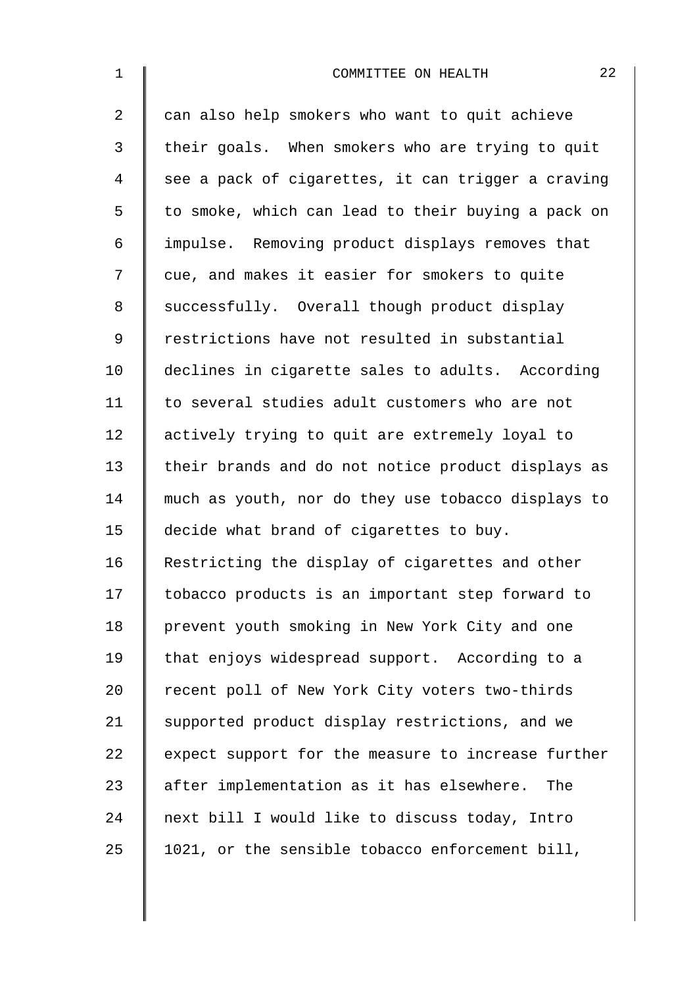| $\mathbf 1$ | 22<br>COMMITTEE ON HEALTH                          |
|-------------|----------------------------------------------------|
| 2           | can also help smokers who want to quit achieve     |
| 3           | their goals. When smokers who are trying to quit   |
| 4           | see a pack of cigarettes, it can trigger a craving |
| 5           | to smoke, which can lead to their buying a pack on |
| 6           | impulse. Removing product displays removes that    |
| 7           | cue, and makes it easier for smokers to quite      |
| 8           | successfully. Overall though product display       |
| 9           | restrictions have not resulted in substantial      |
| 10          | declines in cigarette sales to adults. According   |
| 11          | to several studies adult customers who are not     |
| 12          | actively trying to quit are extremely loyal to     |
| 13          | their brands and do not notice product displays as |
| 14          | much as youth, nor do they use tobacco displays to |
| 15          | decide what brand of cigarettes to buy.            |
| 16          | Restricting the display of cigarettes and other    |
| 17          | tobacco products is an important step forward to   |
| 18          | prevent youth smoking in New York City and one     |
| 19          | that enjoys widespread support. According to a     |
| 20          | recent poll of New York City voters two-thirds     |
| 21          | supported product display restrictions, and we     |
| 22          | expect support for the measure to increase further |
| 23          | after implementation as it has elsewhere. The      |
| 24          | next bill I would like to discuss today, Intro     |
| 25          | 1021, or the sensible tobacco enforcement bill,    |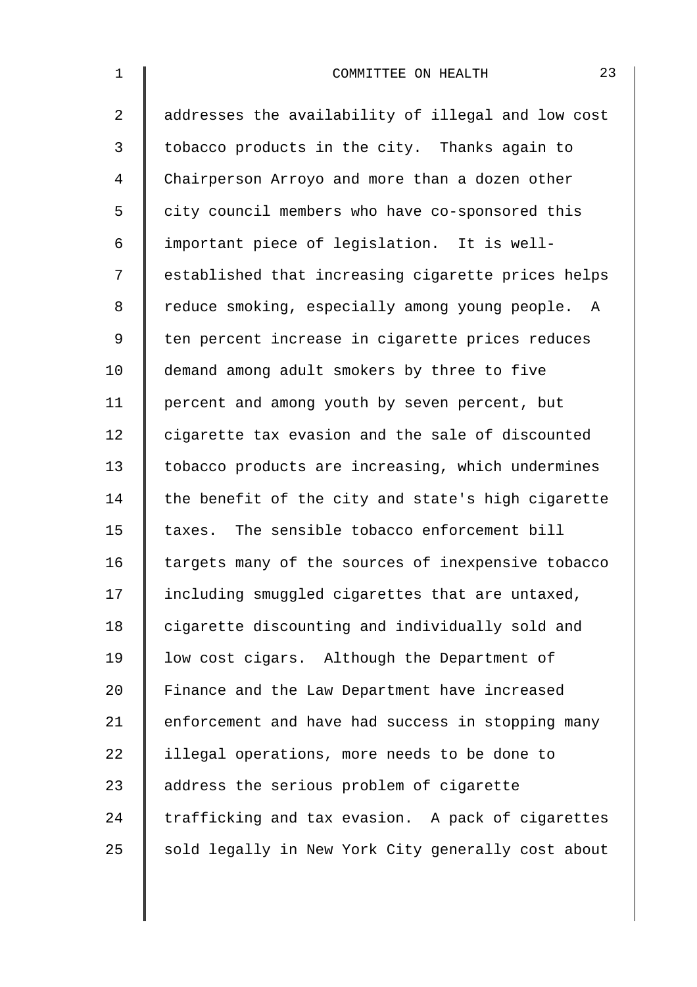2 | addresses the availability of illegal and low cost 3 | tobacco products in the city. Thanks again to 4 Chairperson Arroyo and more than a dozen other 5 city council members who have co-sponsored this 6 important piece of legislation. It is well-7 | established that increasing cigarette prices helps 8 | reduce smoking, especially among young people. A 9 | ten percent increase in cigarette prices reduces 10 | demand among adult smokers by three to five 11 | percent and among youth by seven percent, but 12 cigarette tax evasion and the sale of discounted 13 tobacco products are increasing, which undermines 14  $\parallel$  the benefit of the city and state's high cigarette 15 taxes. The sensible tobacco enforcement bill  $16$  targets many of the sources of inexpensive tobacco 17 Including smuggled cigarettes that are untaxed, 18 | cigarette discounting and individually sold and 19 low cost cigars. Although the Department of 20 Finance and the Law Department have increased 21 | enforcement and have had success in stopping many 22 | illegal operations, more needs to be done to 23 address the serious problem of cigarette  $24$  trafficking and tax evasion. A pack of cigarettes 25  $\parallel$  sold legally in New York City generally cost about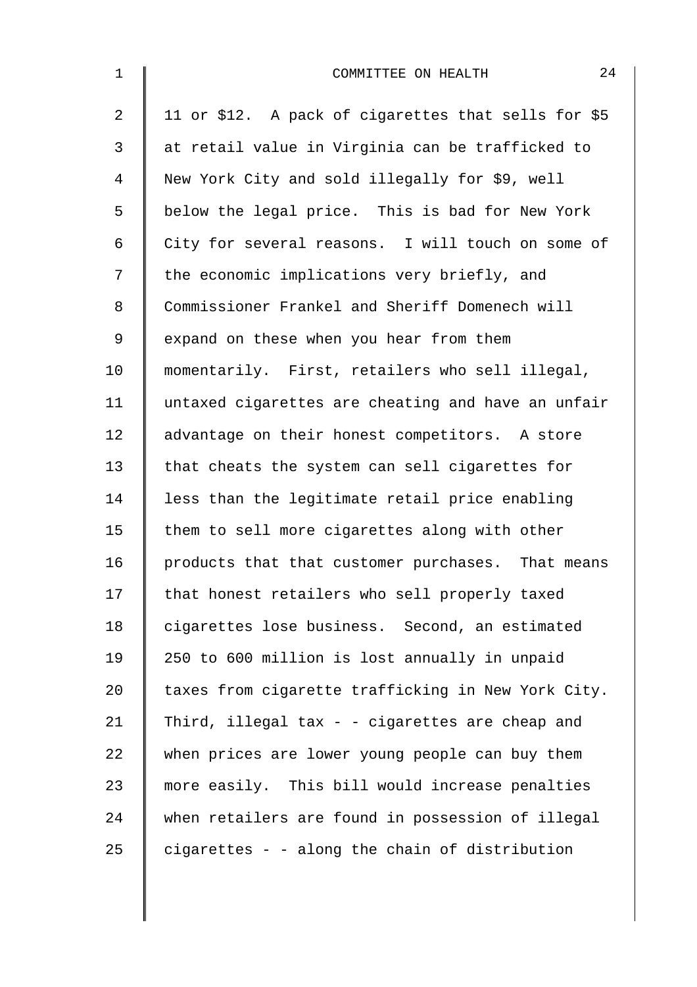| $\mathbf 1$    | 24<br>COMMITTEE ON HEALTH                           |
|----------------|-----------------------------------------------------|
| $\overline{a}$ | 11 or \$12. A pack of cigarettes that sells for \$5 |
| $\mathsf{3}$   | at retail value in Virginia can be trafficked to    |
| 4              | New York City and sold illegally for \$9, well      |
| 5              | below the legal price. This is bad for New York     |
| 6              | City for several reasons. I will touch on some of   |
| 7              | the economic implications very briefly, and         |
| 8              | Commissioner Frankel and Sheriff Domenech will      |
| 9              | expand on these when you hear from them             |
| 10             | momentarily. First, retailers who sell illegal,     |
| 11             | untaxed cigarettes are cheating and have an unfair  |
| 12             | advantage on their honest competitors. A store      |
| 13             | that cheats the system can sell cigarettes for      |
| 14             | less than the legitimate retail price enabling      |
| 15             | them to sell more cigarettes along with other       |
| 16             | products that that customer purchases. That means   |
| 17             | that honest retailers who sell properly taxed       |
| 18             | cigarettes lose business. Second, an estimated      |
| 19             | 250 to 600 million is lost annually in unpaid       |
| 20             | taxes from cigarette trafficking in New York City.  |
| 21             | Third, illegal tax - - cigarettes are cheap and     |
| 22             | when prices are lower young people can buy them     |
| 23             | more easily. This bill would increase penalties     |
| 24             | when retailers are found in possession of illegal   |
| 25             | cigarettes - - along the chain of distribution      |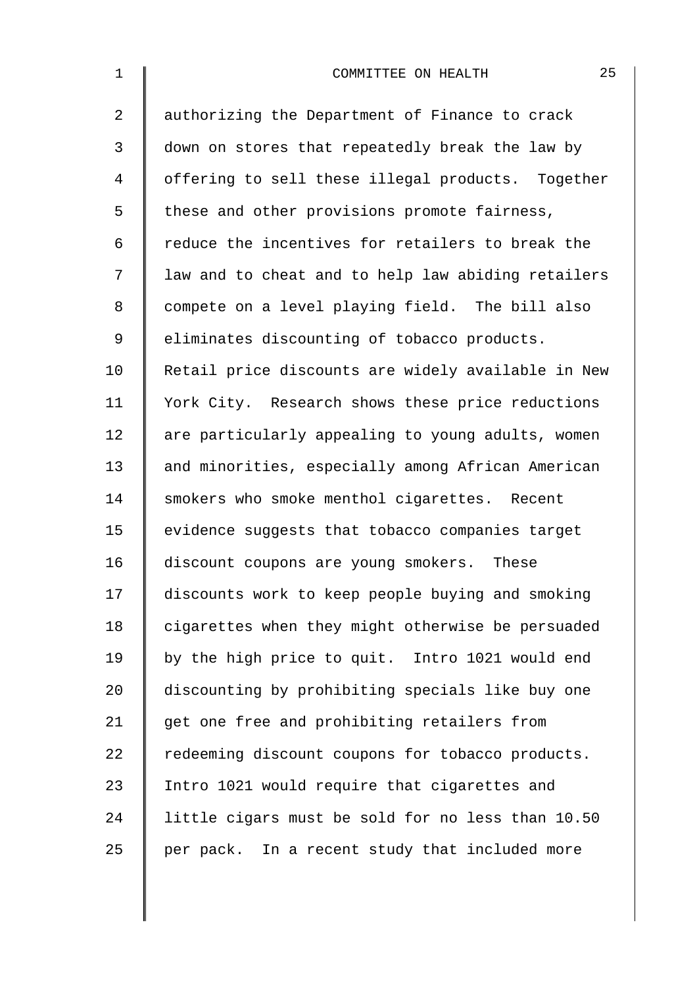| $\mathbf 1$    | 25<br>COMMITTEE ON HEALTH                          |
|----------------|----------------------------------------------------|
| $\overline{a}$ | authorizing the Department of Finance to crack     |
| 3              | down on stores that repeatedly break the law by    |
| 4              | offering to sell these illegal products. Together  |
| 5              | these and other provisions promote fairness,       |
| 6              | reduce the incentives for retailers to break the   |
| 7              | law and to cheat and to help law abiding retailers |
| 8              | compete on a level playing field. The bill also    |
| 9              | eliminates discounting of tobacco products.        |
| 10             | Retail price discounts are widely available in New |
| 11             | York City. Research shows these price reductions   |
| 12             | are particularly appealing to young adults, women  |
| 13             | and minorities, especially among African American  |
| 14             | smokers who smoke menthol cigarettes. Recent       |
| 15             | evidence suggests that tobacco companies target    |
| 16             | discount coupons are young smokers. These          |
| 17             | discounts work to keep people buying and smoking   |
| 18             | cigarettes when they might otherwise be persuaded  |
| 19             | by the high price to quit. Intro 1021 would end    |
| 20             | discounting by prohibiting specials like buy one   |
| 21             | get one free and prohibiting retailers from        |
| 22             | redeeming discount coupons for tobacco products.   |
| 23             | Intro 1021 would require that cigarettes and       |
| 24             | little cigars must be sold for no less than 10.50  |
| 25             | per pack. In a recent study that included more     |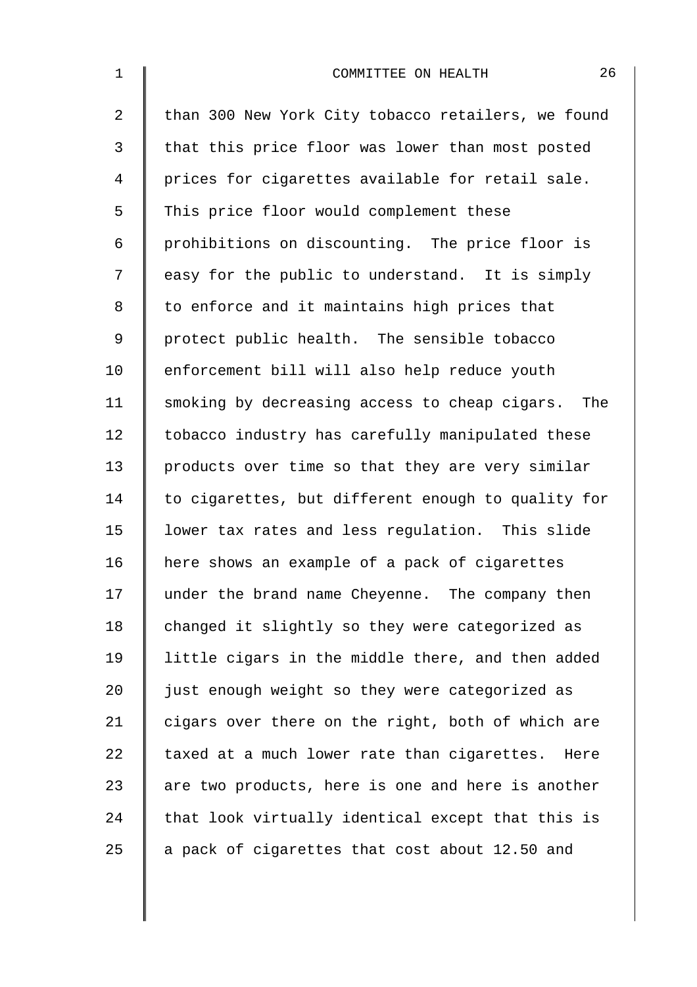| $\mathbf 1$    | 26<br>COMMITTEE ON HEALTH                          |
|----------------|----------------------------------------------------|
| $\overline{2}$ | than 300 New York City tobacco retailers, we found |
| 3              | that this price floor was lower than most posted   |
| 4              | prices for cigarettes available for retail sale.   |
| 5              | This price floor would complement these            |
| 6              | prohibitions on discounting. The price floor is    |
| 7              | easy for the public to understand. It is simply    |
| 8              | to enforce and it maintains high prices that       |
| $\mathsf 9$    | protect public health. The sensible tobacco        |
| 10             | enforcement bill will also help reduce youth       |
| 11             | smoking by decreasing access to cheap cigars. The  |
| 12             | tobacco industry has carefully manipulated these   |
| 13             | products over time so that they are very similar   |
| 14             | to cigarettes, but different enough to quality for |
| 15             | lower tax rates and less regulation. This slide    |
| 16             | here shows an example of a pack of cigarettes      |
| 17             | under the brand name Cheyenne. The company then    |
| 18             | changed it slightly so they were categorized as    |
| 19             | little cigars in the middle there, and then added  |
| 20             | just enough weight so they were categorized as     |
| 21             | cigars over there on the right, both of which are  |
| 22             | taxed at a much lower rate than cigarettes. Here   |
| 23             | are two products, here is one and here is another  |
| 24             | that look virtually identical except that this is  |
| 25             | a pack of cigarettes that cost about 12.50 and     |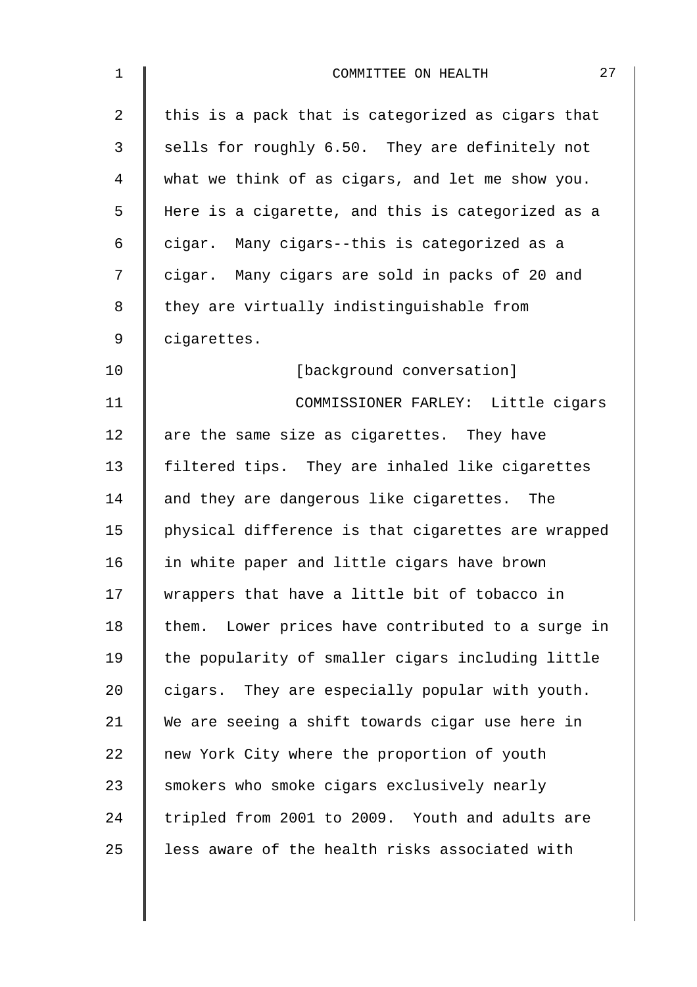| 1              | 27<br>COMMITTEE ON HEALTH                            |
|----------------|------------------------------------------------------|
| $\overline{2}$ | this is a pack that is categorized as cigars that    |
| 3              | sells for roughly 6.50. They are definitely not      |
| 4              | what we think of as cigars, and let me show you.     |
| 5              | Here is a cigarette, and this is categorized as a    |
| 6              | cigar. Many cigars--this is categorized as a         |
| 7              | cigar. Many cigars are sold in packs of 20 and       |
| 8              | they are virtually indistinguishable from            |
| 9              | cigarettes.                                          |
| 10             | [background conversation]                            |
| 11             | COMMISSIONER FARLEY: Little cigars                   |
| 12             | are the same size as cigarettes. They have           |
| 13             | filtered tips. They are inhaled like cigarettes      |
| 14             | and they are dangerous like cigarettes. The          |
| 15             | physical difference is that cigarettes are wrapped   |
| 16             | in white paper and little cigars have brown          |
| 17             | wrappers that have a little bit of tobacco in        |
| 18             | Lower prices have contributed to a surge in<br>them. |
| 19             | the popularity of smaller cigars including little    |
| 20             | cigars. They are especially popular with youth.      |
| 21             | We are seeing a shift towards cigar use here in      |
| 22             | new York City where the proportion of youth          |
| 23             | smokers who smoke cigars exclusively nearly          |
| 24             | tripled from 2001 to 2009. Youth and adults are      |
| 25             | less aware of the health risks associated with       |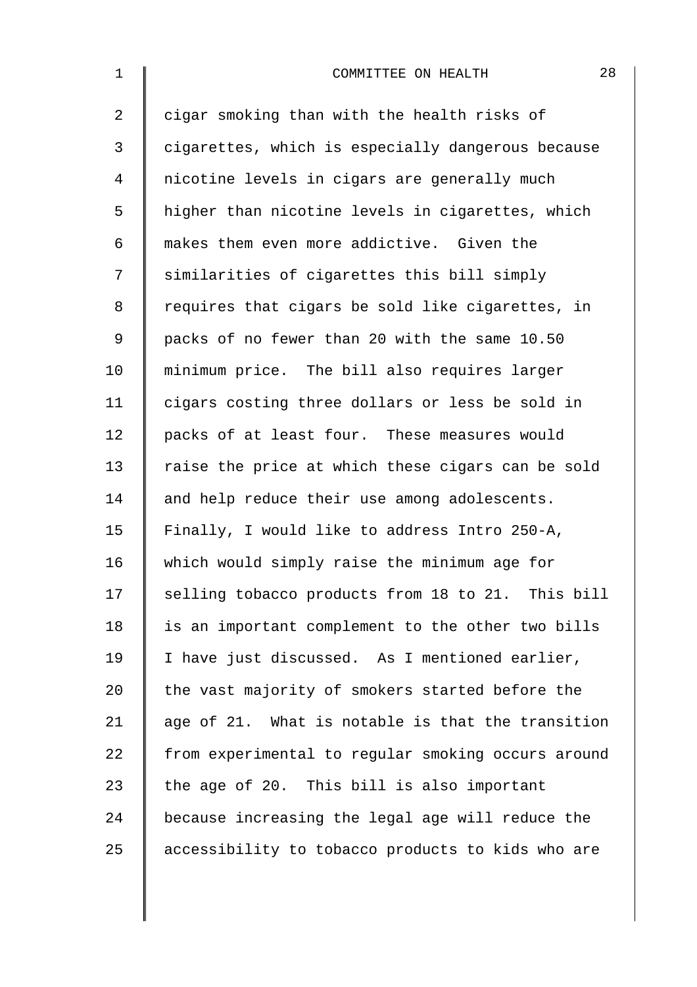| $\mathbf 1$    | 28<br>COMMITTEE ON HEALTH                          |
|----------------|----------------------------------------------------|
| $\overline{a}$ | cigar smoking than with the health risks of        |
| 3              | cigarettes, which is especially dangerous because  |
| 4              | nicotine levels in cigars are generally much       |
| 5              | higher than nicotine levels in cigarettes, which   |
| 6              | makes them even more addictive. Given the          |
| 7              | similarities of cigarettes this bill simply        |
| 8              | requires that cigars be sold like cigarettes, in   |
| $\mathsf 9$    | packs of no fewer than 20 with the same 10.50      |
| 10             | minimum price. The bill also requires larger       |
| 11             | cigars costing three dollars or less be sold in    |
| 12             | packs of at least four. These measures would       |
| 13             | raise the price at which these cigars can be sold  |
| 14             | and help reduce their use among adolescents.       |
| 15             | Finally, I would like to address Intro 250-A,      |
| 16             | which would simply raise the minimum age for       |
| 17             | selling tobacco products from 18 to 21. This bill  |
| 18             | is an important complement to the other two bills  |
| 19             | I have just discussed. As I mentioned earlier,     |
| 20             | the vast majority of smokers started before the    |
| 21             | age of 21. What is notable is that the transition  |
| 22             | from experimental to regular smoking occurs around |
| 23             | the age of 20. This bill is also important         |
| 24             | because increasing the legal age will reduce the   |
| 25             | accessibility to tobacco products to kids who are  |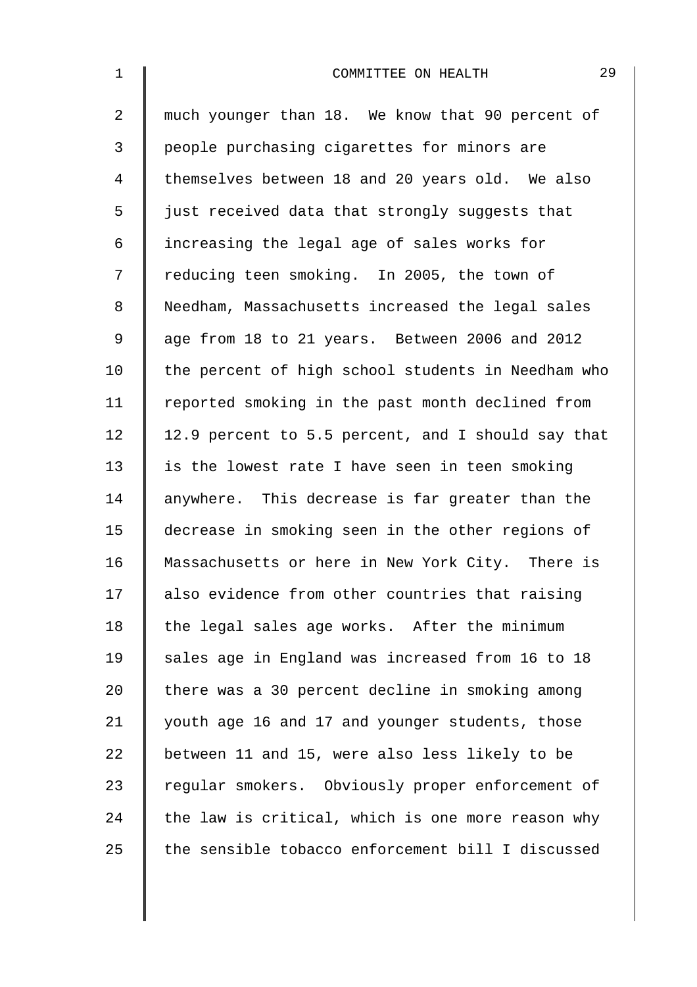| $1\,$          | 29<br>COMMITTEE ON HEALTH                          |
|----------------|----------------------------------------------------|
| $\overline{2}$ | much younger than 18. We know that 90 percent of   |
| 3              | people purchasing cigarettes for minors are        |
| 4              | themselves between 18 and 20 years old. We also    |
| 5              | just received data that strongly suggests that     |
| 6              | increasing the legal age of sales works for        |
| 7              | reducing teen smoking. In 2005, the town of        |
| 8              | Needham, Massachusetts increased the legal sales   |
| $\mathsf 9$    | age from 18 to 21 years. Between 2006 and 2012     |
| 10             | the percent of high school students in Needham who |
| 11             | reported smoking in the past month declined from   |
| 12             | 12.9 percent to 5.5 percent, and I should say that |
| 13             | is the lowest rate I have seen in teen smoking     |
| 14             | anywhere. This decrease is far greater than the    |
| 15             | decrease in smoking seen in the other regions of   |
| 16             | Massachusetts or here in New York City. There is   |
| 17             | also evidence from other countries that raising    |
| 18             | the legal sales age works. After the minimum       |
| 19             | sales age in England was increased from 16 to 18   |
| 20             | there was a 30 percent decline in smoking among    |
| 21             | youth age 16 and 17 and younger students, those    |
| 22             | between 11 and 15, were also less likely to be     |
| 23             | regular smokers. Obviously proper enforcement of   |
| 24             | the law is critical, which is one more reason why  |
| 25             | the sensible tobacco enforcement bill I discussed  |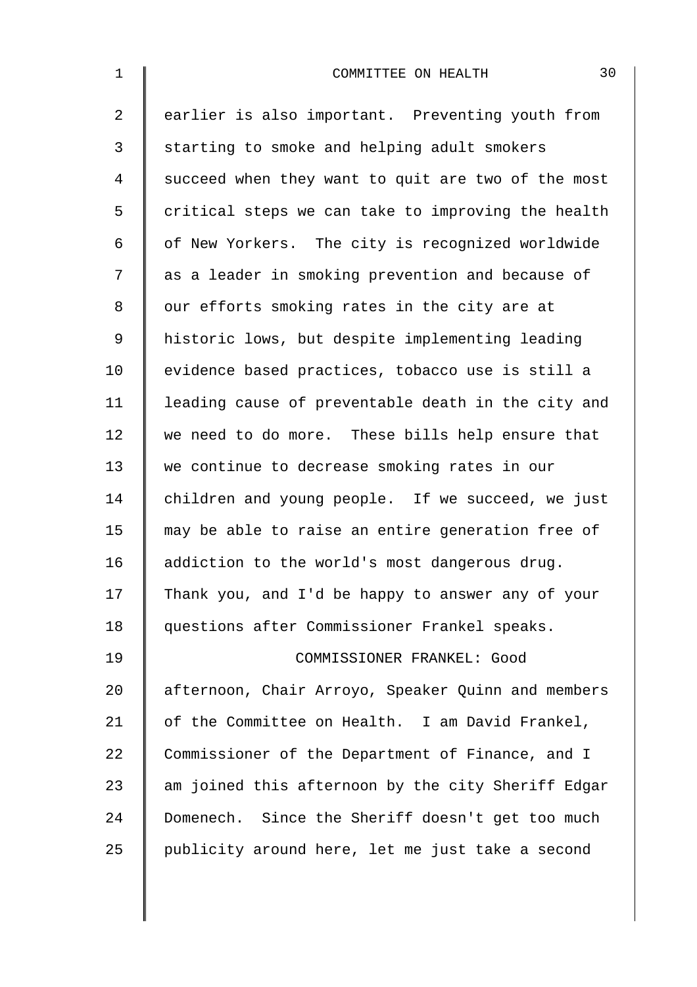| $\mathbf 1$    | 30<br>COMMITTEE ON HEALTH                          |
|----------------|----------------------------------------------------|
| $\overline{2}$ | earlier is also important. Preventing youth from   |
| 3              | starting to smoke and helping adult smokers        |
| 4              | succeed when they want to quit are two of the most |
| 5              | critical steps we can take to improving the health |
| 6              | of New Yorkers. The city is recognized worldwide   |
| 7              | as a leader in smoking prevention and because of   |
| 8              | our efforts smoking rates in the city are at       |
| 9              | historic lows, but despite implementing leading    |
| 10             | evidence based practices, tobacco use is still a   |
| 11             | leading cause of preventable death in the city and |
| 12             | we need to do more. These bills help ensure that   |
| 13             | we continue to decrease smoking rates in our       |
| 14             | children and young people. If we succeed, we just  |
| 15             | may be able to raise an entire generation free of  |
| 16             | addiction to the world's most dangerous drug.      |
| 17             | Thank you, and I'd be happy to answer any of your  |
| 18             | questions after Commissioner Frankel speaks.       |
| 19             | COMMISSIONER FRANKEL: Good                         |
| 20             | afternoon, Chair Arroyo, Speaker Quinn and members |
| 21             | of the Committee on Health. I am David Frankel,    |
| 22             | Commissioner of the Department of Finance, and I   |
| 23             | am joined this afternoon by the city Sheriff Edgar |
| 24             | Domenech. Since the Sheriff doesn't get too much   |
| 25             | publicity around here, let me just take a second   |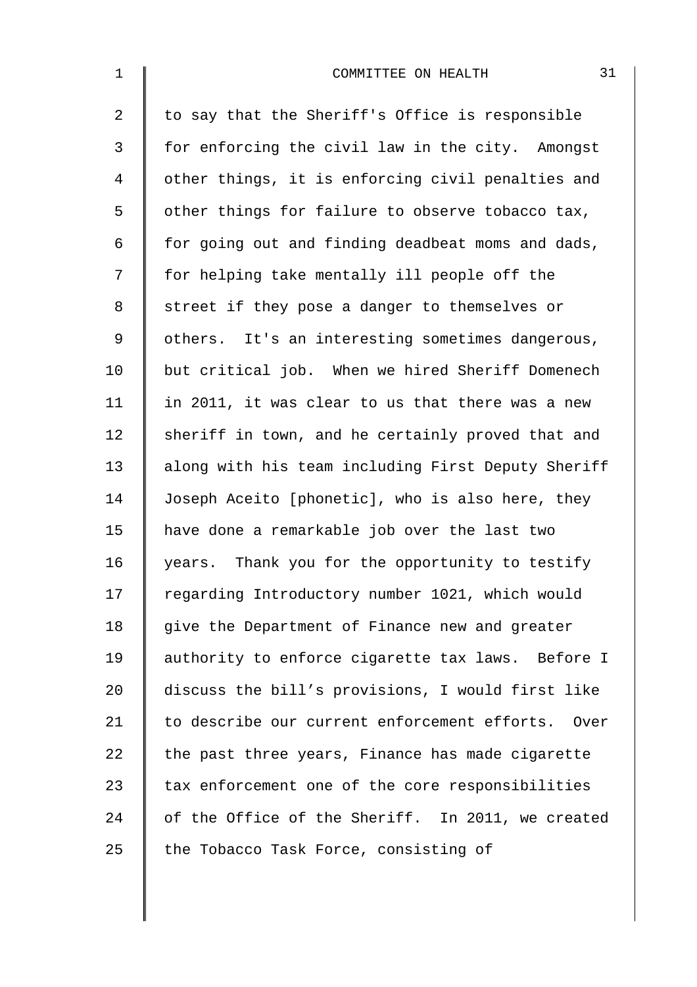| $\mathbf 1$    | 31<br>COMMITTEE ON HEALTH                          |
|----------------|----------------------------------------------------|
| $\overline{2}$ | to say that the Sheriff's Office is responsible    |
| 3              | for enforcing the civil law in the city. Amongst   |
| $\overline{4}$ | other things, it is enforcing civil penalties and  |
| 5              | other things for failure to observe tobacco tax,   |
| 6              | for going out and finding deadbeat moms and dads,  |
| 7              | for helping take mentally ill people off the       |
| 8              | street if they pose a danger to themselves or      |
| $\mathsf 9$    | others. It's an interesting sometimes dangerous,   |
| 10             | but critical job. When we hired Sheriff Domenech   |
| 11             | in 2011, it was clear to us that there was a new   |
| 12             | sheriff in town, and he certainly proved that and  |
| 13             | along with his team including First Deputy Sheriff |
| 14             | Joseph Aceito [phonetic], who is also here, they   |
| 15             | have done a remarkable job over the last two       |
| 16             | years. Thank you for the opportunity to testify    |
| 17             | regarding Introductory number 1021, which would    |
| 18             | give the Department of Finance new and greater     |
| 19             | authority to enforce cigarette tax laws. Before I  |
| 20             | discuss the bill's provisions, I would first like  |
| 21             | to describe our current enforcement efforts. Over  |
| 22             | the past three years, Finance has made cigarette   |
| 23             | tax enforcement one of the core responsibilities   |
| 24             | of the Office of the Sheriff. In 2011, we created  |
| 25             | the Tobacco Task Force, consisting of              |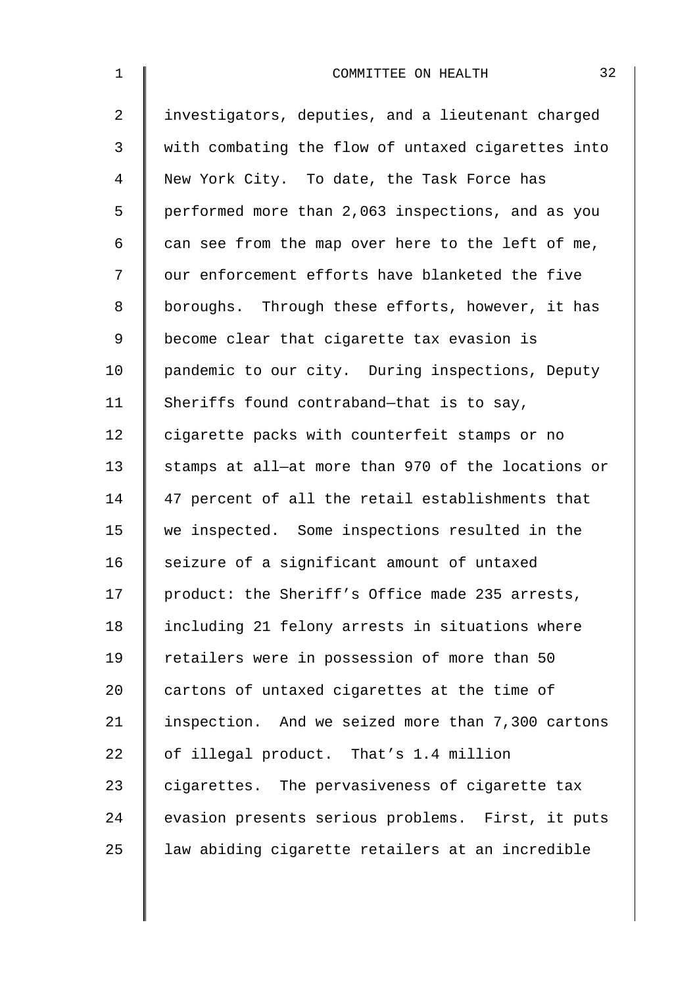| $\mathbf 1$ | 32<br>COMMITTEE ON HEALTH                          |
|-------------|----------------------------------------------------|
| 2           | investigators, deputies, and a lieutenant charged  |
| 3           | with combating the flow of untaxed cigarettes into |
| 4           | New York City. To date, the Task Force has         |
| 5           | performed more than 2,063 inspections, and as you  |
| 6           | can see from the map over here to the left of me,  |
| 7           | our enforcement efforts have blanketed the five    |
| 8           | boroughs. Through these efforts, however, it has   |
| 9           | become clear that cigarette tax evasion is         |
| 10          | pandemic to our city. During inspections, Deputy   |
| 11          | Sheriffs found contraband-that is to say,          |
| 12          | cigarette packs with counterfeit stamps or no      |
| 13          | stamps at all-at more than 970 of the locations or |
| 14          | 47 percent of all the retail establishments that   |
| 15          | we inspected. Some inspections resulted in the     |
| 16          | seizure of a significant amount of untaxed         |
| 17          | product: the Sheriff's Office made 235 arrests,    |
| 18          | including 21 felony arrests in situations where    |
| 19          | retailers were in possession of more than 50       |
| 20          | cartons of untaxed cigarettes at the time of       |
| 21          | inspection. And we seized more than 7,300 cartons  |
| 22          | of illegal product. That's 1.4 million             |
| 23          | cigarettes. The pervasiveness of cigarette tax     |
| 24          | evasion presents serious problems. First, it puts  |
| 25          | law abiding cigarette retailers at an incredible   |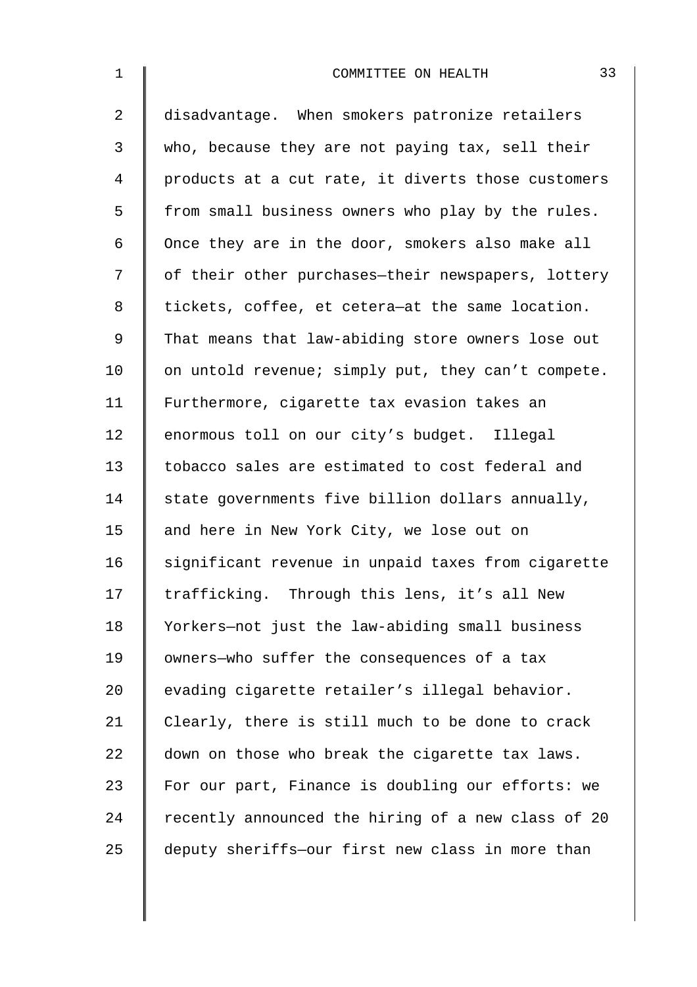| $\mathbf 1$ | 33<br>COMMITTEE ON HEALTH                          |
|-------------|----------------------------------------------------|
| 2           | disadvantage. When smokers patronize retailers     |
| 3           | who, because they are not paying tax, sell their   |
| 4           | products at a cut rate, it diverts those customers |
| 5           | from small business owners who play by the rules.  |
| 6           | Once they are in the door, smokers also make all   |
| 7           | of their other purchases-their newspapers, lottery |
| 8           | tickets, coffee, et cetera-at the same location.   |
| 9           | That means that law-abiding store owners lose out  |
| 10          | on untold revenue; simply put, they can't compete. |
| 11          | Furthermore, cigarette tax evasion takes an        |
| 12          | enormous toll on our city's budget. Illegal        |
| 13          | tobacco sales are estimated to cost federal and    |
| 14          | state governments five billion dollars annually,   |
| 15          | and here in New York City, we lose out on          |
| 16          | significant revenue in unpaid taxes from cigarette |
| 17          | trafficking. Through this lens, it's all New       |
| 18          | Yorkers-not just the law-abiding small business    |
| 19          | owners-who suffer the consequences of a tax        |
| 20          | evading cigarette retailer's illegal behavior.     |
| 21          | Clearly, there is still much to be done to crack   |
| 22          | down on those who break the cigarette tax laws.    |
| 23          | For our part, Finance is doubling our efforts: we  |
| 24          | recently announced the hiring of a new class of 20 |
| 25          | deputy sheriffs-our first new class in more than   |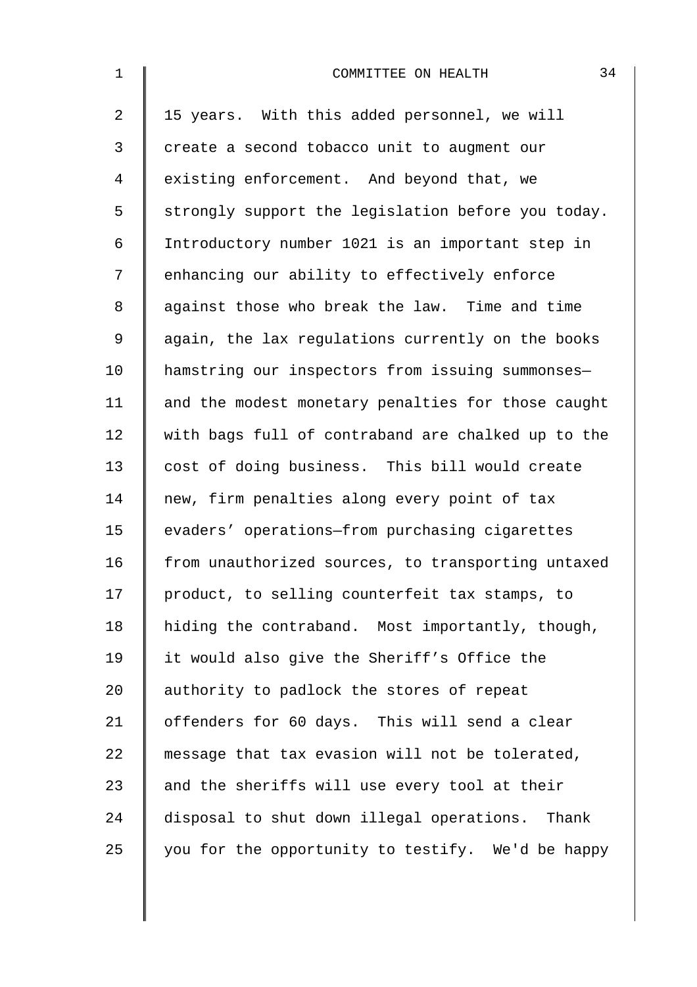| $\mathbf 1$    | 34<br>COMMITTEE ON HEALTH                          |
|----------------|----------------------------------------------------|
| $\overline{2}$ | 15 years. With this added personnel, we will       |
| $\mathfrak{Z}$ | create a second tobacco unit to augment our        |
| 4              | existing enforcement. And beyond that, we          |
| 5              | strongly support the legislation before you today. |
| 6              | Introductory number 1021 is an important step in   |
| 7              | enhancing our ability to effectively enforce       |
| 8              | against those who break the law. Time and time     |
| 9              | again, the lax regulations currently on the books  |
| 10             | hamstring our inspectors from issuing summonses-   |
| 11             | and the modest monetary penalties for those caught |
| 12             | with bags full of contraband are chalked up to the |
| 13             | cost of doing business. This bill would create     |
| 14             | new, firm penalties along every point of tax       |
| 15             | evaders' operations-from purchasing cigarettes     |
| 16             | from unauthorized sources, to transporting untaxed |
| 17             | product, to selling counterfeit tax stamps, to     |
| 18             | hiding the contraband. Most importantly, though,   |
| 19             | it would also give the Sheriff's Office the        |
| 20             | authority to padlock the stores of repeat          |
| 21             | offenders for 60 days. This will send a clear      |
| 22             | message that tax evasion will not be tolerated,    |
| 23             | and the sheriffs will use every tool at their      |
| 24             | disposal to shut down illegal operations. Thank    |
| 25             | you for the opportunity to testify. We'd be happy  |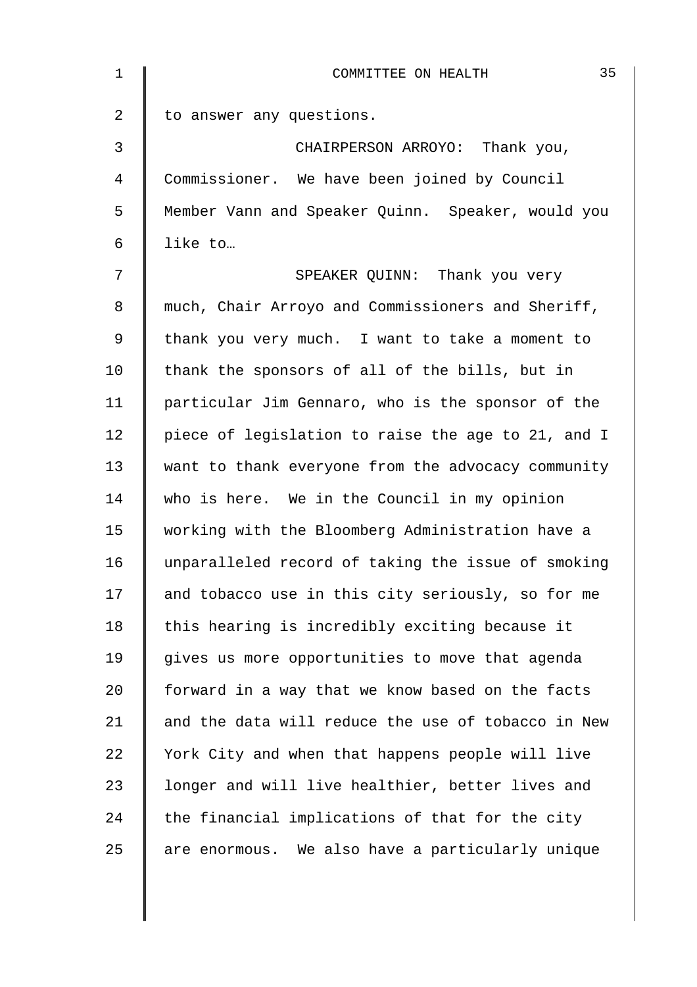| $\mathbf{1}$ | 35<br>COMMITTEE ON HEALTH                          |
|--------------|----------------------------------------------------|
| 2            | to answer any questions.                           |
| 3            | CHAIRPERSON ARROYO: Thank you,                     |
| 4            | Commissioner. We have been joined by Council       |
| 5            | Member Vann and Speaker Quinn. Speaker, would you  |
| 6            | like to                                            |
| 7            | SPEAKER QUINN: Thank you very                      |
| 8            | much, Chair Arroyo and Commissioners and Sheriff,  |
| $\mathsf 9$  | thank you very much. I want to take a moment to    |
| 10           | thank the sponsors of all of the bills, but in     |
| 11           | particular Jim Gennaro, who is the sponsor of the  |
| 12           | piece of legislation to raise the age to 21, and I |
| 13           | want to thank everyone from the advocacy community |
| 14           | who is here. We in the Council in my opinion       |
| 15           | working with the Bloomberg Administration have a   |
| 16           | unparalleled record of taking the issue of smoking |
| 17           | and tobacco use in this city seriously, so for me  |
| 18           | this hearing is incredibly exciting because it     |
| 19           | gives us more opportunities to move that agenda    |
| 20           | forward in a way that we know based on the facts   |
| 21           | and the data will reduce the use of tobacco in New |
| 22           | York City and when that happens people will live   |
| 23           | longer and will live healthier, better lives and   |
| 24           | the financial implications of that for the city    |
| 25           | are enormous. We also have a particularly unique   |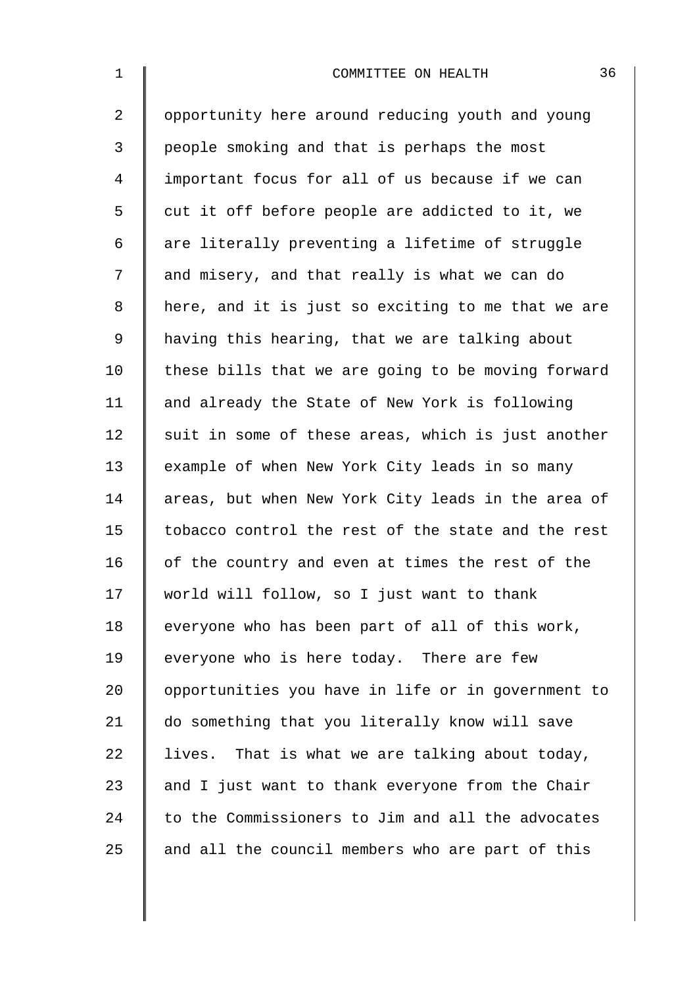| $\mathbf{1}$   | 36<br>COMMITTEE ON HEALTH                          |
|----------------|----------------------------------------------------|
| $\overline{a}$ | opportunity here around reducing youth and young   |
| 3              | people smoking and that is perhaps the most        |
| 4              | important focus for all of us because if we can    |
| 5              | cut it off before people are addicted to it, we    |
| 6              | are literally preventing a lifetime of struggle    |
| 7              | and misery, and that really is what we can do      |
| 8              | here, and it is just so exciting to me that we are |
| 9              | having this hearing, that we are talking about     |
| 10             | these bills that we are going to be moving forward |
| 11             | and already the State of New York is following     |
| 12             | suit in some of these areas, which is just another |
| 13             | example of when New York City leads in so many     |
| 14             | areas, but when New York City leads in the area of |
| 15             | tobacco control the rest of the state and the rest |
| 16             | of the country and even at times the rest of the   |
| 17             | world will follow, so I just want to thank         |
| 18             | everyone who has been part of all of this work,    |
| 19             | everyone who is here today. There are few          |
| 20             | opportunities you have in life or in government to |
| 21             | do something that you literally know will save     |
| 22             | lives. That is what we are talking about today,    |
| 23             | and I just want to thank everyone from the Chair   |
| 24             | to the Commissioners to Jim and all the advocates  |
| 25             | and all the council members who are part of this   |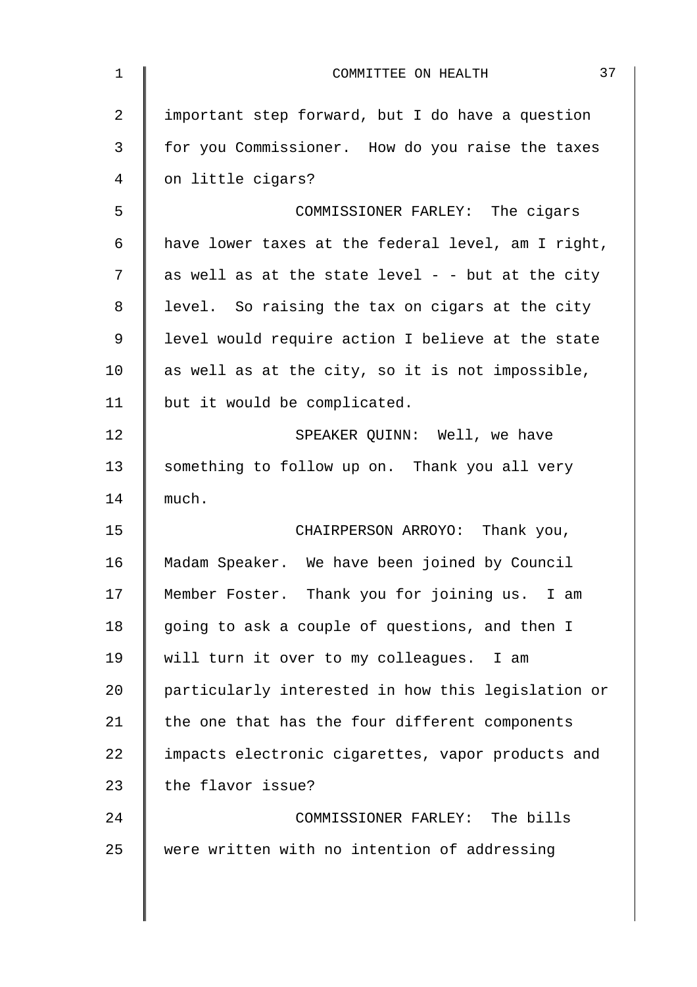| $\mathbf{1}$ | 37<br>COMMITTEE ON HEALTH                          |
|--------------|----------------------------------------------------|
| 2            | important step forward, but I do have a question   |
| 3            | for you Commissioner. How do you raise the taxes   |
| 4            | on little cigars?                                  |
| 5            | COMMISSIONER FARLEY: The cigars                    |
| $\epsilon$   | have lower taxes at the federal level, am I right, |
| 7            | as well as at the state level - - but at the city  |
| 8            | level. So raising the tax on cigars at the city    |
| 9            | level would require action I believe at the state  |
| 10           | as well as at the city, so it is not impossible,   |
| 11           | but it would be complicated.                       |
| 12           | SPEAKER QUINN: Well, we have                       |
| 13           | something to follow up on. Thank you all very      |
| 14           | much.                                              |
| 15           | CHAIRPERSON ARROYO: Thank you,                     |
| 16           | Madam Speaker. We have been joined by Council      |
| 17           | Member Foster. Thank you for joining us. I am      |
| 18           | going to ask a couple of questions, and then I     |
| 19           | will turn it over to my colleagues. I am           |
| 20           | particularly interested in how this legislation or |
| 21           | the one that has the four different components     |
| 22           | impacts electronic cigarettes, vapor products and  |
| 23           | the flavor issue?                                  |
| 24           | COMMISSIONER FARLEY: The bills                     |
| 25           | were written with no intention of addressing       |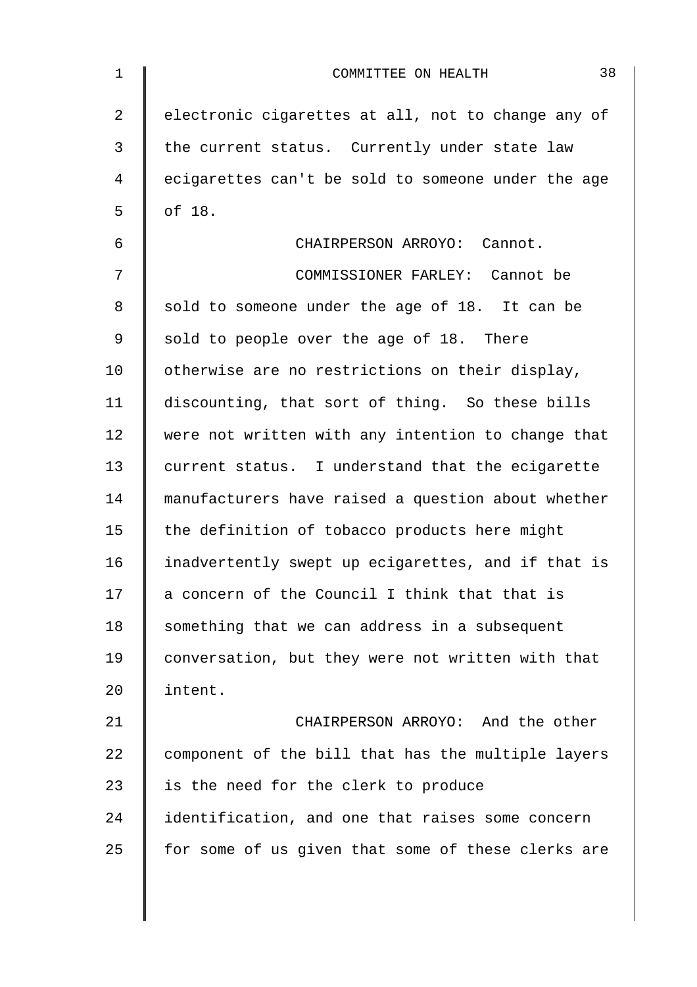| $\mathbf 1$    | 38<br>COMMITTEE ON HEALTH                          |
|----------------|----------------------------------------------------|
| $\overline{2}$ | electronic cigarettes at all, not to change any of |
| 3              | the current status. Currently under state law      |
| 4              | ecigarettes can't be sold to someone under the age |
| 5              | of 18.                                             |
| 6              | CHAIRPERSON ARROYO: Cannot.                        |
| 7              | COMMISSIONER FARLEY: Cannot be                     |
| 8              | sold to someone under the age of 18. It can be     |
| 9              | sold to people over the age of 18. There           |
| 10             | otherwise are no restrictions on their display,    |
| 11             | discounting, that sort of thing. So these bills    |
| 12             | were not written with any intention to change that |
| 13             | current status. I understand that the ecigarette   |
| 14             | manufacturers have raised a question about whether |
| 15             | the definition of tobacco products here might      |
| 16             | inadvertently swept up ecigarettes, and if that is |
| 17             | a concern of the Council I think that that is      |
| 18             | something that we can address in a subsequent      |
| 19             | conversation, but they were not written with that  |
| 20             | intent.                                            |
| 21             | CHAIRPERSON ARROYO: And the other                  |
| 22             | component of the bill that has the multiple layers |
| 23             | is the need for the clerk to produce               |
| 24             | identification, and one that raises some concern   |
| 25             | for some of us given that some of these clerks are |
|                |                                                    |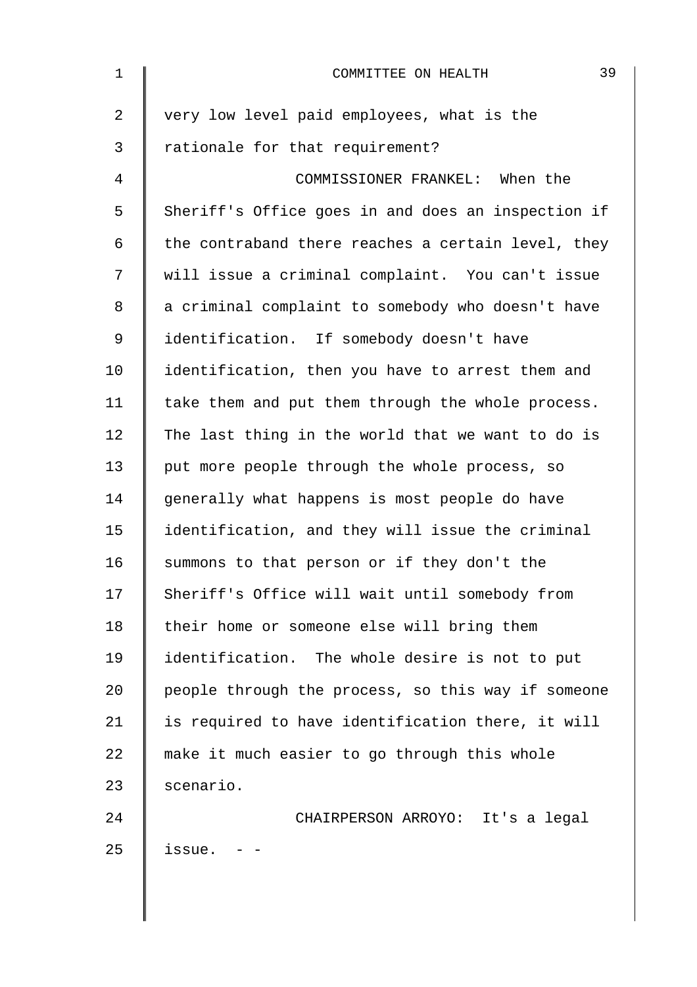| $\mathbf 1$    | 39<br>COMMITTEE ON HEALTH                          |
|----------------|----------------------------------------------------|
| $\overline{2}$ | very low level paid employees, what is the         |
| 3              | rationale for that requirement?                    |
| 4              | COMMISSIONER FRANKEL: When the                     |
| 5              | Sheriff's Office goes in and does an inspection if |
| 6              | the contraband there reaches a certain level, they |
| 7              | will issue a criminal complaint. You can't issue   |
| 8              | a criminal complaint to somebody who doesn't have  |
| $\mathsf 9$    | identification. If somebody doesn't have           |
| 10             | identification, then you have to arrest them and   |
| 11             | take them and put them through the whole process.  |
| 12             | The last thing in the world that we want to do is  |
| 13             | put more people through the whole process, so      |
| 14             | generally what happens is most people do have      |
| 15             | identification, and they will issue the criminal   |
| 16             | summons to that person or if they don't the        |
| 17             | Sheriff's Office will wait until somebody from     |
| 18             | their home or someone else will bring them         |
| 19             | identification. The whole desire is not to put     |
| 20             | people through the process, so this way if someone |
| 21             | is required to have identification there, it will  |
| 22             | make it much easier to go through this whole       |
| 23             | scenario.                                          |
| 24             | CHAIRPERSON ARROYO: It's a legal                   |
| 25             | issue.                                             |
|                |                                                    |
|                |                                                    |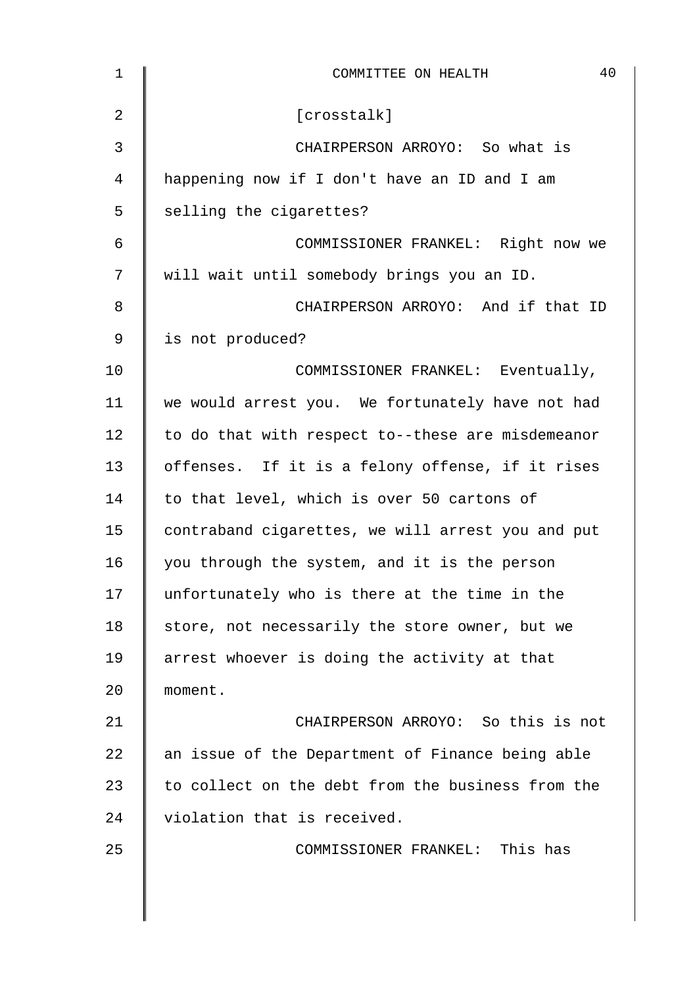| 1              | 40<br>COMMITTEE ON HEALTH                         |
|----------------|---------------------------------------------------|
| $\overline{2}$ | [crosstalk]                                       |
| 3              | CHAIRPERSON ARROYO: So what is                    |
| 4              | happening now if I don't have an ID and I am      |
| 5              | selling the cigarettes?                           |
| $\epsilon$     | COMMISSIONER FRANKEL: Right now we                |
| 7              | will wait until somebody brings you an ID.        |
| 8              | CHAIRPERSON ARROYO: And if that ID                |
| 9              | is not produced?                                  |
| 10             | COMMISSIONER FRANKEL: Eventually,                 |
| 11             | we would arrest you. We fortunately have not had  |
| 12             | to do that with respect to--these are misdemeanor |
| 13             | offenses. If it is a felony offense, if it rises  |
| 14             | to that level, which is over 50 cartons of        |
| 15             | contraband cigarettes, we will arrest you and put |
| 16             | you through the system, and it is the person      |
| 17             | unfortunately who is there at the time in the     |
| 18             | store, not necessarily the store owner, but we    |
| 19             | arrest whoever is doing the activity at that      |
| 20             | moment.                                           |
| 21             | CHAIRPERSON ARROYO: So this is not                |
| 22             | an issue of the Department of Finance being able  |
| 23             | to collect on the debt from the business from the |
| 24             | violation that is received.                       |
| 25             | COMMISSIONER FRANKEL: This has                    |
|                |                                                   |
|                |                                                   |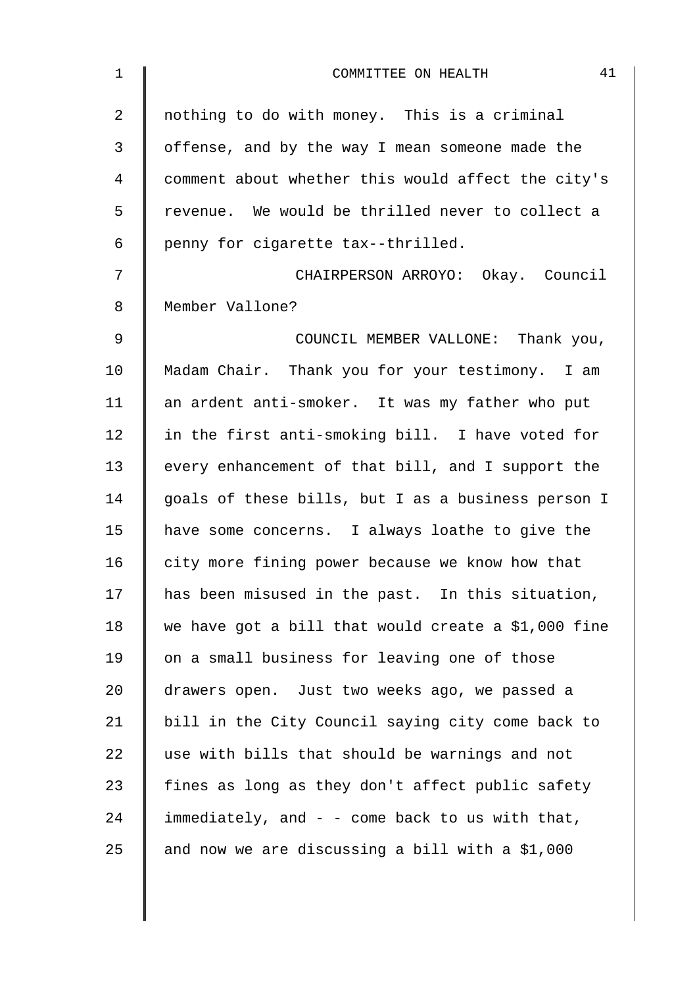| $\mathbf 1$    | 41<br>COMMITTEE ON HEALTH                           |
|----------------|-----------------------------------------------------|
| $\overline{a}$ | nothing to do with money. This is a criminal        |
| 3              | offense, and by the way I mean someone made the     |
| 4              | comment about whether this would affect the city's  |
| 5              | revenue. We would be thrilled never to collect a    |
| 6              | penny for cigarette tax--thrilled.                  |
| 7              | CHAIRPERSON ARROYO: Okay. Council                   |
| 8              | Member Vallone?                                     |
| 9              | COUNCIL MEMBER VALLONE: Thank you,                  |
| 10             | Madam Chair. Thank you for your testimony. I am     |
| 11             | an ardent anti-smoker. It was my father who put     |
| 12             | in the first anti-smoking bill. I have voted for    |
| 13             | every enhancement of that bill, and I support the   |
| 14             | goals of these bills, but I as a business person I  |
| 15             | have some concerns. I always loathe to give the     |
| 16             | city more fining power because we know how that     |
| 17             | has been misused in the past. In this situation,    |
| 18             | we have got a bill that would create a \$1,000 fine |
| 19             | on a small business for leaving one of those        |
| 20             | drawers open. Just two weeks ago, we passed a       |
| 21             | bill in the City Council saying city come back to   |
| 22             | use with bills that should be warnings and not      |
| 23             | fines as long as they don't affect public safety    |
| 24             | immediately, and - - come back to us with that,     |
| 25             | and now we are discussing a bill with a \$1,000     |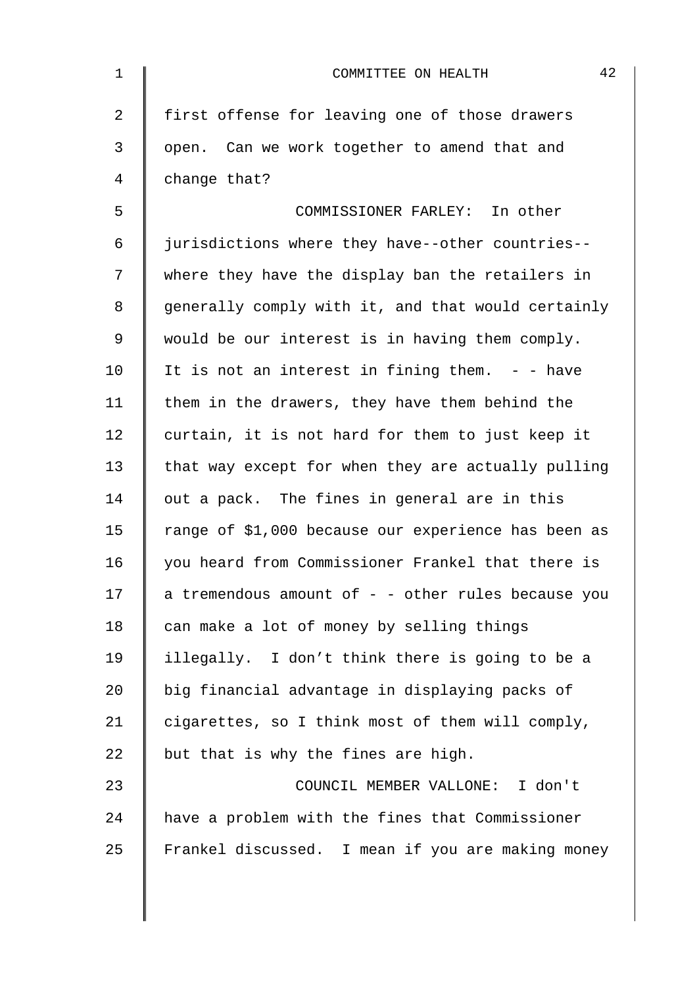| $\mathbf 1$    | 42<br>COMMITTEE ON HEALTH                           |
|----------------|-----------------------------------------------------|
| $\overline{a}$ | first offense for leaving one of those drawers      |
| 3              | open. Can we work together to amend that and        |
| 4              | change that?                                        |
| 5              | COMMISSIONER FARLEY: In other                       |
| 6              | jurisdictions where they have--other countries--    |
| 7              | where they have the display ban the retailers in    |
| 8              | generally comply with it, and that would certainly  |
| $\mathsf 9$    | would be our interest is in having them comply.     |
| 10             | It is not an interest in fining them. $-$ - have    |
| 11             | them in the drawers, they have them behind the      |
| 12             | curtain, it is not hard for them to just keep it    |
| 13             | that way except for when they are actually pulling  |
| 14             | out a pack. The fines in general are in this        |
| 15             | range of \$1,000 because our experience has been as |
| 16             | you heard from Commissioner Frankel that there is   |
| 17             | a tremendous amount of - - other rules because you  |
| 18             | can make a lot of money by selling things           |
| 19             | illegally. I don't think there is going to be a     |
| 20             | big financial advantage in displaying packs of      |
| 21             | cigarettes, so I think most of them will comply,    |
| 22             | but that is why the fines are high.                 |
| 23             | COUNCIL MEMBER VALLONE: I don't                     |
| 24             | have a problem with the fines that Commissioner     |
| 25             | Frankel discussed. I mean if you are making money   |
|                |                                                     |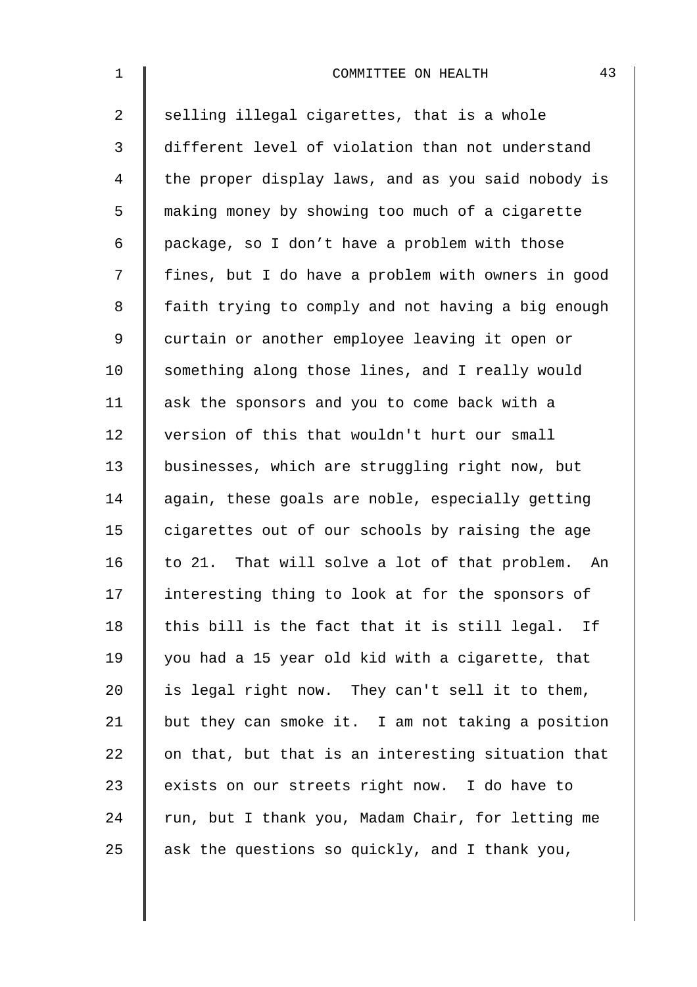| $\mathbf{1}$   | 43<br>COMMITTEE ON HEALTH                          |
|----------------|----------------------------------------------------|
| $\overline{a}$ | selling illegal cigarettes, that is a whole        |
| 3              | different level of violation than not understand   |
| 4              | the proper display laws, and as you said nobody is |
| 5              | making money by showing too much of a cigarette    |
| 6              | package, so I don't have a problem with those      |
| 7              | fines, but I do have a problem with owners in good |
| 8              | faith trying to comply and not having a big enough |
| 9              | curtain or another employee leaving it open or     |
| 10             | something along those lines, and I really would    |
| 11             | ask the sponsors and you to come back with a       |
| 12             | version of this that wouldn't hurt our small       |
| 13             | businesses, which are struggling right now, but    |
| 14             | again, these goals are noble, especially getting   |
| 15             | cigarettes out of our schools by raising the age   |
| 16             | to 21. That will solve a lot of that problem. An   |
| 17             | interesting thing to look at for the sponsors of   |
| 18             | this bill is the fact that it is still legal. If   |
| 19             | you had a 15 year old kid with a cigarette, that   |
| 20             | is legal right now. They can't sell it to them,    |
| 21             | but they can smoke it. I am not taking a position  |
| 22             | on that, but that is an interesting situation that |
| 23             | exists on our streets right now. I do have to      |
| 24             | run, but I thank you, Madam Chair, for letting me  |
| 25             | ask the questions so quickly, and I thank you,     |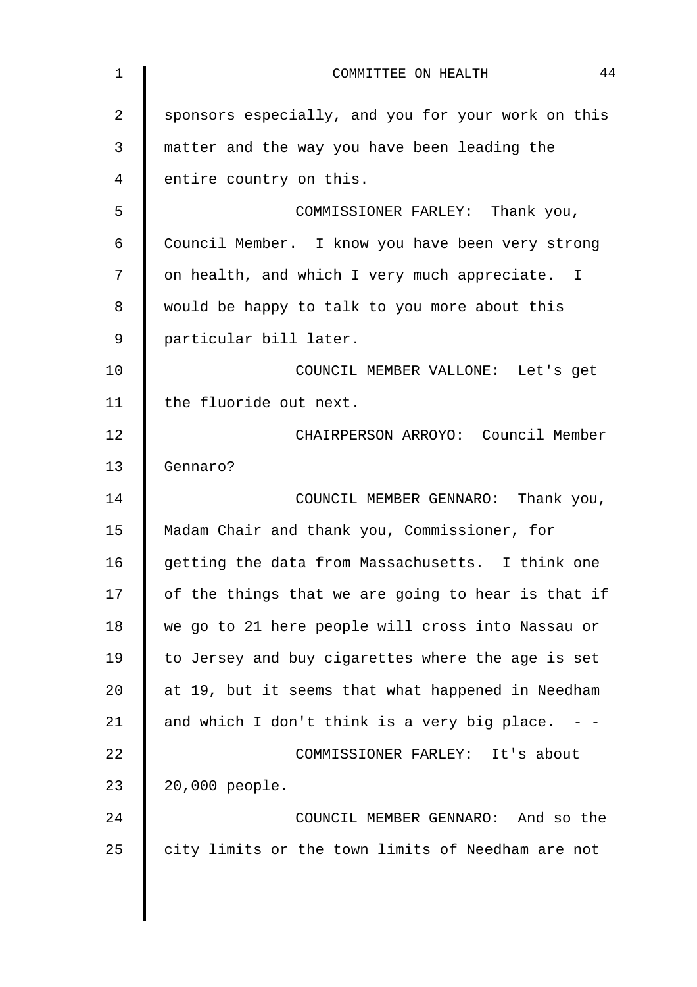| $\mathbf 1$ | 44<br>COMMITTEE ON HEALTH                          |
|-------------|----------------------------------------------------|
| 2           | sponsors especially, and you for your work on this |
| 3           | matter and the way you have been leading the       |
| 4           | entire country on this.                            |
| 5           | COMMISSIONER FARLEY: Thank you,                    |
| 6           | Council Member. I know you have been very strong   |
| 7           | on health, and which I very much appreciate. I     |
| 8           | would be happy to talk to you more about this      |
| 9           | particular bill later.                             |
| 10          | COUNCIL MEMBER VALLONE: Let's get                  |
| 11          | the fluoride out next.                             |
| 12          | CHAIRPERSON ARROYO: Council Member                 |
| 13          | Gennaro?                                           |
| 14          | COUNCIL MEMBER GENNARO: Thank you,                 |
| 15          | Madam Chair and thank you, Commissioner, for       |
| 16          | getting the data from Massachusetts. I think one   |
| 17          | of the things that we are going to hear is that if |
| 18          | we go to 21 here people will cross into Nassau or  |
| 19          | to Jersey and buy cigarettes where the age is set  |
| 20          | at 19, but it seems that what happened in Needham  |
| 21          | and which I don't think is a very big place.       |
| 22          | COMMISSIONER FARLEY: It's about                    |
| 23          | 20,000 people.                                     |
| 24          | COUNCIL MEMBER GENNARO: And so the                 |
| 25          | city limits or the town limits of Needham are not  |
|             |                                                    |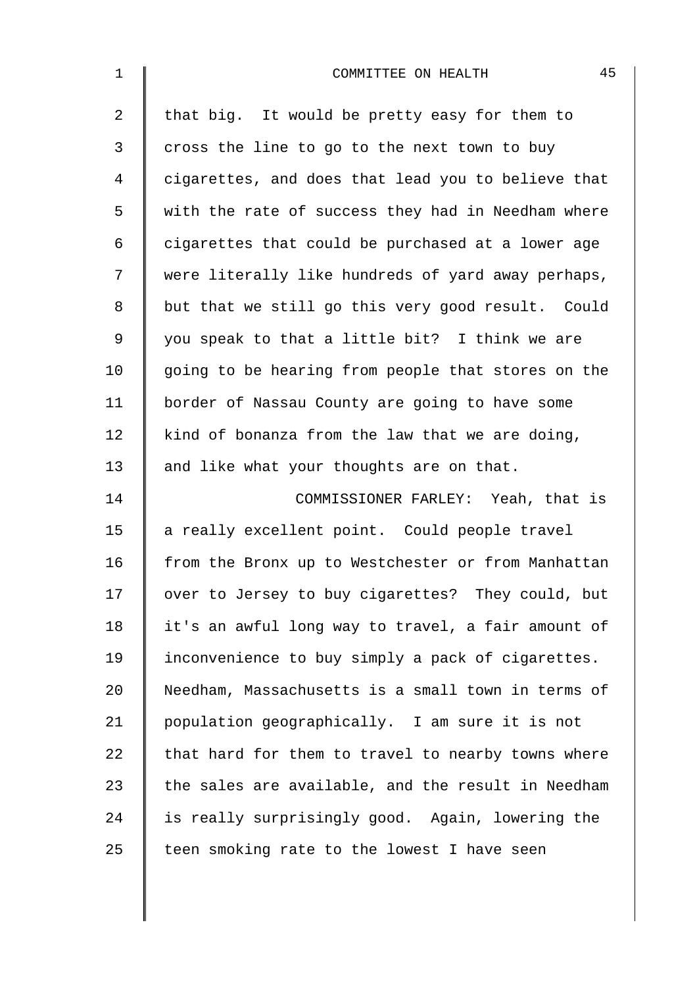| $\mathbf 1$    | 45<br>COMMITTEE ON HEALTH                          |
|----------------|----------------------------------------------------|
| $\overline{a}$ | that big. It would be pretty easy for them to      |
| 3              | cross the line to go to the next town to buy       |
| 4              | cigarettes, and does that lead you to believe that |
| 5              | with the rate of success they had in Needham where |
| 6              | cigarettes that could be purchased at a lower age  |
| 7              | were literally like hundreds of yard away perhaps, |
| 8              | but that we still go this very good result. Could  |
| $\mathsf 9$    | you speak to that a little bit? I think we are     |
| 10             | going to be hearing from people that stores on the |
| 11             | border of Nassau County are going to have some     |
| 12             | kind of bonanza from the law that we are doing,    |
| 13             | and like what your thoughts are on that.           |
| 14             | COMMISSIONER FARLEY: Yeah, that is                 |
| 15             | a really excellent point. Could people travel      |
| 16             | from the Bronx up to Westchester or from Manhattan |
| 17             | over to Jersey to buy cigarettes? They could, but  |
| 18             | it's an awful long way to travel, a fair amount of |
| 19             | inconvenience to buy simply a pack of cigarettes.  |
| 20             | Needham, Massachusetts is a small town in terms of |
| 21             | population geographically. I am sure it is not     |
| 22             | that hard for them to travel to nearby towns where |
| 23             | the sales are available, and the result in Needham |
| 24             | is really surprisingly good. Again, lowering the   |
| 25             | teen smoking rate to the lowest I have seen        |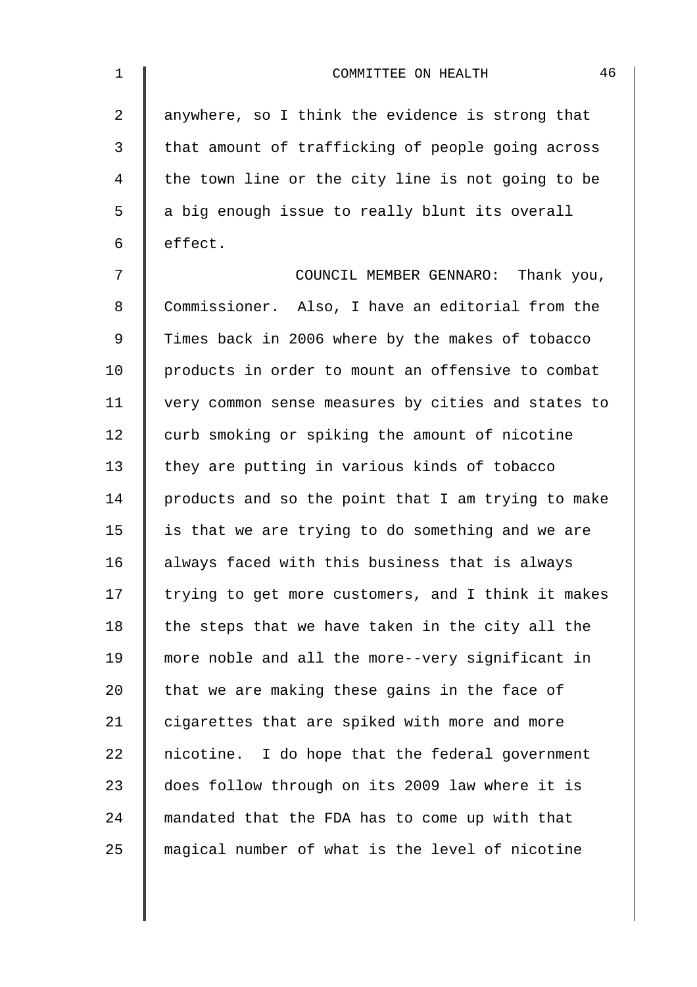| $\mathbf 1$    | 46<br>COMMITTEE ON HEALTH                          |
|----------------|----------------------------------------------------|
| $\overline{a}$ | anywhere, so I think the evidence is strong that   |
| 3              | that amount of trafficking of people going across  |
| $\overline{4}$ | the town line or the city line is not going to be  |
| 5              | a big enough issue to really blunt its overall     |
| 6              | effect.                                            |
| 7              | COUNCIL MEMBER GENNARO: Thank you,                 |
| 8              | Commissioner. Also, I have an editorial from the   |
| $\mathsf 9$    | Times back in 2006 where by the makes of tobacco   |
| 10             | products in order to mount an offensive to combat  |
| 11             | very common sense measures by cities and states to |
| 12             | curb smoking or spiking the amount of nicotine     |
| 13             | they are putting in various kinds of tobacco       |
| 14             | products and so the point that I am trying to make |
| 15             | is that we are trying to do something and we are   |
| 16             | always faced with this business that is always     |
| 17             | trying to get more customers, and I think it makes |
| 18             | the steps that we have taken in the city all the   |
| 19             | more noble and all the more--very significant in   |
| $20 \,$        | that we are making these gains in the face of      |
| 21             | cigarettes that are spiked with more and more      |
| 22             | nicotine. I do hope that the federal government    |
| 23             | does follow through on its 2009 law where it is    |
| 24             | mandated that the FDA has to come up with that     |
| 25             | magical number of what is the level of nicotine    |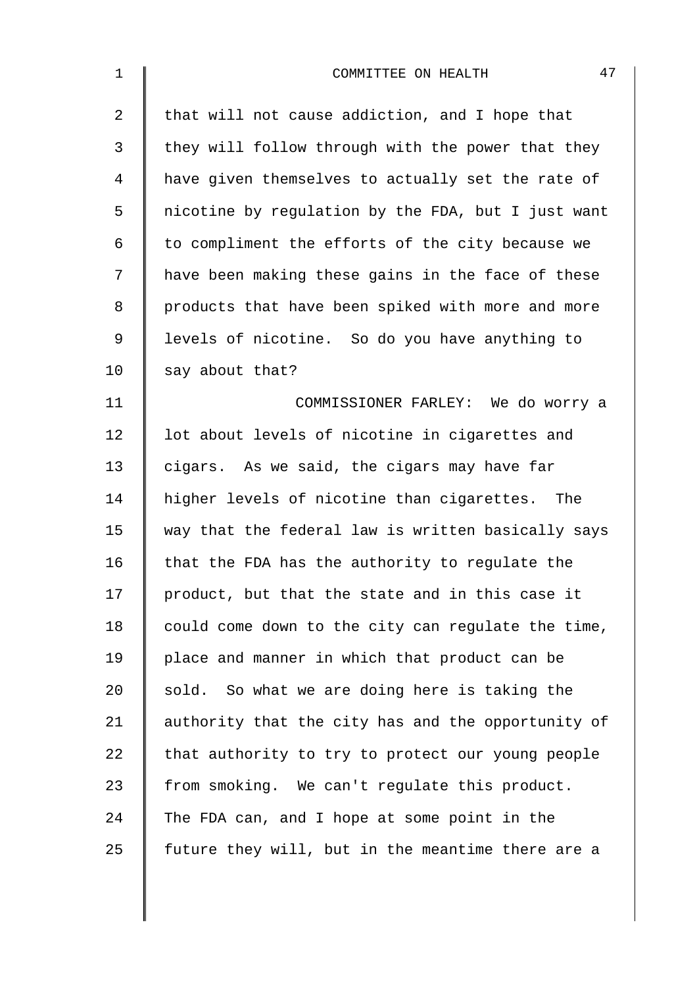| $\mathbf 1$    | 47<br>COMMITTEE ON HEALTH                          |
|----------------|----------------------------------------------------|
| $\overline{a}$ | that will not cause addiction, and I hope that     |
| 3              | they will follow through with the power that they  |
| 4              | have given themselves to actually set the rate of  |
| 5              | nicotine by regulation by the FDA, but I just want |
| 6              | to compliment the efforts of the city because we   |
| 7              | have been making these gains in the face of these  |
| 8              | products that have been spiked with more and more  |
| 9              | levels of nicotine. So do you have anything to     |
| 10             | say about that?                                    |
| 11             | COMMISSIONER FARLEY: We do worry a                 |
| 12             | lot about levels of nicotine in cigarettes and     |
| 13             | cigars. As we said, the cigars may have far        |
| 14             | higher levels of nicotine than cigarettes. The     |
| 15             | way that the federal law is written basically says |
| 16             | that the FDA has the authority to regulate the     |
| 17             | product, but that the state and in this case it    |
| 18             | could come down to the city can regulate the time, |
| 19             | place and manner in which that product can be      |
| 20             | sold. So what we are doing here is taking the      |
| 21             | authority that the city has and the opportunity of |
| 22             | that authority to try to protect our young people  |
| 23             | from smoking. We can't regulate this product.      |
| 24             | The FDA can, and I hope at some point in the       |
| 25             | future they will, but in the meantime there are a  |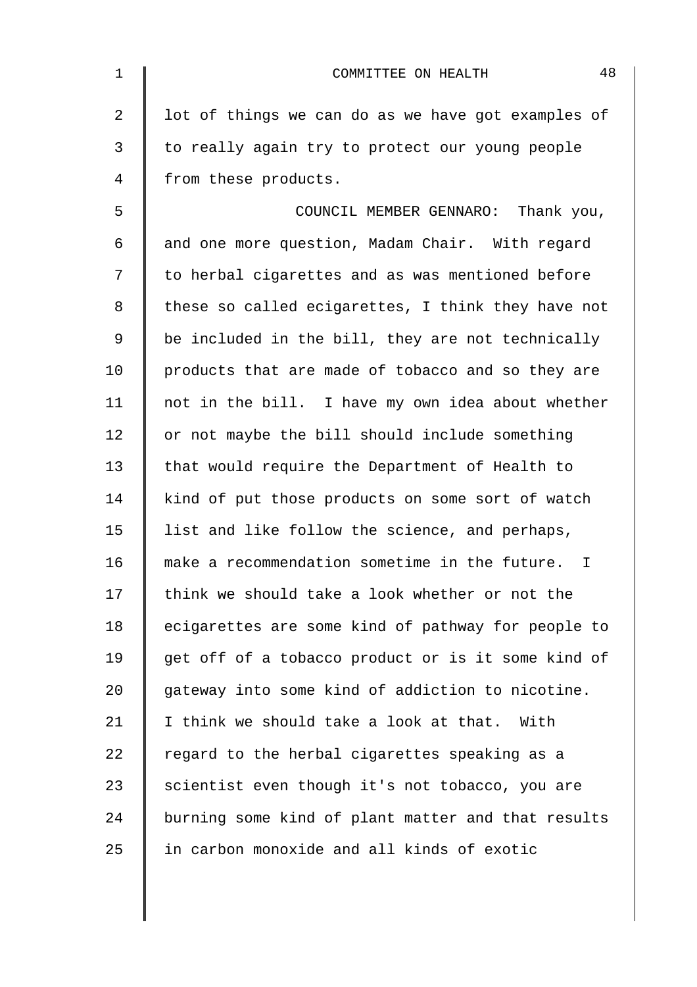| $\mathbf 1$    | 48<br>COMMITTEE ON HEALTH                           |
|----------------|-----------------------------------------------------|
| $\overline{2}$ | lot of things we can do as we have got examples of  |
| 3              | to really again try to protect our young people     |
| 4              | from these products.                                |
| 5              | COUNCIL MEMBER GENNARO: Thank you,                  |
| 6              | and one more question, Madam Chair. With regard     |
| 7              | to herbal cigarettes and as was mentioned before    |
| 8              | these so called ecigarettes, I think they have not  |
| 9              | be included in the bill, they are not technically   |
| 10             | products that are made of tobacco and so they are   |
| 11             | not in the bill. I have my own idea about whether   |
| 12             | or not maybe the bill should include something      |
| 13             | that would require the Department of Health to      |
| 14             | kind of put those products on some sort of watch    |
| 15             | list and like follow the science, and perhaps,      |
| 16             | make a recommendation sometime in the future.<br>I. |
| 17             | think we should take a look whether or not the      |
| 18             | ecigarettes are some kind of pathway for people to  |
| 19             | get off of a tobacco product or is it some kind of  |
| 20             | gateway into some kind of addiction to nicotine.    |
| 21             | I think we should take a look at that. With         |
| 22             | regard to the herbal cigarettes speaking as a       |
| 23             | scientist even though it's not tobacco, you are     |
| 24             | burning some kind of plant matter and that results  |
| 25             | in carbon monoxide and all kinds of exotic          |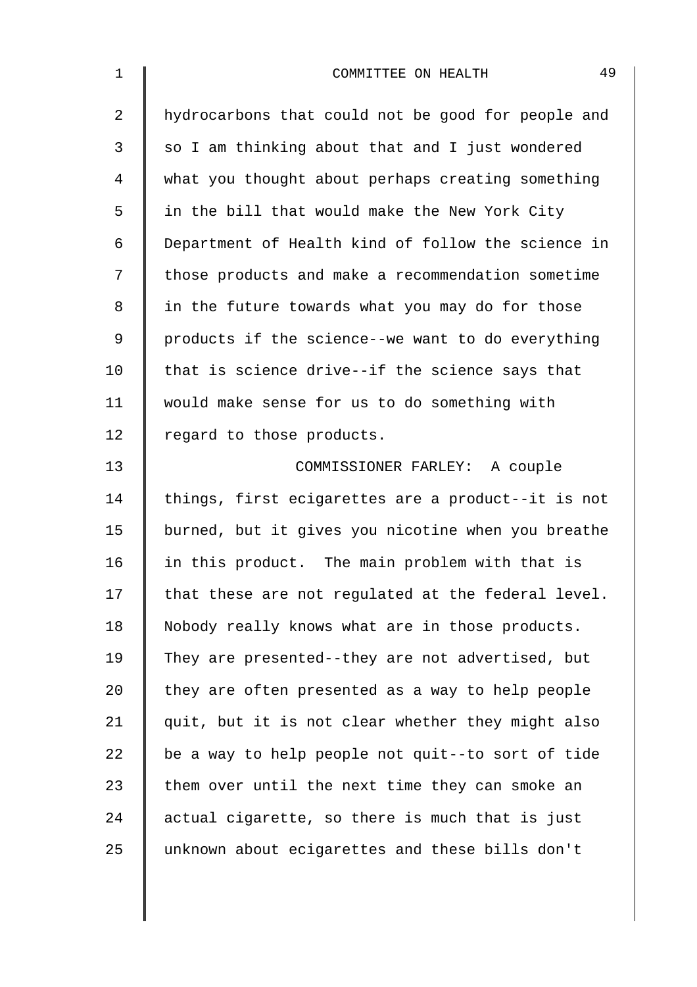| $\mathbf 1$    | 49<br>COMMITTEE ON HEALTH                          |
|----------------|----------------------------------------------------|
| $\overline{2}$ | hydrocarbons that could not be good for people and |
| 3              | so I am thinking about that and I just wondered    |
| 4              | what you thought about perhaps creating something  |
| 5              | in the bill that would make the New York City      |
| 6              | Department of Health kind of follow the science in |
| 7              | those products and make a recommendation sometime  |
| 8              | in the future towards what you may do for those    |
| 9              | products if the science--we want to do everything  |
| 10             | that is science drive--if the science says that    |
| 11             | would make sense for us to do something with       |
| 12             | regard to those products.                          |
| 13             | COMMISSIONER FARLEY: A couple                      |
| 14             | things, first ecigarettes are a product--it is not |
| 15             | burned, but it gives you nicotine when you breathe |
| 16             | in this product. The main problem with that is     |
| 17             | that these are not regulated at the federal level. |
| 18             | Nobody really knows what are in those products.    |
| 19             | They are presented--they are not advertised, but   |
| 20             | they are often presented as a way to help people   |
| 21             | quit, but it is not clear whether they might also  |
| 22             | be a way to help people not quit--to sort of tide  |
| 23             | them over until the next time they can smoke an    |
| 24             | actual cigarette, so there is much that is just    |
| 25             | unknown about ecigarettes and these bills don't    |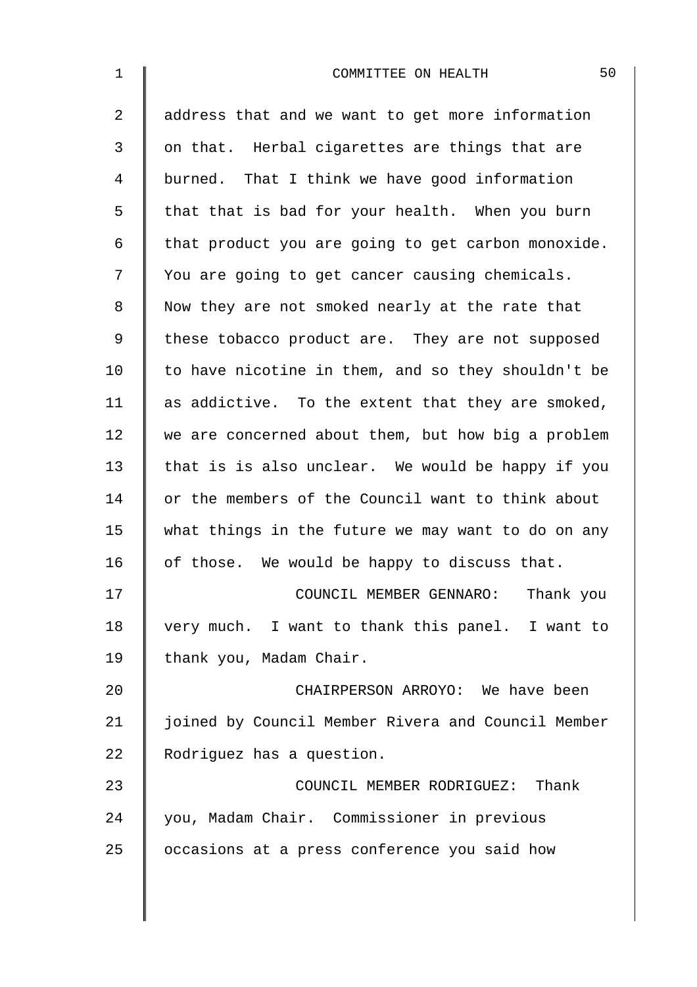| $1\,$       | 50<br>COMMITTEE ON HEALTH                          |
|-------------|----------------------------------------------------|
| 2           | address that and we want to get more information   |
| 3           | on that. Herbal cigarettes are things that are     |
| 4           | burned. That I think we have good information      |
| 5           | that that is bad for your health. When you burn    |
| 6           | that product you are going to get carbon monoxide. |
| 7           | You are going to get cancer causing chemicals.     |
| 8           | Now they are not smoked nearly at the rate that    |
| $\mathsf 9$ | these tobacco product are. They are not supposed   |
| 10          | to have nicotine in them, and so they shouldn't be |
| 11          | as addictive. To the extent that they are smoked,  |
| 12          | we are concerned about them, but how big a problem |
| 13          | that is is also unclear. We would be happy if you  |
| 14          | or the members of the Council want to think about  |
| 15          | what things in the future we may want to do on any |
| 16          | of those. We would be happy to discuss that.       |
| 17          | COUNCIL MEMBER GENNARO: Thank you                  |
| 18          | very much. I want to thank this panel. I want to   |
| 19          | thank you, Madam Chair.                            |
| 20          | CHAIRPERSON ARROYO: We have been                   |
| 21          | joined by Council Member Rivera and Council Member |
| 22          | Rodriguez has a question.                          |
| 23          | COUNCIL MEMBER RODRIGUEZ: Thank                    |
| 24          | you, Madam Chair. Commissioner in previous         |
| 25          | occasions at a press conference you said how       |
|             |                                                    |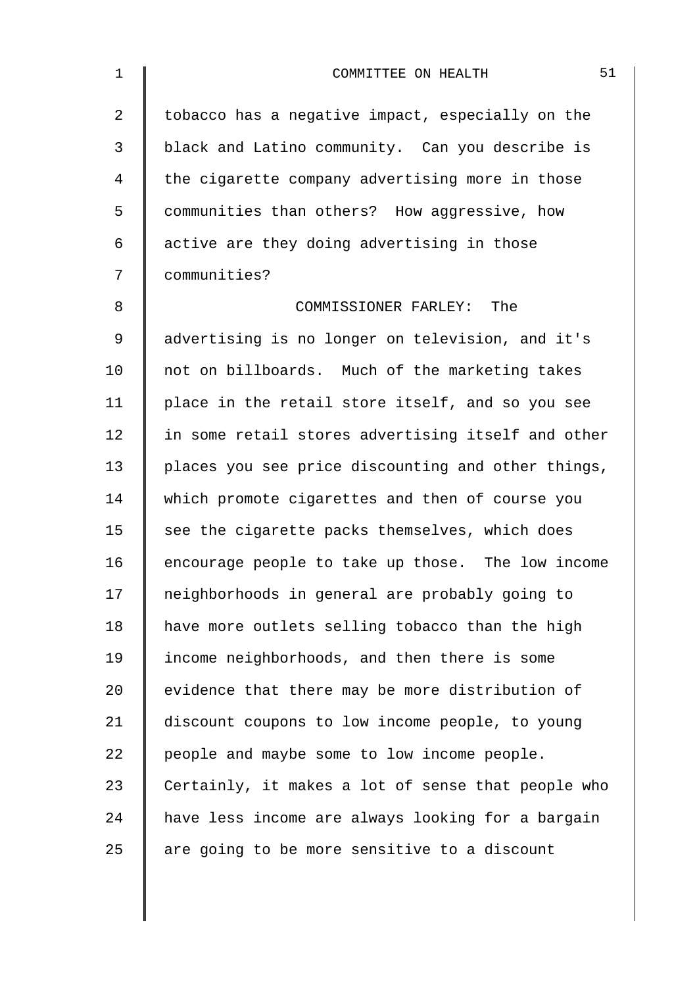| $\mathbf 1$    | 51<br>COMMITTEE ON HEALTH                          |
|----------------|----------------------------------------------------|
| $\overline{a}$ | tobacco has a negative impact, especially on the   |
| 3              | black and Latino community. Can you describe is    |
| 4              | the cigarette company advertising more in those    |
| 5              | communities than others? How aggressive, how       |
| 6              | active are they doing advertising in those         |
| 7              | communities?                                       |
| 8              | COMMISSIONER FARLEY: The                           |
| 9              | advertising is no longer on television, and it's   |
| 10             | not on billboards. Much of the marketing takes     |
| 11             | place in the retail store itself, and so you see   |
| 12             | in some retail stores advertising itself and other |
| 13             | places you see price discounting and other things, |
| 14             | which promote cigarettes and then of course you    |
| 15             | see the cigarette packs themselves, which does     |
| 16             | encourage people to take up those. The low income  |
| 17             | neighborhoods in general are probably going to     |
| 18             | have more outlets selling tobacco than the high    |
| 19             | income neighborhoods, and then there is some       |
| 20             | evidence that there may be more distribution of    |
| 21             | discount coupons to low income people, to young    |
| 22             | people and maybe some to low income people.        |
| 23             | Certainly, it makes a lot of sense that people who |
| 24             | have less income are always looking for a bargain  |
| 25             | are going to be more sensitive to a discount       |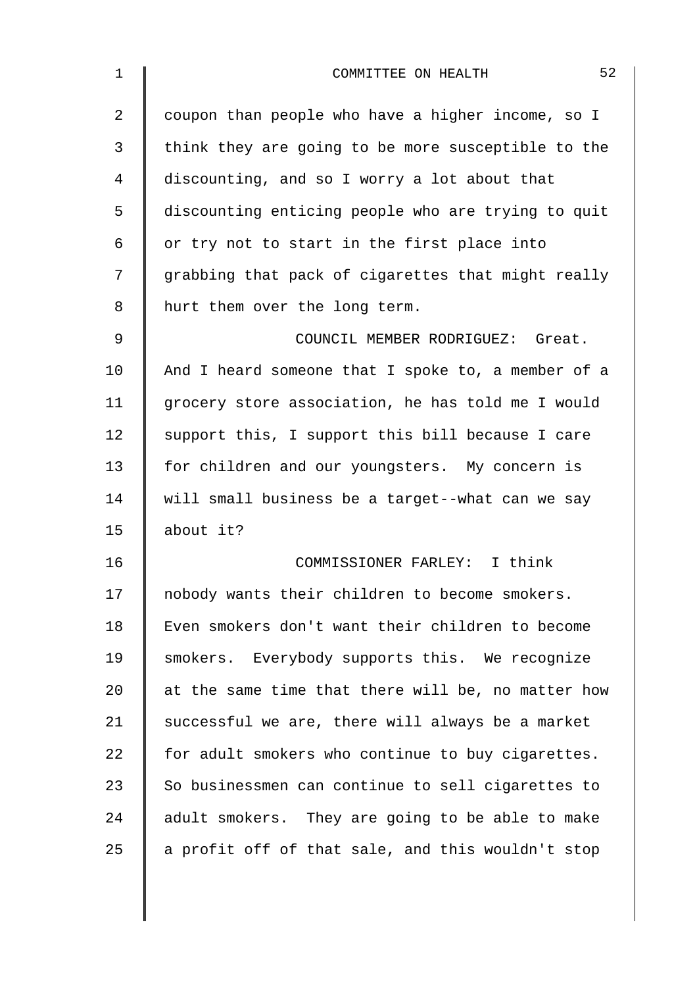| $\mathbf 1$ | 52<br>COMMITTEE ON HEALTH                          |
|-------------|----------------------------------------------------|
| 2           | coupon than people who have a higher income, so I  |
| 3           | think they are going to be more susceptible to the |
| 4           | discounting, and so I worry a lot about that       |
| 5           | discounting enticing people who are trying to quit |
| 6           | or try not to start in the first place into        |
| 7           | grabbing that pack of cigarettes that might really |
| 8           | hurt them over the long term.                      |
| 9           | COUNCIL MEMBER RODRIGUEZ: Great.                   |
| 10          | And I heard someone that I spoke to, a member of a |
| 11          | grocery store association, he has told me I would  |
| 12          | support this, I support this bill because I care   |
| 13          | for children and our youngsters. My concern is     |
| 14          | will small business be a target--what can we say   |
| 15          | about it?                                          |
| 16          | COMMISSIONER FARLEY: I think                       |
| 17          | nobody wants their children to become smokers.     |
| 18          | Even smokers don't want their children to become   |
| 19          | smokers. Everybody supports this. We recognize     |
| 20          | at the same time that there will be, no matter how |
| 21          | successful we are, there will always be a market   |
| 22          | for adult smokers who continue to buy cigarettes.  |
| 23          | So businessmen can continue to sell cigarettes to  |
| 24          | adult smokers. They are going to be able to make   |
| 25          | a profit off of that sale, and this wouldn't stop  |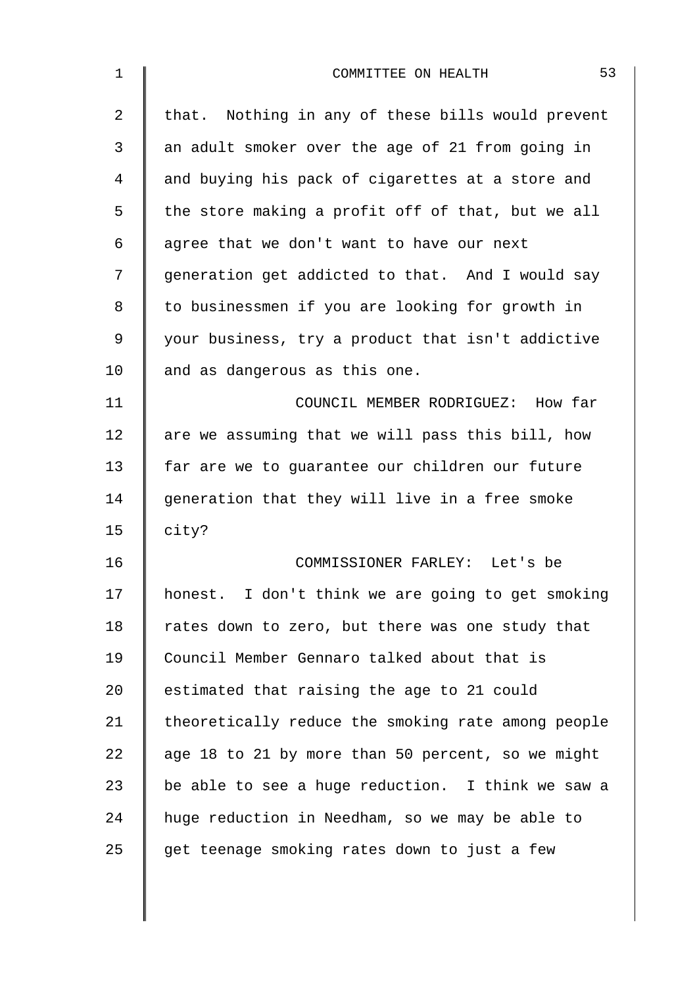| $\mathbf 1$    | 53<br>COMMITTEE ON HEALTH                          |
|----------------|----------------------------------------------------|
| $\overline{2}$ | that. Nothing in any of these bills would prevent  |
| 3              | an adult smoker over the age of 21 from going in   |
| 4              | and buying his pack of cigarettes at a store and   |
| 5              | the store making a profit off of that, but we all  |
| 6              | agree that we don't want to have our next          |
| 7              | generation get addicted to that. And I would say   |
| 8              | to businessmen if you are looking for growth in    |
| 9              | your business, try a product that isn't addictive  |
| 10             | and as dangerous as this one.                      |
| 11             | COUNCIL MEMBER RODRIGUEZ: How far                  |
| 12             | are we assuming that we will pass this bill, how   |
| 13             | far are we to guarantee our children our future    |
| 14             | generation that they will live in a free smoke     |
| 15             | city?                                              |
| 16             | COMMISSIONER FARLEY: Let's be                      |
| 17             | honest. I don't think we are going to get smoking  |
| 18             | rates down to zero, but there was one study that   |
| 19             | Council Member Gennaro talked about that is        |
| 20             | estimated that raising the age to 21 could         |
| 21             | theoretically reduce the smoking rate among people |
| 22             | age 18 to 21 by more than 50 percent, so we might  |
| 23             | be able to see a huge reduction. I think we saw a  |
| 24             | huge reduction in Needham, so we may be able to    |
| 25             | get teenage smoking rates down to just a few       |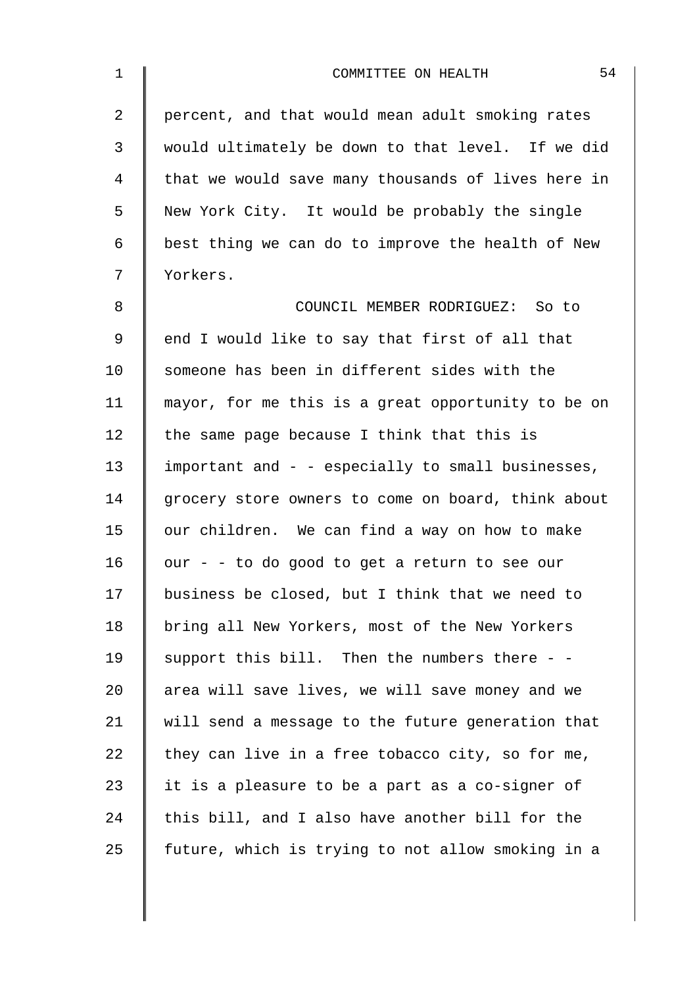| $\mathbf 1$    | 54<br>COMMITTEE ON HEALTH                          |
|----------------|----------------------------------------------------|
| $\overline{a}$ | percent, and that would mean adult smoking rates   |
| 3              | would ultimately be down to that level. If we did  |
| 4              | that we would save many thousands of lives here in |
| 5              | New York City. It would be probably the single     |
| 6              | best thing we can do to improve the health of New  |
| 7              | Yorkers.                                           |
| 8              | COUNCIL MEMBER RODRIGUEZ: So to                    |
| 9              | end I would like to say that first of all that     |
| 10             | someone has been in different sides with the       |
| 11             | mayor, for me this is a great opportunity to be on |
| 12             | the same page because I think that this is         |
| 13             | important and - - especially to small businesses,  |
| 14             | grocery store owners to come on board, think about |
| 15             | our children. We can find a way on how to make     |
| 16             | our - - to do good to get a return to see our      |
| 17             | business be closed, but I think that we need to    |
| 18             | bring all New Yorkers, most of the New Yorkers     |
| 19             | support this bill. Then the numbers there - -      |
| 20             | area will save lives, we will save money and we    |
| 21             | will send a message to the future generation that  |
| 22             | they can live in a free tobacco city, so for me,   |
| 23             | it is a pleasure to be a part as a co-signer of    |
| 24             | this bill, and I also have another bill for the    |
| 25             | future, which is trying to not allow smoking in a  |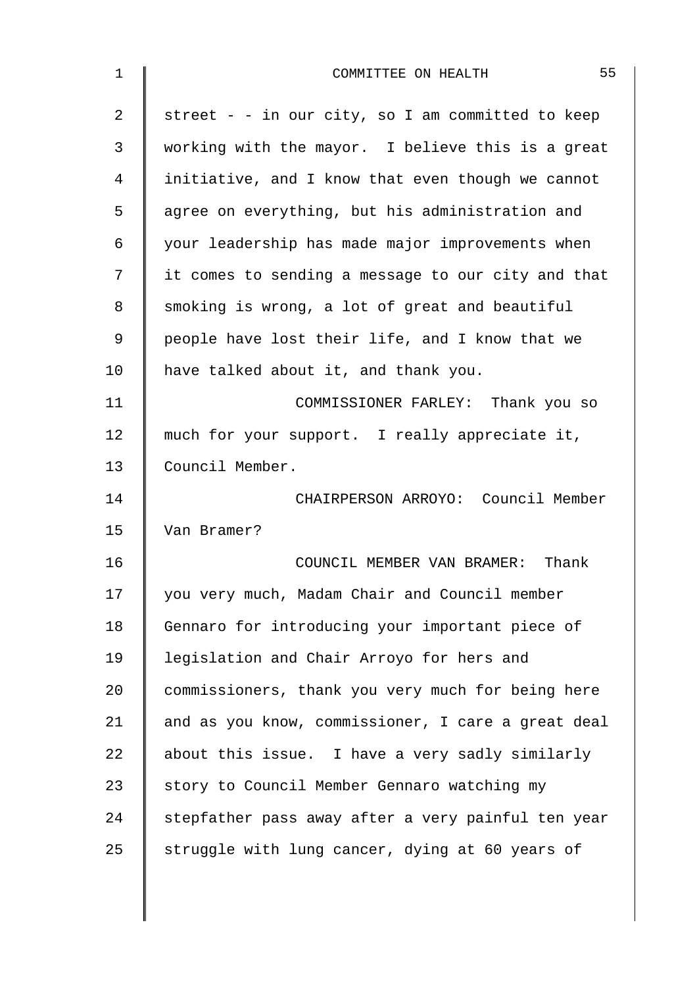| 1              | 55<br>COMMITTEE ON HEALTH                          |
|----------------|----------------------------------------------------|
| $\overline{2}$ | street - - in our city, so I am committed to keep  |
| 3              | working with the mayor. I believe this is a great  |
| 4              | initiative, and I know that even though we cannot  |
| 5              | agree on everything, but his administration and    |
| 6              | your leadership has made major improvements when   |
| 7              | it comes to sending a message to our city and that |
| 8              | smoking is wrong, a lot of great and beautiful     |
| 9              | people have lost their life, and I know that we    |
| 10             | have talked about it, and thank you.               |
| 11             | COMMISSIONER FARLEY: Thank you so                  |
| 12             | much for your support. I really appreciate it,     |
| 13             | Council Member.                                    |
| 14             | CHAIRPERSON ARROYO: Council Member                 |
| 15             | Van Bramer?                                        |
| 16             | COUNCIL MEMBER VAN BRAMER: Thank                   |
| 17             | you very much, Madam Chair and Council member      |
| 18             | Gennaro for introducing your important piece of    |
| 19             | legislation and Chair Arroyo for hers and          |
| 20             | commissioners, thank you very much for being here  |
| 21             | and as you know, commissioner, I care a great deal |
| 22             | about this issue. I have a very sadly similarly    |
| 23             | story to Council Member Gennaro watching my        |
| 24             | stepfather pass away after a very painful ten year |
| 25             | struggle with lung cancer, dying at 60 years of    |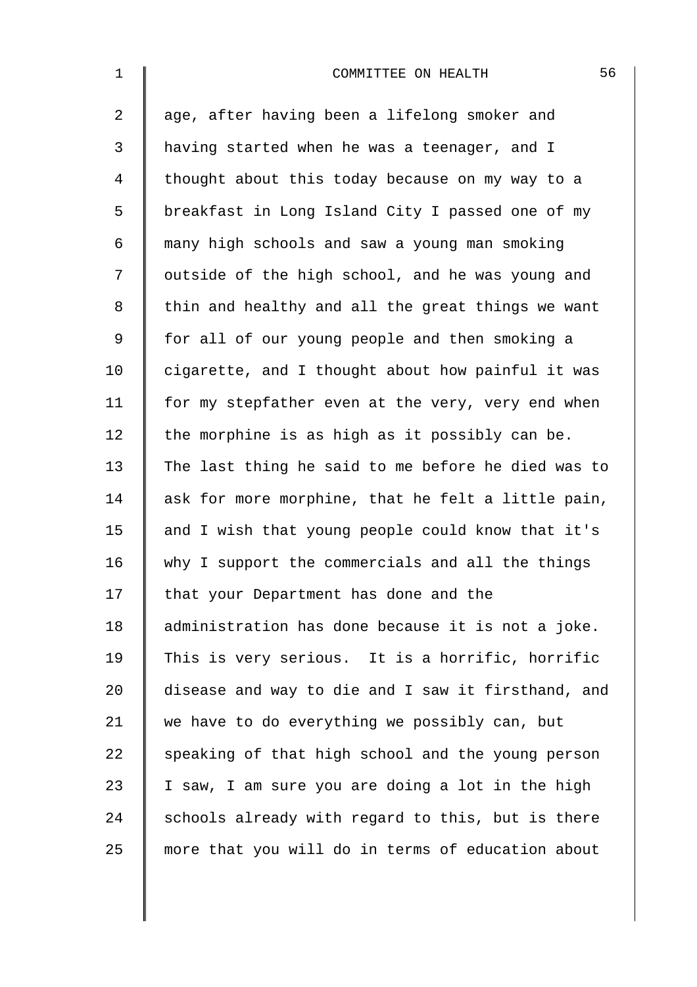| $\mathbf 1$ | 56<br>COMMITTEE ON HEALTH                          |
|-------------|----------------------------------------------------|
| 2           | age, after having been a lifelong smoker and       |
| 3           | having started when he was a teenager, and I       |
| 4           | thought about this today because on my way to a    |
| 5           | breakfast in Long Island City I passed one of my   |
| 6           | many high schools and saw a young man smoking      |
| 7           | outside of the high school, and he was young and   |
| 8           | thin and healthy and all the great things we want  |
| $\mathsf 9$ | for all of our young people and then smoking a     |
| 10          | cigarette, and I thought about how painful it was  |
| 11          | for my stepfather even at the very, very end when  |
| 12          | the morphine is as high as it possibly can be.     |
| 13          | The last thing he said to me before he died was to |
| 14          | ask for more morphine, that he felt a little pain, |
| 15          | and I wish that young people could know that it's  |
| 16          | why I support the commercials and all the things   |
| 17          | that your Department has done and the              |
| 18          | administration has done because it is not a joke.  |
| 19          | This is very serious. It is a horrific, horrific   |
| 20          | disease and way to die and I saw it firsthand, and |
| 21          | we have to do everything we possibly can, but      |
| 22          | speaking of that high school and the young person  |
| 23          | I saw, I am sure you are doing a lot in the high   |
| 24          | schools already with regard to this, but is there  |
| 25          | more that you will do in terms of education about  |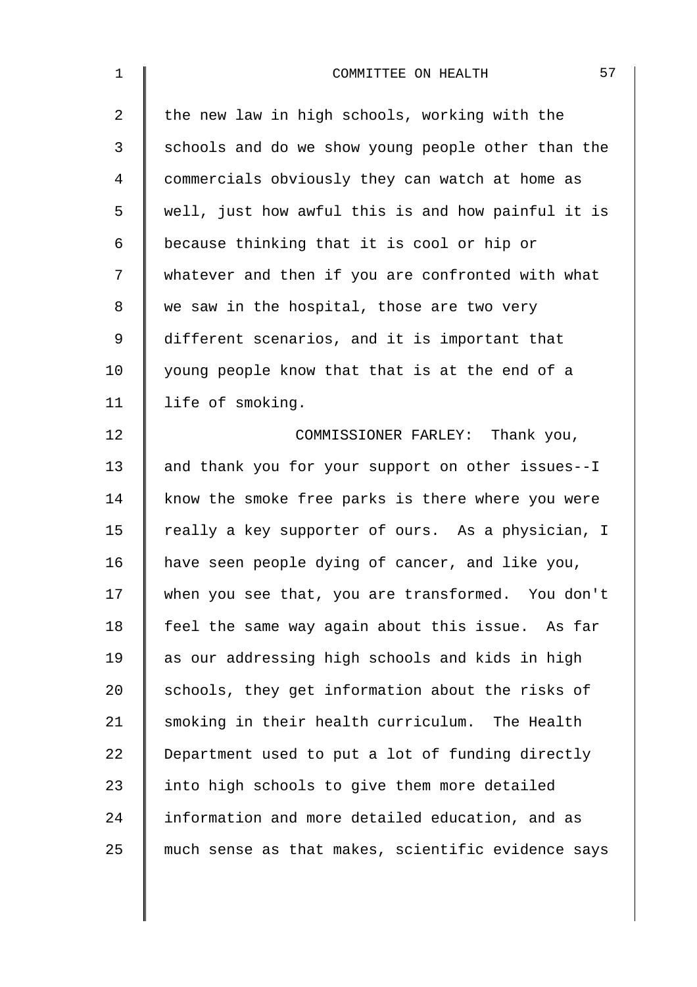| $\mathbf 1$    | 57<br>COMMITTEE ON HEALTH                          |
|----------------|----------------------------------------------------|
| $\overline{a}$ | the new law in high schools, working with the      |
| 3              | schools and do we show young people other than the |
| 4              | commercials obviously they can watch at home as    |
| 5              | well, just how awful this is and how painful it is |
| 6              | because thinking that it is cool or hip or         |
| 7              | whatever and then if you are confronted with what  |
| 8              | we saw in the hospital, those are two very         |
| 9              | different scenarios, and it is important that      |
| 10             | young people know that that is at the end of a     |
| 11             | life of smoking.                                   |
| 12             | COMMISSIONER FARLEY: Thank you,                    |
| 13             | and thank you for your support on other issues--I  |
| 14             | know the smoke free parks is there where you were  |
| 15             | really a key supporter of ours. As a physician, I  |
| 16             | have seen people dying of cancer, and like you,    |
| 17             | when you see that, you are transformed. You don't  |
| 18             | feel the same way again about this issue. As far   |
| 19             | as our addressing high schools and kids in high    |
| 20             | schools, they get information about the risks of   |
| 21             | smoking in their health curriculum. The Health     |
| 22             | Department used to put a lot of funding directly   |
| 23             | into high schools to give them more detailed       |
| 24             | information and more detailed education, and as    |
| 25             | much sense as that makes, scientific evidence says |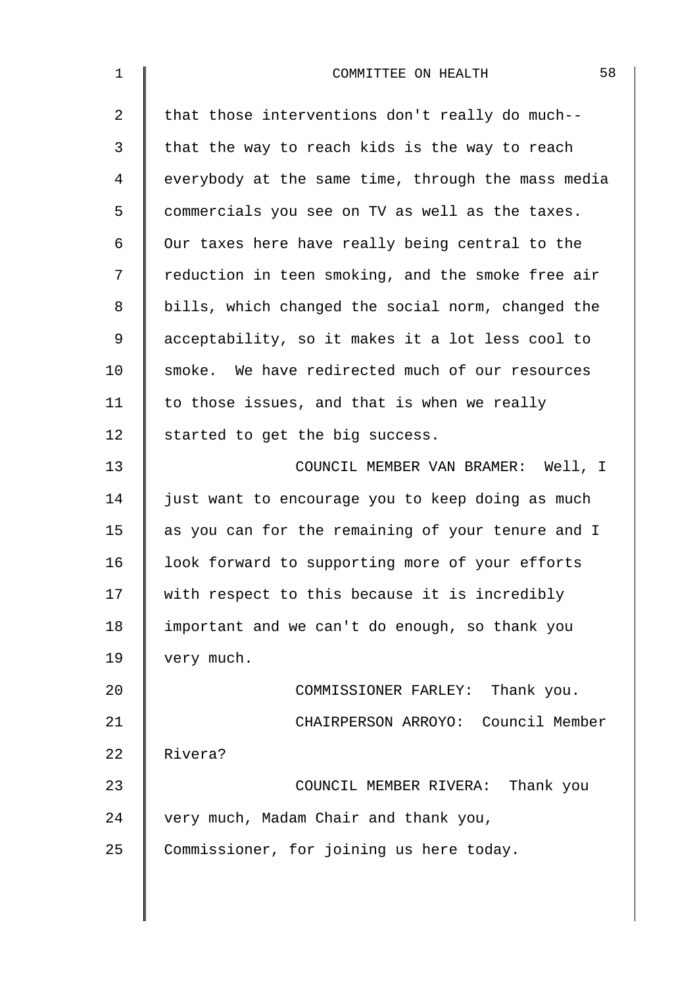| $\mathbf 1$    | 58<br>COMMITTEE ON HEALTH                          |
|----------------|----------------------------------------------------|
| $\overline{2}$ | that those interventions don't really do much--    |
| 3              | that the way to reach kids is the way to reach     |
| 4              | everybody at the same time, through the mass media |
| 5              | commercials you see on TV as well as the taxes.    |
| 6              | Our taxes here have really being central to the    |
| 7              | reduction in teen smoking, and the smoke free air  |
| 8              | bills, which changed the social norm, changed the  |
| 9              | acceptability, so it makes it a lot less cool to   |
| 10             | smoke. We have redirected much of our resources    |
| 11             | to those issues, and that is when we really        |
| 12             | started to get the big success.                    |
| 13             | COUNCIL MEMBER VAN BRAMER: Well, I                 |
| 14             | just want to encourage you to keep doing as much   |
| 15             | as you can for the remaining of your tenure and I  |
| 16             | look forward to supporting more of your efforts    |
| 17             | with respect to this because it is incredibly      |
| 18             | important and we can't do enough, so thank you     |
| 19             | very much.                                         |
| 20             | COMMISSIONER FARLEY: Thank you.                    |
| 21             | CHAIRPERSON ARROYO: Council Member                 |
| 22             | Rivera?                                            |
| 23             | COUNCIL MEMBER RIVERA: Thank you                   |
| 24             | very much, Madam Chair and thank you,              |
| 25             | Commissioner, for joining us here today.           |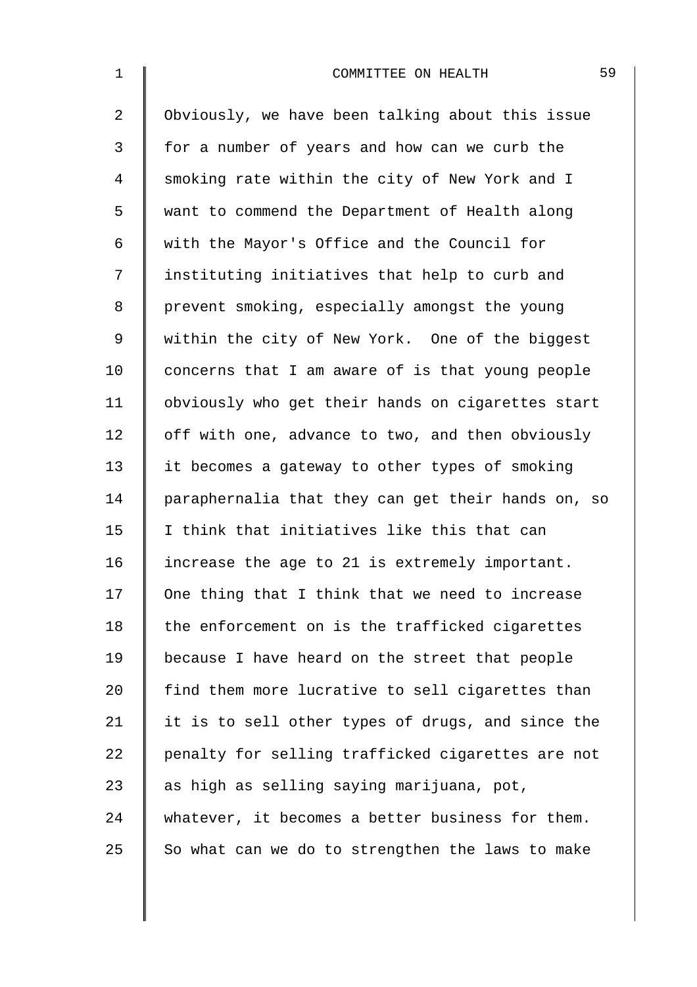| $\mathbf{1}$   | 59<br>COMMITTEE ON HEALTH                          |
|----------------|----------------------------------------------------|
| $\overline{a}$ | Obviously, we have been talking about this issue   |
| 3              | for a number of years and how can we curb the      |
| 4              | smoking rate within the city of New York and I     |
| 5              | want to commend the Department of Health along     |
| 6              | with the Mayor's Office and the Council for        |
| 7              | instituting initiatives that help to curb and      |
| 8              | prevent smoking, especially amongst the young      |
| 9              | within the city of New York. One of the biggest    |
| 10             | concerns that I am aware of is that young people   |
| 11             | obviously who get their hands on cigarettes start  |
| 12             | off with one, advance to two, and then obviously   |
| 13             | it becomes a gateway to other types of smoking     |
| 14             | paraphernalia that they can get their hands on, so |
| 15             | I think that initiatives like this that can        |
| 16             | increase the age to 21 is extremely important.     |
| 17             | One thing that I think that we need to increase    |
| 18             | the enforcement on is the trafficked cigarettes    |
| 19             | because I have heard on the street that people     |
| 20             | find them more lucrative to sell cigarettes than   |
| 21             | it is to sell other types of drugs, and since the  |
| 22             | penalty for selling trafficked cigarettes are not  |
| 23             | as high as selling saying marijuana, pot,          |
| 24             | whatever, it becomes a better business for them.   |
| 25             | So what can we do to strengthen the laws to make   |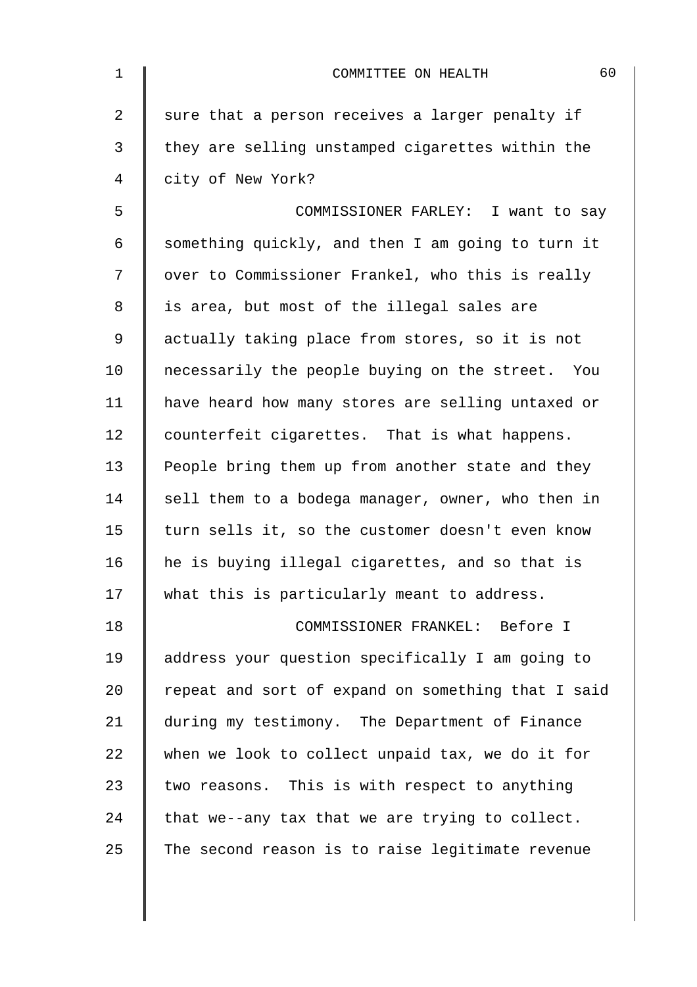| $\mathbf 1$ | 60<br>COMMITTEE ON HEALTH                          |
|-------------|----------------------------------------------------|
| 2           | sure that a person receives a larger penalty if    |
| 3           | they are selling unstamped cigarettes within the   |
| 4           | city of New York?                                  |
| 5           | COMMISSIONER FARLEY: I want to say                 |
| 6           | something quickly, and then I am going to turn it  |
| 7           | over to Commissioner Frankel, who this is really   |
| 8           | is area, but most of the illegal sales are         |
| 9           | actually taking place from stores, so it is not    |
| 10          | necessarily the people buying on the street. You   |
| 11          | have heard how many stores are selling untaxed or  |
| 12          | counterfeit cigarettes. That is what happens.      |
| 13          | People bring them up from another state and they   |
| 14          | sell them to a bodega manager, owner, who then in  |
| 15          | turn sells it, so the customer doesn't even know   |
| 16          | he is buying illegal cigarettes, and so that is    |
| 17          | what this is particularly meant to address.        |
| 18          | COMMISSIONER FRANKEL: Before I                     |
| 19          | address your question specifically I am going to   |
| 20          | repeat and sort of expand on something that I said |
| 21          | during my testimony. The Department of Finance     |
| 22          | when we look to collect unpaid tax, we do it for   |
| 23          | two reasons. This is with respect to anything      |
| 24          | that we--any tax that we are trying to collect.    |
| 25          | The second reason is to raise legitimate revenue   |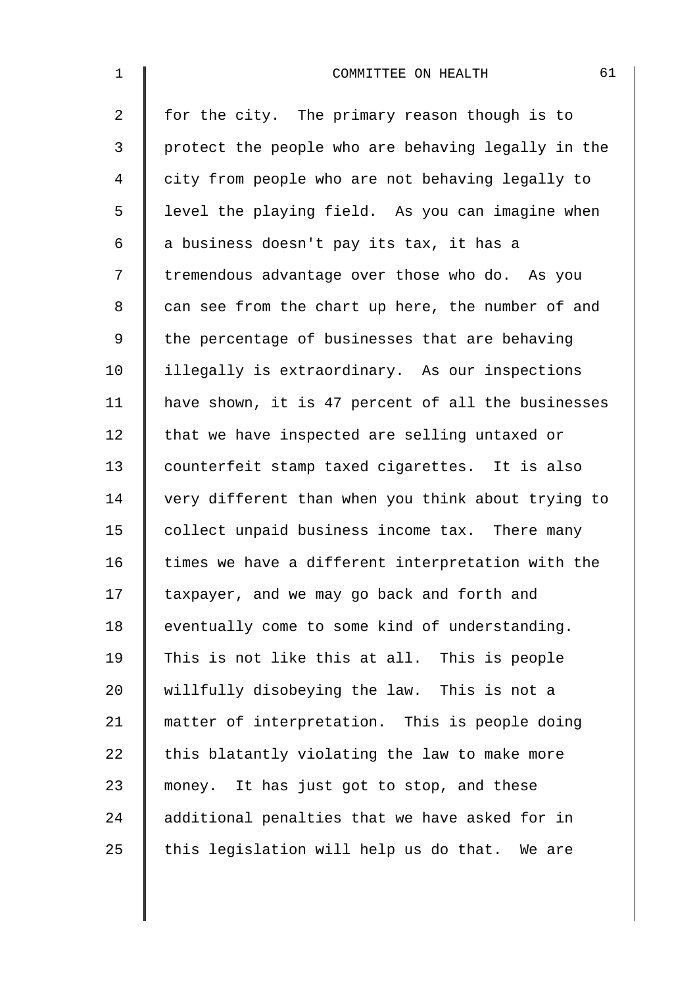| $\mathbf 1$ | 61<br>COMMITTEE ON HEALTH                          |
|-------------|----------------------------------------------------|
| 2           | for the city. The primary reason though is to      |
| 3           | protect the people who are behaving legally in the |
| 4           | city from people who are not behaving legally to   |
| 5           | level the playing field. As you can imagine when   |
| 6           | a business doesn't pay its tax, it has a           |
| 7           | tremendous advantage over those who do. As you     |
| 8           | can see from the chart up here, the number of and  |
| $\mathsf 9$ | the percentage of businesses that are behaving     |
| 10          | illegally is extraordinary. As our inspections     |
| 11          | have shown, it is 47 percent of all the businesses |
| 12          | that we have inspected are selling untaxed or      |
| 13          | counterfeit stamp taxed cigarettes. It is also     |
| 14          | very different than when you think about trying to |
| 15          | collect unpaid business income tax. There many     |
| 16          | times we have a different interpretation with the  |
| 17          | taxpayer, and we may go back and forth and         |
| 18          | eventually come to some kind of understanding.     |
| 19          | This is not like this at all. This is people       |
| 20          | willfully disobeying the law. This is not a        |
| 21          | matter of interpretation. This is people doing     |
| 22          | this blatantly violating the law to make more      |
| 23          | money. It has just got to stop, and these          |
| 24          | additional penalties that we have asked for in     |
| 25          | this legislation will help us do that. We are      |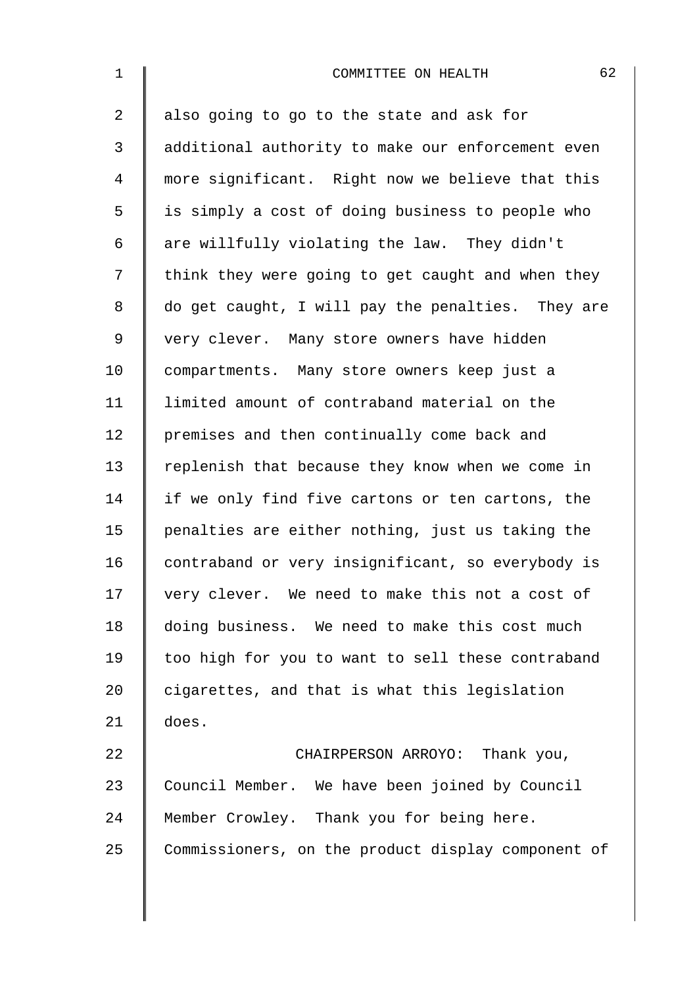| $\mathbf 1$    | 62<br>COMMITTEE ON HEALTH                          |
|----------------|----------------------------------------------------|
| 2              | also going to go to the state and ask for          |
| 3              | additional authority to make our enforcement even  |
| $\overline{4}$ | more significant. Right now we believe that this   |
| 5              | is simply a cost of doing business to people who   |
| 6              | are willfully violating the law. They didn't       |
| 7              | think they were going to get caught and when they  |
| $\,8\,$        | do get caught, I will pay the penalties. They are  |
| $\mathsf 9$    | very clever. Many store owners have hidden         |
| 10             | compartments. Many store owners keep just a        |
| 11             | limited amount of contraband material on the       |
| 12             | premises and then continually come back and        |
| 13             | replenish that because they know when we come in   |
| 14             | if we only find five cartons or ten cartons, the   |
| 15             | penalties are either nothing, just us taking the   |
| 16             | contraband or very insignificant, so everybody is  |
| 17             | very clever. We need to make this not a cost of    |
| 18             | doing business. We need to make this cost much     |
| 19             | too high for you to want to sell these contraband  |
| 20             | cigarettes, and that is what this legislation      |
| 21             | does.                                              |
| 22             | CHAIRPERSON ARROYO: Thank you,                     |
| 23             | Council Member. We have been joined by Council     |
| 24             | Member Crowley. Thank you for being here.          |
| 25             | Commissioners, on the product display component of |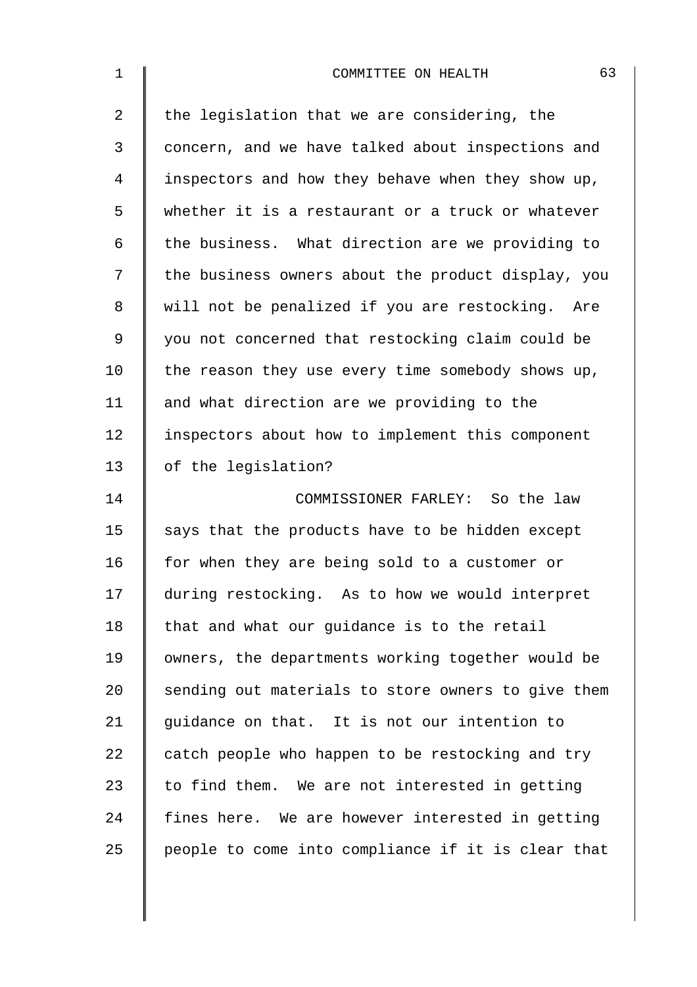| $\mathbf 1$ | 63<br>COMMITTEE ON HEALTH                          |
|-------------|----------------------------------------------------|
| 2           | the legislation that we are considering, the       |
| 3           | concern, and we have talked about inspections and  |
| 4           | inspectors and how they behave when they show up,  |
| 5           | whether it is a restaurant or a truck or whatever  |
| 6           | the business. What direction are we providing to   |
| 7           | the business owners about the product display, you |
| 8           | will not be penalized if you are restocking. Are   |
| 9           | you not concerned that restocking claim could be   |
| 10          | the reason they use every time somebody shows up,  |
| 11          | and what direction are we providing to the         |
| 12          | inspectors about how to implement this component   |
| 13          | of the legislation?                                |
| 14          | COMMISSIONER FARLEY: So the law                    |
| 15          | says that the products have to be hidden except    |
| 16          | for when they are being sold to a customer or      |
| 17          | during restocking. As to how we would interpret    |
| 18          | that and what our guidance is to the retail        |
| 19          | owners, the departments working together would be  |
| 20          | sending out materials to store owners to give them |
| 21          | guidance on that. It is not our intention to       |
| 22          | catch people who happen to be restocking and try   |
| 23          | to find them. We are not interested in getting     |
| 24          | fines here. We are however interested in getting   |
| 25          | people to come into compliance if it is clear that |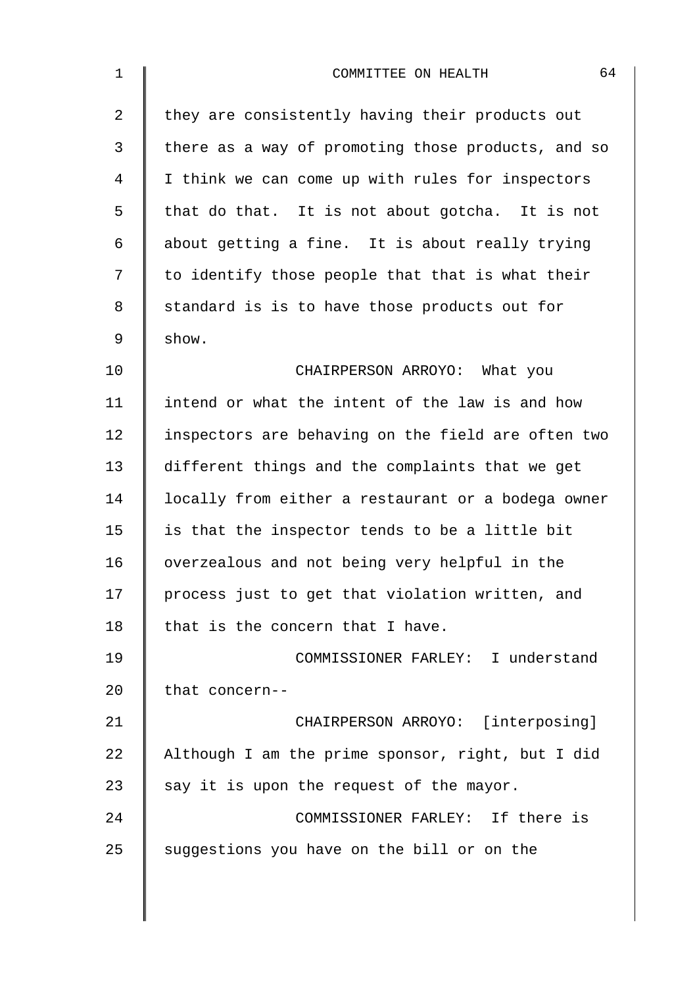| $\mathbf 1$    | 64<br>COMMITTEE ON HEALTH                          |
|----------------|----------------------------------------------------|
| $\overline{a}$ | they are consistently having their products out    |
| 3              | there as a way of promoting those products, and so |
| 4              | I think we can come up with rules for inspectors   |
| 5              | that do that. It is not about gotcha. It is not    |
| 6              | about getting a fine. It is about really trying    |
| 7              | to identify those people that that is what their   |
| 8              | standard is is to have those products out for      |
| 9              | show.                                              |
| 10             | CHAIRPERSON ARROYO: What you                       |
| 11             | intend or what the intent of the law is and how    |
| 12             | inspectors are behaving on the field are often two |
| 13             | different things and the complaints that we get    |
| 14             | locally from either a restaurant or a bodega owner |
| 15             | is that the inspector tends to be a little bit     |
| 16             | overzealous and not being very helpful in the      |
| 17             | process just to get that violation written, and    |
| 18             | that is the concern that I have.                   |
| 19             | COMMISSIONER FARLEY: I understand                  |
| 20             | that concern--                                     |
| 21             | CHAIRPERSON ARROYO: [interposing]                  |
| 22             | Although I am the prime sponsor, right, but I did  |
| 23             | say it is upon the request of the mayor.           |
| 24             | COMMISSIONER FARLEY: If there is                   |
| 25             | suggestions you have on the bill or on the         |
|                |                                                    |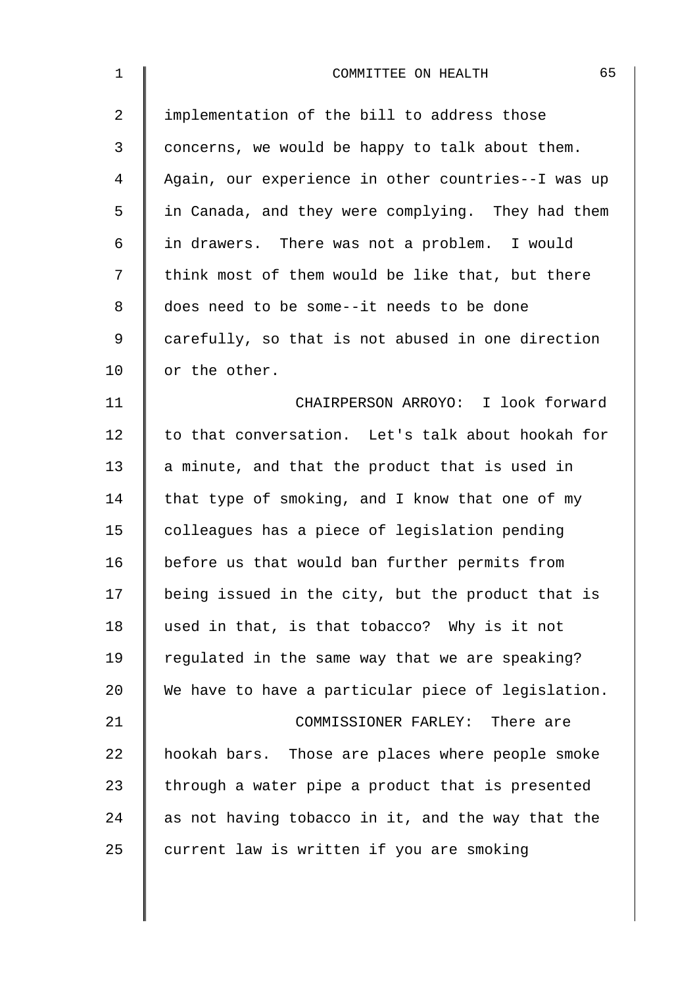| $\mathbf 1$    | 65<br>COMMITTEE ON HEALTH                          |
|----------------|----------------------------------------------------|
| $\overline{2}$ | implementation of the bill to address those        |
| 3              | concerns, we would be happy to talk about them.    |
| 4              | Again, our experience in other countries--I was up |
| 5              | in Canada, and they were complying. They had them  |
| 6              | in drawers. There was not a problem. I would       |
| 7              | think most of them would be like that, but there   |
| 8              | does need to be some--it needs to be done          |
| 9              | carefully, so that is not abused in one direction  |
| 10             | or the other.                                      |
| 11             | CHAIRPERSON ARROYO: I look forward                 |
| 12             | to that conversation. Let's talk about hookah for  |
| 13             | a minute, and that the product that is used in     |
| 14             | that type of smoking, and I know that one of my    |
| 15             | colleagues has a piece of legislation pending      |
| 16             | before us that would ban further permits from      |
| 17             | being issued in the city, but the product that is  |
| 18             | used in that, is that tobacco? Why is it not       |
| 19             | regulated in the same way that we are speaking?    |
| 20             | We have to have a particular piece of legislation. |
| 21             | COMMISSIONER FARLEY: There are                     |
| 22             | hookah bars. Those are places where people smoke   |
| 23             | through a water pipe a product that is presented   |
| 24             | as not having tobacco in it, and the way that the  |
| 25             | current law is written if you are smoking          |
|                |                                                    |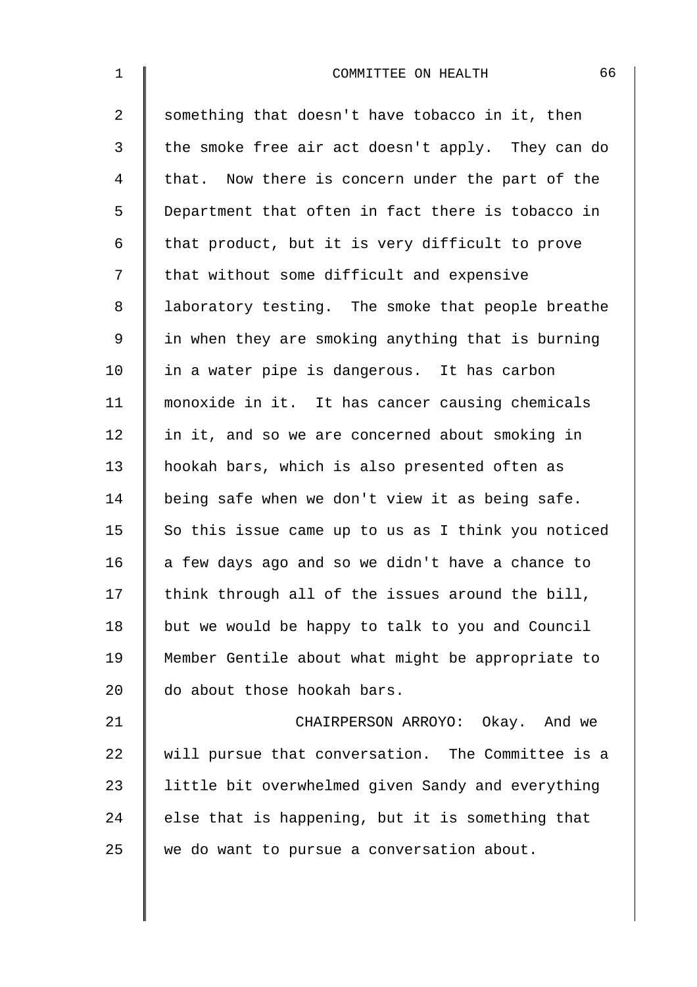| 1              | 66<br>COMMITTEE ON HEALTH                          |
|----------------|----------------------------------------------------|
| 2              | something that doesn't have tobacco in it, then    |
| $\mathsf{3}$   | the smoke free air act doesn't apply. They can do  |
| $\overline{4}$ | that. Now there is concern under the part of the   |
| 5              | Department that often in fact there is tobacco in  |
| 6              | that product, but it is very difficult to prove    |
| 7              | that without some difficult and expensive          |
| 8              | laboratory testing. The smoke that people breathe  |
| 9              | in when they are smoking anything that is burning  |
| 10             | in a water pipe is dangerous. It has carbon        |
| 11             | monoxide in it. It has cancer causing chemicals    |
| 12             | in it, and so we are concerned about smoking in    |
| 13             | hookah bars, which is also presented often as      |
| 14             | being safe when we don't view it as being safe.    |
| 15             | So this issue came up to us as I think you noticed |
| 16             | a few days ago and so we didn't have a chance to   |
| 17             | think through all of the issues around the bill,   |
| 18             | but we would be happy to talk to you and Council   |
| 19             | Member Gentile about what might be appropriate to  |
| 20             | do about those hookah bars.                        |
| 21             | CHAIRPERSON ARROYO: Okay. And we                   |
| 22             | will pursue that conversation. The Committee is a  |
| 23             | little bit overwhelmed given Sandy and everything  |
| 24             | else that is happening, but it is something that   |
| 25             | we do want to pursue a conversation about.         |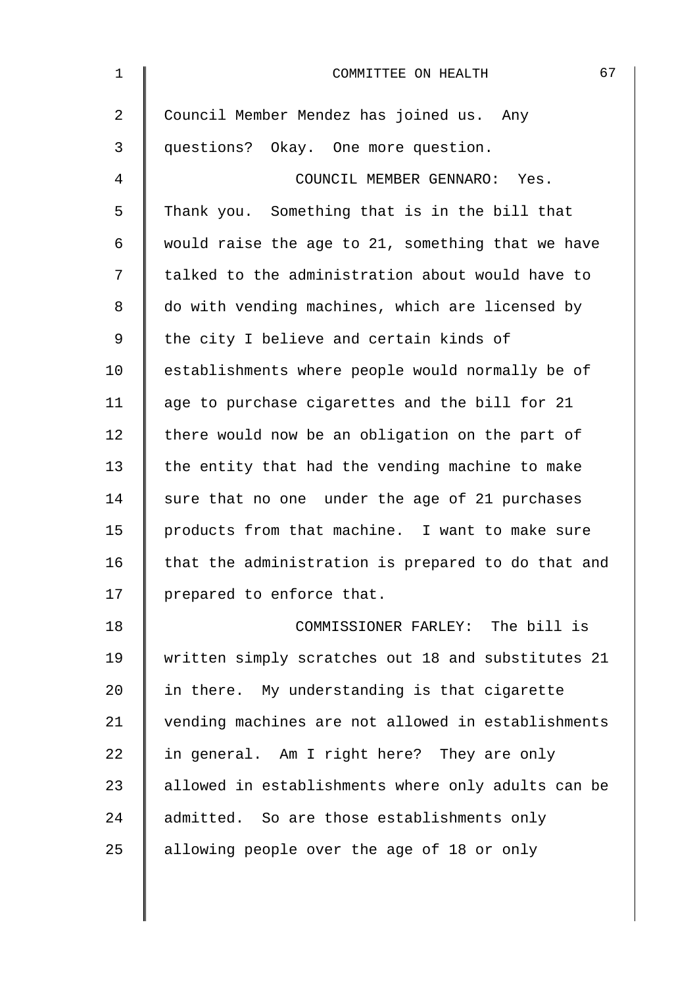| $\mathbf 1$    | 67<br>COMMITTEE ON HEALTH                          |
|----------------|----------------------------------------------------|
| $\overline{2}$ | Council Member Mendez has joined us. Any           |
| 3              | questions? Okay. One more question.                |
| 4              | COUNCIL MEMBER GENNARO: Yes.                       |
| 5              | Thank you. Something that is in the bill that      |
| 6              | would raise the age to 21, something that we have  |
| 7              | talked to the administration about would have to   |
| 8              | do with vending machines, which are licensed by    |
| 9              | the city I believe and certain kinds of            |
| 10             | establishments where people would normally be of   |
| 11             | age to purchase cigarettes and the bill for 21     |
| 12             | there would now be an obligation on the part of    |
| 13             | the entity that had the vending machine to make    |
| 14             | sure that no one under the age of 21 purchases     |
| 15             | products from that machine. I want to make sure    |
| 16             | that the administration is prepared to do that and |
| 17             | prepared to enforce that.                          |
| 18             | COMMISSIONER FARLEY: The bill is                   |
| 19             | written simply scratches out 18 and substitutes 21 |
| 20             | in there. My understanding is that cigarette       |
| 21             | vending machines are not allowed in establishments |
| 22             | in general. Am I right here? They are only         |
| 23             | allowed in establishments where only adults can be |
| 24             | admitted. So are those establishments only         |
| 25             | allowing people over the age of 18 or only         |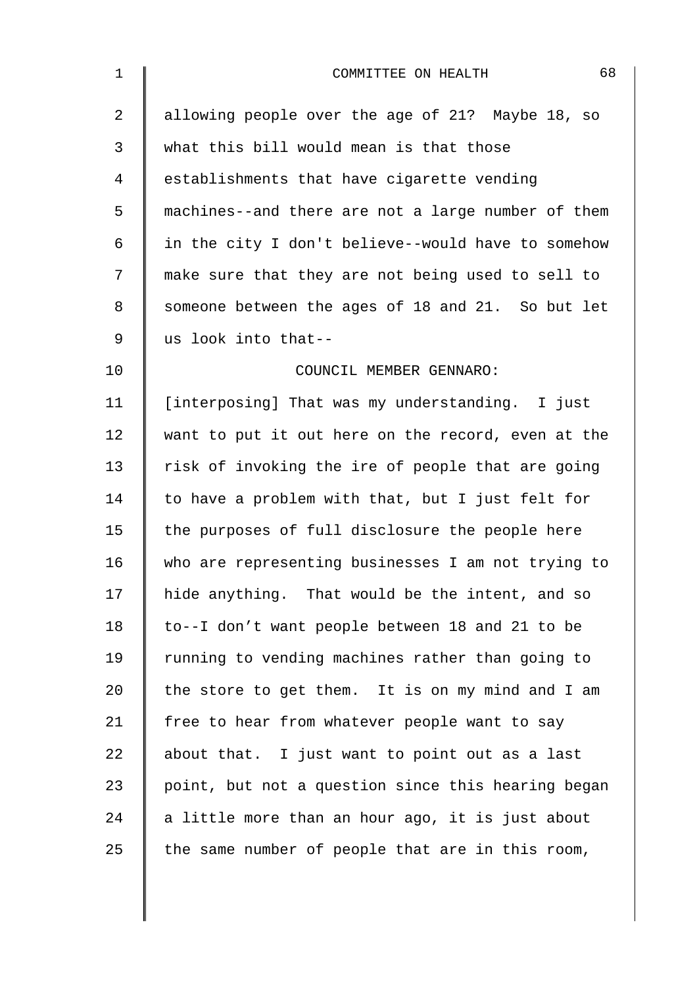| $\mathbf 1$    | 68<br>COMMITTEE ON HEALTH                          |
|----------------|----------------------------------------------------|
| $\overline{2}$ | allowing people over the age of 21? Maybe 18, so   |
| 3              | what this bill would mean is that those            |
| 4              | establishments that have cigarette vending         |
| 5              | machines--and there are not a large number of them |
| 6              | in the city I don't believe--would have to somehow |
| 7              | make sure that they are not being used to sell to  |
| 8              | someone between the ages of 18 and 21. So but let  |
| 9              | us look into that--                                |
| 10             | COUNCIL MEMBER GENNARO:                            |
| 11             | [interposing] That was my understanding. I just    |
| 12             | want to put it out here on the record, even at the |
| 13             | risk of invoking the ire of people that are going  |
| 14             | to have a problem with that, but I just felt for   |
| 15             | the purposes of full disclosure the people here    |
| 16             | who are representing businesses I am not trying to |
| 17             | hide anything. That would be the intent, and so    |
| 18             | to--I don't want people between 18 and 21 to be    |
| 19             | running to vending machines rather than going to   |
| 20             | the store to get them. It is on my mind and I am   |
| 21             | free to hear from whatever people want to say      |
| 22             | about that. I just want to point out as a last     |
| 23             | point, but not a question since this hearing began |
| 24             | a little more than an hour ago, it is just about   |
| 25             | the same number of people that are in this room,   |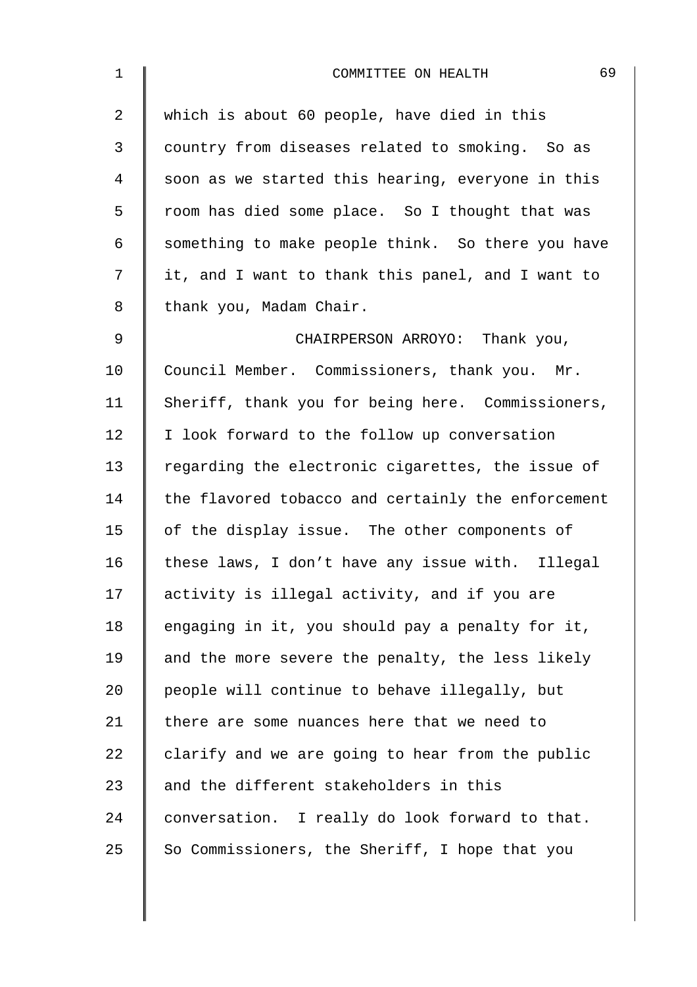| $\mathbf 1$    | 69<br>COMMITTEE ON HEALTH                          |
|----------------|----------------------------------------------------|
| $\overline{a}$ | which is about 60 people, have died in this        |
| 3              | country from diseases related to smoking. So as    |
| 4              | soon as we started this hearing, everyone in this  |
| 5              | room has died some place. So I thought that was    |
| 6              | something to make people think. So there you have  |
| 7              | it, and I want to thank this panel, and I want to  |
| 8              | thank you, Madam Chair.                            |
| $\mathsf 9$    | CHAIRPERSON ARROYO: Thank you,                     |
| 10             | Council Member. Commissioners, thank you. Mr.      |
| 11             | Sheriff, thank you for being here. Commissioners,  |
| 12             | I look forward to the follow up conversation       |
| 13             | regarding the electronic cigarettes, the issue of  |
| 14             | the flavored tobacco and certainly the enforcement |
| 15             | of the display issue. The other components of      |
| 16             | these laws, I don't have any issue with. Illegal   |
| 17             | activity is illegal activity, and if you are       |
| 18             | engaging in it, you should pay a penalty for it,   |
| 19             | and the more severe the penalty, the less likely   |
| 20             | people will continue to behave illegally, but      |
| 21             | there are some nuances here that we need to        |
| 22             | clarify and we are going to hear from the public   |
| 23             | and the different stakeholders in this             |
| 24             | conversation. I really do look forward to that.    |
| 25             | So Commissioners, the Sheriff, I hope that you     |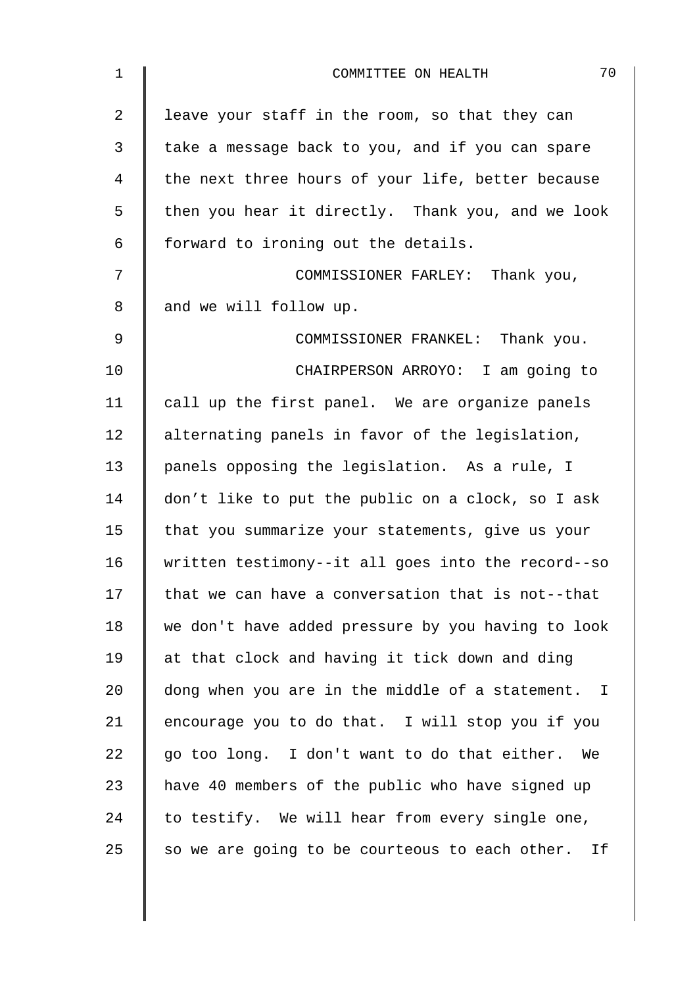| $\mathbf 1$ | 70<br>COMMITTEE ON HEALTH                          |
|-------------|----------------------------------------------------|
| 2           | leave your staff in the room, so that they can     |
| 3           | take a message back to you, and if you can spare   |
| 4           | the next three hours of your life, better because  |
| 5           | then you hear it directly. Thank you, and we look  |
| 6           | forward to ironing out the details.                |
| 7           | COMMISSIONER FARLEY: Thank you,                    |
| 8           | and we will follow up.                             |
| 9           | COMMISSIONER FRANKEL: Thank you.                   |
| 10          | CHAIRPERSON ARROYO: I am going to                  |
| 11          | call up the first panel. We are organize panels    |
| 12          | alternating panels in favor of the legislation,    |
| 13          | panels opposing the legislation. As a rule, I      |
| 14          | don't like to put the public on a clock, so I ask  |
| 15          | that you summarize your statements, give us your   |
| 16          | written testimony--it all goes into the record--so |
| 17          | that we can have a conversation that is not--that  |
| 18          | we don't have added pressure by you having to look |
| 19          | at that clock and having it tick down and ding     |
| 20          | dong when you are in the middle of a statement. I  |
| 21          | encourage you to do that. I will stop you if you   |
| 22          | go too long. I don't want to do that either.<br>We |
| 23          | have 40 members of the public who have signed up   |
| 24          | to testify. We will hear from every single one,    |
| 25          | so we are going to be courteous to each other. If  |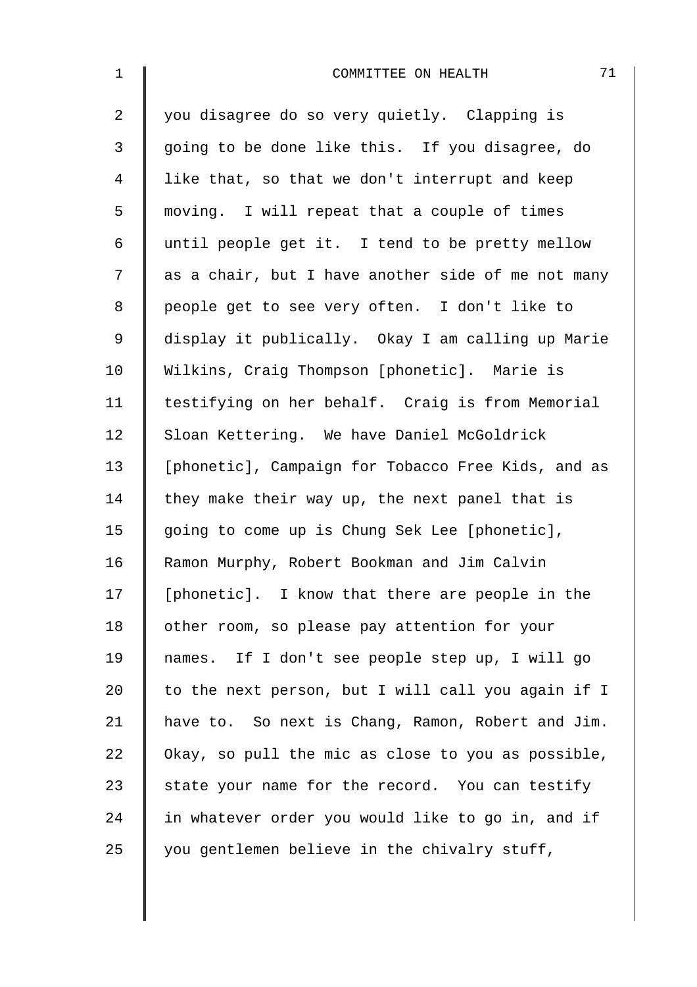| $\mathbf{1}$   | 71<br>COMMITTEE ON HEALTH                          |
|----------------|----------------------------------------------------|
| $\overline{2}$ | you disagree do so very quietly. Clapping is       |
| 3              | going to be done like this. If you disagree, do    |
| $\overline{4}$ | like that, so that we don't interrupt and keep     |
| 5              | moving. I will repeat that a couple of times       |
| 6              | until people get it. I tend to be pretty mellow    |
| 7              | as a chair, but I have another side of me not many |
| 8              | people get to see very often. I don't like to      |
| $\mathsf 9$    | display it publically. Okay I am calling up Marie  |
| 10             | Wilkins, Craig Thompson [phonetic]. Marie is       |
| 11             | testifying on her behalf. Craig is from Memorial   |
| 12             | Sloan Kettering. We have Daniel McGoldrick         |
| 13             | [phonetic], Campaign for Tobacco Free Kids, and as |
| 14             | they make their way up, the next panel that is     |
| 15             | going to come up is Chung Sek Lee [phonetic],      |
| 16             | Ramon Murphy, Robert Bookman and Jim Calvin        |
| 17             | [phonetic]. I know that there are people in the    |
| 18             | other room, so please pay attention for your       |
| 19             | names. If I don't see people step up, I will go    |
| 20             | to the next person, but I will call you again if I |
| 21             | have to. So next is Chang, Ramon, Robert and Jim.  |
| 22             | Okay, so pull the mic as close to you as possible, |
| 23             | state your name for the record. You can testify    |
| 24             | in whatever order you would like to go in, and if  |
| 25             | you gentlemen believe in the chivalry stuff,       |
|                |                                                    |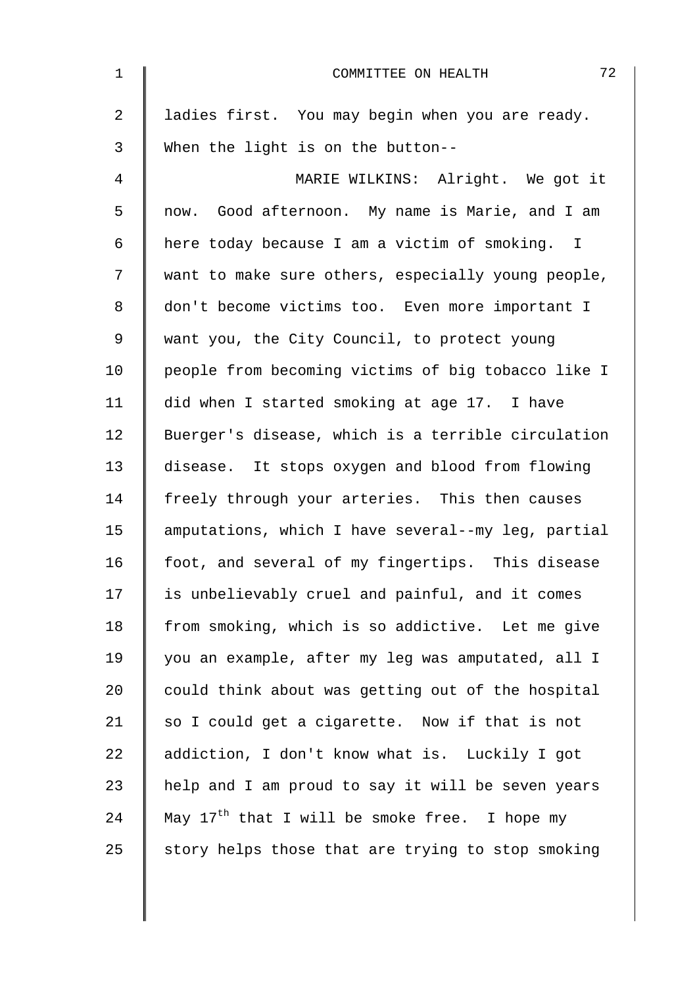| $\mathbf 1$    | 72<br>COMMITTEE ON HEALTH                          |
|----------------|----------------------------------------------------|
| $\overline{2}$ | ladies first. You may begin when you are ready.    |
| 3              | When the light is on the button--                  |
| 4              | MARIE WILKINS: Alright. We got it                  |
| 5              | now. Good afternoon. My name is Marie, and I am    |
| 6              | here today because I am a victim of smoking. I     |
| 7              | want to make sure others, especially young people, |
| 8              | don't become victims too. Even more important I    |
| 9              | want you, the City Council, to protect young       |
| 10             | people from becoming victims of big tobacco like I |
| 11             | did when I started smoking at age 17. I have       |
| 12             | Buerger's disease, which is a terrible circulation |
| 13             | disease. It stops oxygen and blood from flowing    |
| 14             | freely through your arteries. This then causes     |
| 15             | amputations, which I have several--my leg, partial |
| 16             | foot, and several of my fingertips. This disease   |
| 17             | is unbelievably cruel and painful, and it comes    |
| 18             | from smoking, which is so addictive. Let me give   |
| 19             | you an example, after my leg was amputated, all I  |
| 20             | could think about was getting out of the hospital  |
| 21             | so I could get a cigarette. Now if that is not     |
| 22             | addiction, I don't know what is. Luckily I got     |
| 23             | help and I am proud to say it will be seven years  |
| 24             | May $17th$ that I will be smoke free. I hope my    |
| 25             | story helps those that are trying to stop smoking  |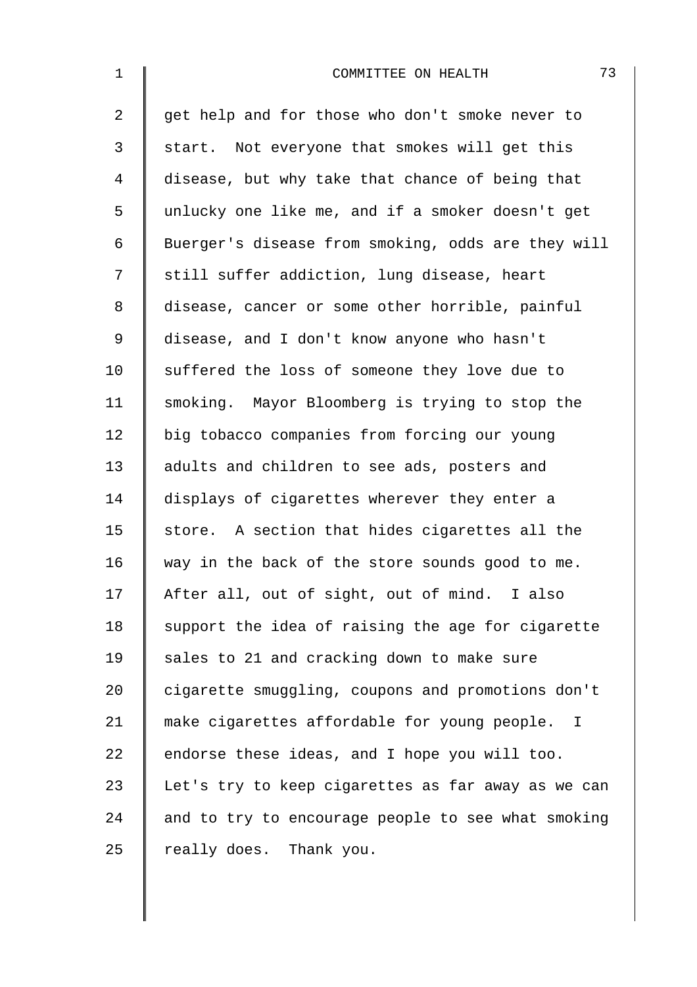| $\mathbf 1$    | 73<br>COMMITTEE ON HEALTH                          |
|----------------|----------------------------------------------------|
| $\overline{a}$ | get help and for those who don't smoke never to    |
| 3              | start. Not everyone that smokes will get this      |
| 4              | disease, but why take that chance of being that    |
| 5              | unlucky one like me, and if a smoker doesn't get   |
| 6              | Buerger's disease from smoking, odds are they will |
| 7              | still suffer addiction, lung disease, heart        |
| 8              | disease, cancer or some other horrible, painful    |
| $\mathsf 9$    | disease, and I don't know anyone who hasn't        |
| 10             | suffered the loss of someone they love due to      |
| 11             | smoking. Mayor Bloomberg is trying to stop the     |
| 12             | big tobacco companies from forcing our young       |
| 13             | adults and children to see ads, posters and        |
| 14             | displays of cigarettes wherever they enter a       |
| 15             | store. A section that hides cigarettes all the     |
| 16             | way in the back of the store sounds good to me.    |
| 17             | After all, out of sight, out of mind. I also       |
| 18             | support the idea of raising the age for cigarette  |
| 19             | sales to 21 and cracking down to make sure         |
| 20             | cigarette smuggling, coupons and promotions don't  |
| 21             | make cigarettes affordable for young people.<br>I  |
| 22             | endorse these ideas, and I hope you will too.      |
| 23             | Let's try to keep cigarettes as far away as we can |
| 24             | and to try to encourage people to see what smoking |
| 25             | really does. Thank you.                            |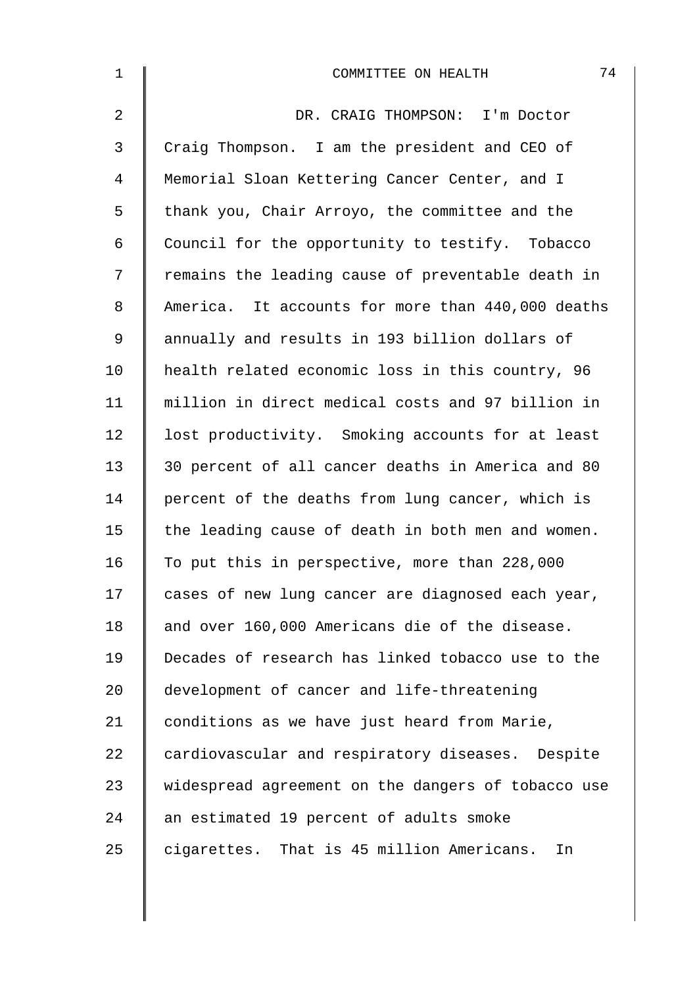| $\mathbf 1$    | 74<br>COMMITTEE ON HEALTH                          |
|----------------|----------------------------------------------------|
| $\overline{a}$ | DR. CRAIG THOMPSON: I'm Doctor                     |
| 3              | Craig Thompson. I am the president and CEO of      |
| 4              | Memorial Sloan Kettering Cancer Center, and I      |
| 5              | thank you, Chair Arroyo, the committee and the     |
| 6              | Council for the opportunity to testify. Tobacco    |
| 7              | remains the leading cause of preventable death in  |
| 8              | America. It accounts for more than 440,000 deaths  |
| 9              | annually and results in 193 billion dollars of     |
| 10             | health related economic loss in this country, 96   |
| 11             | million in direct medical costs and 97 billion in  |
| 12             | lost productivity. Smoking accounts for at least   |
| 13             | 30 percent of all cancer deaths in America and 80  |
| 14             | percent of the deaths from lung cancer, which is   |
| 15             | the leading cause of death in both men and women.  |
| 16             | To put this in perspective, more than 228,000      |
| 17             | cases of new lung cancer are diagnosed each year,  |
| 18             | and over 160,000 Americans die of the disease.     |
| 19             | Decades of research has linked tobacco use to the  |
| 20             | development of cancer and life-threatening         |
| 21             | conditions as we have just heard from Marie,       |
| 22             | cardiovascular and respiratory diseases. Despite   |
| 23             | widespread agreement on the dangers of tobacco use |
| 24             | an estimated 19 percent of adults smoke            |
| 25             | cigarettes. That is 45 million Americans.<br>In    |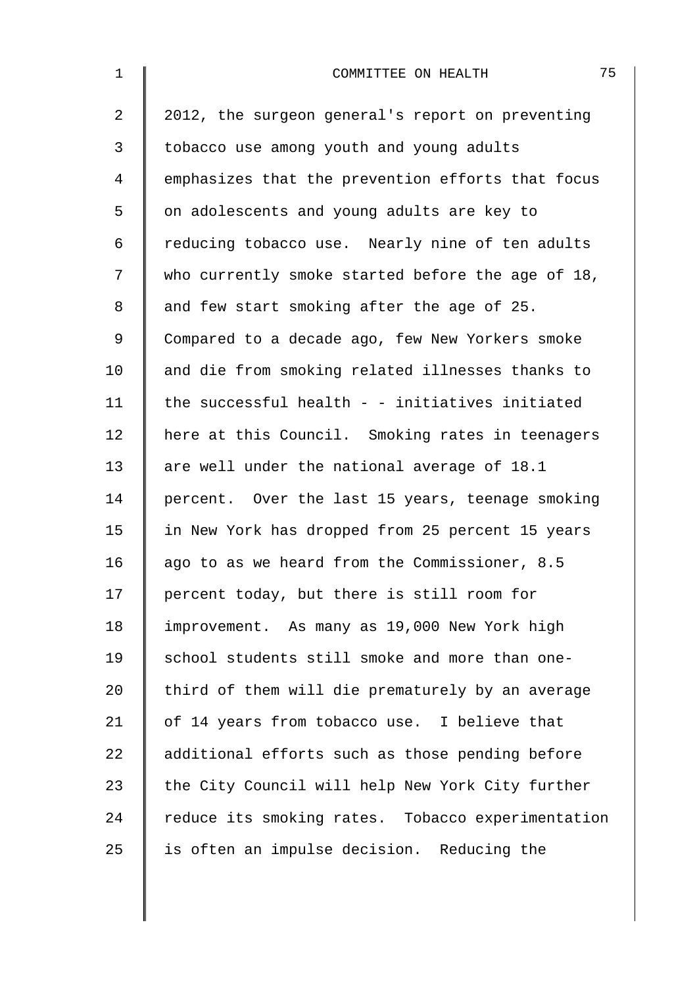| $\mathbf 1$    | 75<br>COMMITTEE ON HEALTH                         |
|----------------|---------------------------------------------------|
| $\overline{a}$ | 2012, the surgeon general's report on preventing  |
| 3              | tobacco use among youth and young adults          |
| 4              | emphasizes that the prevention efforts that focus |
| 5              | on adolescents and young adults are key to        |
| 6              | reducing tobacco use. Nearly nine of ten adults   |
| 7              | who currently smoke started before the age of 18, |
| 8              | and few start smoking after the age of 25.        |
| 9              | Compared to a decade ago, few New Yorkers smoke   |
| 10             | and die from smoking related illnesses thanks to  |
| 11             | the successful health - - initiatives initiated   |
| 12             | here at this Council. Smoking rates in teenagers  |
| 13             | are well under the national average of 18.1       |
| 14             | percent. Over the last 15 years, teenage smoking  |
| 15             | in New York has dropped from 25 percent 15 years  |
| 16             | ago to as we heard from the Commissioner, 8.5     |
| 17             | percent today, but there is still room for        |
| 18             | improvement. As many as 19,000 New York high      |
| 19             | school students still smoke and more than one-    |
| 20             | third of them will die prematurely by an average  |
| 21             | of 14 years from tobacco use. I believe that      |
| 22             | additional efforts such as those pending before   |
| 23             | the City Council will help New York City further  |
| 24             | reduce its smoking rates. Tobacco experimentation |
| 25             | is often an impulse decision. Reducing the        |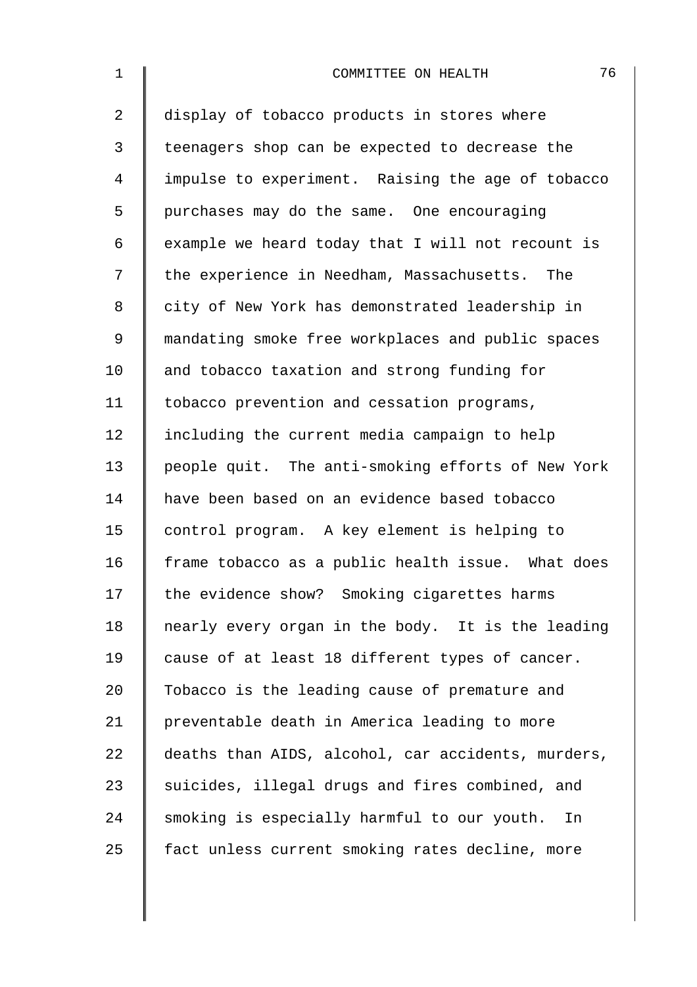| $\mathbf 1$    | 76<br>COMMITTEE ON HEALTH                          |
|----------------|----------------------------------------------------|
| $\overline{a}$ | display of tobacco products in stores where        |
| 3              | teenagers shop can be expected to decrease the     |
| $\overline{4}$ | impulse to experiment. Raising the age of tobacco  |
| 5              | purchases may do the same. One encouraging         |
| 6              | example we heard today that I will not recount is  |
| 7              | the experience in Needham, Massachusetts. The      |
| 8              | city of New York has demonstrated leadership in    |
| $\mathsf 9$    | mandating smoke free workplaces and public spaces  |
| 10             | and tobacco taxation and strong funding for        |
| 11             | tobacco prevention and cessation programs,         |
| 12             | including the current media campaign to help       |
| 13             | people quit. The anti-smoking efforts of New York  |
| 14             | have been based on an evidence based tobacco       |
| 15             | control program. A key element is helping to       |
| 16             | frame tobacco as a public health issue. What does  |
| 17             | the evidence show? Smoking cigarettes harms        |
| 18             | nearly every organ in the body. It is the leading  |
| 19             | cause of at least 18 different types of cancer.    |
| 20             | Tobacco is the leading cause of premature and      |
| 21             | preventable death in America leading to more       |
| 22             | deaths than AIDS, alcohol, car accidents, murders, |
| 23             | suicides, illegal drugs and fires combined, and    |
| 24             | smoking is especially harmful to our youth. In     |
| 25             | fact unless current smoking rates decline, more    |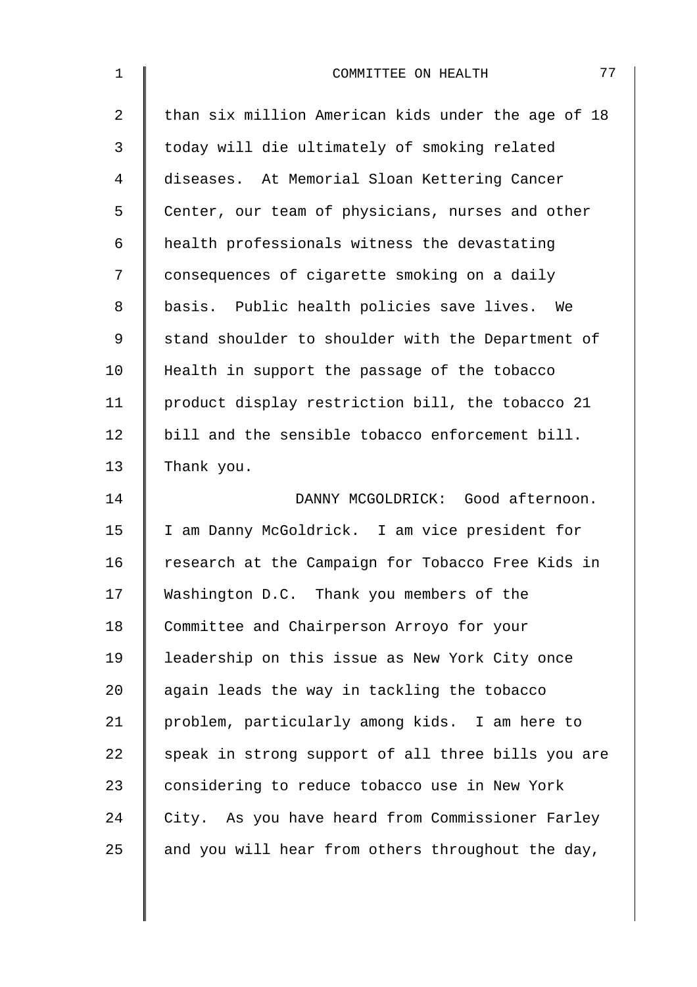| 1  | 77<br>COMMITTEE ON HEALTH                          |
|----|----------------------------------------------------|
| 2  | than six million American kids under the age of 18 |
| 3  | today will die ultimately of smoking related       |
| 4  | diseases. At Memorial Sloan Kettering Cancer       |
| 5  | Center, our team of physicians, nurses and other   |
| 6  | health professionals witness the devastating       |
| 7  | consequences of cigarette smoking on a daily       |
| 8  | basis. Public health policies save lives. We       |
| 9  | stand shoulder to shoulder with the Department of  |
| 10 | Health in support the passage of the tobacco       |
| 11 | product display restriction bill, the tobacco 21   |
| 12 | bill and the sensible tobacco enforcement bill.    |
| 13 | Thank you.                                         |
| 14 | DANNY MCGOLDRICK: Good afternoon.                  |
| 15 | I am Danny McGoldrick. I am vice president for     |
| 16 | research at the Campaign for Tobacco Free Kids in  |
| 17 | Washington D.C. Thank you members of the           |
| 18 | Committee and Chairperson Arroyo for your          |
| 19 | leadership on this issue as New York City once     |
| 20 | again leads the way in tackling the tobacco        |
| 21 | problem, particularly among kids. I am here to     |
| 22 | speak in strong support of all three bills you are |
| 23 | considering to reduce tobacco use in New York      |
| 24 | City. As you have heard from Commissioner Farley   |
| 25 | and you will hear from others throughout the day,  |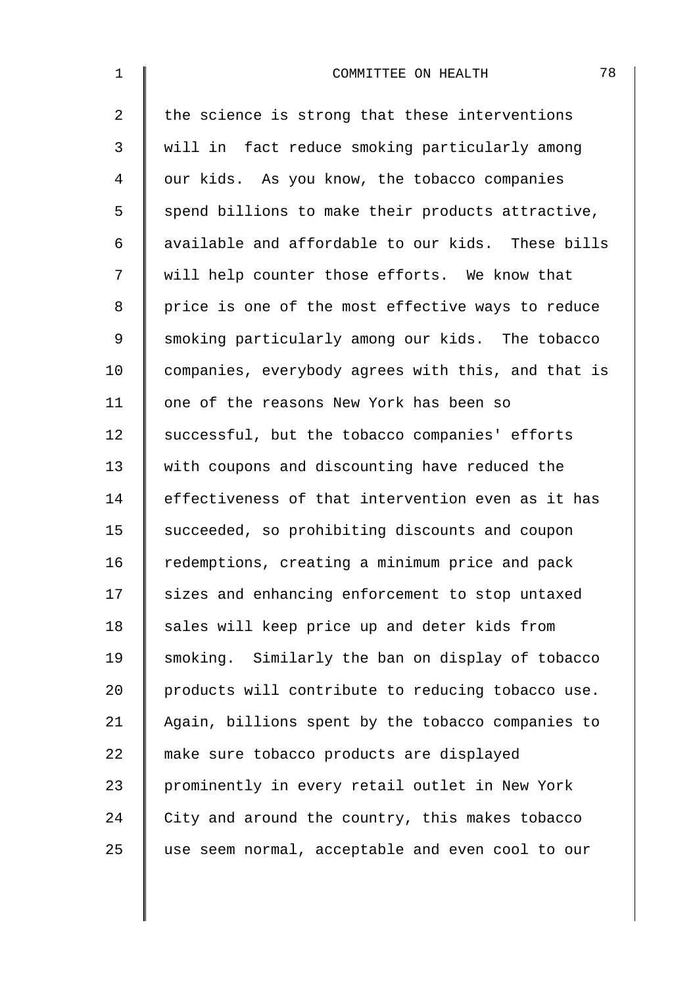| $\mathbf{1}$   | 78<br>COMMITTEE ON HEALTH                          |
|----------------|----------------------------------------------------|
| $\overline{a}$ | the science is strong that these interventions     |
| 3              | will in fact reduce smoking particularly among     |
| 4              | our kids. As you know, the tobacco companies       |
| 5              | spend billions to make their products attractive,  |
| 6              | available and affordable to our kids. These bills  |
| 7              | will help counter those efforts. We know that      |
| 8              | price is one of the most effective ways to reduce  |
| $\mathsf 9$    | smoking particularly among our kids. The tobacco   |
| 10             | companies, everybody agrees with this, and that is |
| 11             | one of the reasons New York has been so            |
| 12             | successful, but the tobacco companies' efforts     |
| 13             | with coupons and discounting have reduced the      |
| 14             | effectiveness of that intervention even as it has  |
| 15             | succeeded, so prohibiting discounts and coupon     |
| 16             | redemptions, creating a minimum price and pack     |
| 17             | sizes and enhancing enforcement to stop untaxed    |
| 18             | sales will keep price up and deter kids from       |
| 19             | smoking. Similarly the ban on display of tobacco   |
| 20             | products will contribute to reducing tobacco use.  |
| 21             | Again, billions spent by the tobacco companies to  |
| 22             | make sure tobacco products are displayed           |
| 23             | prominently in every retail outlet in New York     |
| 24             | City and around the country, this makes tobacco    |
| 25             | use seem normal, acceptable and even cool to our   |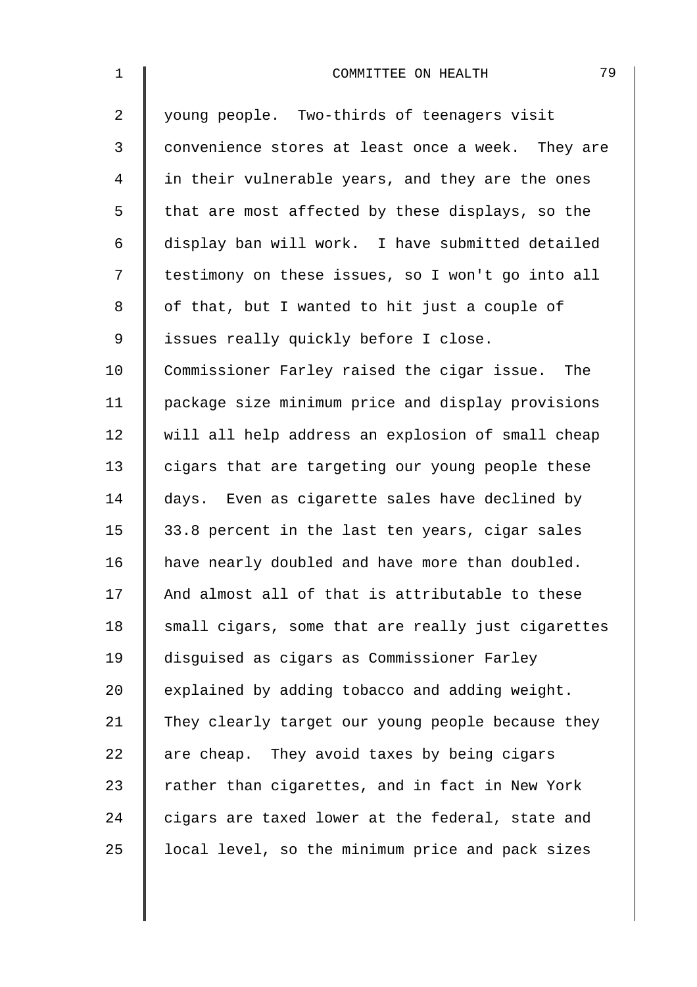| $\mathbf{1}$ | 79<br>COMMITTEE ON HEALTH                          |
|--------------|----------------------------------------------------|
| 2            | young people. Two-thirds of teenagers visit        |
| 3            | convenience stores at least once a week. They are  |
| 4            | in their vulnerable years, and they are the ones   |
| 5            | that are most affected by these displays, so the   |
| 6            | display ban will work. I have submitted detailed   |
| 7            | testimony on these issues, so I won't go into all  |
| 8            | of that, but I wanted to hit just a couple of      |
| $\mathsf 9$  | issues really quickly before I close.              |
| 10           | Commissioner Farley raised the cigar issue. The    |
| 11           | package size minimum price and display provisions  |
| 12           | will all help address an explosion of small cheap  |
| 13           | cigars that are targeting our young people these   |
| 14           | days. Even as cigarette sales have declined by     |
| 15           | 33.8 percent in the last ten years, cigar sales    |
| 16           | have nearly doubled and have more than doubled.    |
| 17           | And almost all of that is attributable to these    |
| 18           | small cigars, some that are really just cigarettes |
| 19           | disguised as cigars as Commissioner Farley         |
| 20           | explained by adding tobacco and adding weight.     |
| 21           | They clearly target our young people because they  |
| 22           | are cheap. They avoid taxes by being cigars        |
| 23           | rather than cigarettes, and in fact in New York    |
| 24           | cigars are taxed lower at the federal, state and   |
| 25           | local level, so the minimum price and pack sizes   |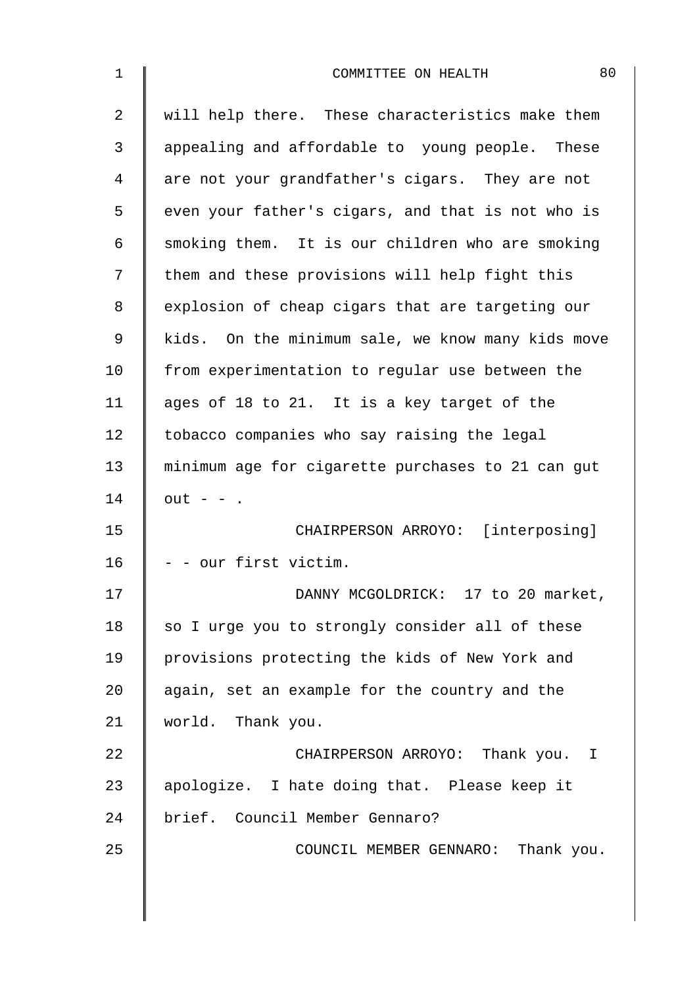| $\mathbf 1$    | 80<br>COMMITTEE ON HEALTH                         |
|----------------|---------------------------------------------------|
| $\overline{2}$ | will help there. These characteristics make them  |
| 3              | appealing and affordable to young people. These   |
| 4              | are not your grandfather's cigars. They are not   |
| 5              | even your father's cigars, and that is not who is |
| 6              | smoking them. It is our children who are smoking  |
| 7              | them and these provisions will help fight this    |
| 8              | explosion of cheap cigars that are targeting our  |
| 9              | kids. On the minimum sale, we know many kids move |
| 10             | from experimentation to regular use between the   |
| 11             | ages of 18 to 21. It is a key target of the       |
| 12             | tobacco companies who say raising the legal       |
| 13             | minimum age for cigarette purchases to 21 can gut |
| 14             | $out - -$ .                                       |
| 15             | CHAIRPERSON ARROYO: [interposing]                 |
| 16             | - - our first victim.                             |
| 17             | DANNY MCGOLDRICK: 17 to 20 market,                |
| 18             | so I urge you to strongly consider all of these   |
| 19             | provisions protecting the kids of New York and    |
| 20             | again, set an example for the country and the     |
| 21             | world. Thank you.                                 |
| 22             | CHAIRPERSON ARROYO: Thank you. I                  |
| 23             | apologize. I hate doing that. Please keep it      |
| 24             | brief. Council Member Gennaro?                    |
| 25             | COUNCIL MEMBER GENNARO: Thank you.                |
|                |                                                   |
|                |                                                   |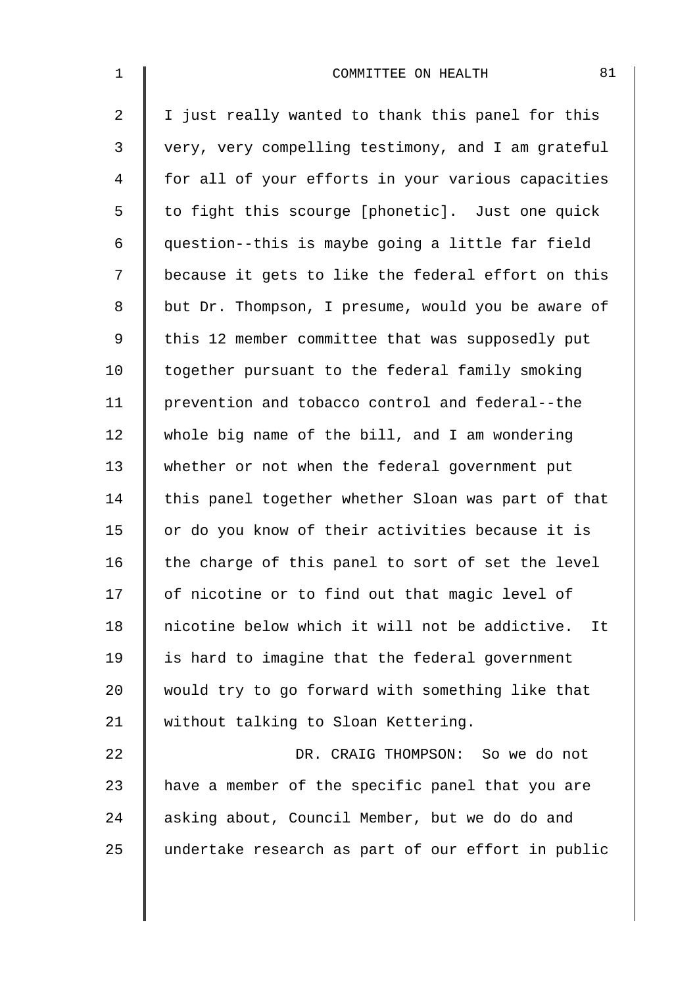| $\mathbf 1$    | 81<br>COMMITTEE ON HEALTH                            |
|----------------|------------------------------------------------------|
| $\overline{a}$ | I just really wanted to thank this panel for this    |
| 3              | very, very compelling testimony, and I am grateful   |
| 4              | for all of your efforts in your various capacities   |
| 5              | to fight this scourge [phonetic]. Just one quick     |
| 6              | question--this is maybe going a little far field     |
| 7              | because it gets to like the federal effort on this   |
| $\,8\,$        | but Dr. Thompson, I presume, would you be aware of   |
| 9              | this 12 member committee that was supposedly put     |
| 10             | together pursuant to the federal family smoking      |
| 11             | prevention and tobacco control and federal--the      |
| 12             | whole big name of the bill, and I am wondering       |
| 13             | whether or not when the federal government put       |
| 14             | this panel together whether Sloan was part of that   |
| 15             | or do you know of their activities because it is     |
| 16             | the charge of this panel to sort of set the level    |
| 17             | of nicotine or to find out that magic level of       |
| 18             | nicotine below which it will not be addictive.<br>It |
| 19             | is hard to imagine that the federal government       |
| 20             | would try to go forward with something like that     |
| 21             | without talking to Sloan Kettering.                  |
| 22             | DR. CRAIG THOMPSON: So we do not                     |
| 23             | have a member of the specific panel that you are     |
| 24             | asking about, Council Member, but we do do and       |
| 25             | undertake research as part of our effort in public   |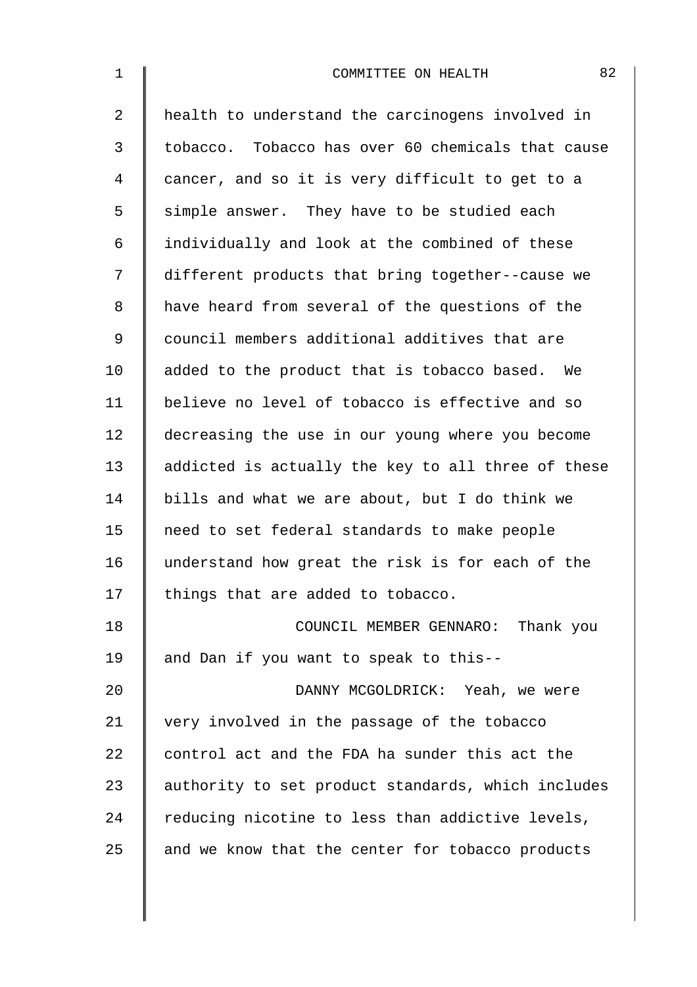| $\mathbf 1$    | 82<br>COMMITTEE ON HEALTH                          |
|----------------|----------------------------------------------------|
| $\overline{2}$ | health to understand the carcinogens involved in   |
| 3              | tobacco. Tobacco has over 60 chemicals that cause  |
| 4              | cancer, and so it is very difficult to get to a    |
| 5              | simple answer. They have to be studied each        |
| 6              | individually and look at the combined of these     |
| 7              | different products that bring together--cause we   |
| 8              | have heard from several of the questions of the    |
| 9              | council members additional additives that are      |
| 10             | added to the product that is tobacco based. We     |
| 11             | believe no level of tobacco is effective and so    |
| 12             | decreasing the use in our young where you become   |
| 13             | addicted is actually the key to all three of these |
| 14             | bills and what we are about, but I do think we     |
| 15             | need to set federal standards to make people       |
| 16             | understand how great the risk is for each of the   |
| 17             | things that are added to tobacco.                  |
| 18             | COUNCIL MEMBER GENNARO: Thank you                  |
| 19             | and Dan if you want to speak to this--             |
| 20             | DANNY MCGOLDRICK: Yeah, we were                    |
| 21             | very involved in the passage of the tobacco        |
| 22             | control act and the FDA ha sunder this act the     |
| 23             | authority to set product standards, which includes |
| 24             | reducing nicotine to less than addictive levels,   |
| 25             | and we know that the center for tobacco products   |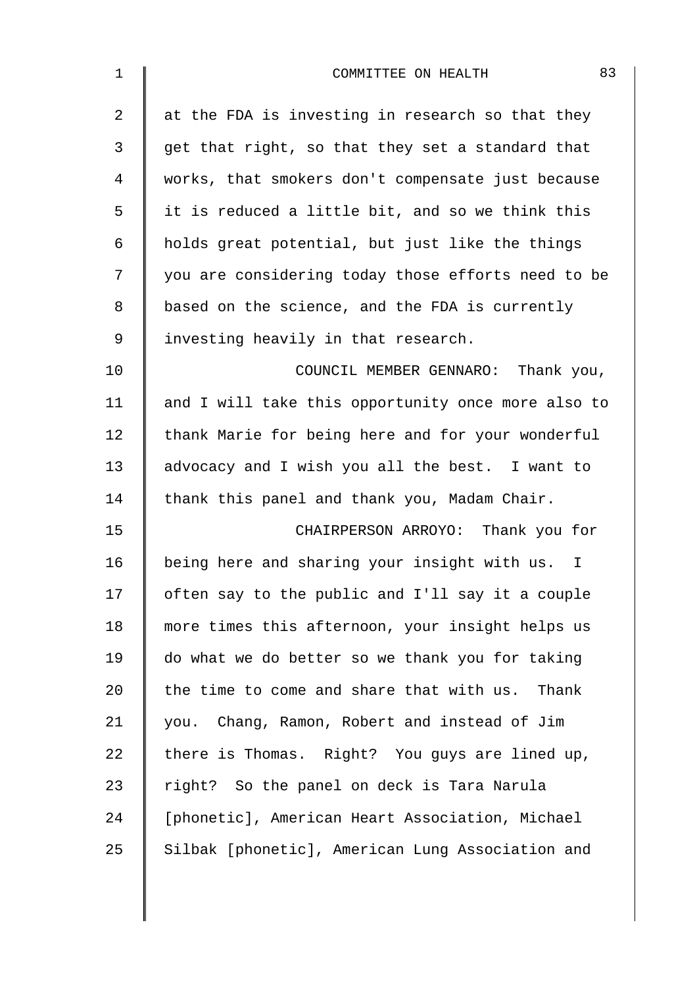| 1              | 83<br>COMMITTEE ON HEALTH                          |
|----------------|----------------------------------------------------|
| $\overline{2}$ | at the FDA is investing in research so that they   |
| 3              | get that right, so that they set a standard that   |
| 4              | works, that smokers don't compensate just because  |
| 5              | it is reduced a little bit, and so we think this   |
| $\epsilon$     | holds great potential, but just like the things    |
| 7              | you are considering today those efforts need to be |
| 8              | based on the science, and the FDA is currently     |
| $\mathsf 9$    | investing heavily in that research.                |
| 10             | COUNCIL MEMBER GENNARO: Thank you,                 |
| 11             | and I will take this opportunity once more also to |
| 12             | thank Marie for being here and for your wonderful  |
| 13             | advocacy and I wish you all the best. I want to    |
| 14             | thank this panel and thank you, Madam Chair.       |
| 15             | CHAIRPERSON ARROYO: Thank you for                  |
| 16             | being here and sharing your insight with us.<br>I. |
| 17             | often say to the public and I'll say it a couple   |
| 18             | more times this afternoon, your insight helps us   |
| 19             | do what we do better so we thank you for taking    |
| 20             | the time to come and share that with us. Thank     |
| 21             | you. Chang, Ramon, Robert and instead of Jim       |
| 22             | there is Thomas. Right? You guys are lined up,     |
| 23             | right? So the panel on deck is Tara Narula         |
| 24             | [phonetic], American Heart Association, Michael    |
| 25             | Silbak [phonetic], American Lung Association and   |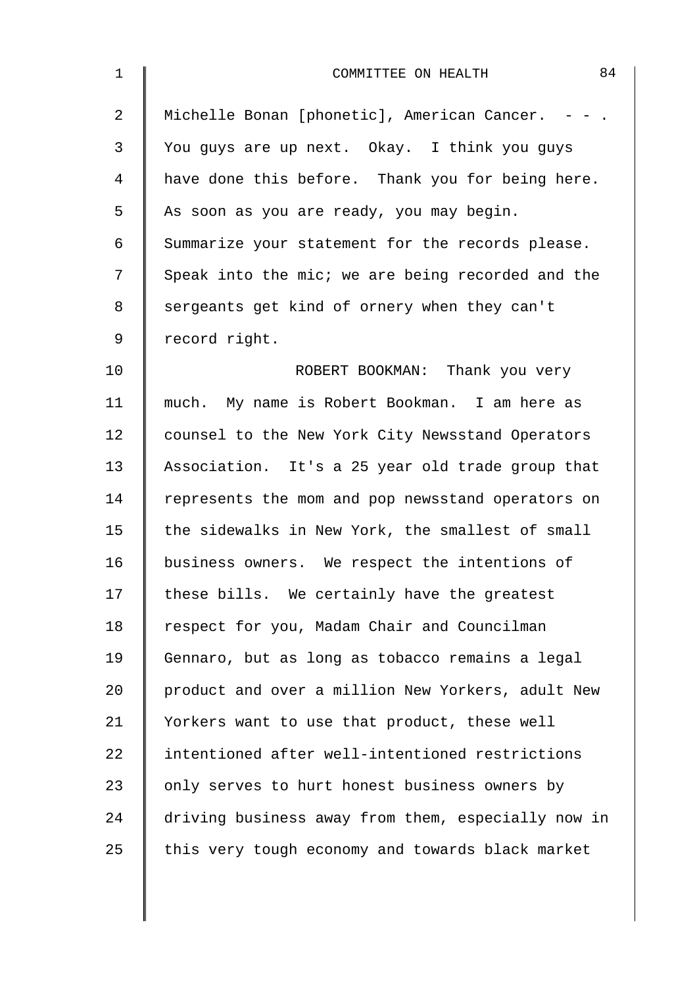| $\mathbf 1$ | 84<br>COMMITTEE ON HEALTH                          |
|-------------|----------------------------------------------------|
| 2           | Michelle Bonan [phonetic], American Cancer. - - .  |
| 3           | You guys are up next. Okay. I think you guys       |
| 4           | have done this before. Thank you for being here.   |
| 5           | As soon as you are ready, you may begin.           |
| 6           | Summarize your statement for the records please.   |
| 7           | Speak into the mic; we are being recorded and the  |
| 8           | sergeants get kind of ornery when they can't       |
| 9           | record right.                                      |
| 10          | ROBERT BOOKMAN: Thank you very                     |
| 11          | much. My name is Robert Bookman. I am here as      |
| 12          | counsel to the New York City Newsstand Operators   |
| 13          | Association. It's a 25 year old trade group that   |
| 14          | represents the mom and pop newsstand operators on  |
| 15          | the sidewalks in New York, the smallest of small   |
| 16          | business owners. We respect the intentions of      |
| 17          | these bills. We certainly have the greatest        |
| 18          | respect for you, Madam Chair and Councilman        |
| 19          | Gennaro, but as long as tobacco remains a legal    |
| 20          | product and over a million New Yorkers, adult New  |
| 21          | Yorkers want to use that product, these well       |
| 22          | intentioned after well-intentioned restrictions    |
| 23          | only serves to hurt honest business owners by      |
| 24          | driving business away from them, especially now in |
| 25          | this very tough economy and towards black market   |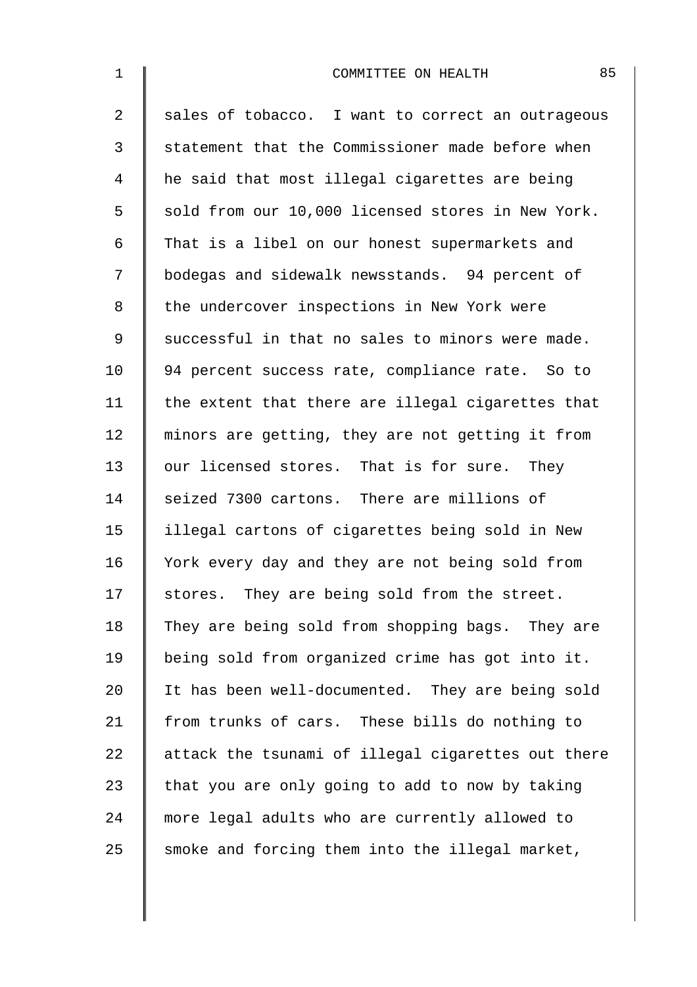| $\mathbf 1$    | 85<br>COMMITTEE ON HEALTH                          |
|----------------|----------------------------------------------------|
| $\overline{2}$ | sales of tobacco. I want to correct an outrageous  |
| $\mathfrak{Z}$ | statement that the Commissioner made before when   |
| 4              | he said that most illegal cigarettes are being     |
| 5              | sold from our 10,000 licensed stores in New York.  |
| $\epsilon$     | That is a libel on our honest supermarkets and     |
| 7              | bodegas and sidewalk newsstands. 94 percent of     |
| 8              | the undercover inspections in New York were        |
| 9              | successful in that no sales to minors were made.   |
| 10             | 94 percent success rate, compliance rate. So to    |
| 11             | the extent that there are illegal cigarettes that  |
| 12             | minors are getting, they are not getting it from   |
| 13             | our licensed stores. That is for sure. They        |
| 14             | seized 7300 cartons. There are millions of         |
| 15             | illegal cartons of cigarettes being sold in New    |
| 16             | York every day and they are not being sold from    |
| 17             | stores. They are being sold from the street.       |
| 18             | They are being sold from shopping bags. They are   |
| 19             | being sold from organized crime has got into it.   |
| 20             | It has been well-documented. They are being sold   |
| 21             | from trunks of cars. These bills do nothing to     |
| 22             | attack the tsunami of illegal cigarettes out there |
| 23             | that you are only going to add to now by taking    |
| 24             | more legal adults who are currently allowed to     |
| 25             | smoke and forcing them into the illegal market,    |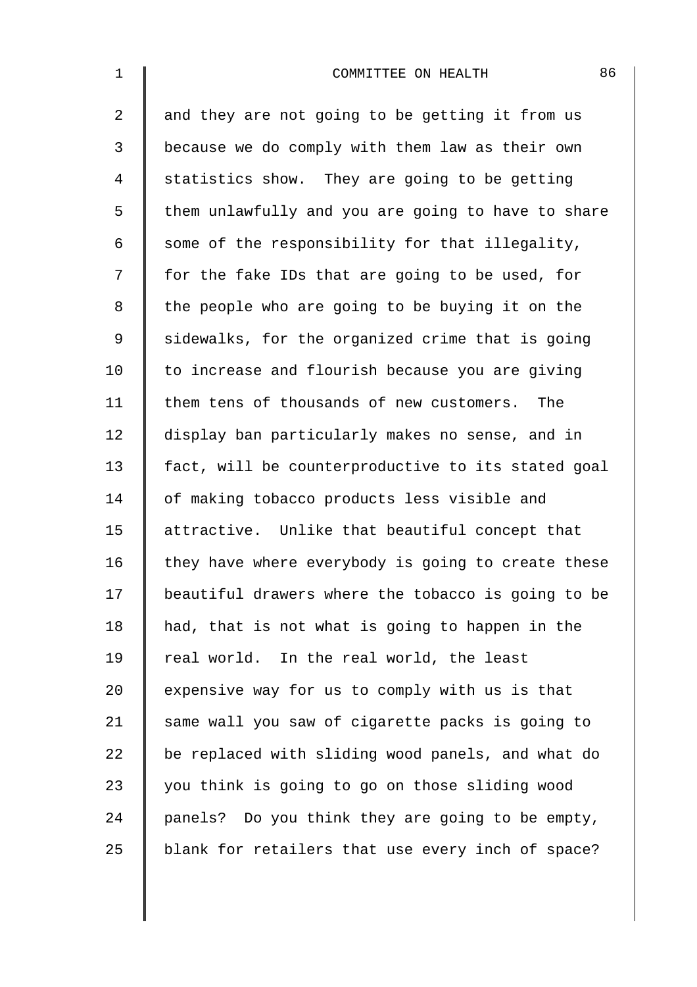| $\mathbf 1$    | 86<br>COMMITTEE ON HEALTH                          |
|----------------|----------------------------------------------------|
| $\overline{2}$ | and they are not going to be getting it from us    |
| 3              | because we do comply with them law as their own    |
| 4              | statistics show. They are going to be getting      |
| 5              | them unlawfully and you are going to have to share |
| 6              | some of the responsibility for that illegality,    |
| 7              | for the fake IDs that are going to be used, for    |
| 8              | the people who are going to be buying it on the    |
| 9              | sidewalks, for the organized crime that is going   |
| 10             | to increase and flourish because you are giving    |
| 11             | them tens of thousands of new customers. The       |
| 12             | display ban particularly makes no sense, and in    |
| 13             | fact, will be counterproductive to its stated goal |
| 14             | of making tobacco products less visible and        |
| 15             | attractive. Unlike that beautiful concept that     |
| 16             | they have where everybody is going to create these |
| 17             | beautiful drawers where the tobacco is going to be |
| 18             | had, that is not what is going to happen in the    |
| 19             | real world. In the real world, the least           |
| 20             | expensive way for us to comply with us is that     |
| 21             | same wall you saw of cigarette packs is going to   |
| 22             | be replaced with sliding wood panels, and what do  |
| 23             | you think is going to go on those sliding wood     |
| 24             | panels? Do you think they are going to be empty,   |
| 25             | blank for retailers that use every inch of space?  |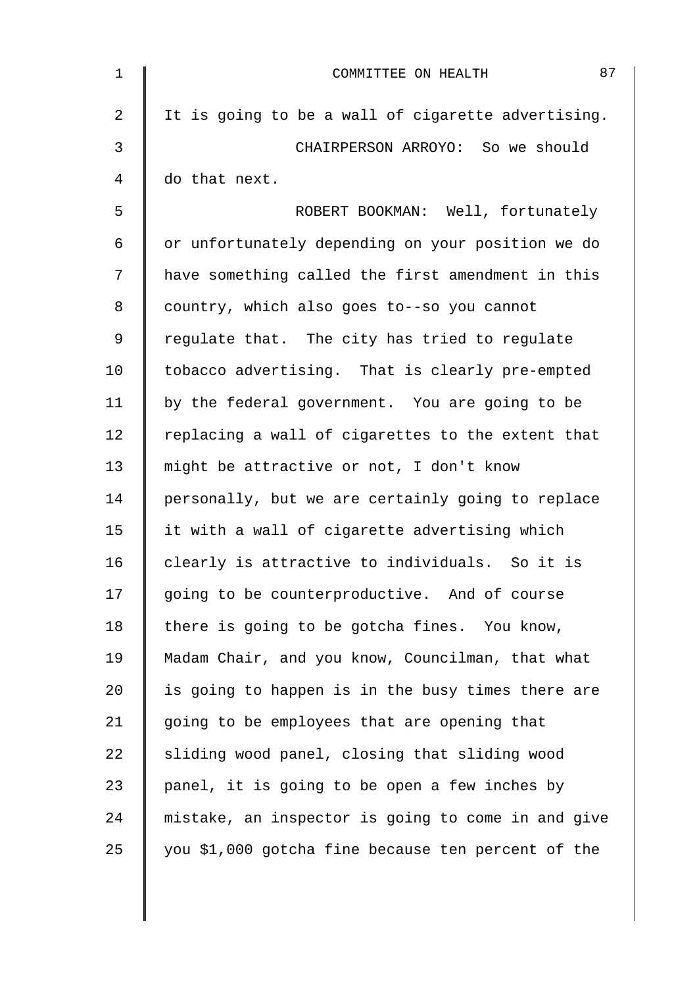| $\mathbf 1$    | 87<br>COMMITTEE ON HEALTH                          |
|----------------|----------------------------------------------------|
| $\overline{2}$ | It is going to be a wall of cigarette advertising. |
| 3              | CHAIRPERSON ARROYO: So we should                   |
| $\overline{4}$ | do that next.                                      |
| 5              | ROBERT BOOKMAN: Well, fortunately                  |
| 6              | or unfortunately depending on your position we do  |
| 7              | have something called the first amendment in this  |
| 8              | country, which also goes to--so you cannot         |
| 9              | regulate that. The city has tried to regulate      |
| 10             | tobacco advertising. That is clearly pre-empted    |
| 11             | by the federal government. You are going to be     |
| 12             | replacing a wall of cigarettes to the extent that  |
| 13             | might be attractive or not, I don't know           |
| 14             | personally, but we are certainly going to replace  |
| 15             | it with a wall of cigarette advertising which      |
| 16             | clearly is attractive to individuals. So it is     |
| 17             | going to be counterproductive. And of course       |
| 18             | there is going to be gotcha fines. You know,       |
| 19             | Madam Chair, and you know, Councilman, that what   |
| 20             | is going to happen is in the busy times there are  |
| 21             | going to be employees that are opening that        |
| 22             | sliding wood panel, closing that sliding wood      |
| 23             | panel, it is going to be open a few inches by      |
| 24             | mistake, an inspector is going to come in and give |
| 25             | you \$1,000 gotcha fine because ten percent of the |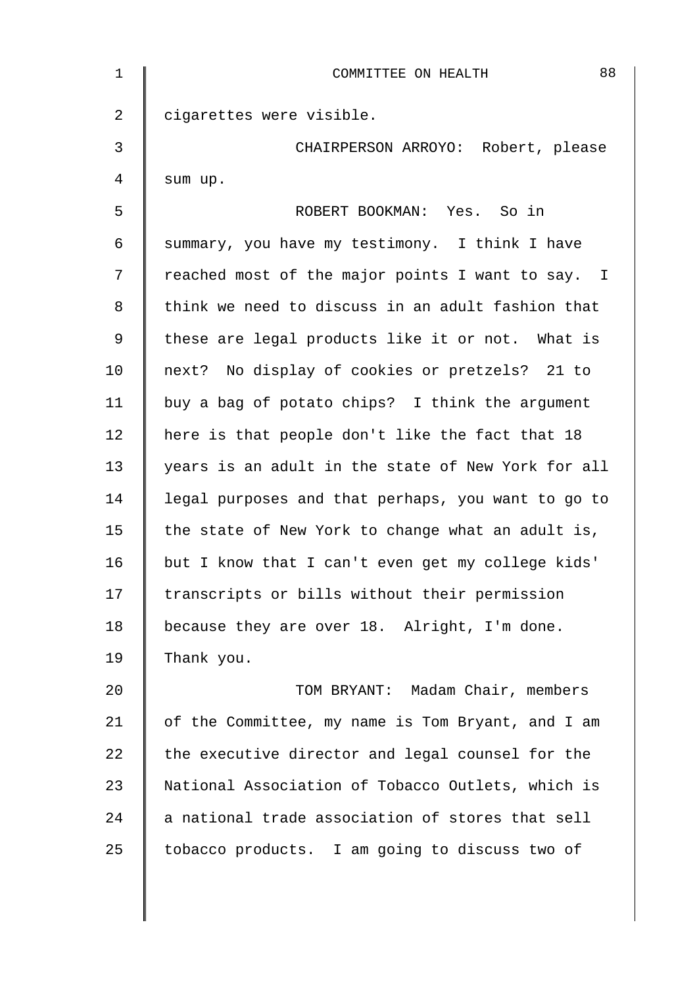| $\mathbf 1$    | 88<br>COMMITTEE ON HEALTH                          |
|----------------|----------------------------------------------------|
| $\overline{a}$ | cigarettes were visible.                           |
| $\mathfrak{Z}$ | CHAIRPERSON ARROYO: Robert, please                 |
| 4              | sum up.                                            |
| 5              | ROBERT BOOKMAN: Yes. So in                         |
| 6              | summary, you have my testimony. I think I have     |
| 7              | reached most of the major points I want to say. I  |
| 8              | think we need to discuss in an adult fashion that  |
| 9              | these are legal products like it or not. What is   |
| 10             | next? No display of cookies or pretzels? 21 to     |
| 11             | buy a bag of potato chips? I think the argument    |
| 12             | here is that people don't like the fact that 18    |
| 13             | years is an adult in the state of New York for all |
| 14             | legal purposes and that perhaps, you want to go to |
| 15             | the state of New York to change what an adult is,  |
| 16             | but I know that I can't even get my college kids'  |
| 17             | transcripts or bills without their permission      |
| 18             | because they are over 18. Alright, I'm done.       |
| 19             | Thank you.                                         |
| 20             | TOM BRYANT: Madam Chair, members                   |
| 21             | of the Committee, my name is Tom Bryant, and I am  |
| 22             | the executive director and legal counsel for the   |
| 23             | National Association of Tobacco Outlets, which is  |
| 24             | a national trade association of stores that sell   |
| 25             | tobacco products. I am going to discuss two of     |
|                |                                                    |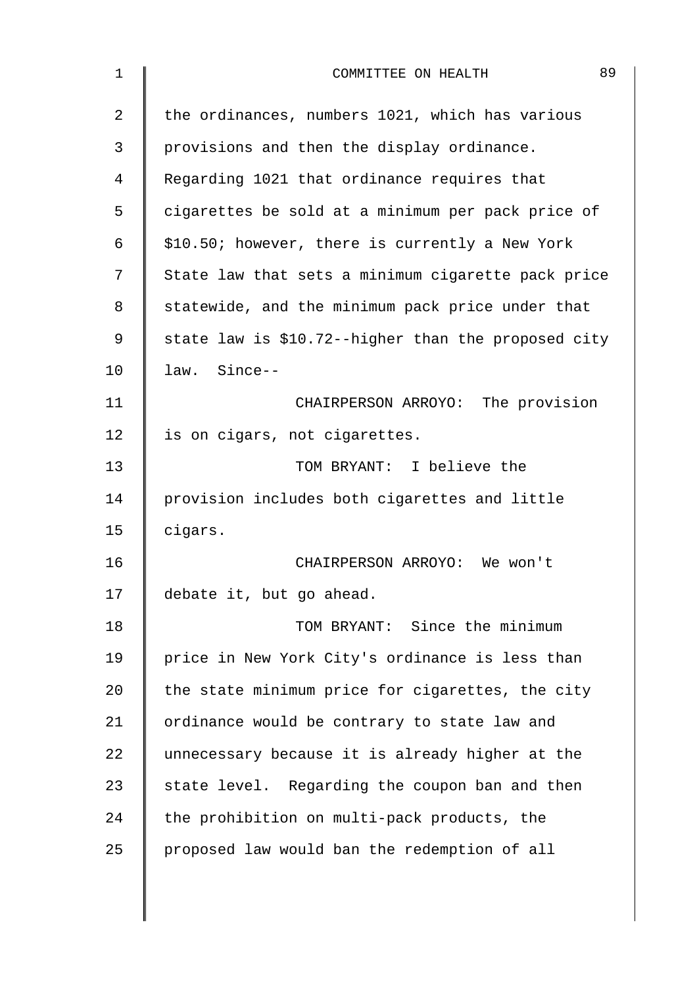| 1  | 89<br>COMMITTEE ON HEALTH                           |
|----|-----------------------------------------------------|
| 2  | the ordinances, numbers 1021, which has various     |
| 3  | provisions and then the display ordinance.          |
| 4  | Regarding 1021 that ordinance requires that         |
| 5  | cigarettes be sold at a minimum per pack price of   |
| 6  | \$10.50; however, there is currently a New York     |
| 7  | State law that sets a minimum cigarette pack price  |
| 8  | statewide, and the minimum pack price under that    |
| 9  | state law is \$10.72--higher than the proposed city |
| 10 | law. Since--                                        |
| 11 | CHAIRPERSON ARROYO: The provision                   |
| 12 | is on cigars, not cigarettes.                       |
| 13 | TOM BRYANT: I believe the                           |
| 14 | provision includes both cigarettes and little       |
| 15 | cigars.                                             |
| 16 | CHAIRPERSON ARROYO: We won't                        |
| 17 | debate it, but go ahead.                            |
| 18 | TOM BRYANT: Since the minimum                       |
| 19 | price in New York City's ordinance is less than     |
| 20 | the state minimum price for cigarettes, the city    |
| 21 | ordinance would be contrary to state law and        |
| 22 | unnecessary because it is already higher at the     |
| 23 | state level. Regarding the coupon ban and then      |
| 24 | the prohibition on multi-pack products, the         |
| 25 | proposed law would ban the redemption of all        |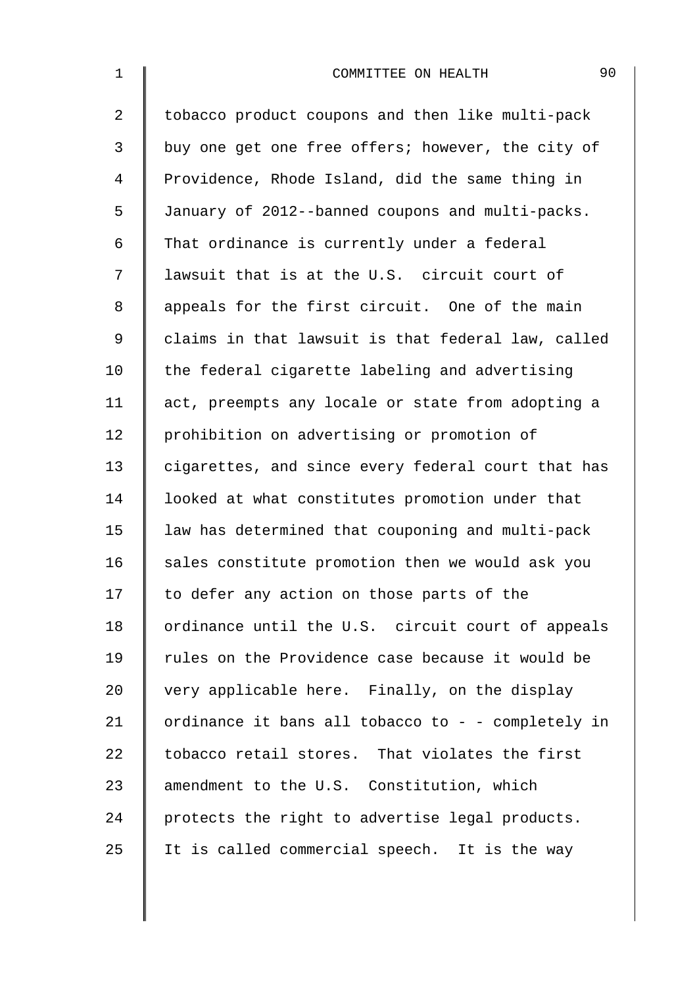| $\mathbf 1$    | 90<br>COMMITTEE ON HEALTH                          |
|----------------|----------------------------------------------------|
| $\overline{2}$ | tobacco product coupons and then like multi-pack   |
| 3              | buy one get one free offers; however, the city of  |
| 4              | Providence, Rhode Island, did the same thing in    |
| 5              | January of 2012--banned coupons and multi-packs.   |
| 6              | That ordinance is currently under a federal        |
| 7              | lawsuit that is at the U.S. circuit court of       |
| 8              | appeals for the first circuit. One of the main     |
| $\mathsf 9$    | claims in that lawsuit is that federal law, called |
| 10             | the federal cigarette labeling and advertising     |
| 11             | act, preempts any locale or state from adopting a  |
| 12             | prohibition on advertising or promotion of         |
| 13             | cigarettes, and since every federal court that has |
| 14             | looked at what constitutes promotion under that    |
| 15             | law has determined that couponing and multi-pack   |
| 16             | sales constitute promotion then we would ask you   |
| 17             | to defer any action on those parts of the          |
| 18             | ordinance until the U.S. circuit court of appeals  |
| 19             | rules on the Providence case because it would be   |
| 20             | very applicable here. Finally, on the display      |
| 21             | ordinance it bans all tobacco to - - completely in |
| 22             | tobacco retail stores. That violates the first     |
| 23             | amendment to the U.S. Constitution, which          |
| 24             | protects the right to advertise legal products.    |
| 25             | It is called commercial speech. It is the way      |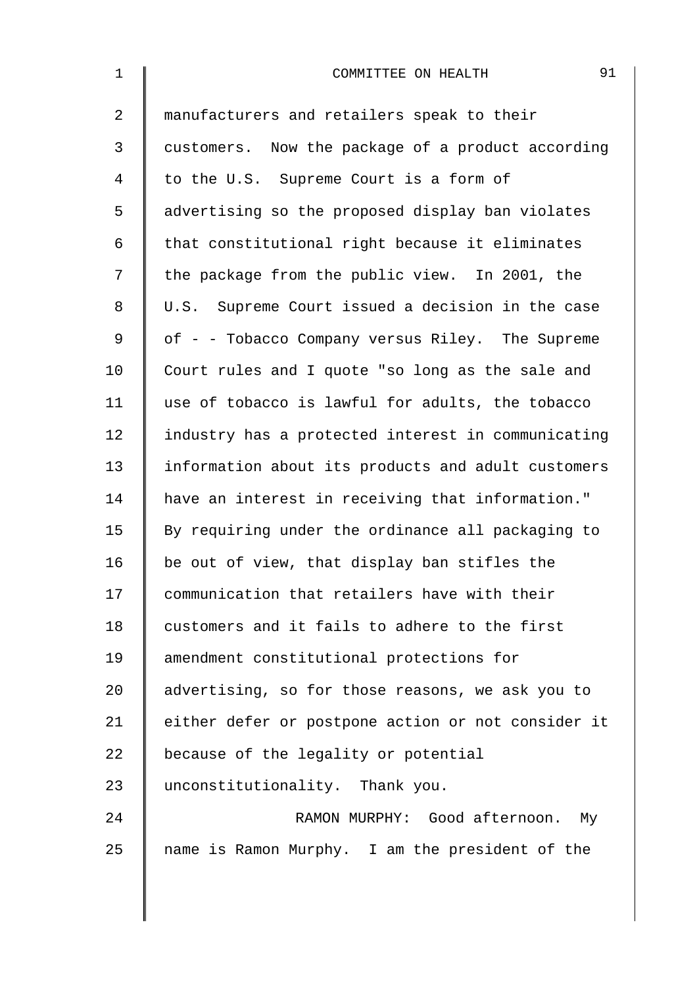| $\mathbf 1$    | 91<br>COMMITTEE ON HEALTH                          |
|----------------|----------------------------------------------------|
| $\overline{2}$ | manufacturers and retailers speak to their         |
| 3              | customers. Now the package of a product according  |
| 4              | to the U.S. Supreme Court is a form of             |
| 5              | advertising so the proposed display ban violates   |
| 6              | that constitutional right because it eliminates    |
| 7              | the package from the public view. In 2001, the     |
| 8              | U.S. Supreme Court issued a decision in the case   |
| $\mathsf 9$    | of - - Tobacco Company versus Riley. The Supreme   |
| 10             | Court rules and I quote "so long as the sale and   |
| 11             | use of tobacco is lawful for adults, the tobacco   |
| 12             | industry has a protected interest in communicating |
| 13             | information about its products and adult customers |
| 14             | have an interest in receiving that information."   |
| 15             | By requiring under the ordinance all packaging to  |
| 16             | be out of view, that display ban stifles the       |
| 17             | communication that retailers have with their       |
| 18             | customers and it fails to adhere to the first      |
| 19             | amendment constitutional protections for           |
| 20             | advertising, so for those reasons, we ask you to   |
| 21             | either defer or postpone action or not consider it |
| 22             | because of the legality or potential               |
| 23             | unconstitutionality. Thank you.                    |
| 24             | RAMON MURPHY: Good afternoon. My                   |
| 25             | name is Ramon Murphy. I am the president of the    |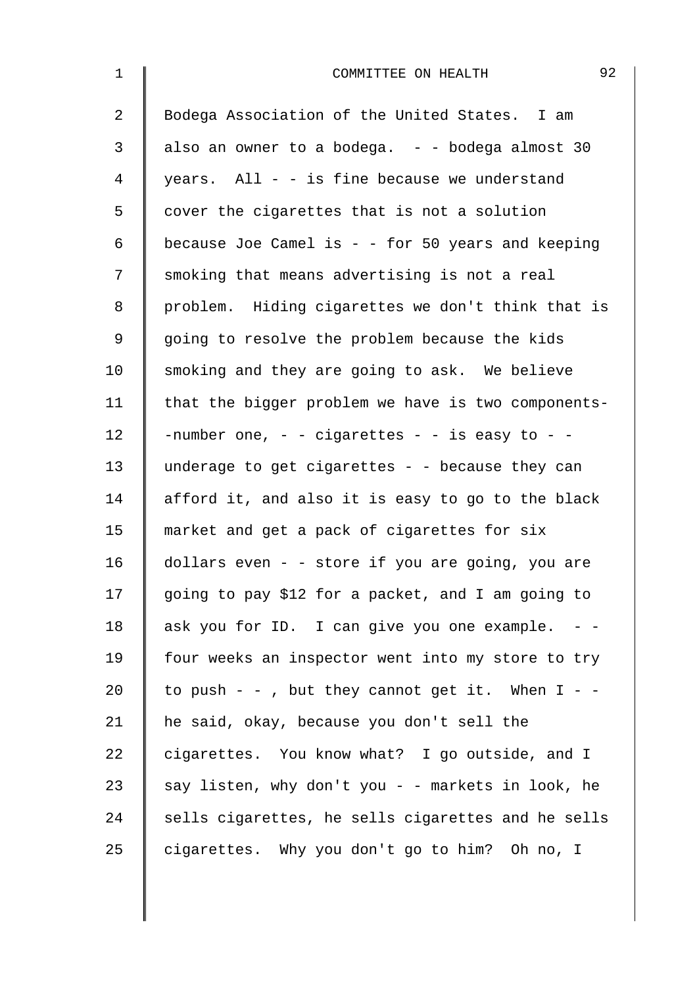| $\mathbf 1$    | 92<br>COMMITTEE ON HEALTH                           |
|----------------|-----------------------------------------------------|
| $\overline{a}$ | Bodega Association of the United States. I am       |
| 3              | also an owner to a bodega. - - bodega almost 30     |
| $\overline{4}$ | years. All - - is fine because we understand        |
| 5              | cover the cigarettes that is not a solution         |
| 6              | because Joe Camel is $-$ - for 50 years and keeping |
| 7              | smoking that means advertising is not a real        |
| 8              | problem. Hiding cigarettes we don't think that is   |
| $\mathsf 9$    | going to resolve the problem because the kids       |
| 10             | smoking and they are going to ask. We believe       |
| 11             | that the bigger problem we have is two components-  |
| 12             | -number one, - - cigarettes - - is easy to - -      |
| 13             | underage to get cigarettes - - because they can     |
| 14             | afford it, and also it is easy to go to the black   |
| 15             | market and get a pack of cigarettes for six         |
| 16             | dollars even - - store if you are going, you are    |
| 17             | going to pay \$12 for a packet, and I am going to   |
| 18             | ask you for ID. I can give you one example.         |
| 19             | four weeks an inspector went into my store to try   |
| 20             | to push - - , but they cannot get it. When $I - -$  |
| 21             | he said, okay, because you don't sell the           |
| 22             | cigarettes. You know what? I go outside, and I      |
| 23             | say listen, why don't you - - markets in look, he   |
| 24             | sells cigarettes, he sells cigarettes and he sells  |
| 25             | cigarettes. Why you don't go to him? Oh no, I       |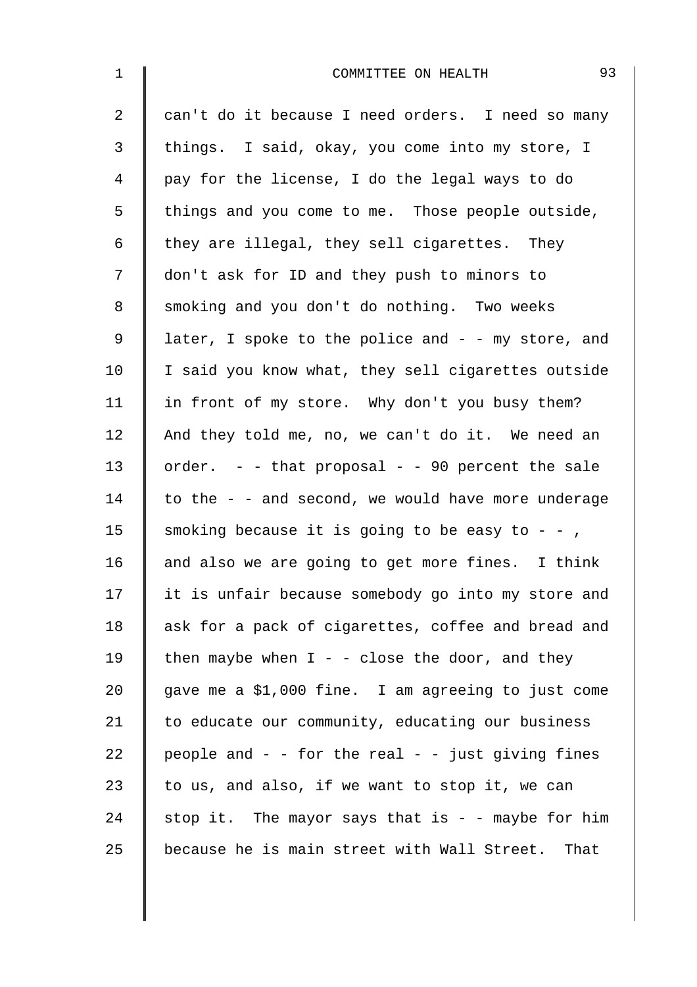| $\mathbf{1}$   | 93<br>COMMITTEE ON HEALTH                             |
|----------------|-------------------------------------------------------|
| $\overline{a}$ | can't do it because I need orders. I need so many     |
| 3              | things. I said, okay, you come into my store, I       |
| 4              | pay for the license, I do the legal ways to do        |
| 5              | things and you come to me. Those people outside,      |
| 6              | they are illegal, they sell cigarettes. They          |
| 7              | don't ask for ID and they push to minors to           |
| 8              | smoking and you don't do nothing. Two weeks           |
| $\mathsf 9$    | later, I spoke to the police and $-$ - my store, and  |
| 10             | I said you know what, they sell cigarettes outside    |
| 11             | in front of my store. Why don't you busy them?        |
| 12             | And they told me, no, we can't do it. We need an      |
| 13             | order. - - that proposal - - 90 percent the sale      |
| 14             | to the - - and second, we would have more underage    |
| 15             | smoking because it is going to be easy to - -,        |
| 16             | and also we are going to get more fines. I think      |
| 17             | it is unfair because somebody go into my store and    |
| 18             | ask for a pack of cigarettes, coffee and bread and    |
| 19             | then maybe when $I - -$ close the door, and they      |
| 20             | gave me a \$1,000 fine. I am agreeing to just come    |
| 21             | to educate our community, educating our business      |
| 22             | people and $-$ - for the real $-$ - just giving fines |
| 23             | to us, and also, if we want to stop it, we can        |
| 24             | stop it. The mayor says that is $-$ - maybe for him   |
| 25             | because he is main street with Wall Street.<br>That   |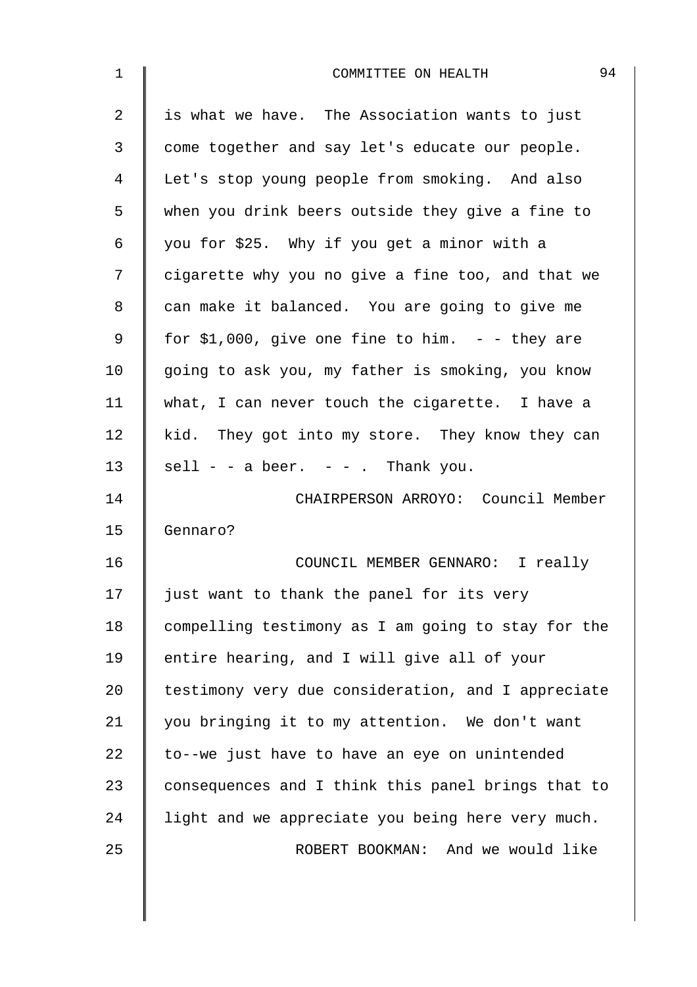| $\mathbf 1$ | 94<br>COMMITTEE ON HEALTH                          |
|-------------|----------------------------------------------------|
| 2           | is what we have. The Association wants to just     |
| 3           | come together and say let's educate our people.    |
| 4           | Let's stop young people from smoking. And also     |
| 5           | when you drink beers outside they give a fine to   |
| 6           | you for \$25. Why if you get a minor with a        |
| 7           | cigarette why you no give a fine too, and that we  |
| 8           | can make it balanced. You are going to give me     |
| 9           | for \$1,000, give one fine to him. $-$ - they are  |
| 10          | going to ask you, my father is smoking, you know   |
| 11          | what, I can never touch the cigarette. I have a    |
| 12          | kid. They got into my store. They know they can    |
| 13          | $\text{sell}$ - - a beer. - - . Thank you.         |
| 14          | CHAIRPERSON ARROYO: Council Member                 |
| 15          | Gennaro?                                           |
| 16          | COUNCIL MEMBER GENNARO: I really                   |
| 17          | just want to thank the panel for its very          |
| 18          | compelling testimony as I am going to stay for the |
| 19          | entire hearing, and I will give all of your        |
| 20          | testimony very due consideration, and I appreciate |
| 21          | you bringing it to my attention. We don't want     |
| 22          | to--we just have to have an eye on unintended      |
| 23          | consequences and I think this panel brings that to |
| 24          | light and we appreciate you being here very much.  |
| 25          | ROBERT BOOKMAN: And we would like                  |
|             |                                                    |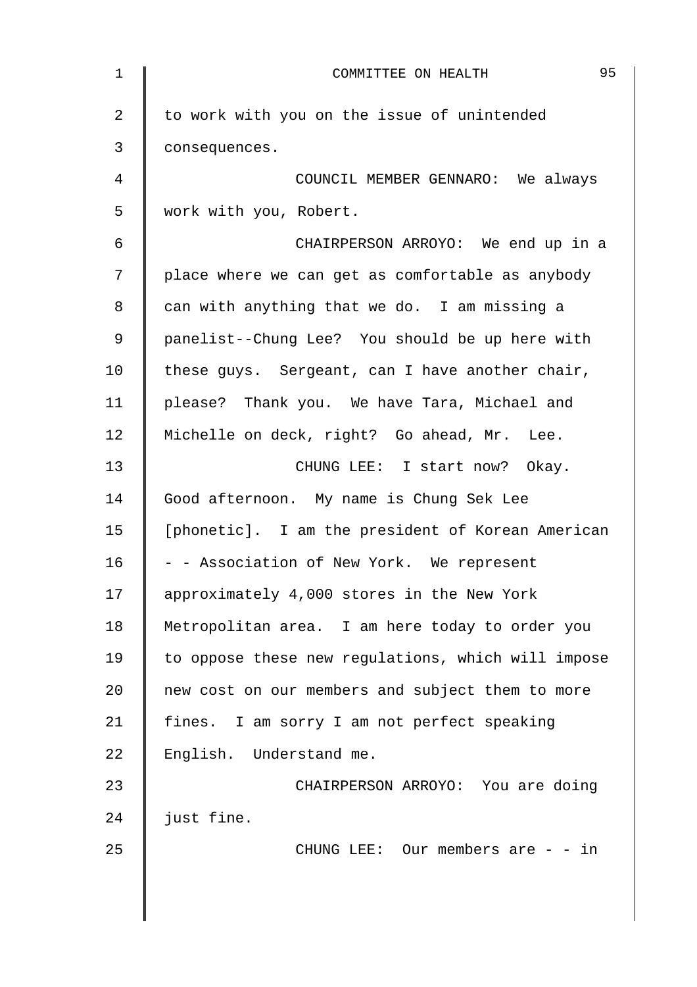| $\mathbf{1}$ | 95<br>COMMITTEE ON HEALTH                          |
|--------------|----------------------------------------------------|
| 2            | to work with you on the issue of unintended        |
| 3            | consequences.                                      |
| 4            | COUNCIL MEMBER GENNARO: We always                  |
| 5            | work with you, Robert.                             |
| 6            | CHAIRPERSON ARROYO: We end up in a                 |
| 7            | place where we can get as comfortable as anybody   |
| 8            | can with anything that we do. I am missing a       |
| 9            | panelist--Chung Lee? You should be up here with    |
| 10           | these guys. Sergeant, can I have another chair,    |
| 11           | please? Thank you. We have Tara, Michael and       |
| 12           | Michelle on deck, right? Go ahead, Mr. Lee.        |
| 13           | CHUNG LEE: I start now? Okay.                      |
| 14           | Good afternoon. My name is Chung Sek Lee           |
| 15           | [phonetic]. I am the president of Korean American  |
| 16           | - - Association of New York. We represent          |
| 17           | approximately 4,000 stores in the New York         |
| 18           | Metropolitan area. I am here today to order you    |
| 19           | to oppose these new regulations, which will impose |
| 20           | new cost on our members and subject them to more   |
| 21           | fines. I am sorry I am not perfect speaking        |
| 22           | English. Understand me.                            |
| 23           | CHAIRPERSON ARROYO: You are doing                  |
| 24           | just fine.                                         |
| 25           | CHUNG LEE: Our members are $-$ - in                |
|              |                                                    |
|              |                                                    |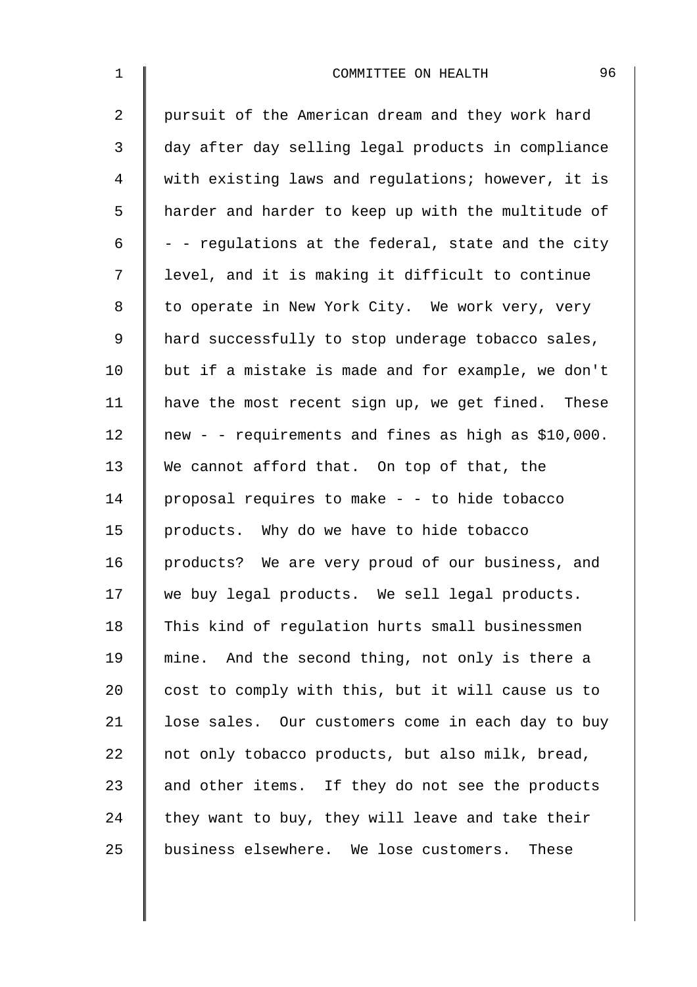| $\mathbf 1$    | 96<br>COMMITTEE ON HEALTH                           |
|----------------|-----------------------------------------------------|
| $\overline{2}$ | pursuit of the American dream and they work hard    |
| 3              | day after day selling legal products in compliance  |
| 4              | with existing laws and regulations; however, it is  |
| 5              | harder and harder to keep up with the multitude of  |
| 6              | - - regulations at the federal, state and the city  |
| 7              | level, and it is making it difficult to continue    |
| 8              | to operate in New York City. We work very, very     |
| $\mathsf 9$    | hard successfully to stop underage tobacco sales,   |
| 10             | but if a mistake is made and for example, we don't  |
| 11             | have the most recent sign up, we get fined. These   |
| 12             | new - - requirements and fines as high as \$10,000. |
| 13             | We cannot afford that. On top of that, the          |
| 14             | proposal requires to make - - to hide tobacco       |
| 15             | products. Why do we have to hide tobacco            |
| 16             | products? We are very proud of our business, and    |
| 17             | we buy legal products. We sell legal products.      |
| 18             | This kind of regulation hurts small businessmen     |
| 19             | mine. And the second thing, not only is there a     |
| 20             | cost to comply with this, but it will cause us to   |
| 21             | lose sales. Our customers come in each day to buy   |
| 22             | not only tobacco products, but also milk, bread,    |
| 23             | and other items. If they do not see the products    |
| 24             | they want to buy, they will leave and take their    |
| 25             | business elsewhere. We lose customers.<br>These     |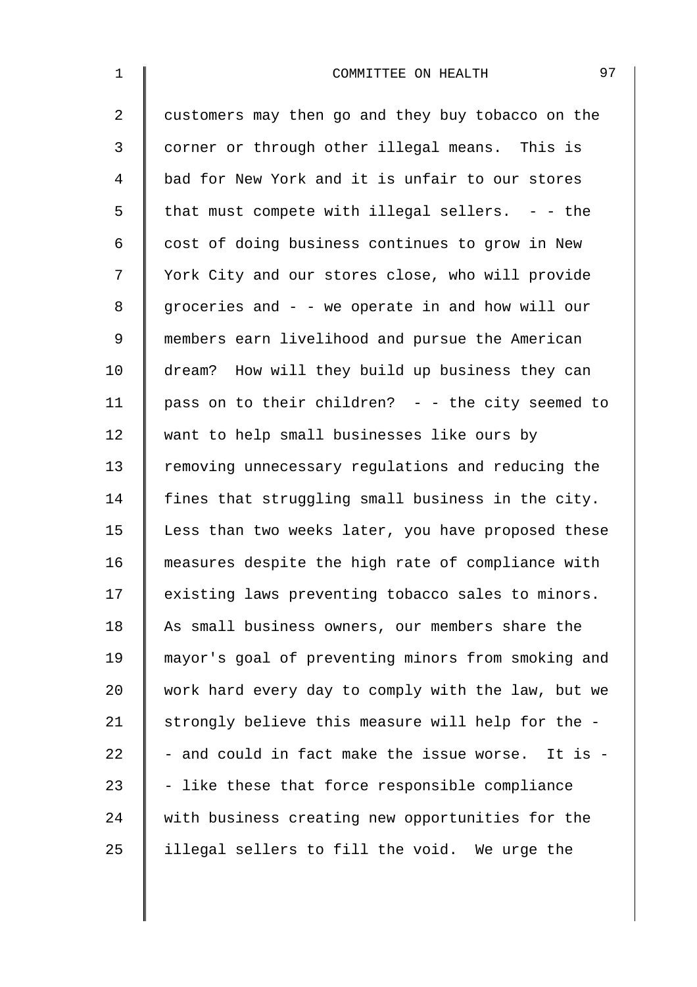| $\mathbf{1}$   | 97<br>COMMITTEE ON HEALTH                          |
|----------------|----------------------------------------------------|
| $\overline{2}$ | customers may then go and they buy tobacco on the  |
| 3              | corner or through other illegal means. This is     |
| 4              | bad for New York and it is unfair to our stores    |
| 5              | that must compete with illegal sellers. $-$ - the  |
| 6              | cost of doing business continues to grow in New    |
| 7              | York City and our stores close, who will provide   |
| 8              | groceries and - - we operate in and how will our   |
| $\mathsf 9$    | members earn livelihood and pursue the American    |
| 10             | dream? How will they build up business they can    |
| 11             | pass on to their children? - - the city seemed to  |
| 12             | want to help small businesses like ours by         |
| 13             | removing unnecessary regulations and reducing the  |
| 14             | fines that struggling small business in the city.  |
| 15             | Less than two weeks later, you have proposed these |
| 16             | measures despite the high rate of compliance with  |
| 17             | existing laws preventing tobacco sales to minors.  |
| 18             | As small business owners, our members share the    |
| 19             | mayor's goal of preventing minors from smoking and |
| 20             | work hard every day to comply with the law, but we |
| 21             | strongly believe this measure will help for the -  |
| 22             | - and could in fact make the issue worse. It is -  |
| 23             | - like these that force responsible compliance     |
| 24             | with business creating new opportunities for the   |
| 25             | illegal sellers to fill the void. We urge the      |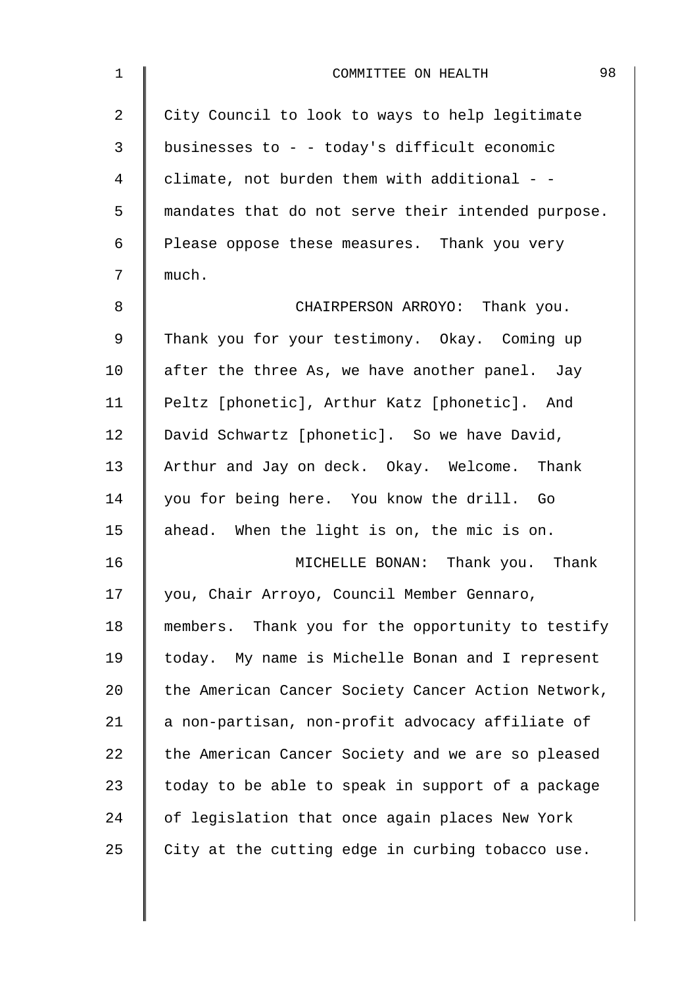| $\mathbf 1$ | 98<br>COMMITTEE ON HEALTH                          |
|-------------|----------------------------------------------------|
| 2           | City Council to look to ways to help legitimate    |
| 3           | businesses to - - today's difficult economic       |
| 4           | climate, not burden them with additional - -       |
| 5           | mandates that do not serve their intended purpose. |
| 6           | Please oppose these measures. Thank you very       |
| 7           | much.                                              |
| 8           | CHAIRPERSON ARROYO: Thank you.                     |
| 9           | Thank you for your testimony. Okay. Coming up      |
| 10          | after the three As, we have another panel. Jay     |
| 11          | Peltz [phonetic], Arthur Katz [phonetic]. And      |
| 12          | David Schwartz [phonetic]. So we have David,       |
| 13          | Arthur and Jay on deck. Okay. Welcome. Thank       |
| 14          | you for being here. You know the drill. Go         |
| 15          | ahead. When the light is on, the mic is on.        |
| 16          | MICHELLE BONAN: Thank you. Thank                   |
| 17          | you, Chair Arroyo, Council Member Gennaro,         |
| 18          | members. Thank you for the opportunity to testify  |
| 19          | today. My name is Michelle Bonan and I represent   |
| 20          | the American Cancer Society Cancer Action Network, |
| 21          | a non-partisan, non-profit advocacy affiliate of   |
| 22          | the American Cancer Society and we are so pleased  |
| 23          | today to be able to speak in support of a package  |
| 24          | of legislation that once again places New York     |
| 25          | City at the cutting edge in curbing tobacco use.   |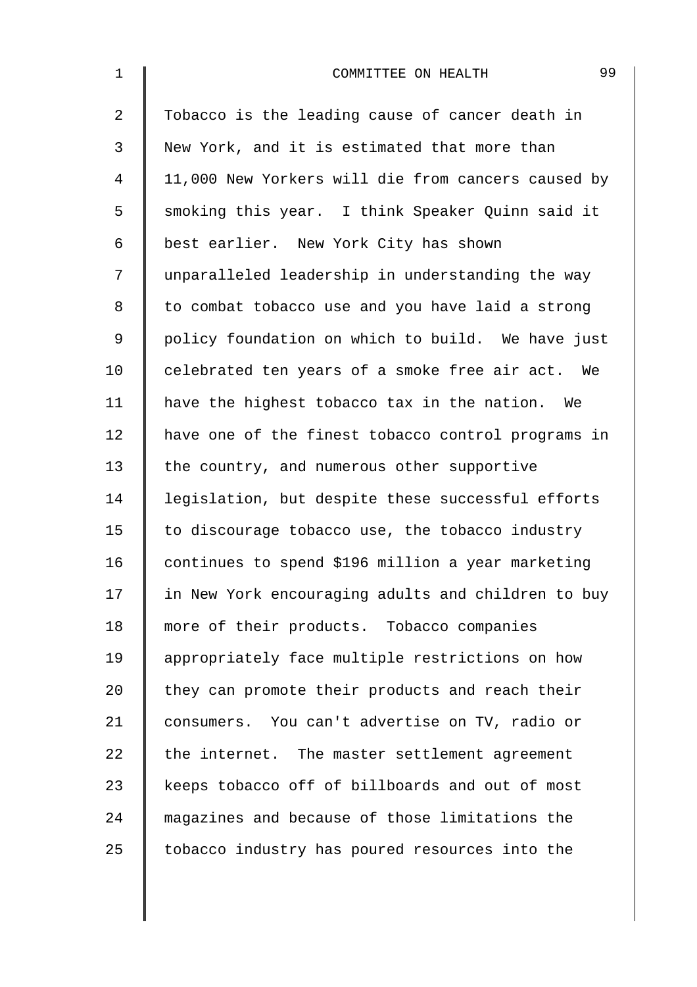| $1\,$          | 99<br>COMMITTEE ON HEALTH                          |
|----------------|----------------------------------------------------|
| $\overline{2}$ | Tobacco is the leading cause of cancer death in    |
| 3              | New York, and it is estimated that more than       |
| 4              | 11,000 New Yorkers will die from cancers caused by |
| 5              | smoking this year. I think Speaker Quinn said it   |
| 6              | best earlier. New York City has shown              |
| 7              | unparalleled leadership in understanding the way   |
| 8              | to combat tobacco use and you have laid a strong   |
| $\mathsf 9$    | policy foundation on which to build. We have just  |
| 10             | celebrated ten years of a smoke free air act. We   |
| 11             | have the highest tobacco tax in the nation. We     |
| 12             | have one of the finest tobacco control programs in |
| 13             | the country, and numerous other supportive         |
| 14             | legislation, but despite these successful efforts  |
| 15             | to discourage tobacco use, the tobacco industry    |
| 16             | continues to spend \$196 million a year marketing  |
| 17             | in New York encouraging adults and children to buy |
| 18             | more of their products. Tobacco companies          |
| 19             | appropriately face multiple restrictions on how    |
| 20             | they can promote their products and reach their    |
| 21             | consumers. You can't advertise on TV, radio or     |
| 22             | the internet. The master settlement agreement      |
| 23             | keeps tobacco off of billboards and out of most    |
| 24             | magazines and because of those limitations the     |
| 25             | tobacco industry has poured resources into the     |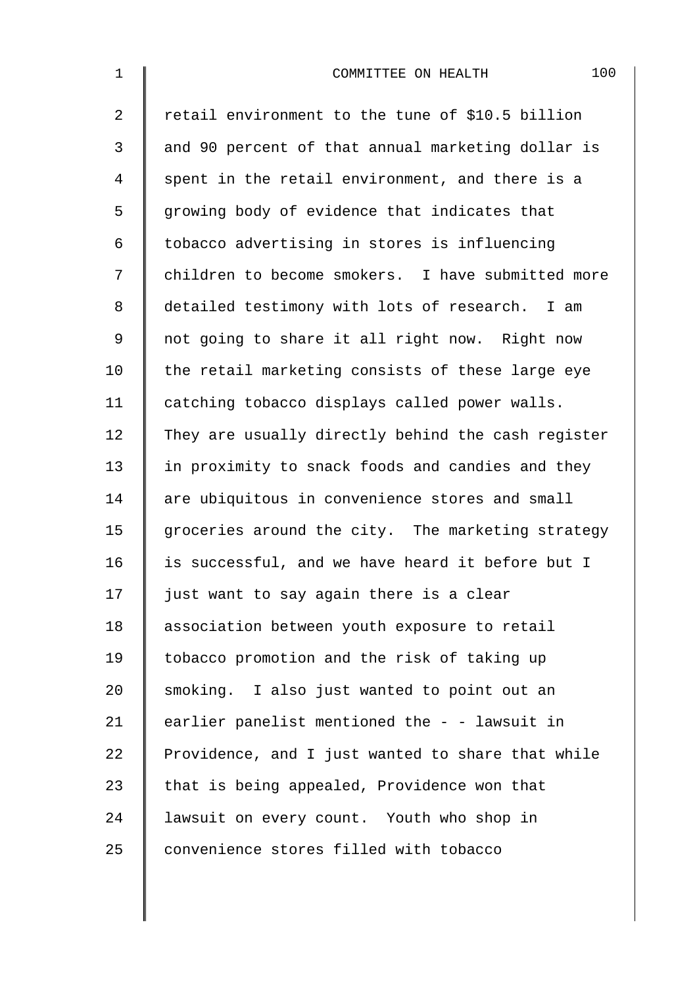| $\mathbf{1}$   | 100<br>COMMITTEE ON HEALTH                         |
|----------------|----------------------------------------------------|
| $\overline{2}$ | retail environment to the tune of \$10.5 billion   |
| 3              | and 90 percent of that annual marketing dollar is  |
| 4              | spent in the retail environment, and there is a    |
| 5              | growing body of evidence that indicates that       |
| 6              | tobacco advertising in stores is influencing       |
| 7              | children to become smokers. I have submitted more  |
| 8              | detailed testimony with lots of research. I am     |
| 9              | not going to share it all right now. Right now     |
| 10             | the retail marketing consists of these large eye   |
| 11             | catching tobacco displays called power walls.      |
| 12             | They are usually directly behind the cash register |
| 13             | in proximity to snack foods and candies and they   |
| 14             | are ubiquitous in convenience stores and small     |
| 15             | groceries around the city. The marketing strategy  |
| 16             | is successful, and we have heard it before but I   |
| 17             | just want to say again there is a clear            |
| 18             | association between youth exposure to retail       |
| 19             | tobacco promotion and the risk of taking up        |
| 20             | smoking. I also just wanted to point out an        |
| 21             | earlier panelist mentioned the - - lawsuit in      |
| 22             | Providence, and I just wanted to share that while  |
| 23             | that is being appealed, Providence won that        |
| 24             | lawsuit on every count. Youth who shop in          |
| 25             | convenience stores filled with tobacco             |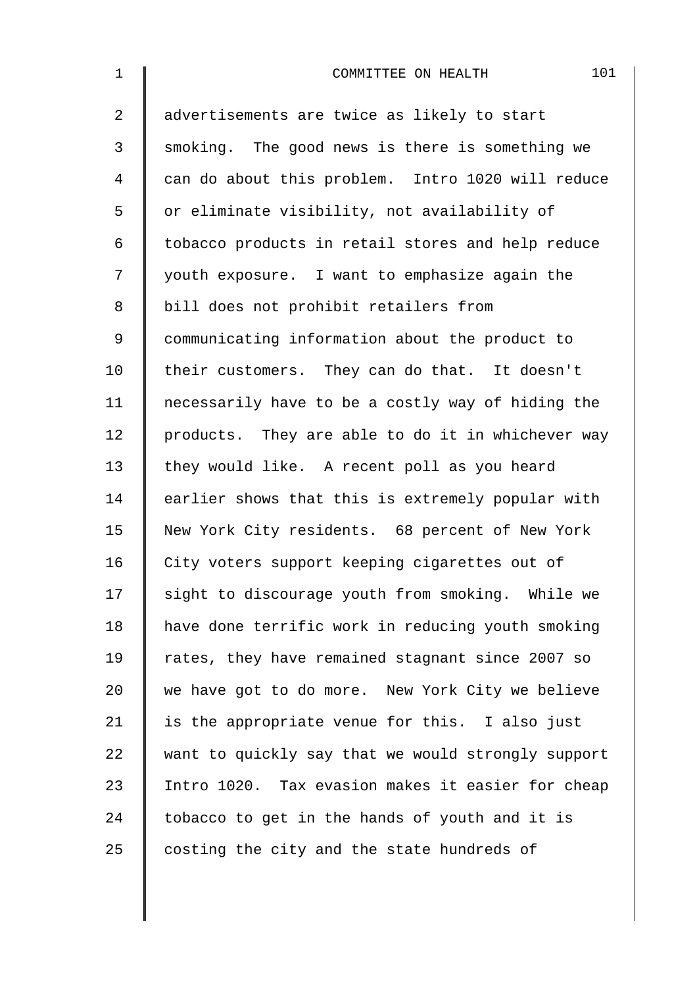| $\mathbf 1$    | 101<br>COMMITTEE ON HEALTH                         |
|----------------|----------------------------------------------------|
| $\overline{2}$ | advertisements are twice as likely to start        |
| 3              | smoking. The good news is there is something we    |
| $\overline{4}$ | can do about this problem. Intro 1020 will reduce  |
| 5              | or eliminate visibility, not availability of       |
| 6              | tobacco products in retail stores and help reduce  |
| 7              | youth exposure. I want to emphasize again the      |
| 8              | bill does not prohibit retailers from              |
| $\mathsf 9$    | communicating information about the product to     |
| 10             | their customers. They can do that. It doesn't      |
| 11             | necessarily have to be a costly way of hiding the  |
| 12             | products. They are able to do it in whichever way  |
| 13             | they would like. A recent poll as you heard        |
| 14             | earlier shows that this is extremely popular with  |
| 15             | New York City residents. 68 percent of New York    |
| 16             | City voters support keeping cigarettes out of      |
| 17             | sight to discourage youth from smoking. While we   |
| 18             | have done terrific work in reducing youth smoking  |
| 19             | rates, they have remained stagnant since 2007 so   |
| 20             | we have got to do more. New York City we believe   |
| 21             | is the appropriate venue for this. I also just     |
| 22             | want to quickly say that we would strongly support |
| 23             | Intro 1020. Tax evasion makes it easier for cheap  |
| 24             | tobacco to get in the hands of youth and it is     |
| 25             | costing the city and the state hundreds of         |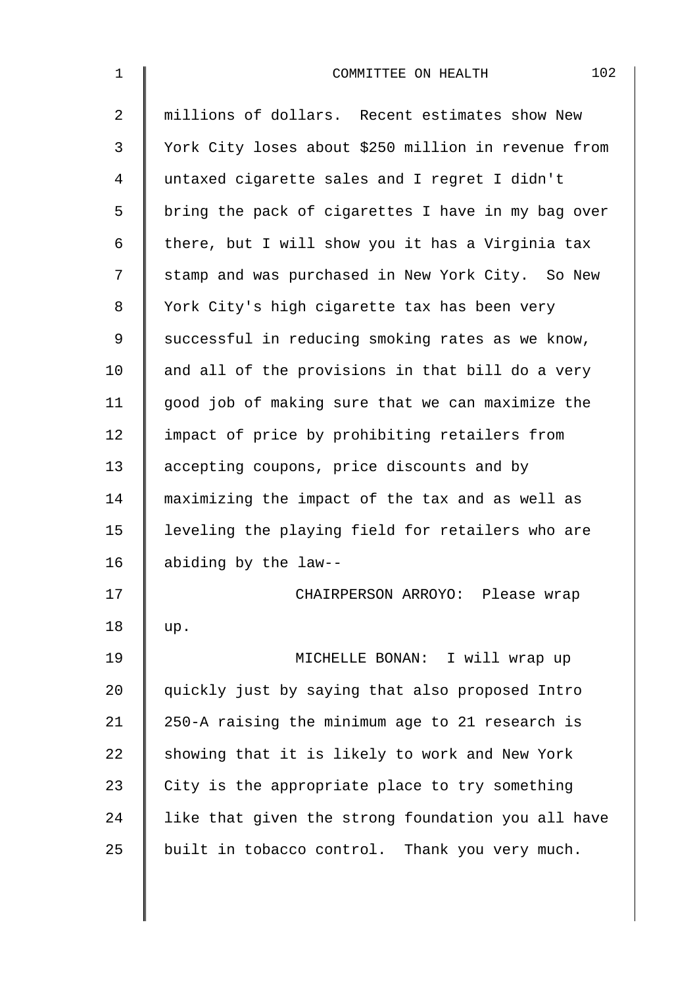| $\mathbf 1$    | 102<br>COMMITTEE ON HEALTH                          |
|----------------|-----------------------------------------------------|
| $\overline{2}$ | millions of dollars. Recent estimates show New      |
| 3              | York City loses about \$250 million in revenue from |
| 4              | untaxed cigarette sales and I regret I didn't       |
| 5              | bring the pack of cigarettes I have in my bag over  |
| 6              | there, but I will show you it has a Virginia tax    |
| 7              | stamp and was purchased in New York City. So New    |
| 8              | York City's high cigarette tax has been very        |
| 9              | successful in reducing smoking rates as we know,    |
| 10             | and all of the provisions in that bill do a very    |
| 11             | good job of making sure that we can maximize the    |
| 12             | impact of price by prohibiting retailers from       |
| 13             | accepting coupons, price discounts and by           |
| 14             | maximizing the impact of the tax and as well as     |
| 15             | leveling the playing field for retailers who are    |
| 16             | abiding by the law--                                |
| 17             | CHAIRPERSON ARROYO: Please wrap                     |
| 18             | up.                                                 |
| 19             | MICHELLE BONAN: I will wrap up                      |
| 20             | quickly just by saying that also proposed Intro     |
| 21             | 250-A raising the minimum age to 21 research is     |
| 22             | showing that it is likely to work and New York      |
| 23             | City is the appropriate place to try something      |
| 24             | like that given the strong foundation you all have  |
| 25             | built in tobacco control. Thank you very much.      |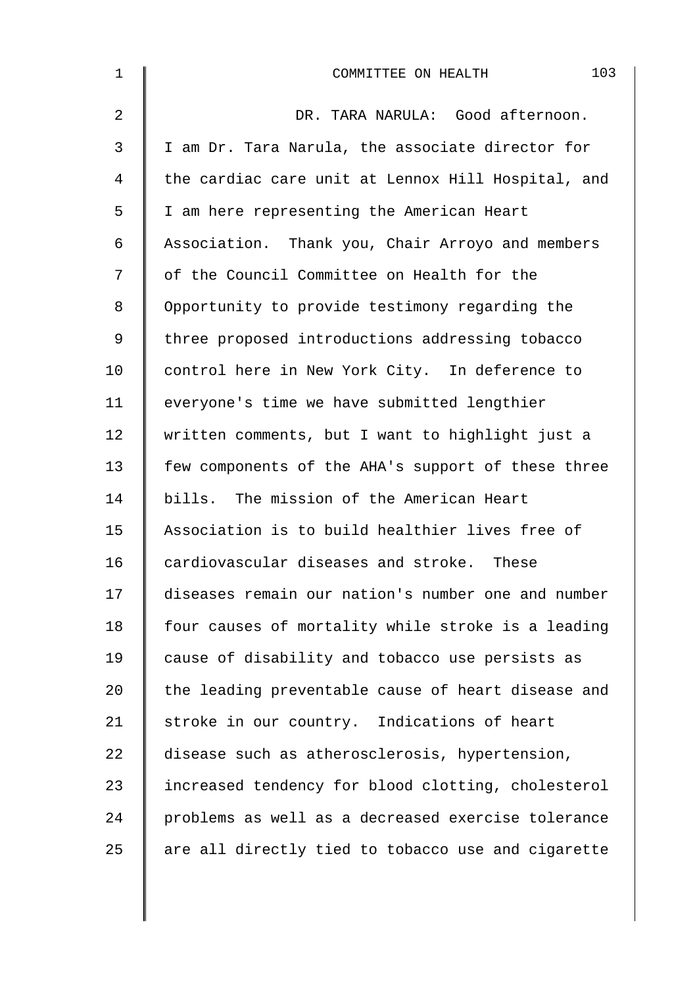| $\mathbf 1$ | 103<br>COMMITTEE ON HEALTH                         |
|-------------|----------------------------------------------------|
| 2           | DR. TARA NARULA: Good afternoon.                   |
| 3           | I am Dr. Tara Narula, the associate director for   |
| 4           | the cardiac care unit at Lennox Hill Hospital, and |
| 5           | I am here representing the American Heart          |
| 6           | Association. Thank you, Chair Arroyo and members   |
| 7           | of the Council Committee on Health for the         |
| 8           | Opportunity to provide testimony regarding the     |
| 9           | three proposed introductions addressing tobacco    |
| 10          | control here in New York City. In deference to     |
| 11          | everyone's time we have submitted lengthier        |
| 12          | written comments, but I want to highlight just a   |
| 13          | few components of the AHA's support of these three |
| 14          | bills. The mission of the American Heart           |
| 15          | Association is to build healthier lives free of    |
| 16          | cardiovascular diseases and stroke. These          |
| 17          | diseases remain our nation's number one and number |
| 18          | four causes of mortality while stroke is a leading |
| 19          | cause of disability and tobacco use persists as    |
| 20          | the leading preventable cause of heart disease and |
| 21          | stroke in our country. Indications of heart        |
| 22          | disease such as atherosclerosis, hypertension,     |
| 23          | increased tendency for blood clotting, cholesterol |
| 24          | problems as well as a decreased exercise tolerance |
| 25          | are all directly tied to tobacco use and cigarette |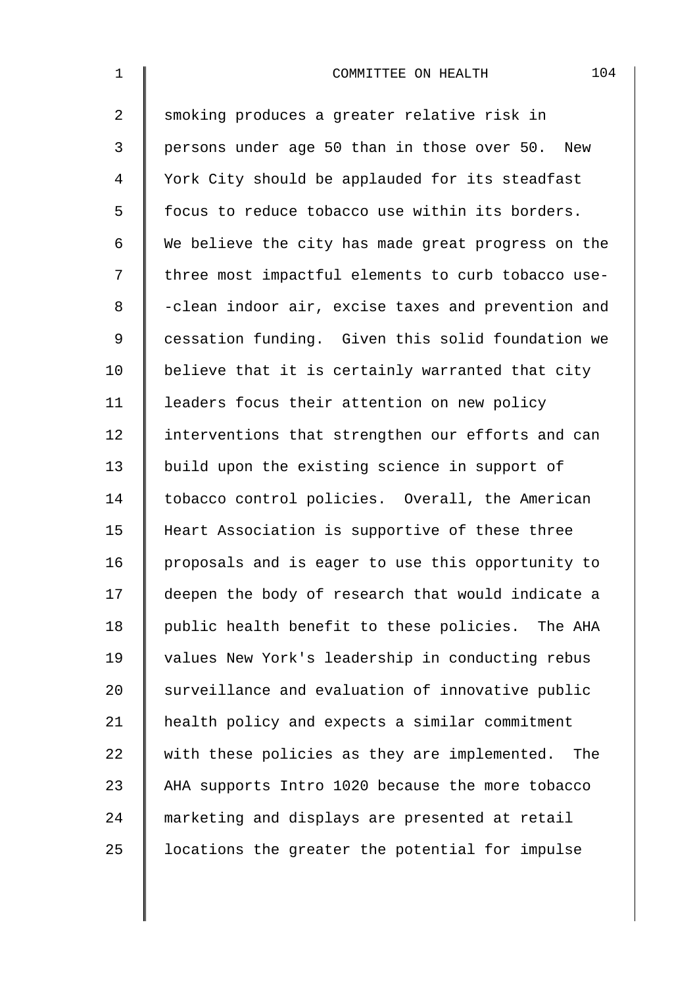| $\mathbf 1$    | 104<br>COMMITTEE ON HEALTH                         |
|----------------|----------------------------------------------------|
| $\overline{a}$ | smoking produces a greater relative risk in        |
| 3              | persons under age 50 than in those over 50. New    |
| 4              | York City should be applauded for its steadfast    |
| 5              | focus to reduce tobacco use within its borders.    |
| 6              | We believe the city has made great progress on the |
| 7              | three most impactful elements to curb tobacco use- |
| 8              | -clean indoor air, excise taxes and prevention and |
| $\mathsf 9$    | cessation funding. Given this solid foundation we  |
| 10             | believe that it is certainly warranted that city   |
| 11             | leaders focus their attention on new policy        |
| 12             | interventions that strengthen our efforts and can  |
| 13             | build upon the existing science in support of      |
| 14             | tobacco control policies. Overall, the American    |
| 15             | Heart Association is supportive of these three     |
| 16             | proposals and is eager to use this opportunity to  |
| 17             | deepen the body of research that would indicate a  |
| 18             | public health benefit to these policies. The AHA   |
| 19             | values New York's leadership in conducting rebus   |
| 20             | surveillance and evaluation of innovative public   |
| 21             | health policy and expects a similar commitment     |
| 22             | with these policies as they are implemented. The   |
| 23             | AHA supports Intro 1020 because the more tobacco   |
| 24             | marketing and displays are presented at retail     |
| 25             | locations the greater the potential for impulse    |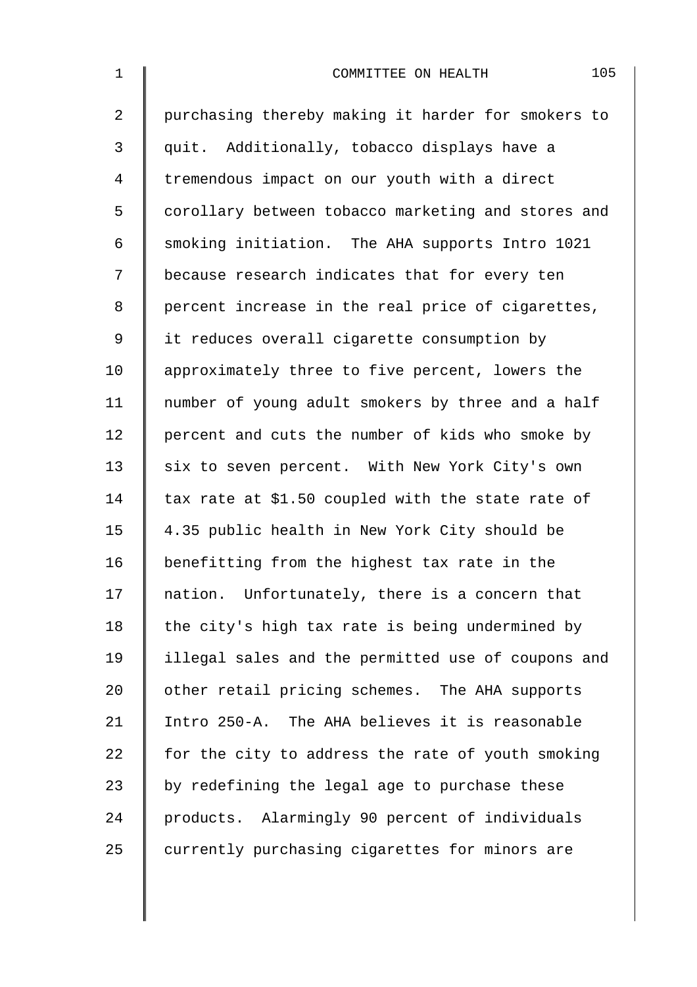| $\mathbf 1$    | 105<br>COMMITTEE ON HEALTH                         |
|----------------|----------------------------------------------------|
| $\overline{2}$ | purchasing thereby making it harder for smokers to |
| 3              | quit. Additionally, tobacco displays have a        |
| $\overline{4}$ | tremendous impact on our youth with a direct       |
| 5              | corollary between tobacco marketing and stores and |
| 6              | smoking initiation. The AHA supports Intro 1021    |
| 7              | because research indicates that for every ten      |
| 8              | percent increase in the real price of cigarettes,  |
| $\mathsf 9$    | it reduces overall cigarette consumption by        |
| 10             | approximately three to five percent, lowers the    |
| 11             | number of young adult smokers by three and a half  |
| 12             | percent and cuts the number of kids who smoke by   |
| 13             | six to seven percent. With New York City's own     |
| 14             | tax rate at \$1.50 coupled with the state rate of  |
| 15             | 4.35 public health in New York City should be      |
| 16             | benefitting from the highest tax rate in the       |
| 17             | nation. Unfortunately, there is a concern that     |
| 18             | the city's high tax rate is being undermined by    |
| 19             | illegal sales and the permitted use of coupons and |
| 20             | other retail pricing schemes. The AHA supports     |
| 21             | Intro 250-A. The AHA believes it is reasonable     |
| 22             | for the city to address the rate of youth smoking  |
| 23             | by redefining the legal age to purchase these      |
| 24             | products. Alarmingly 90 percent of individuals     |
| 25             | currently purchasing cigarettes for minors are     |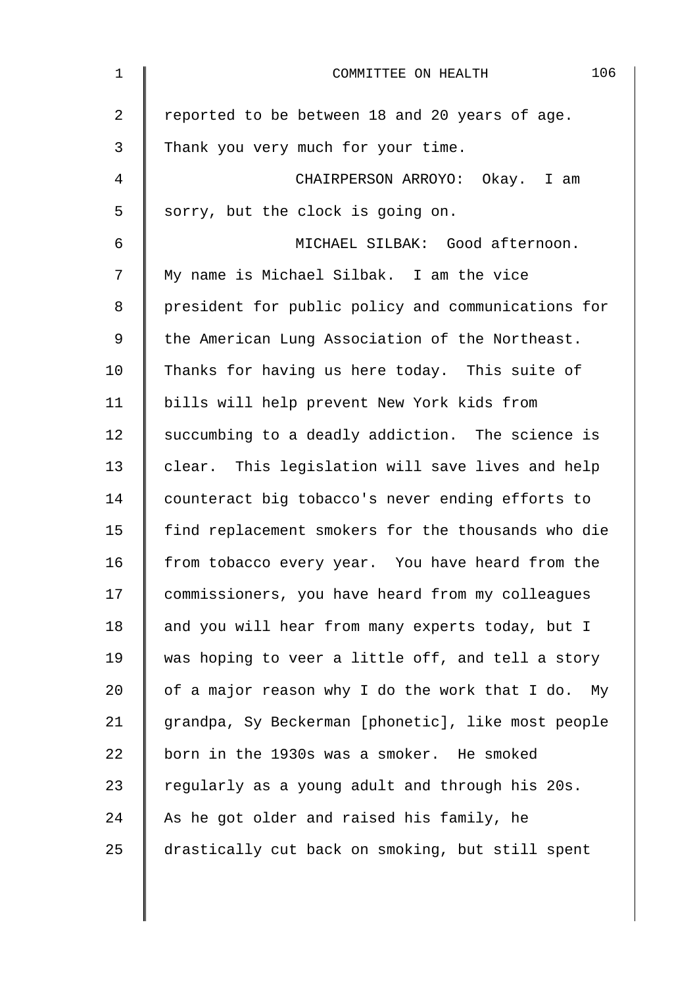| $\mathbf 1$ | 106<br>COMMITTEE ON HEALTH                         |
|-------------|----------------------------------------------------|
| 2           | reported to be between 18 and 20 years of age.     |
| 3           | Thank you very much for your time.                 |
| 4           | CHAIRPERSON ARROYO: Okay. I am                     |
| 5           | sorry, but the clock is going on.                  |
| 6           | MICHAEL SILBAK: Good afternoon.                    |
| 7           | My name is Michael Silbak. I am the vice           |
| 8           | president for public policy and communications for |
| 9           | the American Lung Association of the Northeast.    |
| 10          | Thanks for having us here today. This suite of     |
| 11          | bills will help prevent New York kids from         |
| 12          | succumbing to a deadly addiction. The science is   |
| 13          | clear. This legislation will save lives and help   |
| 14          | counteract big tobacco's never ending efforts to   |
| 15          | find replacement smokers for the thousands who die |
| 16          | from tobacco every year. You have heard from the   |
| 17          | commissioners, you have heard from my colleagues   |
| 18          | and you will hear from many experts today, but I   |
| 19          | was hoping to veer a little off, and tell a story  |
| 20          | of a major reason why I do the work that I do. My  |
| 21          | grandpa, Sy Beckerman [phonetic], like most people |
| 22          | born in the 1930s was a smoker. He smoked          |
| 23          | regularly as a young adult and through his 20s.    |
| 24          | As he got older and raised his family, he          |
| 25          | drastically cut back on smoking, but still spent   |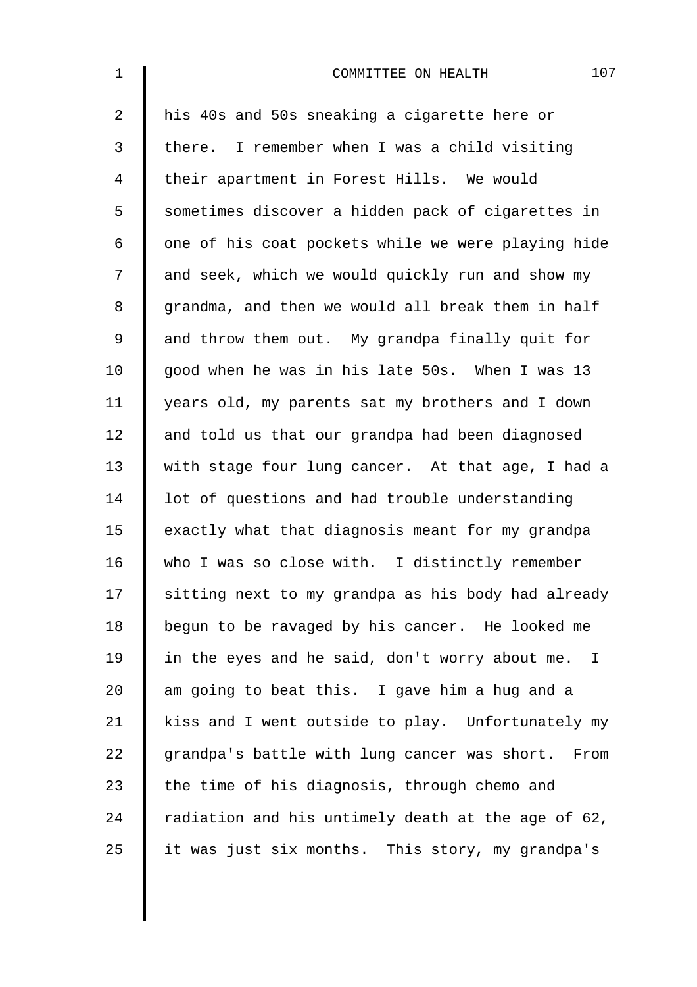| $\mathbf 1$    | 107<br>COMMITTEE ON HEALTH                         |
|----------------|----------------------------------------------------|
| $\overline{2}$ | his 40s and 50s sneaking a cigarette here or       |
| 3              | there. I remember when I was a child visiting      |
| 4              | their apartment in Forest Hills. We would          |
| 5              | sometimes discover a hidden pack of cigarettes in  |
| 6              | one of his coat pockets while we were playing hide |
| 7              | and seek, which we would quickly run and show my   |
| 8              | grandma, and then we would all break them in half  |
| 9              | and throw them out. My grandpa finally quit for    |
| 10             | good when he was in his late 50s. When I was 13    |
| 11             | years old, my parents sat my brothers and I down   |
| 12             | and told us that our grandpa had been diagnosed    |
| 13             | with stage four lung cancer. At that age, I had a  |
| 14             | lot of questions and had trouble understanding     |
| 15             | exactly what that diagnosis meant for my grandpa   |
| 16             | who I was so close with. I distinctly remember     |
| 17             | sitting next to my grandpa as his body had already |
| 18             | begun to be ravaged by his cancer. He looked me    |
| 19             | in the eyes and he said, don't worry about me. I   |
| 20             | am going to beat this. I gave him a hug and a      |
| 21             | kiss and I went outside to play. Unfortunately my  |
| 22             | grandpa's battle with lung cancer was short. From  |
| 23             | the time of his diagnosis, through chemo and       |
| 24             | radiation and his untimely death at the age of 62, |
| 25             | it was just six months. This story, my grandpa's   |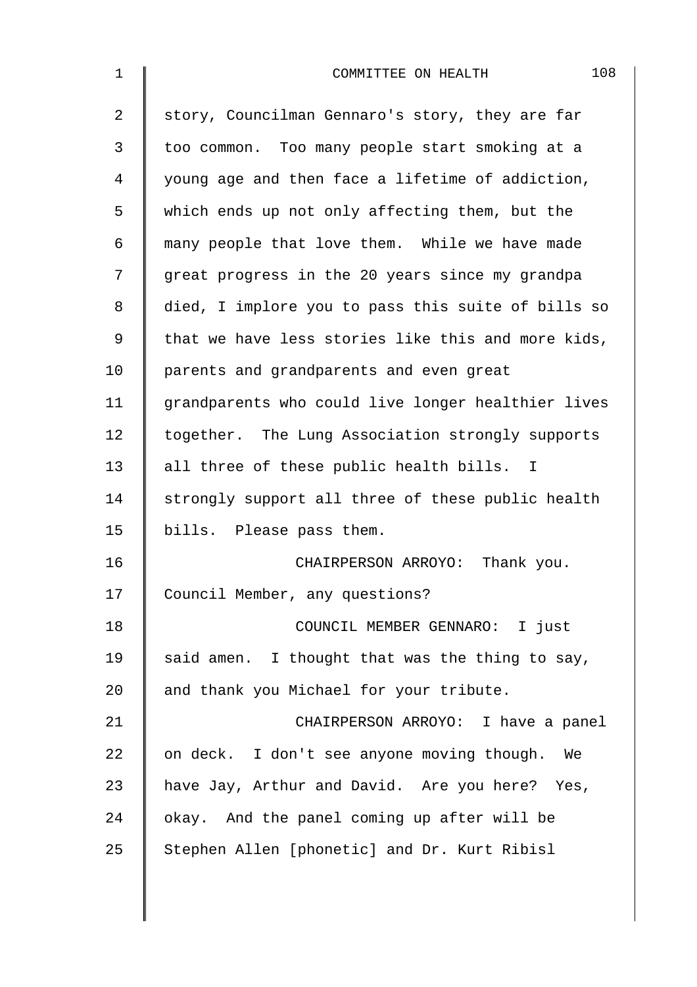| $\mathbf 1$    | 108<br>COMMITTEE ON HEALTH                         |
|----------------|----------------------------------------------------|
| $\overline{2}$ | story, Councilman Gennaro's story, they are far    |
| 3              | too common. Too many people start smoking at a     |
| 4              | young age and then face a lifetime of addiction,   |
| 5              | which ends up not only affecting them, but the     |
| 6              | many people that love them. While we have made     |
| 7              | great progress in the 20 years since my grandpa    |
| 8              | died, I implore you to pass this suite of bills so |
| 9              | that we have less stories like this and more kids, |
| 10             | parents and grandparents and even great            |
| 11             | grandparents who could live longer healthier lives |
| 12             | together. The Lung Association strongly supports   |
| 13             | all three of these public health bills. I          |
| 14             | strongly support all three of these public health  |
| 15             | bills. Please pass them.                           |
| 16             | CHAIRPERSON ARROYO: Thank you.                     |
| 17             | Council Member, any questions?                     |
| 18             | COUNCIL MEMBER GENNARO: I just                     |
| 19             | said amen. I thought that was the thing to say,    |
| 20             | and thank you Michael for your tribute.            |
| 21             | CHAIRPERSON ARROYO: I have a panel                 |
| 22             | on deck. I don't see anyone moving though. We      |
| 23             | have Jay, Arthur and David. Are you here? Yes,     |
| 24             | okay. And the panel coming up after will be        |
| 25             | Stephen Allen [phonetic] and Dr. Kurt Ribisl       |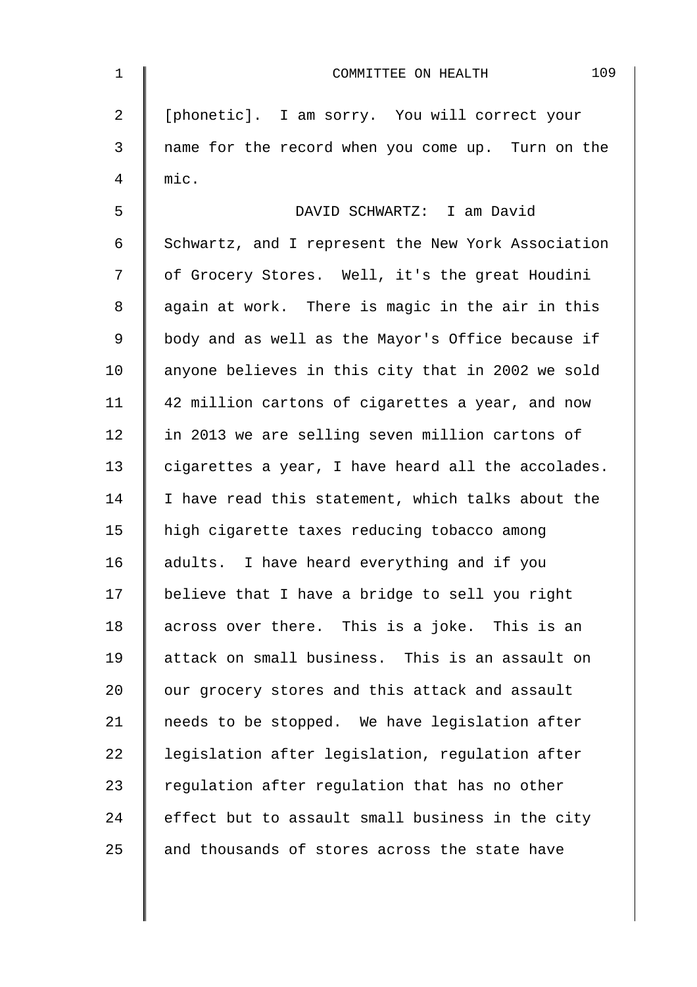| $\mathbf 1$    | 109<br>COMMITTEE ON HEALTH                         |
|----------------|----------------------------------------------------|
| $\overline{2}$ | [phonetic]. I am sorry. You will correct your      |
| 3              | name for the record when you come up. Turn on the  |
| 4              | mic.                                               |
| 5              | DAVID SCHWARTZ: I am David                         |
| $\epsilon$     | Schwartz, and I represent the New York Association |
| 7              | of Grocery Stores. Well, it's the great Houdini    |
| 8              | again at work. There is magic in the air in this   |
| $\mathsf 9$    | body and as well as the Mayor's Office because if  |
| 10             | anyone believes in this city that in 2002 we sold  |
| 11             | 42 million cartons of cigarettes a year, and now   |
| 12             | in 2013 we are selling seven million cartons of    |
| 13             | cigarettes a year, I have heard all the accolades. |
| 14             | I have read this statement, which talks about the  |
| 15             | high cigarette taxes reducing tobacco among        |
| 16             | adults. I have heard everything and if you         |
| 17             | believe that I have a bridge to sell you right     |
| 18             | across over there. This is a joke. This is an      |
| 19             | attack on small business. This is an assault on    |
| 20             | our grocery stores and this attack and assault     |
| 21             | needs to be stopped. We have legislation after     |
| 22             | legislation after legislation, regulation after    |
| 23             | regulation after regulation that has no other      |
| 24             | effect but to assault small business in the city   |
| 25             | and thousands of stores across the state have      |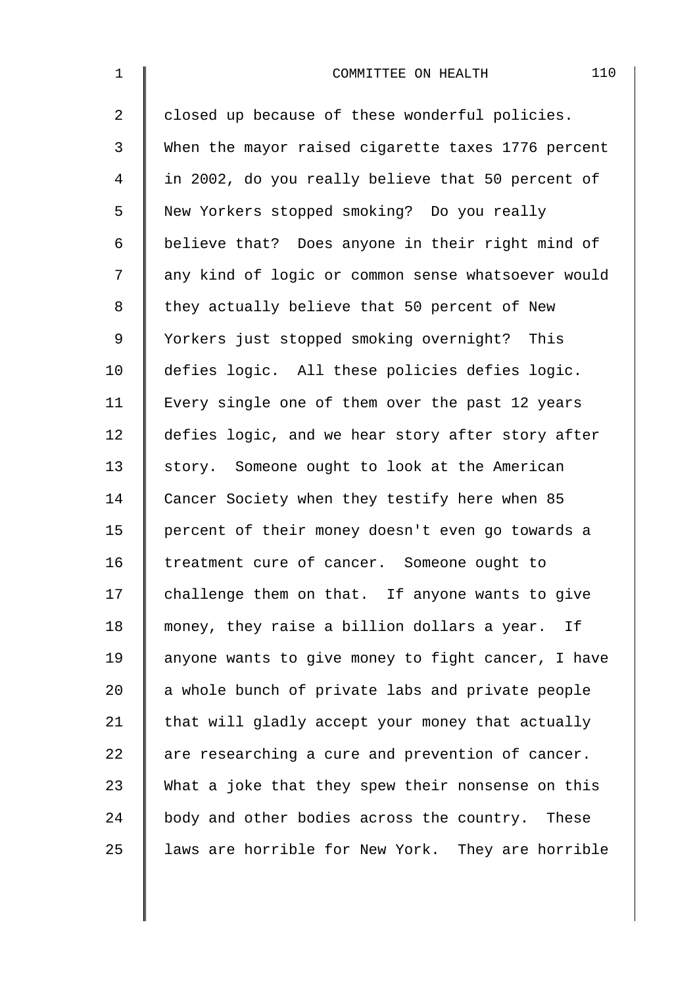| $\mathbf{1}$   | 110<br>COMMITTEE ON HEALTH                         |
|----------------|----------------------------------------------------|
| $\overline{2}$ | closed up because of these wonderful policies.     |
| 3              | When the mayor raised cigarette taxes 1776 percent |
| 4              | in 2002, do you really believe that 50 percent of  |
| 5              | New Yorkers stopped smoking? Do you really         |
| 6              | believe that? Does anyone in their right mind of   |
| 7              | any kind of logic or common sense whatsoever would |
| 8              | they actually believe that 50 percent of New       |
| $\mathsf 9$    | Yorkers just stopped smoking overnight? This       |
| 10             | defies logic. All these policies defies logic.     |
| 11             | Every single one of them over the past 12 years    |
| 12             | defies logic, and we hear story after story after  |
| 13             | story. Someone ought to look at the American       |
| 14             | Cancer Society when they testify here when 85      |
| 15             | percent of their money doesn't even go towards a   |
| 16             | treatment cure of cancer. Someone ought to         |
| 17             | challenge them on that. If anyone wants to give    |
| 18             | money, they raise a billion dollars a year. If     |
| 19             | anyone wants to give money to fight cancer, I have |
| 20             | a whole bunch of private labs and private people   |
| 21             | that will gladly accept your money that actually   |
| 22             | are researching a cure and prevention of cancer.   |
| 23             | What a joke that they spew their nonsense on this  |
| 24             | body and other bodies across the country. These    |
| 25             | laws are horrible for New York. They are horrible  |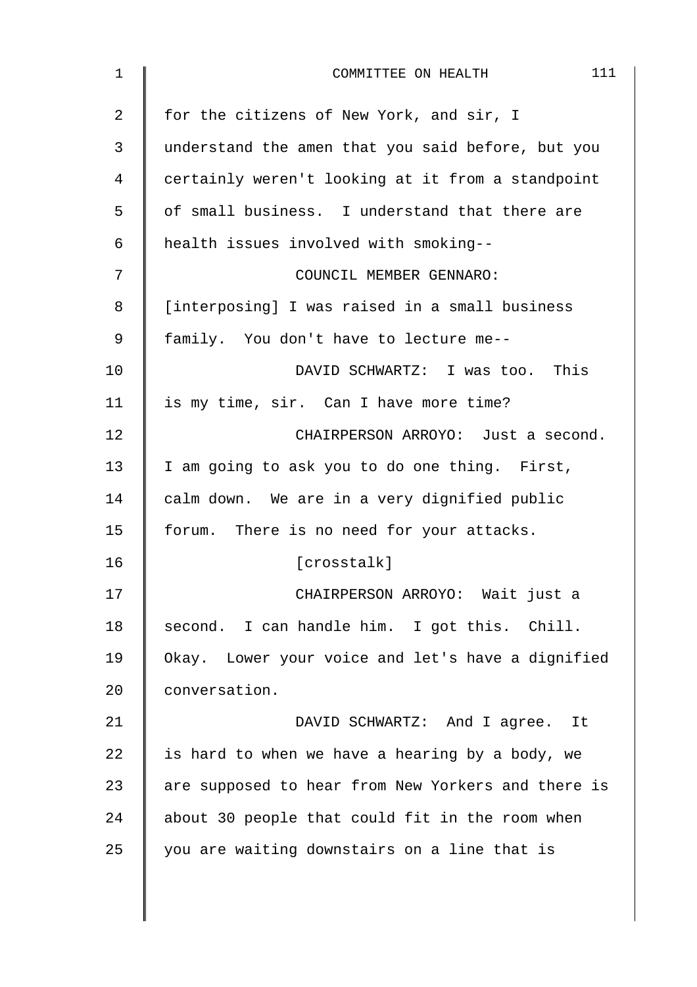| 1  | 111<br>COMMITTEE ON HEALTH                         |
|----|----------------------------------------------------|
| 2  | for the citizens of New York, and sir, I           |
| 3  | understand the amen that you said before, but you  |
| 4  | certainly weren't looking at it from a standpoint  |
| 5  | of small business. I understand that there are     |
| 6  | health issues involved with smoking--              |
| 7  | COUNCIL MEMBER GENNARO:                            |
| 8  | [interposing] I was raised in a small business     |
| 9  | family. You don't have to lecture me--             |
| 10 | DAVID SCHWARTZ: I was too. This                    |
| 11 | is my time, sir. Can I have more time?             |
| 12 | CHAIRPERSON ARROYO: Just a second.                 |
| 13 | I am going to ask you to do one thing. First,      |
| 14 | calm down. We are in a very dignified public       |
| 15 | forum. There is no need for your attacks.          |
| 16 | [crosstalk]                                        |
| 17 | CHAIRPERSON ARROYO: Wait just a                    |
| 18 | second. I can handle him. I got this. Chill.       |
| 19 | Okay. Lower your voice and let's have a dignified  |
| 20 | conversation.                                      |
| 21 | DAVID SCHWARTZ: And I agree. It                    |
| 22 | is hard to when we have a hearing by a body, we    |
| 23 | are supposed to hear from New Yorkers and there is |
| 24 | about 30 people that could fit in the room when    |
| 25 | you are waiting downstairs on a line that is       |
|    |                                                    |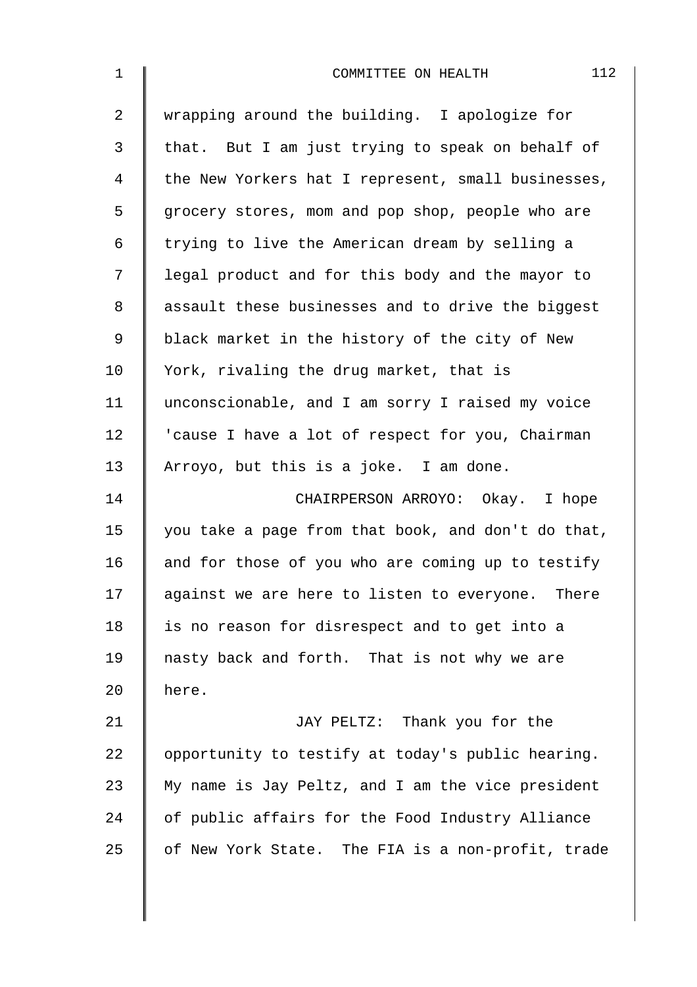| $\mathbf 1$    | 112<br>COMMITTEE ON HEALTH                         |
|----------------|----------------------------------------------------|
| $\overline{2}$ | wrapping around the building. I apologize for      |
| 3              | that. But I am just trying to speak on behalf of   |
| 4              | the New Yorkers hat I represent, small businesses, |
| 5              | grocery stores, mom and pop shop, people who are   |
| 6              | trying to live the American dream by selling a     |
| 7              | legal product and for this body and the mayor to   |
| 8              | assault these businesses and to drive the biggest  |
| $\mathsf 9$    | black market in the history of the city of New     |
| 10             | York, rivaling the drug market, that is            |
| 11             | unconscionable, and I am sorry I raised my voice   |
| 12             | 'cause I have a lot of respect for you, Chairman   |
| 13             | Arroyo, but this is a joke. I am done.             |
| 14             | CHAIRPERSON ARROYO: Okay. I hope                   |
| 15             | you take a page from that book, and don't do that, |
| 16             | and for those of you who are coming up to testify  |
| 17             | against we are here to listen to everyone. There   |
| 18             | is no reason for disrespect and to get into a      |
| 19             | nasty back and forth. That is not why we are       |
| 20             | here.                                              |
| 21             | JAY PELTZ: Thank you for the                       |
| 22             | opportunity to testify at today's public hearing.  |
| 23             | My name is Jay Peltz, and I am the vice president  |
| 24             | of public affairs for the Food Industry Alliance   |
| 25             | of New York State. The FIA is a non-profit, trade  |
|                |                                                    |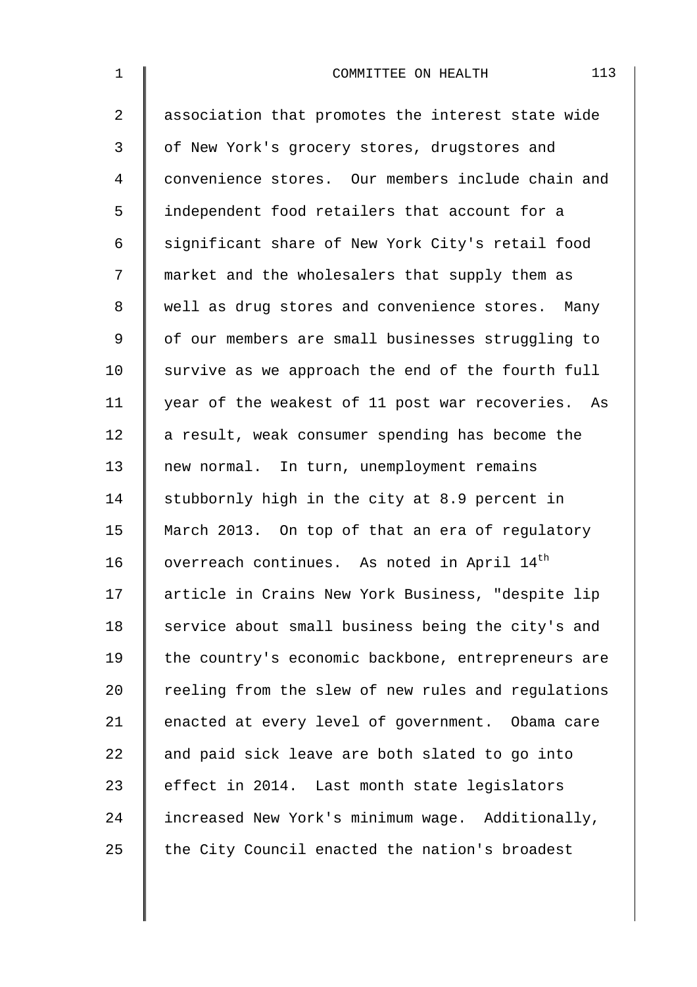| $\mathbf 1$    | 113<br>COMMITTEE ON HEALTH                              |
|----------------|---------------------------------------------------------|
| $\overline{2}$ | association that promotes the interest state wide       |
| 3              | of New York's grocery stores, drugstores and            |
| 4              | convenience stores. Our members include chain and       |
| 5              | independent food retailers that account for a           |
| 6              | significant share of New York City's retail food        |
| 7              | market and the wholesalers that supply them as          |
| 8              | well as drug stores and convenience stores. Many        |
| $\mathsf 9$    | of our members are small businesses struggling to       |
| 10             | survive as we approach the end of the fourth full       |
| 11             | year of the weakest of 11 post war recoveries. As       |
| 12             | a result, weak consumer spending has become the         |
| 13             | new normal. In turn, unemployment remains               |
| 14             | stubbornly high in the city at 8.9 percent in           |
| 15             | March 2013. On top of that an era of regulatory         |
| 16             | overreach continues. As noted in April 14 <sup>th</sup> |
| 17             | article in Crains New York Business, "despite lip       |
| 18             | service about small business being the city's and       |
| 19             | the country's economic backbone, entrepreneurs are      |
| 20             | reeling from the slew of new rules and regulations      |
| 21             | enacted at every level of government. Obama care        |
| 22             | and paid sick leave are both slated to go into          |
| 23             | effect in 2014. Last month state legislators            |
| 24             | increased New York's minimum wage. Additionally,        |
| 25             | the City Council enacted the nation's broadest          |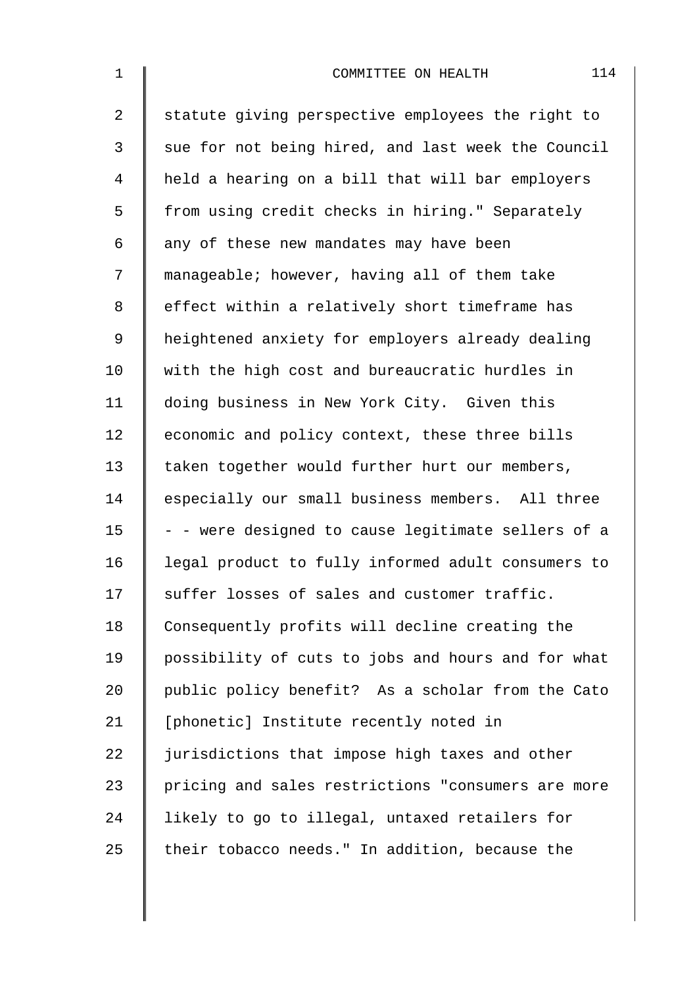| $\mathbf 1$    | 114<br>COMMITTEE ON HEALTH                         |
|----------------|----------------------------------------------------|
| $\overline{a}$ | statute giving perspective employees the right to  |
| 3              | sue for not being hired, and last week the Council |
| 4              | held a hearing on a bill that will bar employers   |
| 5              | from using credit checks in hiring." Separately    |
| 6              | any of these new mandates may have been            |
| 7              | manageable; however, having all of them take       |
| 8              | effect within a relatively short timeframe has     |
| 9              | heightened anxiety for employers already dealing   |
| 10             | with the high cost and bureaucratic hurdles in     |
| 11             | doing business in New York City. Given this        |
| 12             | economic and policy context, these three bills     |
| 13             | taken together would further hurt our members,     |
| 14             | especially our small business members. All three   |
| 15             | - - were designed to cause legitimate sellers of a |
| 16             | legal product to fully informed adult consumers to |
| 17             | suffer losses of sales and customer traffic.       |
| 18             | Consequently profits will decline creating the     |
| 19             | possibility of cuts to jobs and hours and for what |
| 20             | public policy benefit? As a scholar from the Cato  |
| 21             | [phonetic] Institute recently noted in             |
| 22             | jurisdictions that impose high taxes and other     |
| 23             | pricing and sales restrictions "consumers are more |
| 24             | likely to go to illegal, untaxed retailers for     |
| 25             | their tobacco needs." In addition, because the     |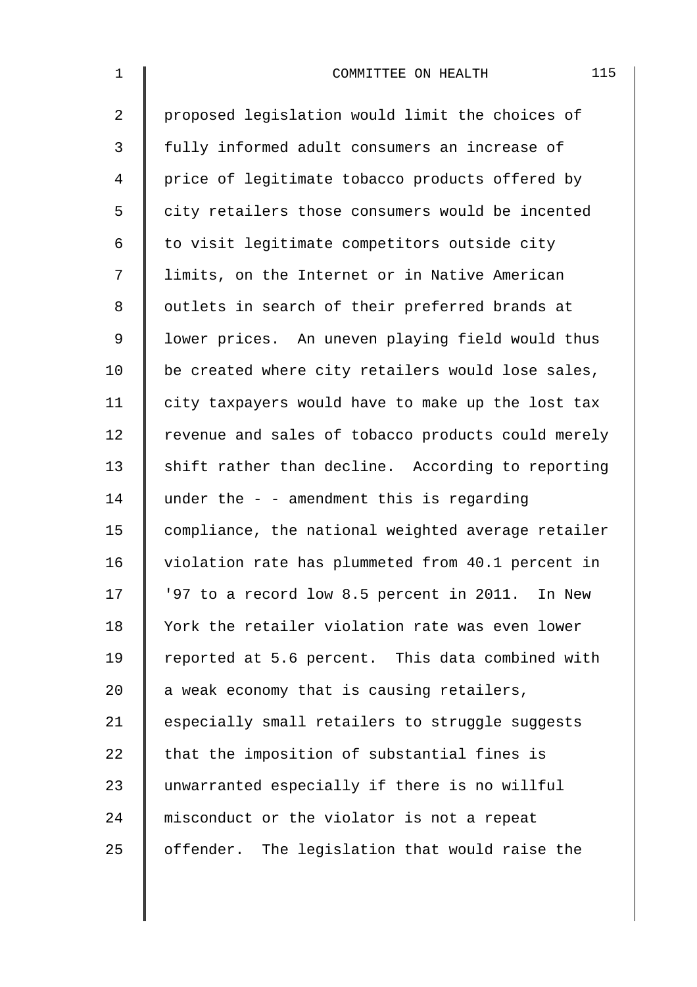| $\mathbf{1}$   | 115<br>COMMITTEE ON HEALTH                         |
|----------------|----------------------------------------------------|
| $\overline{a}$ | proposed legislation would limit the choices of    |
| $\mathfrak{Z}$ | fully informed adult consumers an increase of      |
| 4              | price of legitimate tobacco products offered by    |
| 5              | city retailers those consumers would be incented   |
| 6              | to visit legitimate competitors outside city       |
| 7              | limits, on the Internet or in Native American      |
| 8              | outlets in search of their preferred brands at     |
| 9              | lower prices. An uneven playing field would thus   |
| 10             | be created where city retailers would lose sales,  |
| 11             | city taxpayers would have to make up the lost tax  |
| 12             | revenue and sales of tobacco products could merely |
| 13             | shift rather than decline. According to reporting  |
| 14             | under the $-$ - amendment this is regarding        |
| 15             | compliance, the national weighted average retailer |
| 16             | violation rate has plummeted from 40.1 percent in  |
| 17             | '97 to a record low 8.5 percent in 2011. In New    |
| 18             | York the retailer violation rate was even lower    |
| 19             | reported at 5.6 percent. This data combined with   |
| 20             | a weak economy that is causing retailers,          |
| 21             | especially small retailers to struggle suggests    |
| 22             | that the imposition of substantial fines is        |
| 23             | unwarranted especially if there is no willful      |
| 24             | misconduct or the violator is not a repeat         |
| 25             | offender. The legislation that would raise the     |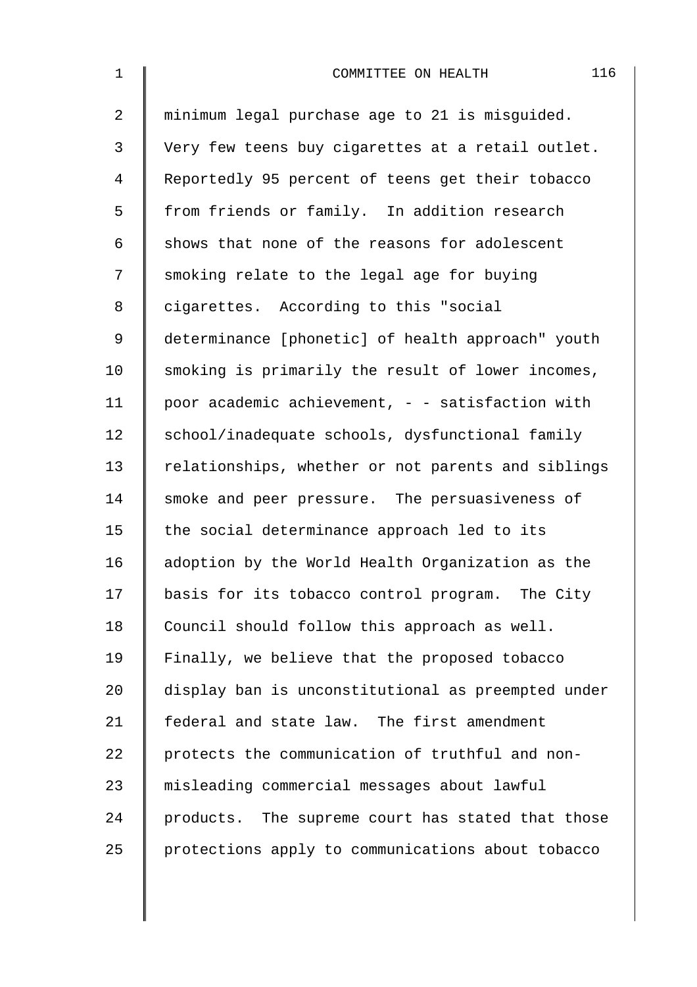| $\mathbf 1$    | 116<br>COMMITTEE ON HEALTH                         |
|----------------|----------------------------------------------------|
| $\overline{2}$ | minimum legal purchase age to 21 is misguided.     |
| 3              | Very few teens buy cigarettes at a retail outlet.  |
| 4              | Reportedly 95 percent of teens get their tobacco   |
| 5              | from friends or family. In addition research       |
| 6              | shows that none of the reasons for adolescent      |
| 7              | smoking relate to the legal age for buying         |
| 8              | cigarettes. According to this "social              |
| 9              | determinance [phonetic] of health approach" youth  |
| 10             | smoking is primarily the result of lower incomes,  |
| 11             | poor academic achievement, - - satisfaction with   |
| 12             | school/inadequate schools, dysfunctional family    |
| 13             | relationships, whether or not parents and siblings |
| 14             | smoke and peer pressure. The persuasiveness of     |
| 15             | the social determinance approach led to its        |
| 16             | adoption by the World Health Organization as the   |
| 17             | basis for its tobacco control program. The City    |
| 18             | Council should follow this approach as well.       |
| 19             | Finally, we believe that the proposed tobacco      |
| 20             | display ban is unconstitutional as preempted under |
| 21             | federal and state law. The first amendment         |
| 22             | protects the communication of truthful and non-    |
| 23             | misleading commercial messages about lawful        |
| 24             | products. The supreme court has stated that those  |
| 25             | protections apply to communications about tobacco  |
|                |                                                    |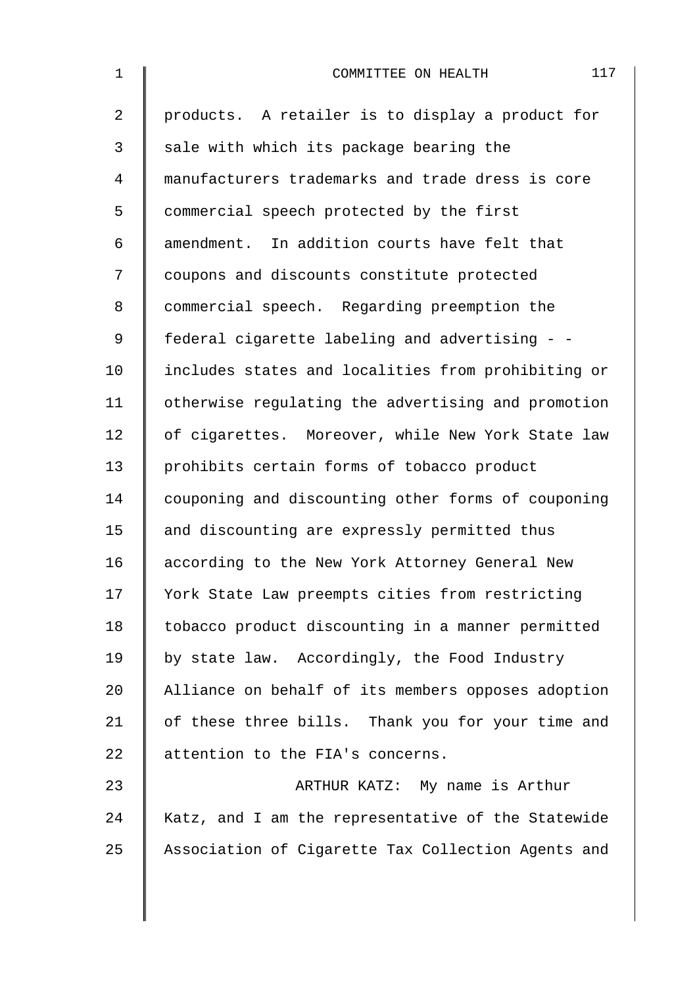| $\mathbf 1$    | 117<br>COMMITTEE ON HEALTH                         |
|----------------|----------------------------------------------------|
| $\overline{a}$ | products. A retailer is to display a product for   |
| 3              | sale with which its package bearing the            |
| 4              | manufacturers trademarks and trade dress is core   |
| 5              | commercial speech protected by the first           |
| 6              | amendment. In addition courts have felt that       |
| 7              | coupons and discounts constitute protected         |
| 8              | commercial speech. Regarding preemption the        |
| 9              | federal cigarette labeling and advertising - -     |
| 10             | includes states and localities from prohibiting or |
| 11             | otherwise regulating the advertising and promotion |
| 12             | of cigarettes. Moreover, while New York State law  |
| 13             | prohibits certain forms of tobacco product         |
| 14             | couponing and discounting other forms of couponing |
| 15             | and discounting are expressly permitted thus       |
| 16             | according to the New York Attorney General New     |
| 17             | York State Law preempts cities from restricting    |
| 18             | tobacco product discounting in a manner permitted  |
| 19             | by state law. Accordingly, the Food Industry       |
| 20             | Alliance on behalf of its members opposes adoption |
| 21             | of these three bills. Thank you for your time and  |
| 22             | attention to the FIA's concerns.                   |
| 23             | ARTHUR KATZ: My name is Arthur                     |
| 24             | Katz, and I am the representative of the Statewide |
| 25             | Association of Cigarette Tax Collection Agents and |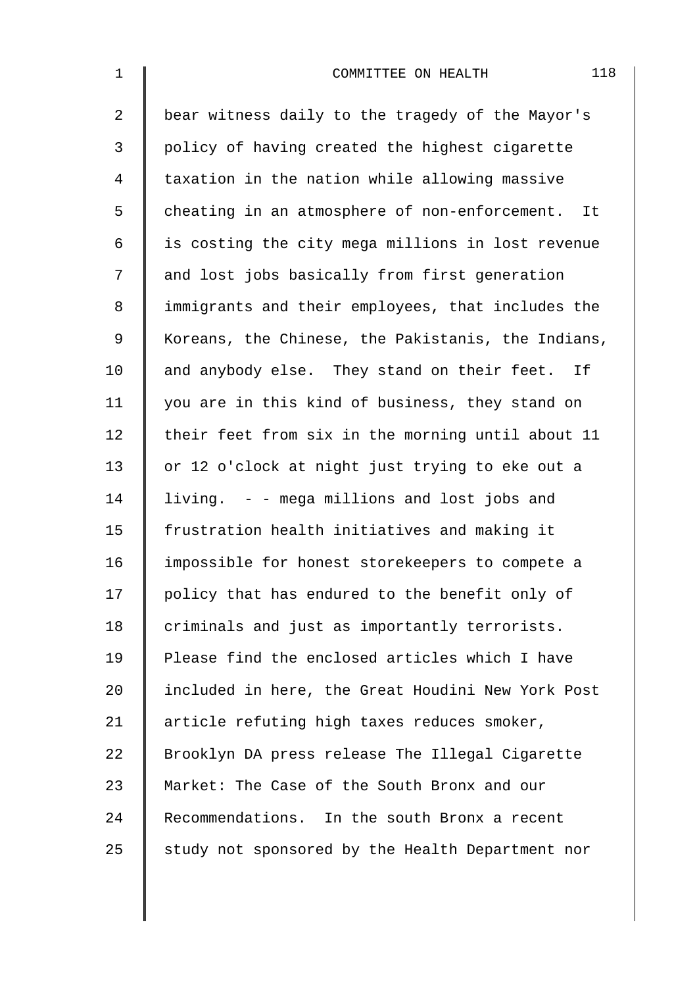| $\mathbf 1$    | 118<br>COMMITTEE ON HEALTH                         |
|----------------|----------------------------------------------------|
| $\overline{a}$ | bear witness daily to the tragedy of the Mayor's   |
| 3              | policy of having created the highest cigarette     |
| $\overline{4}$ | taxation in the nation while allowing massive      |
| 5              | cheating in an atmosphere of non-enforcement. It   |
| 6              | is costing the city mega millions in lost revenue  |
| 7              | and lost jobs basically from first generation      |
| 8              | immigrants and their employees, that includes the  |
| $\mathsf 9$    | Koreans, the Chinese, the Pakistanis, the Indians, |
| 10             | and anybody else. They stand on their feet. If     |
| 11             | you are in this kind of business, they stand on    |
| 12             | their feet from six in the morning until about 11  |
| 13             | or 12 o'clock at night just trying to eke out a    |
| 14             | living. - - mega millions and lost jobs and        |
| 15             | frustration health initiatives and making it       |
| 16             | impossible for honest storekeepers to compete a    |
| 17             | policy that has endured to the benefit only of     |
| 18             | criminals and just as importantly terrorists.      |
| 19             | Please find the enclosed articles which I have     |
| 20             | included in here, the Great Houdini New York Post  |
| 21             | article refuting high taxes reduces smoker,        |
| 22             | Brooklyn DA press release The Illegal Cigarette    |
| 23             | Market: The Case of the South Bronx and our        |
| 24             | Recommendations. In the south Bronx a recent       |
| 25             | study not sponsored by the Health Department nor   |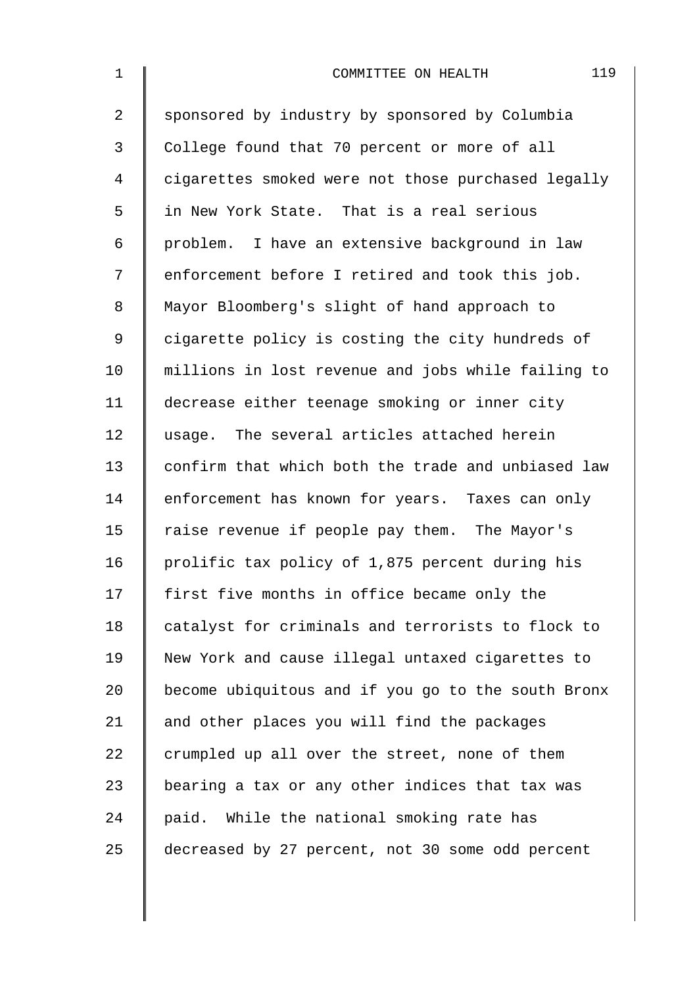| $\mathbf{1}$   | 119<br>COMMITTEE ON HEALTH                         |
|----------------|----------------------------------------------------|
| $\overline{2}$ | sponsored by industry by sponsored by Columbia     |
| 3              | College found that 70 percent or more of all       |
| 4              | cigarettes smoked were not those purchased legally |
| 5              | in New York State. That is a real serious          |
| 6              | problem. I have an extensive background in law     |
| 7              | enforcement before I retired and took this job.    |
| 8              | Mayor Bloomberg's slight of hand approach to       |
| $\mathsf 9$    | cigarette policy is costing the city hundreds of   |
| 10             | millions in lost revenue and jobs while failing to |
| 11             | decrease either teenage smoking or inner city      |
| 12             | usage. The several articles attached herein        |
| 13             | confirm that which both the trade and unbiased law |
| 14             | enforcement has known for years. Taxes can only    |
| 15             | raise revenue if people pay them. The Mayor's      |
| 16             | prolific tax policy of 1,875 percent during his    |
| 17             | first five months in office became only the        |
| 18             | catalyst for criminals and terrorists to flock to  |
| 19             | New York and cause illegal untaxed cigarettes to   |
| 20             | become ubiquitous and if you go to the south Bronx |
| 21             | and other places you will find the packages        |
| 22             | crumpled up all over the street, none of them      |
| 23             | bearing a tax or any other indices that tax was    |
| 24             | paid. While the national smoking rate has          |
| 25             | decreased by 27 percent, not 30 some odd percent   |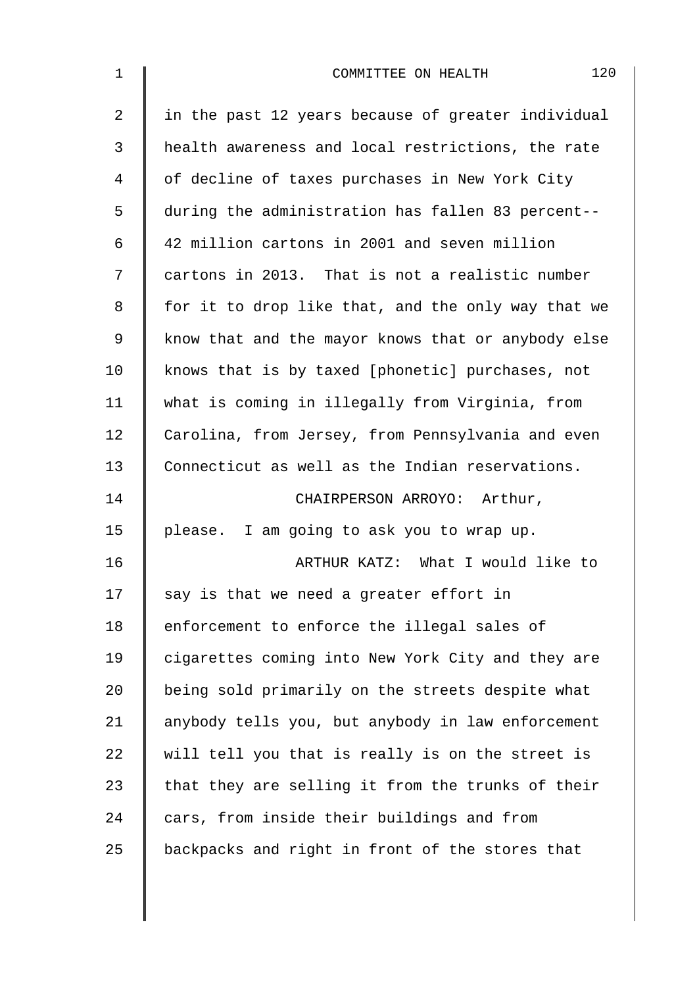| $\mathbf 1$ | 120<br>COMMITTEE ON HEALTH                         |
|-------------|----------------------------------------------------|
| 2           | in the past 12 years because of greater individual |
| 3           | health awareness and local restrictions, the rate  |
| 4           | of decline of taxes purchases in New York City     |
| 5           | during the administration has fallen 83 percent--  |
| 6           | 42 million cartons in 2001 and seven million       |
| 7           | cartons in 2013. That is not a realistic number    |
| 8           | for it to drop like that, and the only way that we |
| 9           | know that and the mayor knows that or anybody else |
| 10          | knows that is by taxed [phonetic] purchases, not   |
| 11          | what is coming in illegally from Virginia, from    |
| 12          | Carolina, from Jersey, from Pennsylvania and even  |
| 13          | Connecticut as well as the Indian reservations.    |
| 14          | CHAIRPERSON ARROYO: Arthur,                        |
| 15          | please. I am going to ask you to wrap up.          |
| 16          | ARTHUR KATZ: What I would like to                  |
| 17          | say is that we need a greater effort in            |
| 18          | enforcement to enforce the illegal sales of        |
| 19          | cigarettes coming into New York City and they are  |
| 20          | being sold primarily on the streets despite what   |
| 21          | anybody tells you, but anybody in law enforcement  |
| 22          | will tell you that is really is on the street is   |
| 23          | that they are selling it from the trunks of their  |
| 24          | cars, from inside their buildings and from         |
| 25          | backpacks and right in front of the stores that    |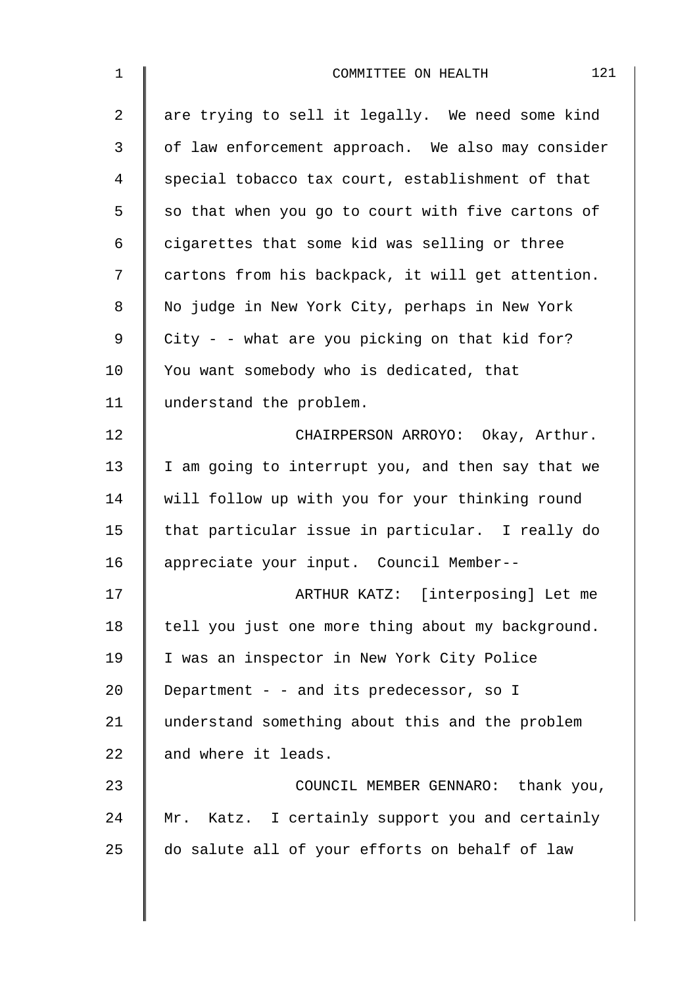| $\mathbf 1$    | 121<br>COMMITTEE ON HEALTH                        |
|----------------|---------------------------------------------------|
| $\overline{2}$ | are trying to sell it legally. We need some kind  |
| 3              | of law enforcement approach. We also may consider |
| 4              | special tobacco tax court, establishment of that  |
| 5              | so that when you go to court with five cartons of |
| 6              | cigarettes that some kid was selling or three     |
| 7              | cartons from his backpack, it will get attention. |
| 8              | No judge in New York City, perhaps in New York    |
| 9              | City - - what are you picking on that kid for?    |
| 10             | You want somebody who is dedicated, that          |
| 11             | understand the problem.                           |
| 12             | CHAIRPERSON ARROYO: Okay, Arthur.                 |
| 13             | I am going to interrupt you, and then say that we |
| 14             | will follow up with you for your thinking round   |
| 15             | that particular issue in particular. I really do  |
| 16             | appreciate your input. Council Member--           |
| 17             | ARTHUR KATZ: [interposing] Let me                 |
| 18             | tell you just one more thing about my background. |
| 19             | I was an inspector in New York City Police        |
| 20             | Department - - and its predecessor, so I          |
| 21             | understand something about this and the problem   |
| 22             | and where it leads.                               |
| 23             | COUNCIL MEMBER GENNARO: thank you,                |
| 24             | Mr. Katz. I certainly support you and certainly   |
| 25             | do salute all of your efforts on behalf of law    |
|                |                                                   |
|                |                                                   |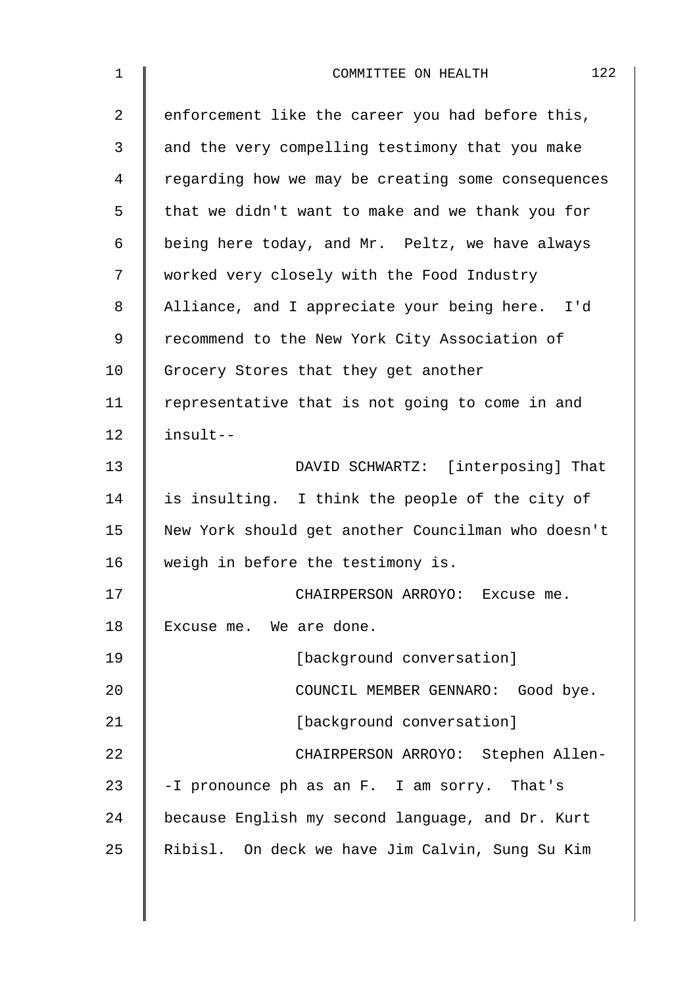| $\mathbf 1$ | 122<br>COMMITTEE ON HEALTH                         |
|-------------|----------------------------------------------------|
| 2           | enforcement like the career you had before this,   |
| 3           | and the very compelling testimony that you make    |
| 4           | regarding how we may be creating some consequences |
| 5           | that we didn't want to make and we thank you for   |
| 6           | being here today, and Mr. Peltz, we have always    |
| 7           | worked very closely with the Food Industry         |
| 8           | Alliance, and I appreciate your being here. I'd    |
| 9           | recommend to the New York City Association of      |
| 10          | Grocery Stores that they get another               |
| 11          | representative that is not going to come in and    |
| 12          | insult--                                           |
| 13          | DAVID SCHWARTZ: [interposing] That                 |
| 14          | is insulting. I think the people of the city of    |
| 15          | New York should get another Councilman who doesn't |
| 16          | weigh in before the testimony is.                  |
| 17          | CHAIRPERSON ARROYO: Excuse me.                     |
| 18          | Excuse me. We are done.                            |
| 19          | [background conversation]                          |
| 20          | COUNCIL MEMBER GENNARO: Good bye.                  |
| 21          | [background conversation]                          |
| 22          | CHAIRPERSON ARROYO: Stephen Allen-                 |
| 23          | -I pronounce ph as an F. I am sorry. That's        |
| 24          | because English my second language, and Dr. Kurt   |
| 25          | Ribisl. On deck we have Jim Calvin, Sung Su Kim    |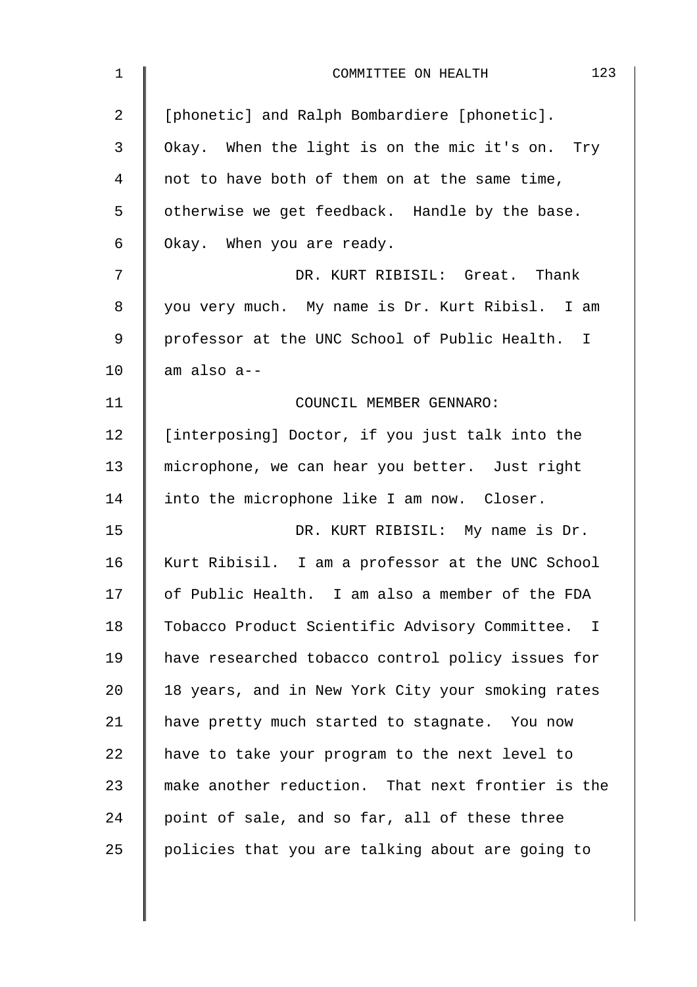| $\mathbf 1$    | 123<br>COMMITTEE ON HEALTH                        |
|----------------|---------------------------------------------------|
| $\overline{a}$ | [phonetic] and Ralph Bombardiere [phonetic].      |
| 3              | Okay. When the light is on the mic it's on. Try   |
| 4              | not to have both of them on at the same time,     |
| 5              | otherwise we get feedback. Handle by the base.    |
| 6              | Okay. When you are ready.                         |
| 7              | DR. KURT RIBISIL: Great. Thank                    |
| 8              | you very much. My name is Dr. Kurt Ribisl. I am   |
| 9              | professor at the UNC School of Public Health. I   |
| 10             | am also a--                                       |
| 11             | COUNCIL MEMBER GENNARO:                           |
| 12             | [interposing] Doctor, if you just talk into the   |
| 13             | microphone, we can hear you better. Just right    |
| 14             | into the microphone like I am now. Closer.        |
| 15             | DR. KURT RIBISIL: My name is Dr.                  |
| 16             | Kurt Ribisil. I am a professor at the UNC School  |
| 17             | of Public Health. I am also a member of the FDA   |
| 18             | Tobacco Product Scientific Advisory Committee. I  |
| 19             | have researched tobacco control policy issues for |
| 20             | 18 years, and in New York City your smoking rates |
| 21             | have pretty much started to stagnate. You now     |
| 22             | have to take your program to the next level to    |
| 23             | make another reduction. That next frontier is the |
| 24             | point of sale, and so far, all of these three     |
| 25             | policies that you are talking about are going to  |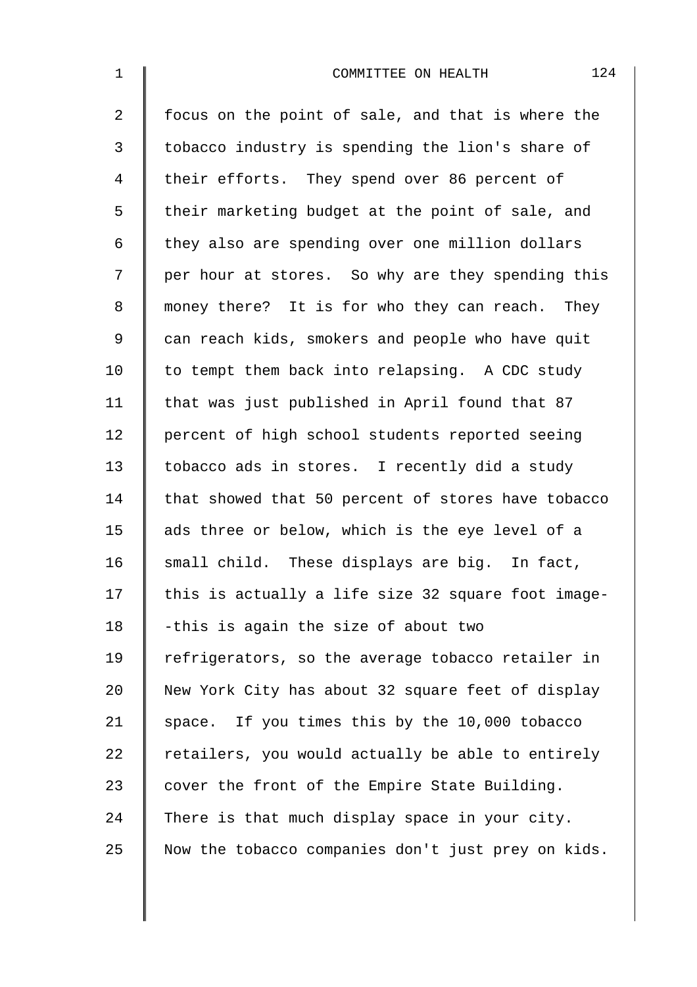| $\mathbf 1$    | 124<br>COMMITTEE ON HEALTH                         |
|----------------|----------------------------------------------------|
| $\overline{2}$ | focus on the point of sale, and that is where the  |
| 3              | tobacco industry is spending the lion's share of   |
| 4              | their efforts. They spend over 86 percent of       |
| 5              | their marketing budget at the point of sale, and   |
| 6              | they also are spending over one million dollars    |
| 7              | per hour at stores. So why are they spending this  |
| 8              | money there? It is for who they can reach. They    |
| $\mathsf 9$    | can reach kids, smokers and people who have quit   |
| 10             | to tempt them back into relapsing. A CDC study     |
| 11             | that was just published in April found that 87     |
| 12             | percent of high school students reported seeing    |
| 13             | tobacco ads in stores. I recently did a study      |
| 14             | that showed that 50 percent of stores have tobacco |
| 15             | ads three or below, which is the eye level of a    |
| 16             | small child. These displays are big. In fact,      |
| 17             | this is actually a life size 32 square foot image- |
| 18             | -this is again the size of about two               |
| 19             | refrigerators, so the average tobacco retailer in  |
| 20             | New York City has about 32 square feet of display  |
| 21             | space. If you times this by the 10,000 tobacco     |
| 22             | retailers, you would actually be able to entirely  |
| 23             | cover the front of the Empire State Building.      |
| 24             | There is that much display space in your city.     |
| 25             | Now the tobacco companies don't just prey on kids. |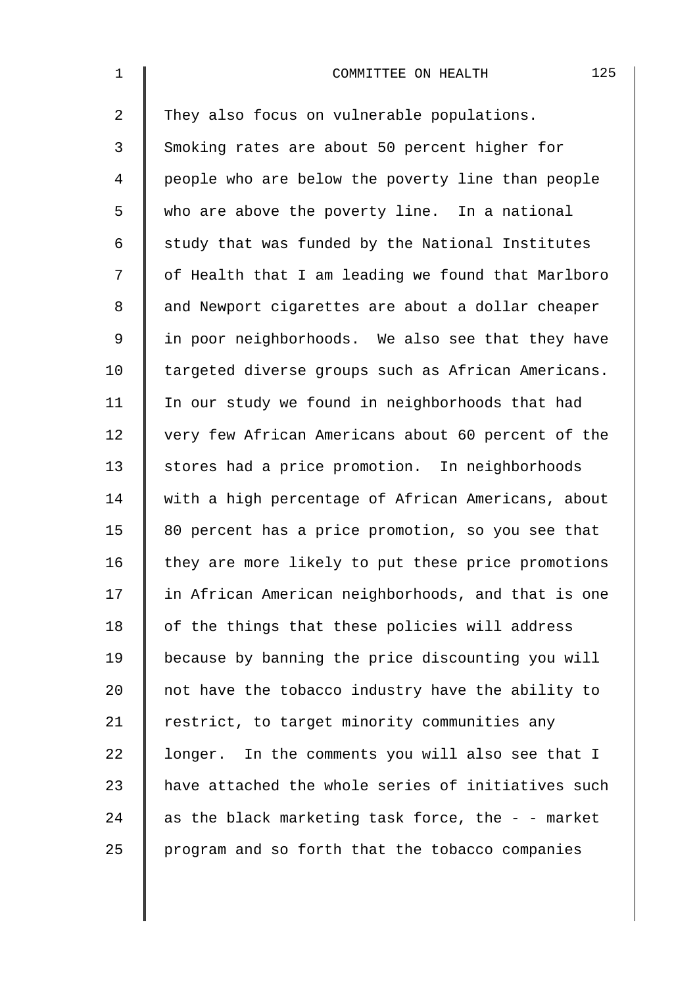| $\mathbf 1$    | 125<br>COMMITTEE ON HEALTH                         |
|----------------|----------------------------------------------------|
| $\overline{2}$ | They also focus on vulnerable populations.         |
| 3              | Smoking rates are about 50 percent higher for      |
| $\overline{4}$ | people who are below the poverty line than people  |
| 5              | who are above the poverty line. In a national      |
| 6              | study that was funded by the National Institutes   |
| 7              | of Health that I am leading we found that Marlboro |
| 8              | and Newport cigarettes are about a dollar cheaper  |
| $\mathsf 9$    | in poor neighborhoods. We also see that they have  |
| 10             | targeted diverse groups such as African Americans. |
| 11             | In our study we found in neighborhoods that had    |
| 12             | very few African Americans about 60 percent of the |
| 13             | stores had a price promotion. In neighborhoods     |
| 14             | with a high percentage of African Americans, about |
| 15             | 80 percent has a price promotion, so you see that  |
| 16             | they are more likely to put these price promotions |
| 17             | in African American neighborhoods, and that is one |
| 18             | of the things that these policies will address     |
| 19             | because by banning the price discounting you will  |
| 20             | not have the tobacco industry have the ability to  |
| 21             | restrict, to target minority communities any       |
| 22             | longer. In the comments you will also see that I   |
| 23             | have attached the whole series of initiatives such |
| 24             | as the black marketing task force, the - - market  |
| 25             | program and so forth that the tobacco companies    |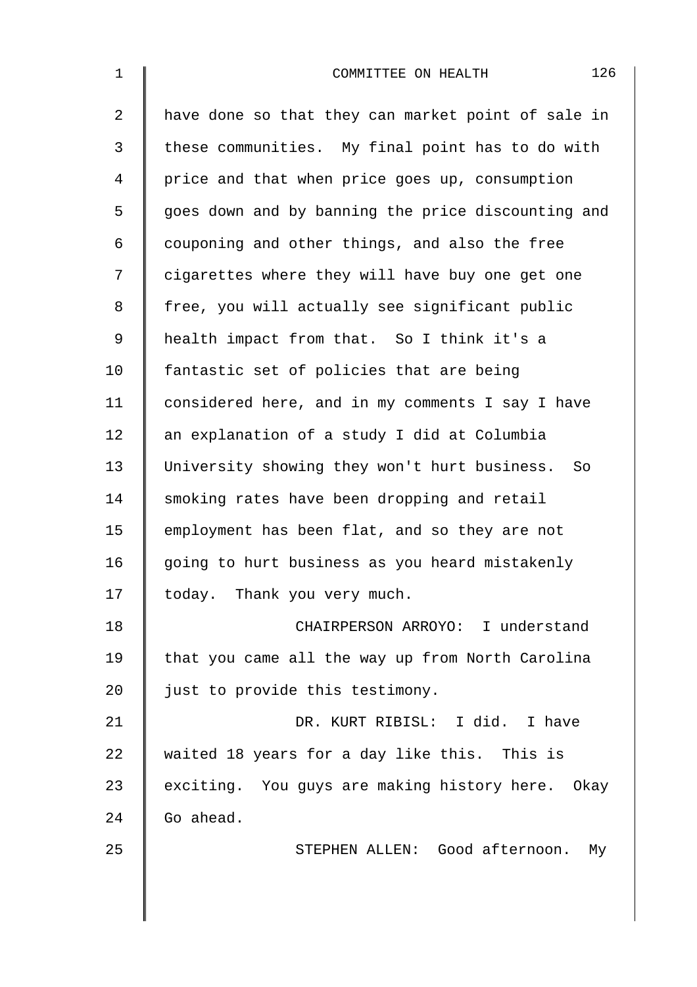| $\mathbf{1}$   | 126<br>COMMITTEE ON HEALTH                         |
|----------------|----------------------------------------------------|
| $\overline{2}$ | have done so that they can market point of sale in |
| 3              | these communities. My final point has to do with   |
| 4              | price and that when price goes up, consumption     |
| 5              | goes down and by banning the price discounting and |
| 6              | couponing and other things, and also the free      |
| 7              | cigarettes where they will have buy one get one    |
| 8              | free, you will actually see significant public     |
| 9              | health impact from that. So I think it's a         |
| 10             | fantastic set of policies that are being           |
| 11             | considered here, and in my comments I say I have   |
| 12             | an explanation of a study I did at Columbia        |
| 13             | University showing they won't hurt business. So    |
| 14             | smoking rates have been dropping and retail        |
| 15             | employment has been flat, and so they are not      |
| 16             | going to hurt business as you heard mistakenly     |
| 17             | today. Thank you very much.                        |
| 18             | CHAIRPERSON ARROYO: I understand                   |
| 19             | that you came all the way up from North Carolina   |
| 20             | just to provide this testimony.                    |
| 21             | DR. KURT RIBISL: I did. I have                     |
| 22             | waited 18 years for a day like this. This is       |
| 23             | exciting. You guys are making history here. Okay   |
| 24             | Go ahead.                                          |
| 25             | STEPHEN ALLEN: Good afternoon. My                  |
|                |                                                    |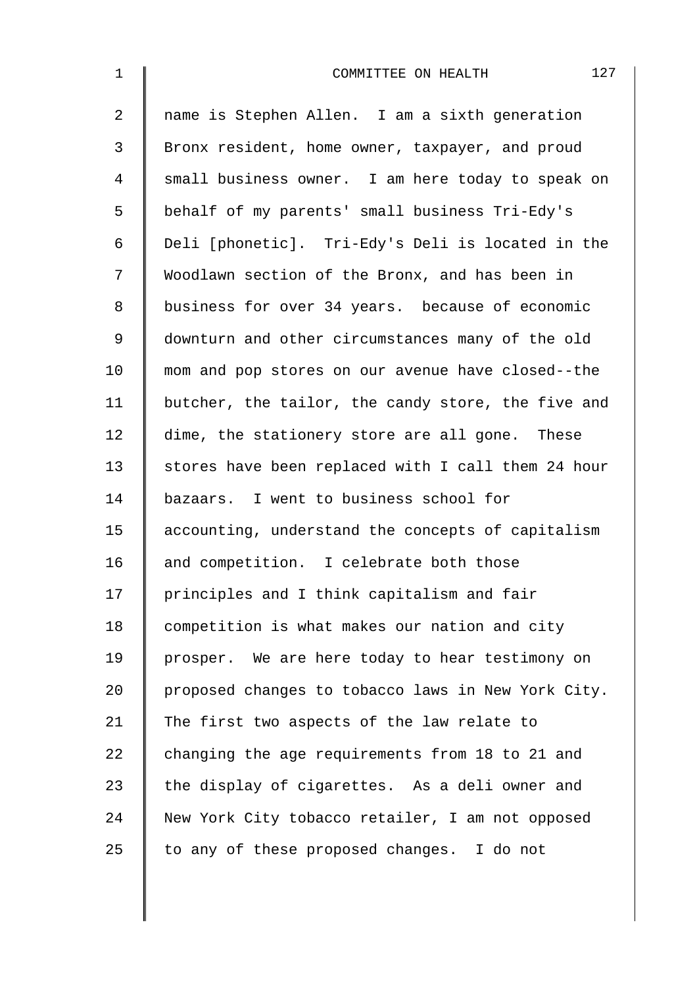| $\mathbf{1}$   | 127<br>COMMITTEE ON HEALTH                         |
|----------------|----------------------------------------------------|
| $\overline{2}$ | name is Stephen Allen. I am a sixth generation     |
| 3              | Bronx resident, home owner, taxpayer, and proud    |
| 4              | small business owner. I am here today to speak on  |
| 5              | behalf of my parents' small business Tri-Edy's     |
| 6              | Deli [phonetic]. Tri-Edy's Deli is located in the  |
| 7              | Woodlawn section of the Bronx, and has been in     |
| 8              | business for over 34 years. because of economic    |
| $\mathsf 9$    | downturn and other circumstances many of the old   |
| 10             | mom and pop stores on our avenue have closed--the  |
| 11             | butcher, the tailor, the candy store, the five and |
| 12             | dime, the stationery store are all gone. These     |
| 13             | stores have been replaced with I call them 24 hour |
| 14             | bazaars. I went to business school for             |
| 15             | accounting, understand the concepts of capitalism  |
| 16             | and competition. I celebrate both those            |
| 17             | principles and I think capitalism and fair         |
| 18             | competition is what makes our nation and city      |
| 19             | prosper. We are here today to hear testimony on    |
| 20             | proposed changes to tobacco laws in New York City. |
| 21             | The first two aspects of the law relate to         |
| 22             | changing the age requirements from 18 to 21 and    |
| 23             | the display of cigarettes. As a deli owner and     |
| 24             | New York City tobacco retailer, I am not opposed   |
| 25             | to any of these proposed changes. I do not         |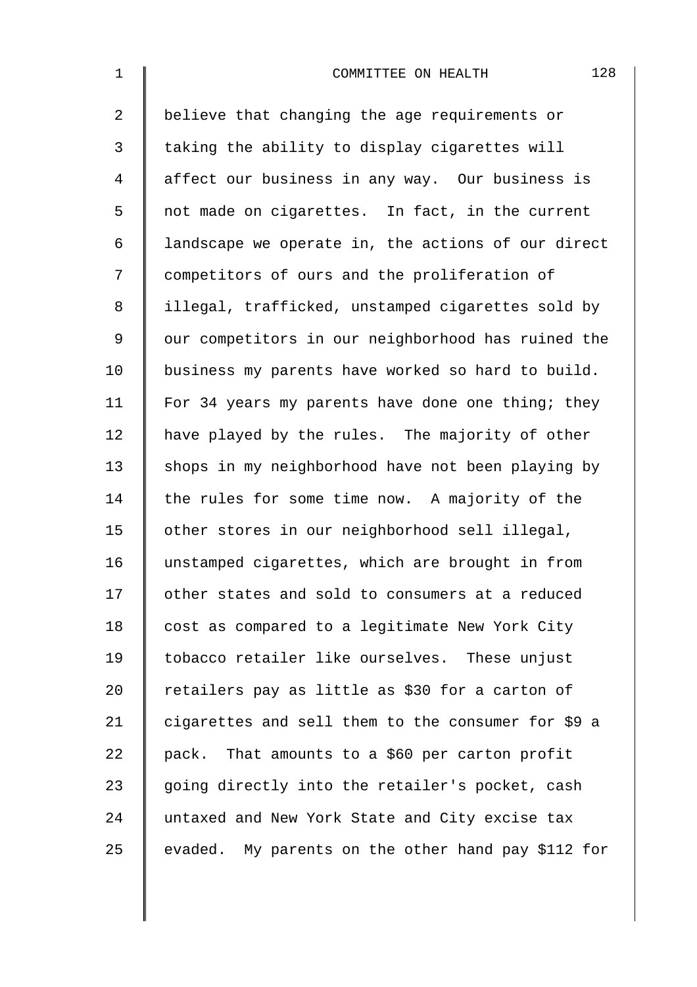| $\mathbf 1$    | 128<br>COMMITTEE ON HEALTH                         |
|----------------|----------------------------------------------------|
| $\overline{2}$ | believe that changing the age requirements or      |
| 3              | taking the ability to display cigarettes will      |
| 4              | affect our business in any way. Our business is    |
| 5              | not made on cigarettes. In fact, in the current    |
| 6              | landscape we operate in, the actions of our direct |
| 7              | competitors of ours and the proliferation of       |
| 8              | illegal, trafficked, unstamped cigarettes sold by  |
| 9              | our competitors in our neighborhood has ruined the |
| 10             | business my parents have worked so hard to build.  |
| 11             | For 34 years my parents have done one thing; they  |
| 12             | have played by the rules. The majority of other    |
| 13             | shops in my neighborhood have not been playing by  |
| 14             | the rules for some time now. A majority of the     |
| 15             | other stores in our neighborhood sell illegal,     |
| 16             | unstamped cigarettes, which are brought in from    |
| 17             | other states and sold to consumers at a reduced    |
| 18             | cost as compared to a legitimate New York City     |
| 19             | tobacco retailer like ourselves. These unjust      |
| 20             | retailers pay as little as \$30 for a carton of    |
| 21             | cigarettes and sell them to the consumer for \$9 a |
| 22             | pack. That amounts to a \$60 per carton profit     |
| 23             | going directly into the retailer's pocket, cash    |
| 24             | untaxed and New York State and City excise tax     |
| 25             | evaded. My parents on the other hand pay \$112 for |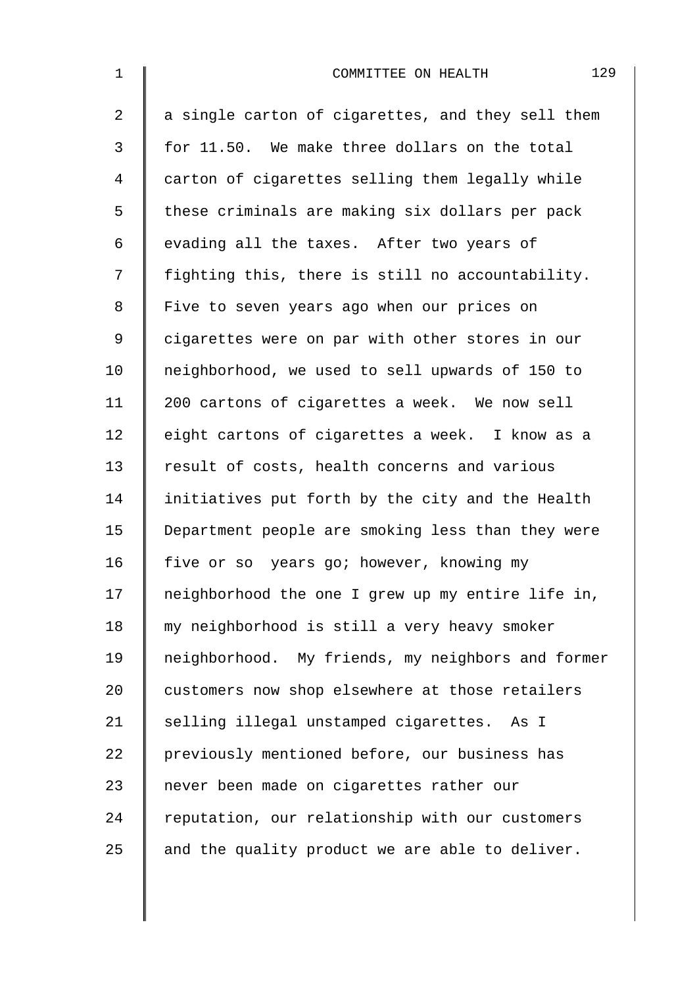| $\mathbf{1}$ | 129<br>COMMITTEE ON HEALTH                        |
|--------------|---------------------------------------------------|
| 2            | a single carton of cigarettes, and they sell them |
| 3            | for 11.50. We make three dollars on the total     |
| 4            | carton of cigarettes selling them legally while   |
| 5            | these criminals are making six dollars per pack   |
| 6            | evading all the taxes. After two years of         |
| 7            | fighting this, there is still no accountability.  |
| 8            | Five to seven years ago when our prices on        |
| $\mathsf 9$  | cigarettes were on par with other stores in our   |
| 10           | neighborhood, we used to sell upwards of 150 to   |
| 11           | 200 cartons of cigarettes a week. We now sell     |
| 12           | eight cartons of cigarettes a week. I know as a   |
| 13           | result of costs, health concerns and various      |
| 14           | initiatives put forth by the city and the Health  |
| 15           | Department people are smoking less than they were |
| 16           | five or so years go; however, knowing my          |
| 17           | neighborhood the one I grew up my entire life in, |
| 18           | my neighborhood is still a very heavy smoker      |
| 19           | neighborhood. My friends, my neighbors and former |
| 20           | customers now shop elsewhere at those retailers   |
| 21           | selling illegal unstamped cigarettes. As I        |
| 22           | previously mentioned before, our business has     |
| 23           | never been made on cigarettes rather our          |
| 24           | reputation, our relationship with our customers   |
| 25           | and the quality product we are able to deliver.   |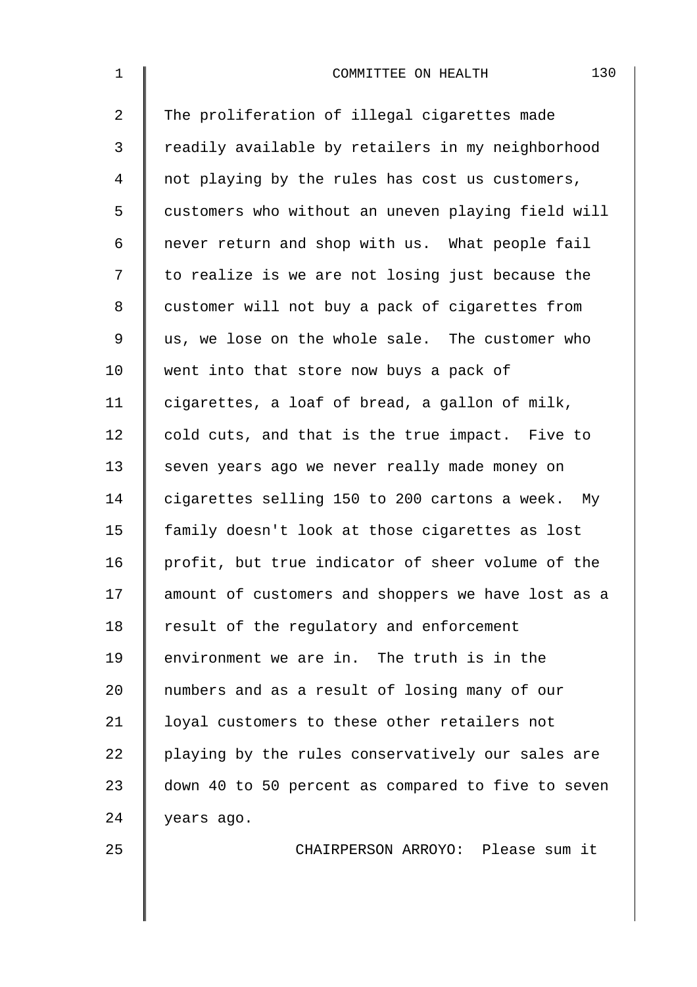| $\mathbf 1$ | 130<br>COMMITTEE ON HEALTH                         |
|-------------|----------------------------------------------------|
| 2           | The proliferation of illegal cigarettes made       |
| 3           | readily available by retailers in my neighborhood  |
| 4           | not playing by the rules has cost us customers,    |
| 5           | customers who without an uneven playing field will |
| 6           | never return and shop with us. What people fail    |
| 7           | to realize is we are not losing just because the   |
| 8           | customer will not buy a pack of cigarettes from    |
| 9           | us, we lose on the whole sale. The customer who    |
| 10          | went into that store now buys a pack of            |
| 11          | cigarettes, a loaf of bread, a gallon of milk,     |
| 12          | cold cuts, and that is the true impact. Five to    |
| 13          | seven years ago we never really made money on      |
| 14          | cigarettes selling 150 to 200 cartons a week. My   |
| 15          | family doesn't look at those cigarettes as lost    |
| 16          | profit, but true indicator of sheer volume of the  |
| 17          | amount of customers and shoppers we have lost as a |
| 18          | result of the regulatory and enforcement           |
| 19          | environment we are in. The truth is in the         |
| 20          | numbers and as a result of losing many of our      |
| 21          | loyal customers to these other retailers not       |
| 22          | playing by the rules conservatively our sales are  |
| 23          | down 40 to 50 percent as compared to five to seven |
| 24          | years ago.                                         |
| 25          | CHAIRPERSON ARROYO: Please sum it                  |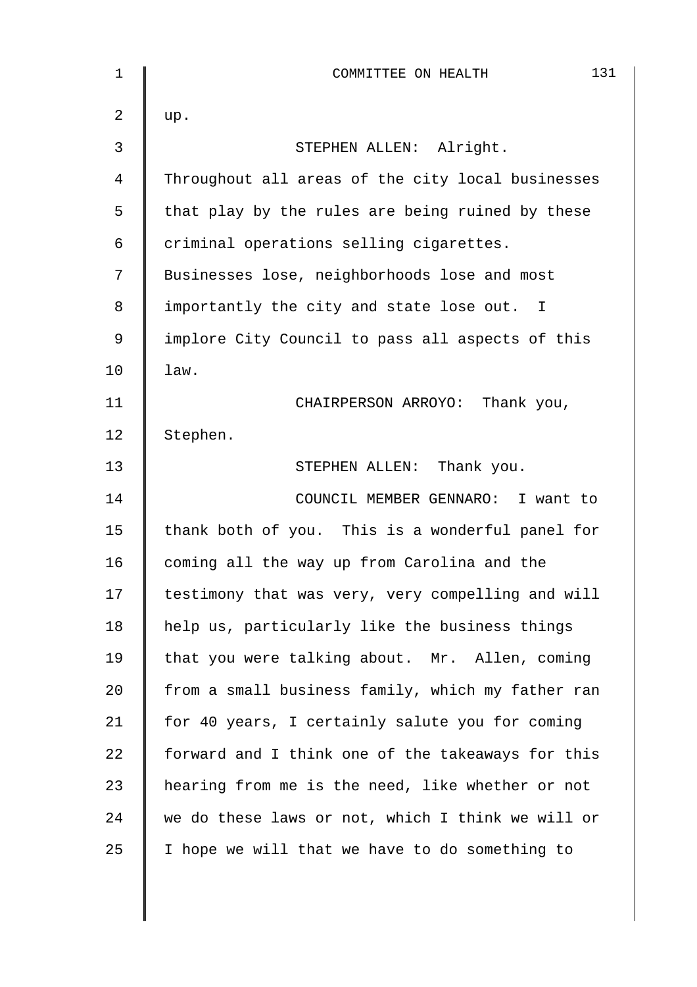| 1           | 131<br>COMMITTEE ON HEALTH                        |
|-------------|---------------------------------------------------|
| 2           | up.                                               |
| 3           | STEPHEN ALLEN: Alright.                           |
| 4           | Throughout all areas of the city local businesses |
| 5           | that play by the rules are being ruined by these  |
| 6           | criminal operations selling cigarettes.           |
| 7           | Businesses lose, neighborhoods lose and most      |
| 8           | importantly the city and state lose out. I        |
| $\mathsf 9$ | implore City Council to pass all aspects of this  |
| 10          | law.                                              |
| 11          | CHAIRPERSON ARROYO: Thank you,                    |
| 12          | Stephen.                                          |
| 13          | STEPHEN ALLEN: Thank you.                         |
| 14          | COUNCIL MEMBER GENNARO: I want to                 |
| 15          | thank both of you. This is a wonderful panel for  |
| 16          | coming all the way up from Carolina and the       |
| 17          | testimony that was very, very compelling and will |
| 18          | help us, particularly like the business things    |
| 19          | that you were talking about. Mr. Allen, coming    |
| 20          | from a small business family, which my father ran |
| 21          | for 40 years, I certainly salute you for coming   |
| 22          | forward and I think one of the takeaways for this |
| 23          | hearing from me is the need, like whether or not  |
| 24          | we do these laws or not, which I think we will or |
| 25          | I hope we will that we have to do something to    |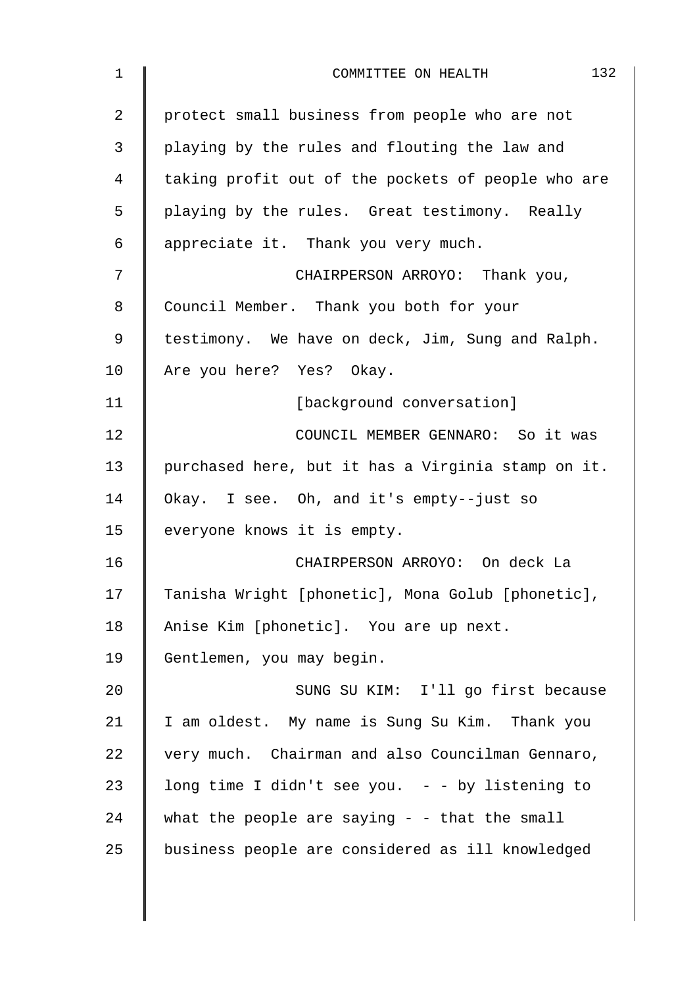| 1  | 132<br>COMMITTEE ON HEALTH                         |
|----|----------------------------------------------------|
| 2  | protect small business from people who are not     |
| 3  | playing by the rules and flouting the law and      |
| 4  | taking profit out of the pockets of people who are |
| 5  | playing by the rules. Great testimony. Really      |
| 6  | appreciate it. Thank you very much.                |
| 7  | CHAIRPERSON ARROYO: Thank you,                     |
| 8  | Council Member. Thank you both for your            |
| 9  | testimony. We have on deck, Jim, Sung and Ralph.   |
| 10 | Are you here? Yes? Okay.                           |
| 11 | [background conversation]                          |
| 12 | COUNCIL MEMBER GENNARO: So it was                  |
| 13 | purchased here, but it has a Virginia stamp on it. |
| 14 | Okay. I see. Oh, and it's empty--just so           |
| 15 | everyone knows it is empty.                        |
| 16 | CHAIRPERSON ARROYO: On deck La                     |
| 17 | Tanisha Wright [phonetic], Mona Golub [phonetic],  |
| 18 | Anise Kim [phonetic]. You are up next.             |
| 19 | Gentlemen, you may begin.                          |
| 20 | SUNG SU KIM: I'll go first because                 |
| 21 | I am oldest. My name is Sung Su Kim. Thank you     |
| 22 | very much. Chairman and also Councilman Gennaro,   |
| 23 | long time I didn't see you. $-$ - by listening to  |
| 24 | what the people are saying $-$ - that the small    |
| 25 | business people are considered as ill knowledged   |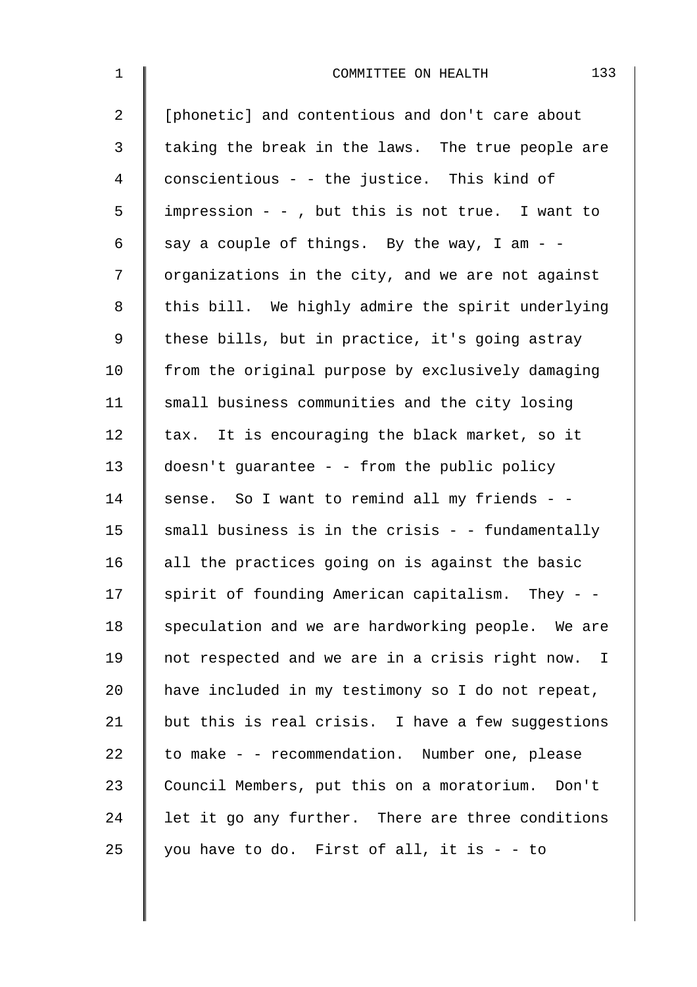| $\mathbf 1$ | 133<br>COMMITTEE ON HEALTH                        |
|-------------|---------------------------------------------------|
| 2           | [phonetic] and contentious and don't care about   |
| 3           | taking the break in the laws. The true people are |
| 4           | conscientious - - the justice. This kind of       |
| 5           | impression - -, but this is not true. I want to   |
| 6           | say a couple of things. By the way, I am - -      |
| 7           | organizations in the city, and we are not against |
| 8           | this bill. We highly admire the spirit underlying |
| $\mathsf 9$ | these bills, but in practice, it's going astray   |
| 10          | from the original purpose by exclusively damaging |
| 11          | small business communities and the city losing    |
| 12          | tax. It is encouraging the black market, so it    |
| 13          | doesn't guarantee - - from the public policy      |
| 14          | sense. So I want to remind all my friends - -     |
| 15          | small business is in the crisis - - fundamentally |
| 16          | all the practices going on is against the basic   |
| 17          | spirit of founding American capitalism. They - -  |
| 18          | speculation and we are hardworking people. We are |
| 19          | not respected and we are in a crisis right now. I |
| 20          | have included in my testimony so I do not repeat, |
| 21          | but this is real crisis. I have a few suggestions |
| 22          | to make - - recommendation. Number one, please    |
| 23          | Council Members, put this on a moratorium. Don't  |
| 24          | let it go any further. There are three conditions |
| 25          | you have to do. First of all, it is - - to        |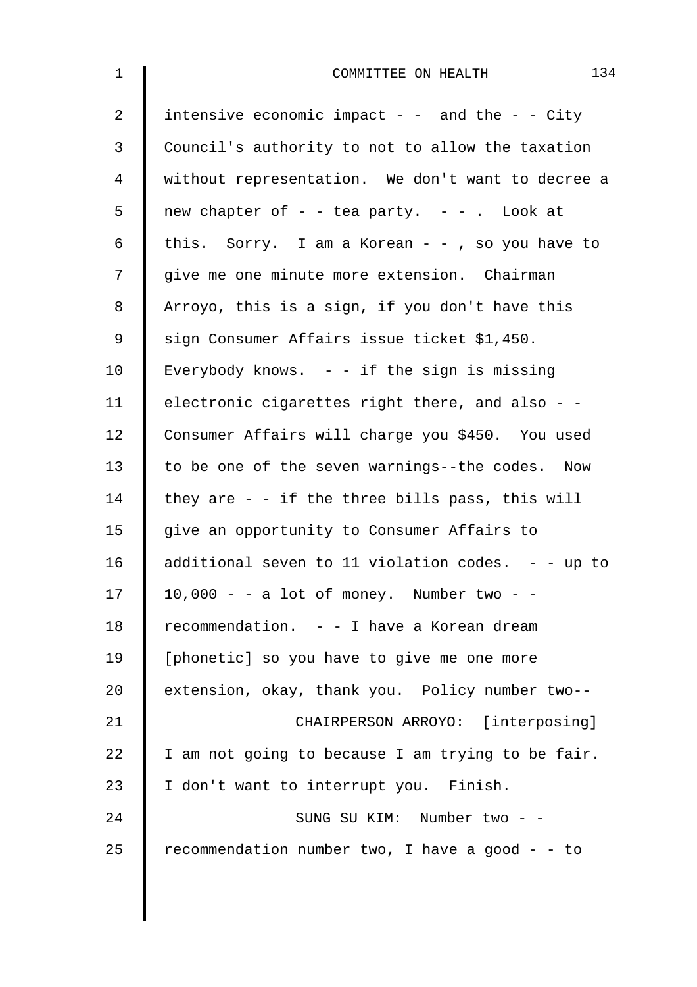| 134<br>COMMITTEE ON HEALTH                          |
|-----------------------------------------------------|
| intensive economic impact - - and the - - City      |
| Council's authority to not to allow the taxation    |
| without representation. We don't want to decree a   |
| new chapter of $-$ - tea party. $-$ - . Look at     |
| this. Sorry. I am a Korean - - , so you have to     |
| give me one minute more extension. Chairman         |
| Arroyo, this is a sign, if you don't have this      |
| sign Consumer Affairs issue ticket \$1,450.         |
| Everybody knows. $-$ - if the sign is missing       |
| electronic cigarettes right there, and also - -     |
| Consumer Affairs will charge you \$450. You used    |
| to be one of the seven warnings--the codes. Now     |
| they are $-$ - if the three bills pass, this will   |
| give an opportunity to Consumer Affairs to          |
| additional seven to 11 violation codes. $-$ - up to |
| $10,000 - a$ lot of money. Number two - -           |
| recommendation. - - I have a Korean dream           |
| [phonetic] so you have to give me one more          |
| extension, okay, thank you. Policy number two--     |
| CHAIRPERSON ARROYO: [interposing]                   |
| I am not going to because I am trying to be fair.   |
| I don't want to interrupt you. Finish.              |
| SUNG SU KIM: Number two - -                         |
| recommendation number two, I have a good - - to     |
|                                                     |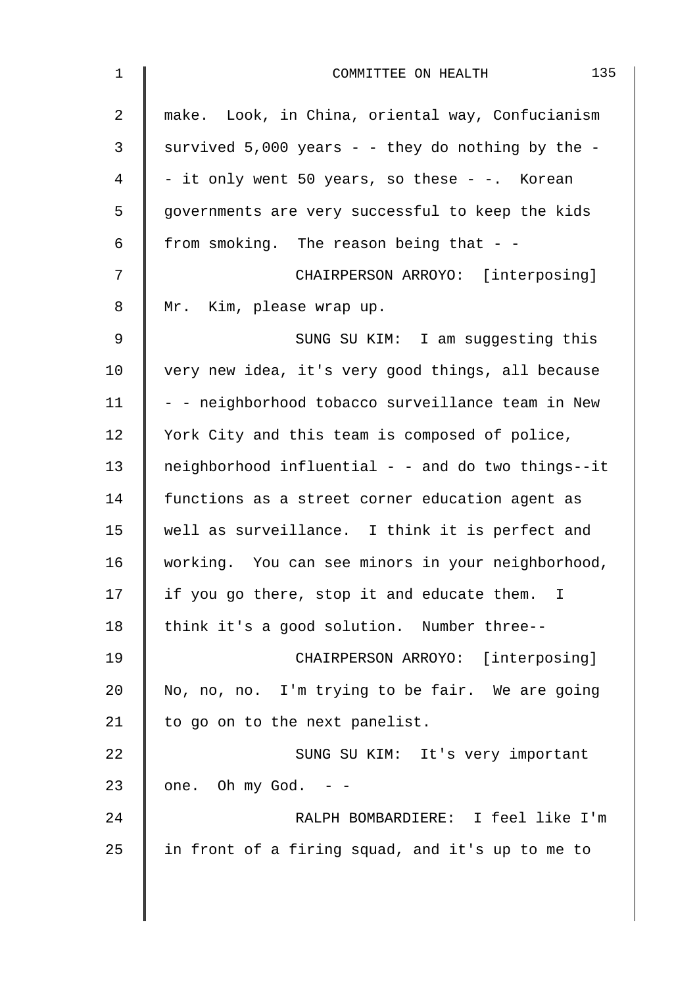| $\mathbf 1$    | 135<br>COMMITTEE ON HEALTH                         |
|----------------|----------------------------------------------------|
| $\overline{2}$ | make. Look, in China, oriental way, Confucianism   |
| 3              | survived 5,000 years - - they do nothing by the -  |
| 4              | - it only went 50 years, so these - -. Korean      |
| 5              | governments are very successful to keep the kids   |
| 6              | from smoking. The reason being that - -            |
| 7              | CHAIRPERSON ARROYO: [interposing]                  |
| 8              | Mr. Kim, please wrap up.                           |
| $\mathsf 9$    | SUNG SU KIM: I am suggesting this                  |
| 10             | very new idea, it's very good things, all because  |
| 11             | - - neighborhood tobacco surveillance team in New  |
| 12             | York City and this team is composed of police,     |
| 13             | neighborhood influential - - and do two things--it |
| 14             | functions as a street corner education agent as    |
| 15             | well as surveillance. I think it is perfect and    |
| 16             | working. You can see minors in your neighborhood,  |
| 17             | if you go there, stop it and educate them. I       |
| 18             | think it's a good solution. Number three--         |
| 19             | CHAIRPERSON ARROYO: [interposing]                  |
| 20             | No, no, no. I'm trying to be fair. We are going    |
| 21             | to go on to the next panelist.                     |
| 22             | SUNG SU KIM: It's very important                   |
| 23             | one. Oh my God. $-$ -                              |
| 24             | RALPH BOMBARDIERE: I feel like I'm                 |
| 25             | in front of a firing squad, and it's up to me to   |
|                |                                                    |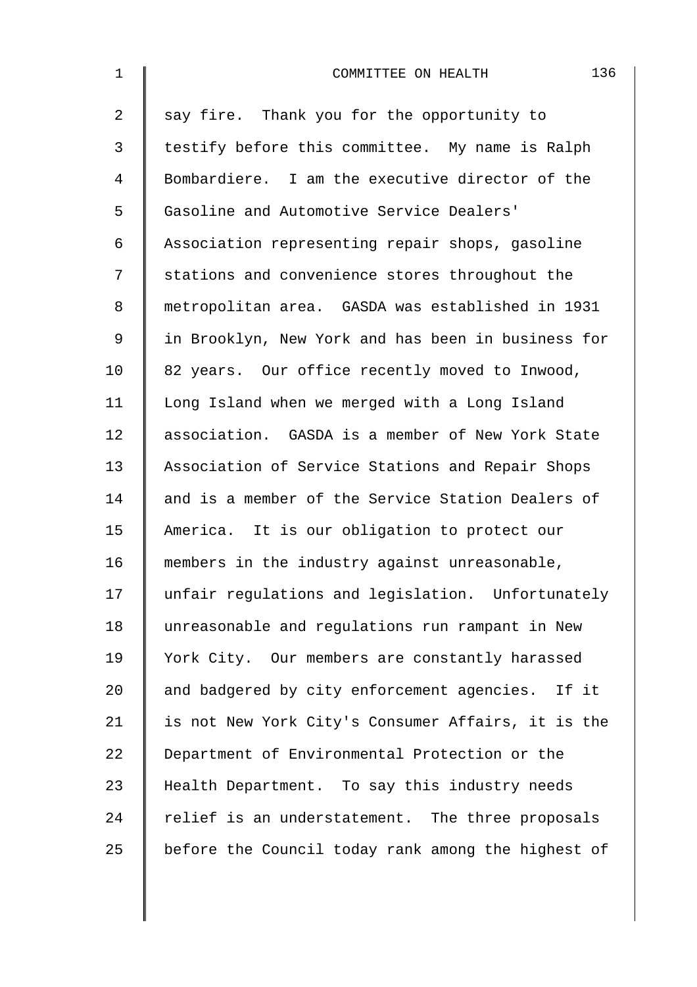| $\mathbf 1$ | 136<br>COMMITTEE ON HEALTH                         |
|-------------|----------------------------------------------------|
| 2           | say fire. Thank you for the opportunity to         |
| 3           | testify before this committee. My name is Ralph    |
| 4           | Bombardiere. I am the executive director of the    |
| 5           | Gasoline and Automotive Service Dealers'           |
| 6           | Association representing repair shops, gasoline    |
| 7           | stations and convenience stores throughout the     |
| 8           | metropolitan area. GASDA was established in 1931   |
| 9           | in Brooklyn, New York and has been in business for |
| 10          | 82 years. Our office recently moved to Inwood,     |
| 11          | Long Island when we merged with a Long Island      |
| 12          | association. GASDA is a member of New York State   |
| 13          | Association of Service Stations and Repair Shops   |
| 14          | and is a member of the Service Station Dealers of  |
| 15          | America. It is our obligation to protect our       |
| 16          | members in the industry against unreasonable,      |
| 17          | unfair regulations and legislation. Unfortunately  |
| 18          | unreasonable and regulations run rampant in New    |
| 19          | York City. Our members are constantly harassed     |
| 20          | and badgered by city enforcement agencies. If it   |
| 21          | is not New York City's Consumer Affairs, it is the |
| 22          | Department of Environmental Protection or the      |
| 23          | Health Department. To say this industry needs      |
| 24          | relief is an understatement. The three proposals   |
| 25          | before the Council today rank among the highest of |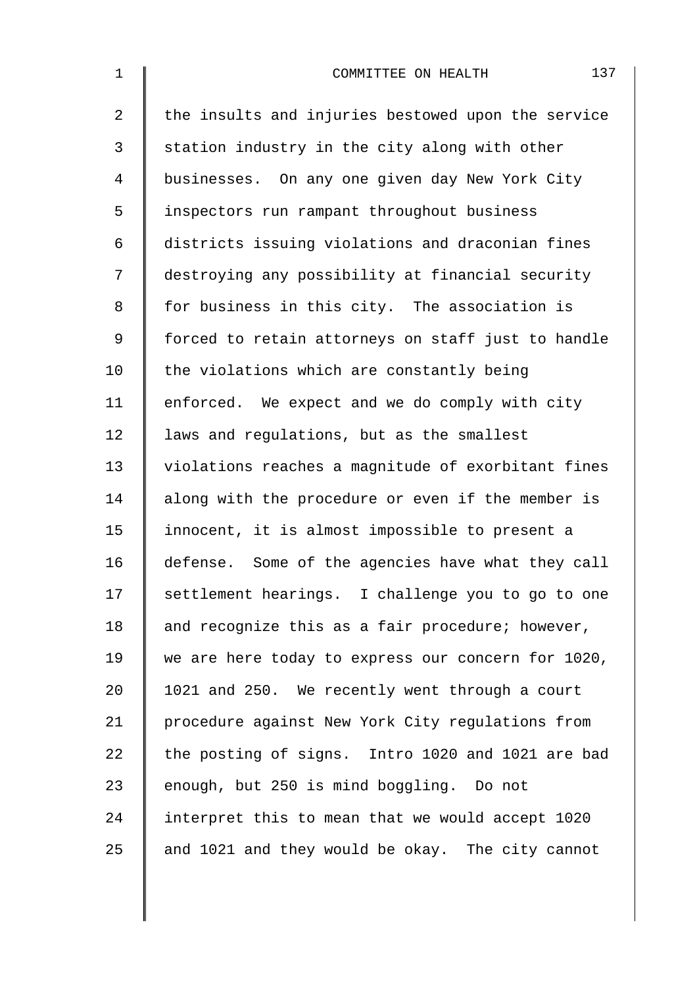| $\mathbf 1$    | 137<br>COMMITTEE ON HEALTH                         |
|----------------|----------------------------------------------------|
| $\overline{2}$ | the insults and injuries bestowed upon the service |
| 3              | station industry in the city along with other      |
| 4              | businesses. On any one given day New York City     |
| 5              | inspectors run rampant throughout business         |
| 6              | districts issuing violations and draconian fines   |
| 7              | destroying any possibility at financial security   |
| 8              | for business in this city. The association is      |
| 9              | forced to retain attorneys on staff just to handle |
| 10             | the violations which are constantly being          |
| 11             | enforced. We expect and we do comply with city     |
| 12             | laws and regulations, but as the smallest          |
| 13             | violations reaches a magnitude of exorbitant fines |
| 14             | along with the procedure or even if the member is  |
| 15             | innocent, it is almost impossible to present a     |
| 16             | defense. Some of the agencies have what they call  |
| 17             | settlement hearings. I challenge you to go to one  |
| 18             | and recognize this as a fair procedure; however,   |
| 19             | we are here today to express our concern for 1020, |
| 20             | 1021 and 250. We recently went through a court     |
| 21             | procedure against New York City regulations from   |
| 22             | the posting of signs. Intro 1020 and 1021 are bad  |
| 23             | enough, but 250 is mind boggling. Do not           |
| 24             | interpret this to mean that we would accept 1020   |
| 25             | and 1021 and they would be okay. The city cannot   |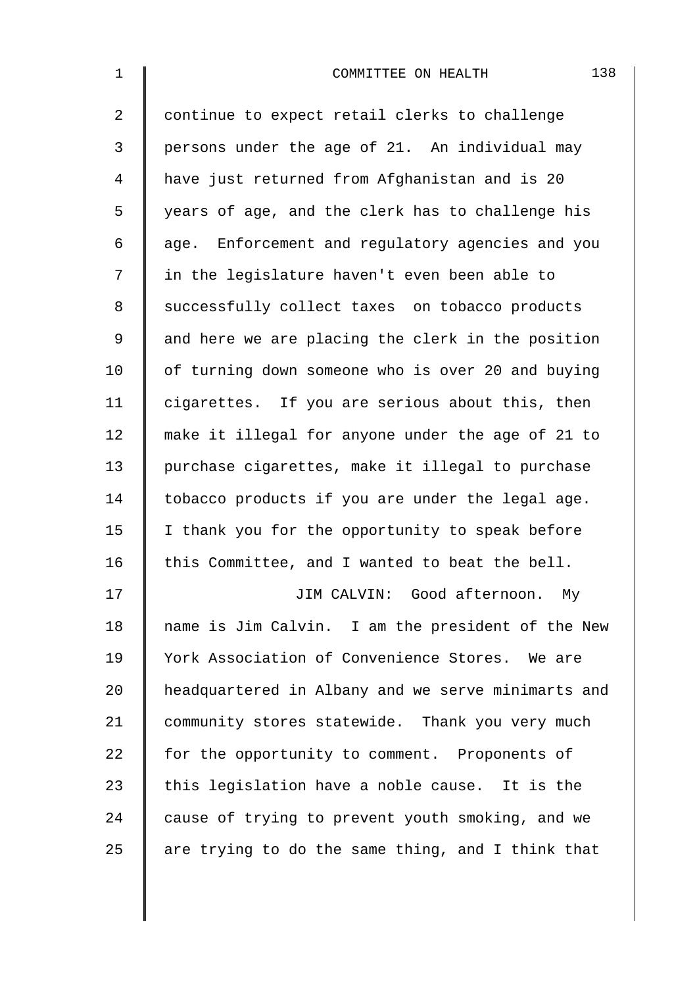| $\mathbf{1}$ | 138<br>COMMITTEE ON HEALTH                         |
|--------------|----------------------------------------------------|
| 2            | continue to expect retail clerks to challenge      |
| 3            | persons under the age of 21. An individual may     |
| 4            | have just returned from Afghanistan and is 20      |
| 5            | years of age, and the clerk has to challenge his   |
| 6            | age. Enforcement and regulatory agencies and you   |
| 7            | in the legislature haven't even been able to       |
| 8            | successfully collect taxes on tobacco products     |
| $\mathsf 9$  | and here we are placing the clerk in the position  |
| 10           | of turning down someone who is over 20 and buying  |
| 11           | cigarettes. If you are serious about this, then    |
| 12           | make it illegal for anyone under the age of 21 to  |
| 13           | purchase cigarettes, make it illegal to purchase   |
| 14           | tobacco products if you are under the legal age.   |
| 15           | I thank you for the opportunity to speak before    |
| 16           | this Committee, and I wanted to beat the bell.     |
| 17           | JIM CALVIN: Good afternoon. My                     |
| 18           | name is Jim Calvin. I am the president of the New  |
| 19           | York Association of Convenience Stores. We are     |
| 20           | headquartered in Albany and we serve minimarts and |
| 21           | community stores statewide. Thank you very much    |
| 22           | for the opportunity to comment. Proponents of      |
| 23           | this legislation have a noble cause. It is the     |
| 24           | cause of trying to prevent youth smoking, and we   |
| 25           | are trying to do the same thing, and I think that  |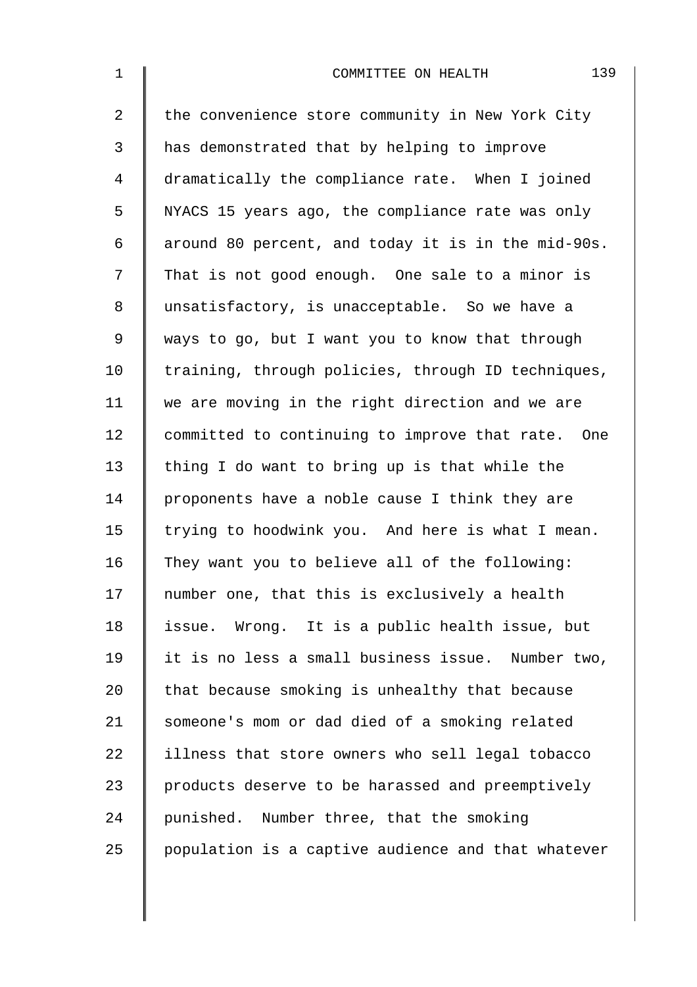| $\mathbf 1$    | 139<br>COMMITTEE ON HEALTH                         |
|----------------|----------------------------------------------------|
| $\overline{2}$ | the convenience store community in New York City   |
| 3              | has demonstrated that by helping to improve        |
| $\overline{4}$ | dramatically the compliance rate. When I joined    |
| 5              | NYACS 15 years ago, the compliance rate was only   |
| 6              | around 80 percent, and today it is in the mid-90s. |
| 7              | That is not good enough. One sale to a minor is    |
| 8              | unsatisfactory, is unacceptable. So we have a      |
| $\mathsf 9$    | ways to go, but I want you to know that through    |
| 10             | training, through policies, through ID techniques, |
| 11             | we are moving in the right direction and we are    |
| 12             | committed to continuing to improve that rate. One  |
| 13             | thing I do want to bring up is that while the      |
| 14             | proponents have a noble cause I think they are     |
| 15             | trying to hoodwink you. And here is what I mean.   |
| 16             | They want you to believe all of the following:     |
| 17             | number one, that this is exclusively a health      |
| 18             | issue. Wrong. It is a public health issue, but     |
| 19             | it is no less a small business issue. Number two,  |
| 20             | that because smoking is unhealthy that because     |
| 21             | someone's mom or dad died of a smoking related     |
| 22             | illness that store owners who sell legal tobacco   |
| 23             | products deserve to be harassed and preemptively   |
| 24             | punished. Number three, that the smoking           |
| 25             | population is a captive audience and that whatever |
|                |                                                    |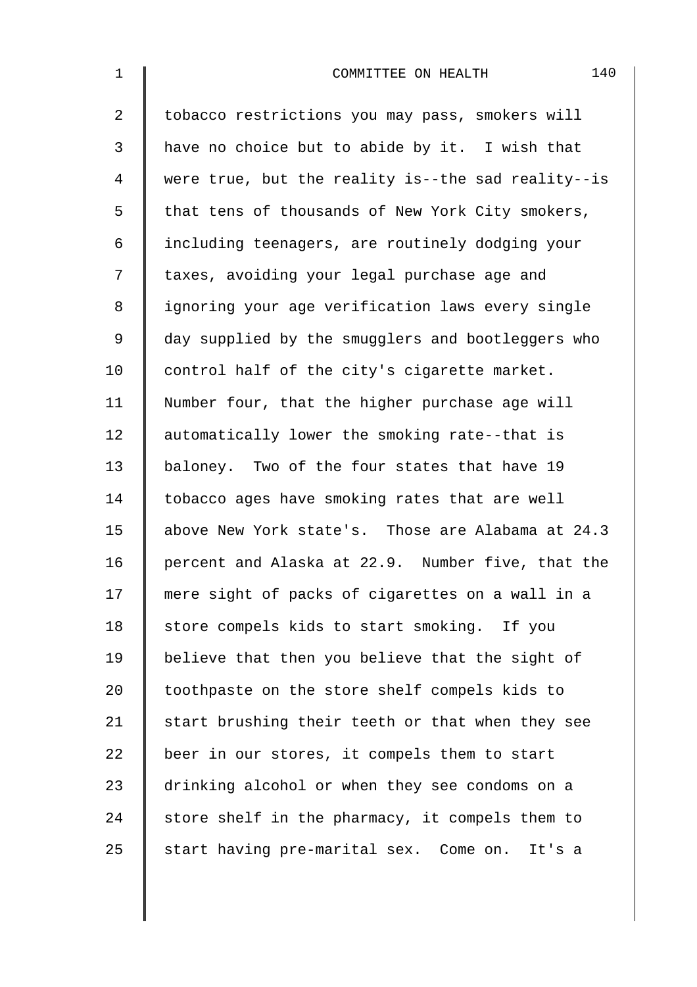| $1\,$          | 140<br>COMMITTEE ON HEALTH                         |
|----------------|----------------------------------------------------|
| $\overline{2}$ | tobacco restrictions you may pass, smokers will    |
| 3              | have no choice but to abide by it. I wish that     |
| 4              | were true, but the reality is--the sad reality--is |
| 5              | that tens of thousands of New York City smokers,   |
| 6              | including teenagers, are routinely dodging your    |
| 7              | taxes, avoiding your legal purchase age and        |
| 8              | ignoring your age verification laws every single   |
| $\mathsf 9$    | day supplied by the smugglers and bootleggers who  |
| 10             | control half of the city's cigarette market.       |
| 11             | Number four, that the higher purchase age will     |
| 12             | automatically lower the smoking rate--that is      |
| 13             | baloney. Two of the four states that have 19       |
| 14             | tobacco ages have smoking rates that are well      |
| 15             | above New York state's. Those are Alabama at 24.3  |
| 16             | percent and Alaska at 22.9. Number five, that the  |
| 17             | mere sight of packs of cigarettes on a wall in a   |
| 18             | store compels kids to start smoking. If you        |
| 19             | believe that then you believe that the sight of    |
| 20             | toothpaste on the store shelf compels kids to      |
| 21             | start brushing their teeth or that when they see   |
| 22             | beer in our stores, it compels them to start       |
| 23             | drinking alcohol or when they see condoms on a     |
| 24             | store shelf in the pharmacy, it compels them to    |
| 25             | start having pre-marital sex. Come on.<br>It's a   |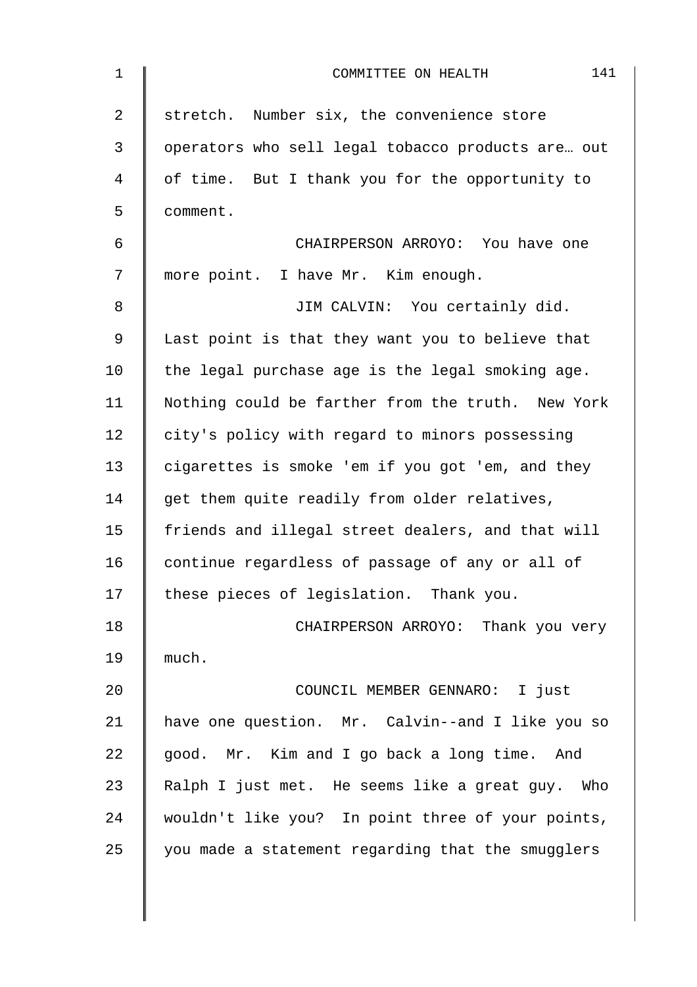| 1              | 141<br>COMMITTEE ON HEALTH                        |
|----------------|---------------------------------------------------|
| $\overline{2}$ | stretch. Number six, the convenience store        |
| $\mathbf{3}$   | operators who sell legal tobacco products are out |
| 4              | of time. But I thank you for the opportunity to   |
| 5              | comment.                                          |
| 6              | CHAIRPERSON ARROYO: You have one                  |
| 7              | more point. I have Mr. Kim enough.                |
| 8              | JIM CALVIN: You certainly did.                    |
| 9              | Last point is that they want you to believe that  |
| 10             | the legal purchase age is the legal smoking age.  |
| 11             | Nothing could be farther from the truth. New York |
| 12             | city's policy with regard to minors possessing    |
| 13             | cigarettes is smoke 'em if you got 'em, and they  |
| 14             | get them quite readily from older relatives,      |
| 15             | friends and illegal street dealers, and that will |
| 16             | continue regardless of passage of any or all of   |
| 17             | these pieces of legislation. Thank you.           |
| 18             | CHAIRPERSON ARROYO: Thank you very                |
| 19             | much.                                             |
| 20             | COUNCIL MEMBER GENNARO: I just                    |
| 21             | have one question. Mr. Calvin--and I like you so  |
| 22             | good. Mr. Kim and I go back a long time.<br>And   |
| 23             | Ralph I just met. He seems like a great guy. Who  |
| 24             | wouldn't like you? In point three of your points, |
| 25             | you made a statement regarding that the smugglers |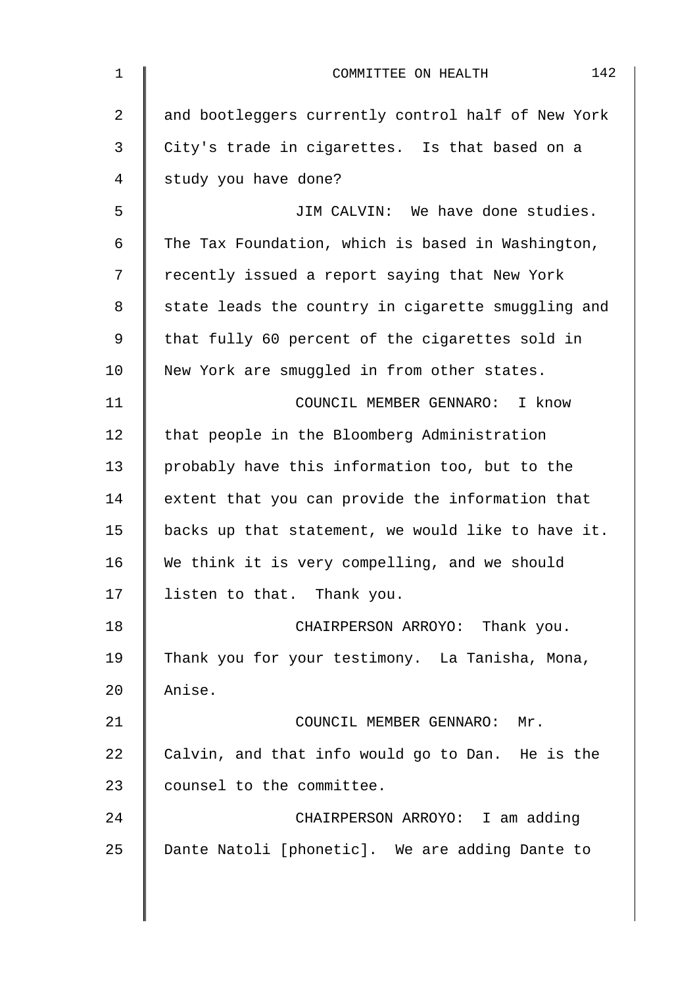| $\mathbf 1$    | 142<br>COMMITTEE ON HEALTH                         |
|----------------|----------------------------------------------------|
| $\overline{2}$ | and bootleggers currently control half of New York |
| $\mathbf{3}$   | City's trade in cigarettes. Is that based on a     |
| 4              | study you have done?                               |
| 5              | JIM CALVIN: We have done studies.                  |
| 6              | The Tax Foundation, which is based in Washington,  |
| 7              | recently issued a report saying that New York      |
| 8              | state leads the country in cigarette smuggling and |
| 9              | that fully 60 percent of the cigarettes sold in    |
| 10             | New York are smuggled in from other states.        |
| 11             | COUNCIL MEMBER GENNARO: I know                     |
| 12             | that people in the Bloomberg Administration        |
| 13             | probably have this information too, but to the     |
| 14             | extent that you can provide the information that   |
| 15             | backs up that statement, we would like to have it. |
| 16             | We think it is very compelling, and we should      |
| 17             | listen to that. Thank you.                         |
| 18             | CHAIRPERSON ARROYO: Thank you.                     |
| 19             | Thank you for your testimony. La Tanisha, Mona,    |
| 20             | Anise.                                             |
| 21             | COUNCIL MEMBER GENNARO: Mr.                        |
| 22             | Calvin, and that info would go to Dan. He is the   |
| 23             | counsel to the committee.                          |
| 24             | CHAIRPERSON ARROYO: I am adding                    |
| 25             | Dante Natoli [phonetic]. We are adding Dante to    |
|                |                                                    |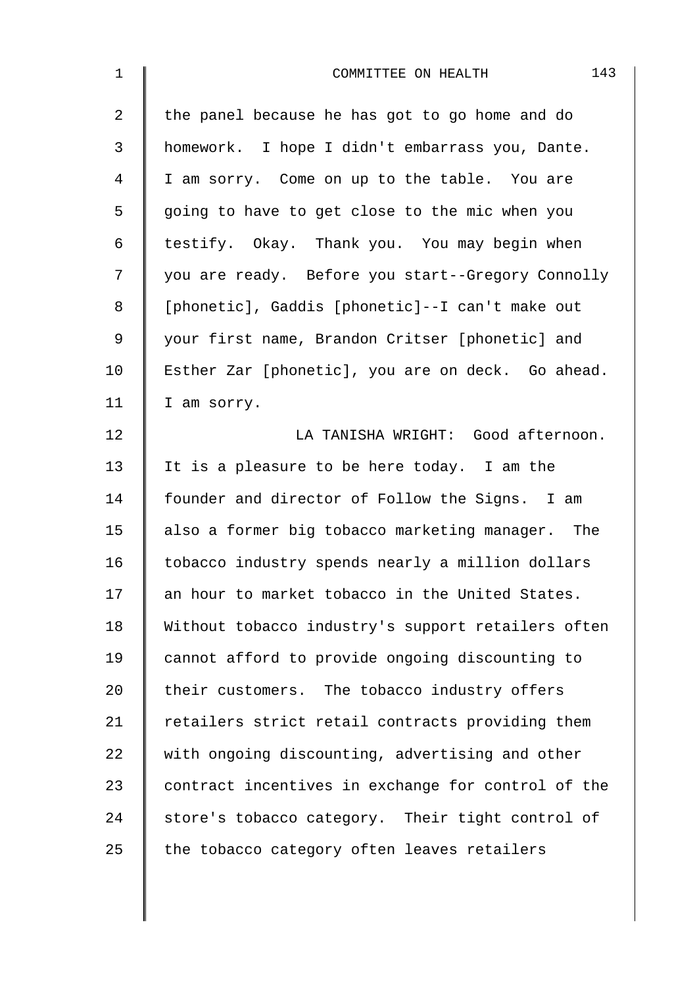| $\mathbf 1$ | 143<br>COMMITTEE ON HEALTH                         |
|-------------|----------------------------------------------------|
| 2           | the panel because he has got to go home and do     |
| 3           | homework. I hope I didn't embarrass you, Dante.    |
| 4           | I am sorry. Come on up to the table. You are       |
| 5           | going to have to get close to the mic when you     |
| 6           | testify. Okay. Thank you. You may begin when       |
| 7           | you are ready. Before you start--Gregory Connolly  |
| 8           | [phonetic], Gaddis [phonetic]--I can't make out    |
| $\mathsf 9$ | your first name, Brandon Critser [phonetic] and    |
| 10          | Esther Zar [phonetic], you are on deck. Go ahead.  |
| 11          | I am sorry.                                        |
| 12          | LA TANISHA WRIGHT: Good afternoon.                 |
| 13          | It is a pleasure to be here today. I am the        |
| 14          | founder and director of Follow the Signs. I am     |
| 15          | also a former big tobacco marketing manager. The   |
| 16          | tobacco industry spends nearly a million dollars   |
| 17          | an hour to market tobacco in the United States.    |
| 18          | Without tobacco industry's support retailers often |
| 19          | cannot afford to provide ongoing discounting to    |
| 20          | their customers. The tobacco industry offers       |
| 21          | retailers strict retail contracts providing them   |
| 22          | with ongoing discounting, advertising and other    |
| 23          | contract incentives in exchange for control of the |
| 24          | store's tobacco category. Their tight control of   |
| 25          | the tobacco category often leaves retailers        |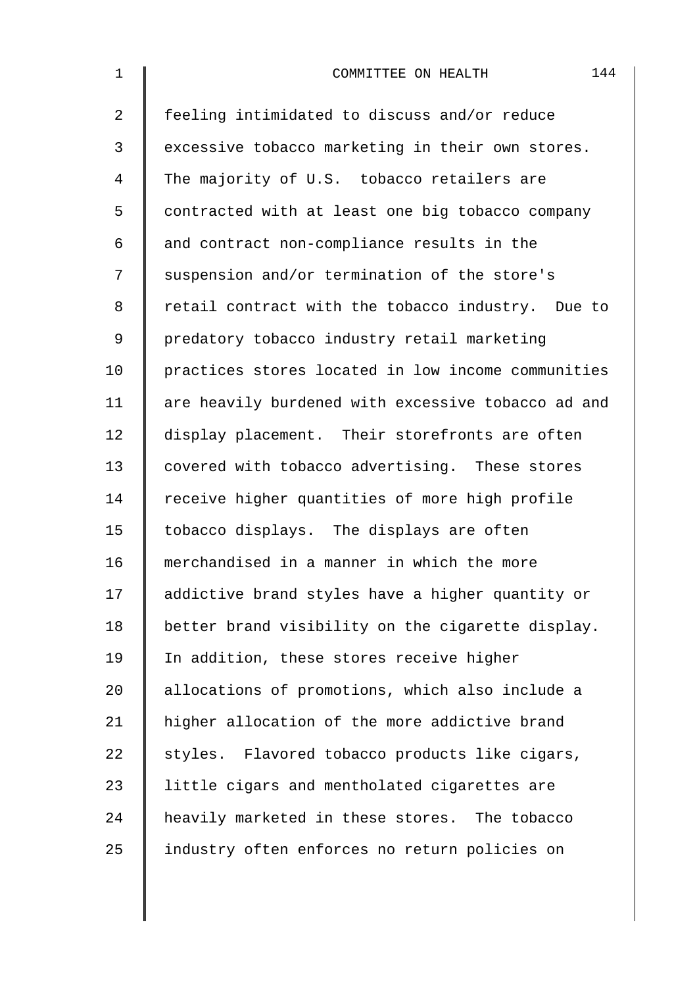| $\mathbf 1$    | 144<br>COMMITTEE ON HEALTH                         |
|----------------|----------------------------------------------------|
| $\overline{2}$ | feeling intimidated to discuss and/or reduce       |
| 3              | excessive tobacco marketing in their own stores.   |
| 4              | The majority of U.S. tobacco retailers are         |
| 5              | contracted with at least one big tobacco company   |
| 6              | and contract non-compliance results in the         |
| 7              | suspension and/or termination of the store's       |
| 8              | retail contract with the tobacco industry. Due to  |
| 9              | predatory tobacco industry retail marketing        |
| 10             | practices stores located in low income communities |
| 11             | are heavily burdened with excessive tobacco ad and |
| 12             | display placement. Their storefronts are often     |
| 13             | covered with tobacco advertising. These stores     |
| 14             | receive higher quantities of more high profile     |
| 15             | tobacco displays. The displays are often           |
| 16             | merchandised in a manner in which the more         |
| 17             | addictive brand styles have a higher quantity or   |
| 18             | better brand visibility on the cigarette display.  |
| 19             | In addition, these stores receive higher           |
| 20             | allocations of promotions, which also include a    |
| 21             | higher allocation of the more addictive brand      |
| 22             | styles. Flavored tobacco products like cigars,     |
| 23             | little cigars and mentholated cigarettes are       |
| 24             | heavily marketed in these stores. The tobacco      |
| 25             | industry often enforces no return policies on      |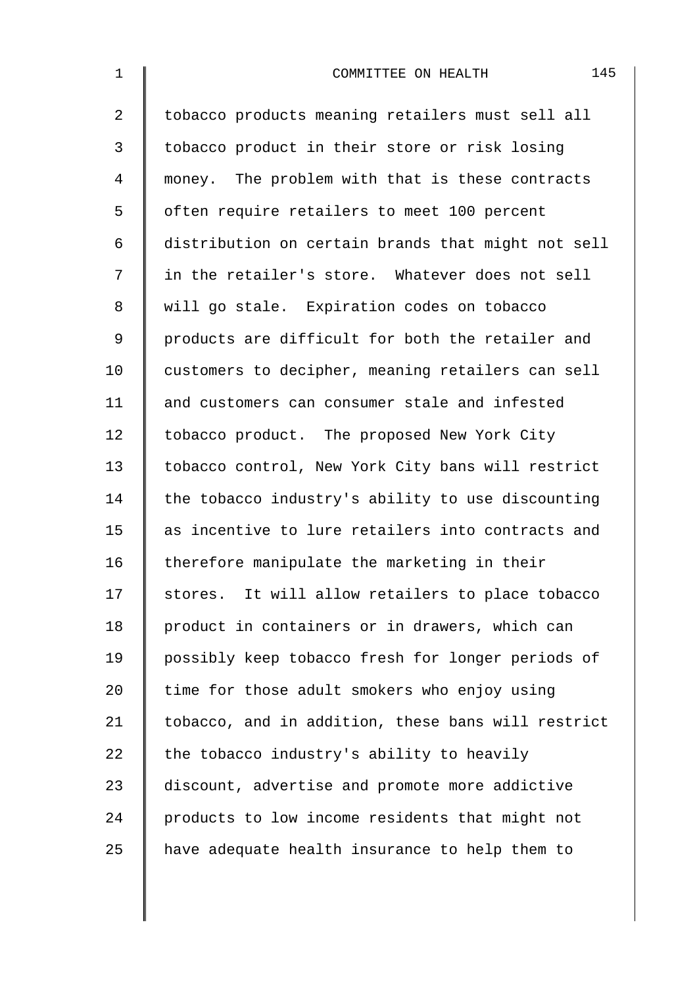| $\mathbf 1$    | 145<br>COMMITTEE ON HEALTH                         |
|----------------|----------------------------------------------------|
| $\overline{a}$ | tobacco products meaning retailers must sell all   |
| 3              | tobacco product in their store or risk losing      |
| 4              | money. The problem with that is these contracts    |
| 5              | often require retailers to meet 100 percent        |
| 6              | distribution on certain brands that might not sell |
| 7              | in the retailer's store. Whatever does not sell    |
| 8              | will go stale. Expiration codes on tobacco         |
| $\mathsf 9$    | products are difficult for both the retailer and   |
| 10             | customers to decipher, meaning retailers can sell  |
| 11             | and customers can consumer stale and infested      |
| 12             | tobacco product. The proposed New York City        |
| 13             | tobacco control, New York City bans will restrict  |
| 14             | the tobacco industry's ability to use discounting  |
| 15             | as incentive to lure retailers into contracts and  |
| 16             | therefore manipulate the marketing in their        |
| 17             | stores. It will allow retailers to place tobacco   |
| 18             | product in containers or in drawers, which can     |
| 19             | possibly keep tobacco fresh for longer periods of  |
| 20             | time for those adult smokers who enjoy using       |
| 21             | tobacco, and in addition, these bans will restrict |
| 22             | the tobacco industry's ability to heavily          |
| 23             | discount, advertise and promote more addictive     |
| 24             | products to low income residents that might not    |
| 25             | have adequate health insurance to help them to     |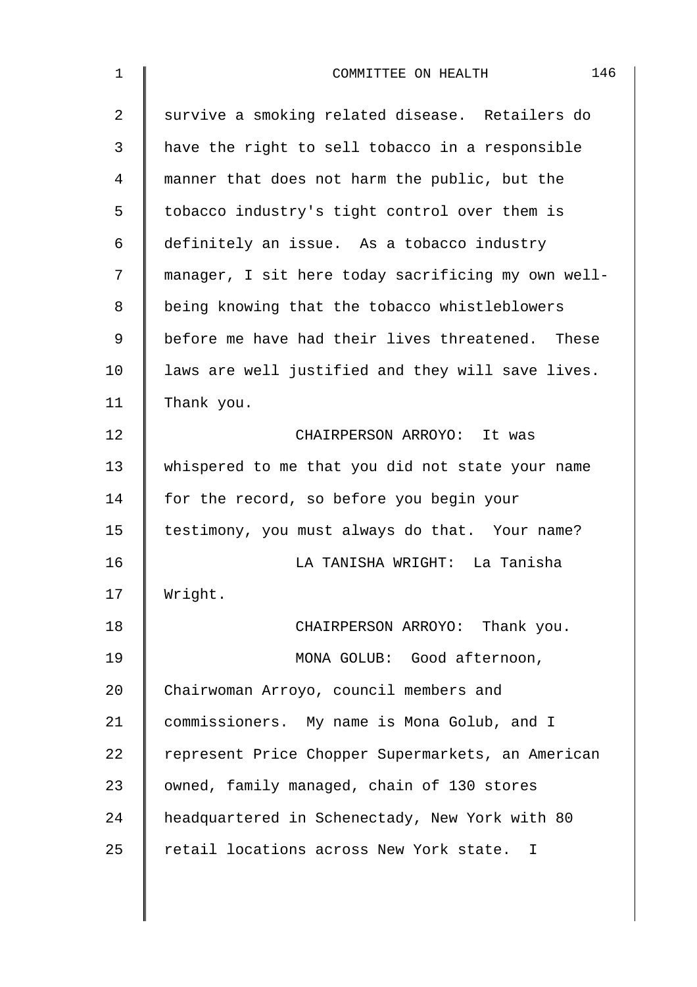| $\mathbf 1$ | 146<br>COMMITTEE ON HEALTH                         |
|-------------|----------------------------------------------------|
| 2           | survive a smoking related disease. Retailers do    |
| 3           | have the right to sell tobacco in a responsible    |
| 4           | manner that does not harm the public, but the      |
| 5           | tobacco industry's tight control over them is      |
| 6           | definitely an issue. As a tobacco industry         |
| 7           | manager, I sit here today sacrificing my own well- |
| 8           | being knowing that the tobacco whistleblowers      |
| 9           | before me have had their lives threatened. These   |
| 10          | laws are well justified and they will save lives.  |
| 11          | Thank you.                                         |
| 12          | CHAIRPERSON ARROYO: It was                         |
| 13          | whispered to me that you did not state your name   |
| 14          | for the record, so before you begin your           |
| 15          | testimony, you must always do that. Your name?     |
| 16          | LA TANISHA WRIGHT: La Tanisha                      |
| 17          | Wright.                                            |
| 18          | CHAIRPERSON ARROYO: Thank you.                     |
| 19          | MONA GOLUB: Good afternoon,                        |
| 20          | Chairwoman Arroyo, council members and             |
| 21          | commissioners. My name is Mona Golub, and I        |
| 22          | represent Price Chopper Supermarkets, an American  |
| 23          | owned, family managed, chain of 130 stores         |
| 24          | headquartered in Schenectady, New York with 80     |
| 25          | retail locations across New York state. I          |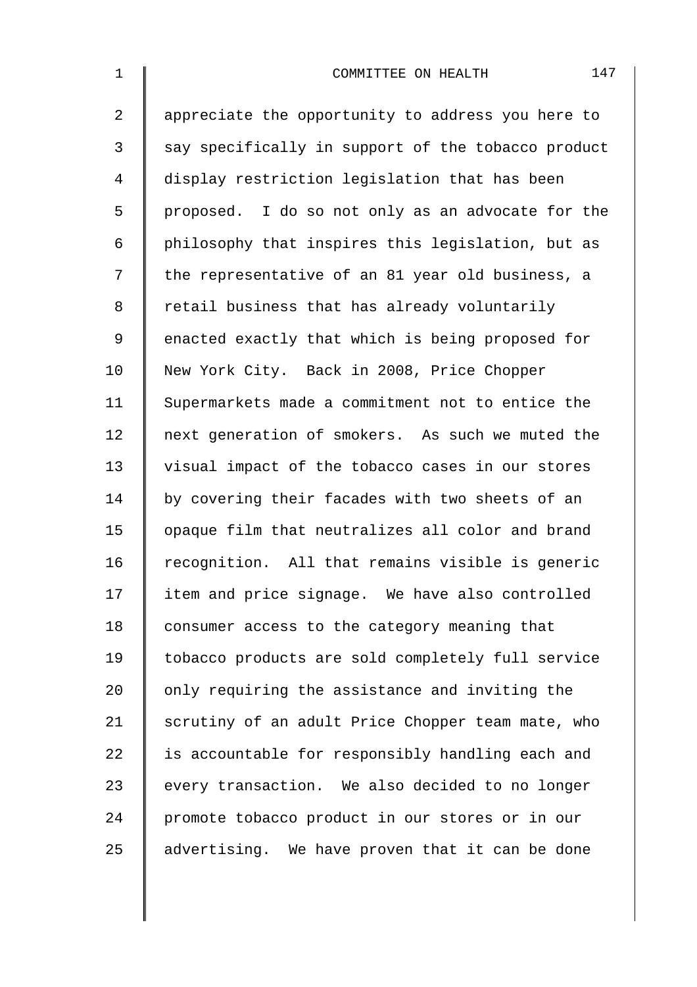2 | appreciate the opportunity to address you here to  $3 \parallel$  say specifically in support of the tobacco product 4 display restriction legislation that has been  $5 \parallel$  proposed. I do so not only as an advocate for the 6 | philosophy that inspires this legislation, but as 7 | the representative of an 81 year old business, a 8 | retail business that has already voluntarily 9 enacted exactly that which is being proposed for 10 New York City. Back in 2008, Price Chopper 11 Supermarkets made a commitment not to entice the 12 next generation of smokers. As such we muted the 13 visual impact of the tobacco cases in our stores 14 by covering their facades with two sheets of an 15 | opaque film that neutralizes all color and brand 16 recognition. All that remains visible is generic 17 item and price signage. We have also controlled 18 | consumer access to the category meaning that 19 tobacco products are sold completely full service 20  $\parallel$  only requiring the assistance and inviting the 21 Scrutiny of an adult Price Chopper team mate, who  $22$  | is accountable for responsibly handling each and 23 every transaction. We also decided to no longer 24 promote tobacco product in our stores or in our 25  $\parallel$  advertising. We have proven that it can be done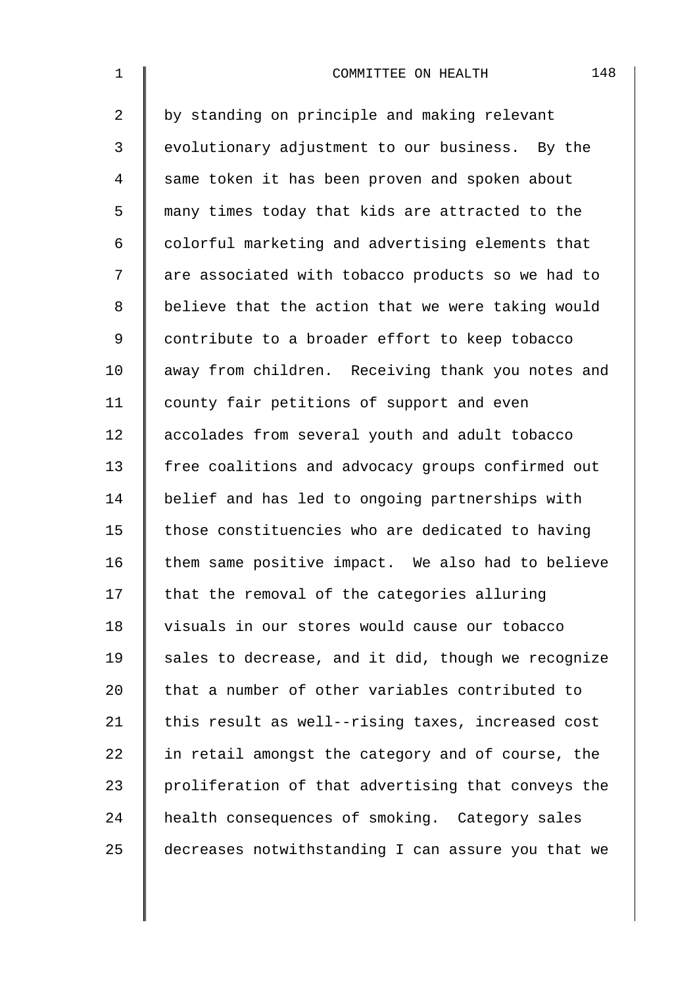| $\mathbf 1$    | 148<br>COMMITTEE ON HEALTH                         |
|----------------|----------------------------------------------------|
| $\overline{2}$ | by standing on principle and making relevant       |
| 3              | evolutionary adjustment to our business. By the    |
| 4              | same token it has been proven and spoken about     |
| 5              | many times today that kids are attracted to the    |
| 6              | colorful marketing and advertising elements that   |
| 7              | are associated with tobacco products so we had to  |
| 8              | believe that the action that we were taking would  |
| $\mathsf 9$    | contribute to a broader effort to keep tobacco     |
| 10             | away from children. Receiving thank you notes and  |
| 11             | county fair petitions of support and even          |
| 12             | accolades from several youth and adult tobacco     |
| 13             | free coalitions and advocacy groups confirmed out  |
| 14             | belief and has led to ongoing partnerships with    |
| 15             | those constituencies who are dedicated to having   |
| 16             | them same positive impact. We also had to believe  |
| 17             | that the removal of the categories alluring        |
| 18             | visuals in our stores would cause our tobacco      |
| 19             | sales to decrease, and it did, though we recognize |
| 20             | that a number of other variables contributed to    |
| 21             | this result as well--rising taxes, increased cost  |
| 22             | in retail amongst the category and of course, the  |
| 23             | proliferation of that advertising that conveys the |
| 24             | health consequences of smoking. Category sales     |
| 25             | decreases notwithstanding I can assure you that we |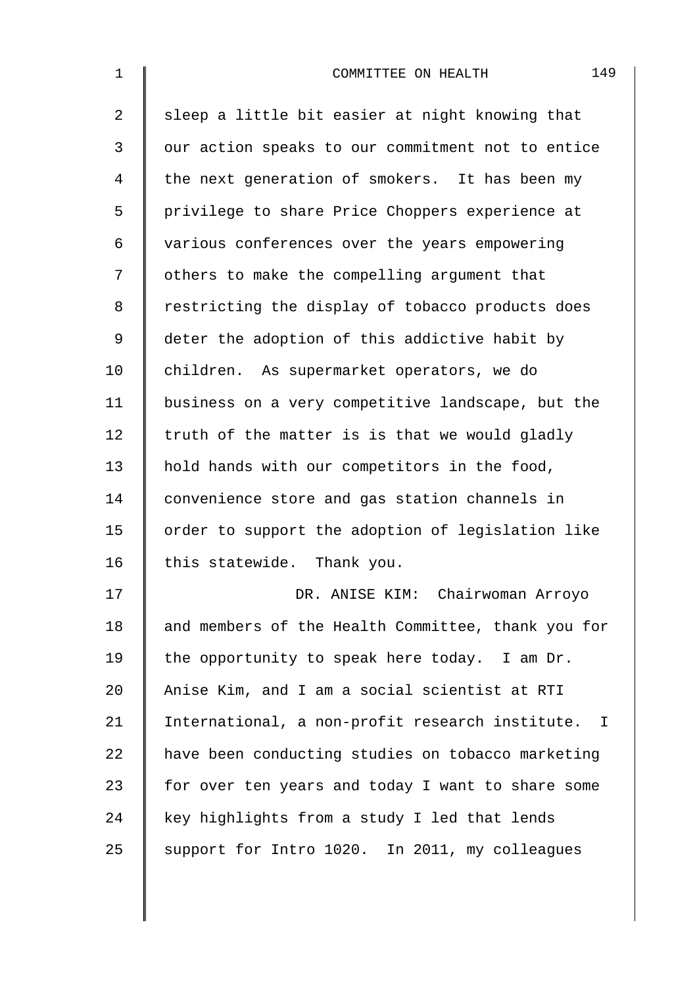| $\mathbf 1$    | 149<br>COMMITTEE ON HEALTH                         |
|----------------|----------------------------------------------------|
| $\overline{2}$ | sleep a little bit easier at night knowing that    |
| 3              | our action speaks to our commitment not to entice  |
| 4              | the next generation of smokers. It has been my     |
| 5              | privilege to share Price Choppers experience at    |
| 6              | various conferences over the years empowering      |
| 7              | others to make the compelling argument that        |
| 8              | restricting the display of tobacco products does   |
| 9              | deter the adoption of this addictive habit by      |
| 10             | children. As supermarket operators, we do          |
| 11             | business on a very competitive landscape, but the  |
| 12             | truth of the matter is is that we would gladly     |
| 13             | hold hands with our competitors in the food,       |
| 14             | convenience store and gas station channels in      |
| 15             | order to support the adoption of legislation like  |
| 16             | this statewide. Thank you.                         |
| 17             | DR. ANISE KIM: Chairwoman Arroyo                   |
| 18             | and members of the Health Committee, thank you for |
| 19             | the opportunity to speak here today. I am Dr.      |
| 20             | Anise Kim, and I am a social scientist at RTI      |
| 21             | International, a non-profit research institute. I  |
| 22             | have been conducting studies on tobacco marketing  |
| 23             | for over ten years and today I want to share some  |
| 24             | key highlights from a study I led that lends       |
| 25             | support for Intro 1020. In 2011, my colleagues     |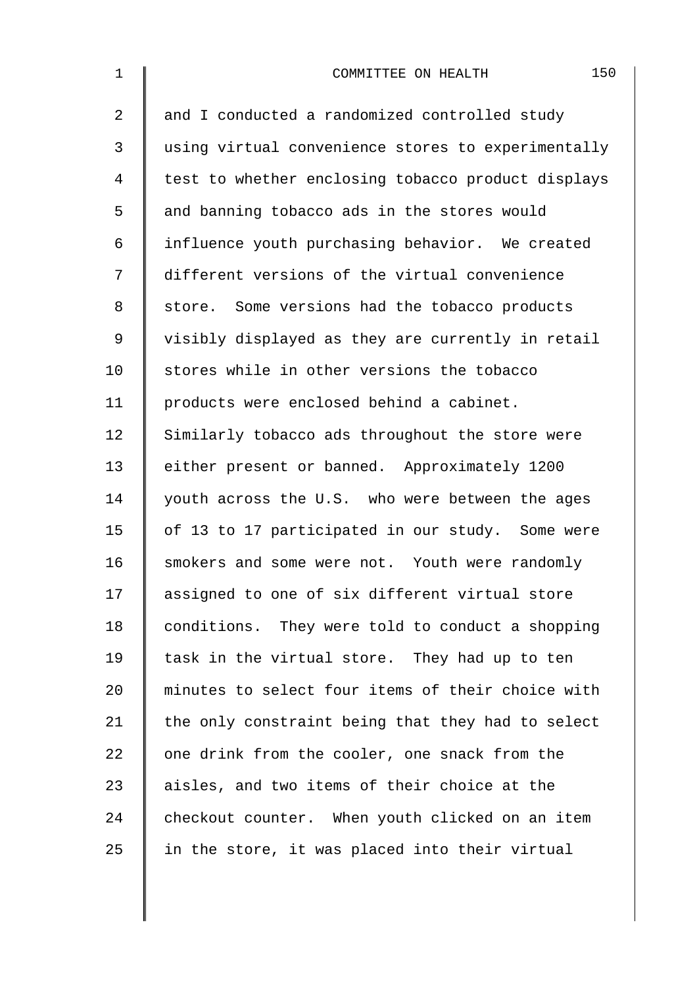| $\mathbf 1$    | 150<br>COMMITTEE ON HEALTH                         |
|----------------|----------------------------------------------------|
| $\overline{2}$ | and I conducted a randomized controlled study      |
| 3              | using virtual convenience stores to experimentally |
| 4              | test to whether enclosing tobacco product displays |
| 5              | and banning tobacco ads in the stores would        |
| 6              | influence youth purchasing behavior. We created    |
| 7              | different versions of the virtual convenience      |
| 8              | store. Some versions had the tobacco products      |
| 9              | visibly displayed as they are currently in retail  |
| 10             | stores while in other versions the tobacco         |
| 11             | products were enclosed behind a cabinet.           |
| 12             | Similarly tobacco ads throughout the store were    |
| 13             | either present or banned. Approximately 1200       |
| 14             | youth across the U.S. who were between the ages    |
| 15             | of 13 to 17 participated in our study. Some were   |
| 16             | smokers and some were not. Youth were randomly     |
| 17             | assigned to one of six different virtual store     |
| 18             | conditions. They were told to conduct a shopping   |
| 19             | task in the virtual store. They had up to ten      |
| 20             | minutes to select four items of their choice with  |
| 21             | the only constraint being that they had to select  |
| 22             | one drink from the cooler, one snack from the      |
| 23             | aisles, and two items of their choice at the       |
| 24             | checkout counter. When youth clicked on an item    |
| 25             | in the store, it was placed into their virtual     |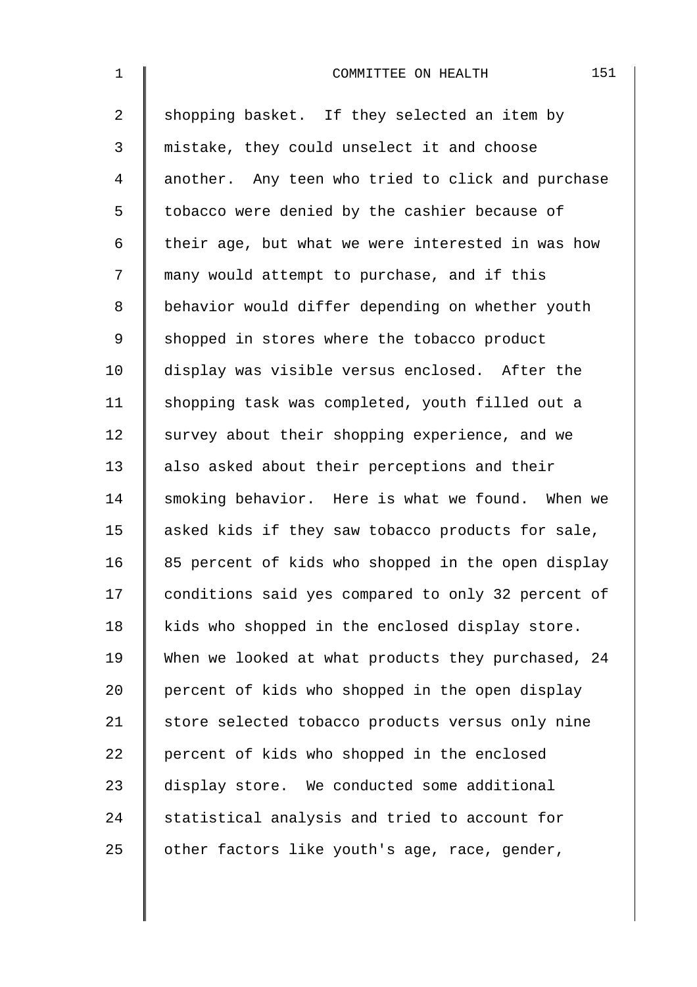| $\mathbf{1}$   | 151<br>COMMITTEE ON HEALTH                         |
|----------------|----------------------------------------------------|
| $\overline{a}$ | shopping basket. If they selected an item by       |
| 3              | mistake, they could unselect it and choose         |
| $\overline{4}$ | another. Any teen who tried to click and purchase  |
| 5              | tobacco were denied by the cashier because of      |
| 6              | their age, but what we were interested in was how  |
| 7              | many would attempt to purchase, and if this        |
| 8              | behavior would differ depending on whether youth   |
| 9              | shopped in stores where the tobacco product        |
| 10             | display was visible versus enclosed. After the     |
| 11             | shopping task was completed, youth filled out a    |
| 12             | survey about their shopping experience, and we     |
| 13             | also asked about their perceptions and their       |
| 14             | smoking behavior. Here is what we found. When we   |
| 15             | asked kids if they saw tobacco products for sale,  |
| 16             | 85 percent of kids who shopped in the open display |
| 17             | conditions said yes compared to only 32 percent of |
| 18             | kids who shopped in the enclosed display store.    |
| 19             | When we looked at what products they purchased, 24 |
| 20             | percent of kids who shopped in the open display    |
| 21             | store selected tobacco products versus only nine   |
| 22             | percent of kids who shopped in the enclosed        |
| 23             | display store. We conducted some additional        |
| 24             | statistical analysis and tried to account for      |
| 25             | other factors like youth's age, race, gender,      |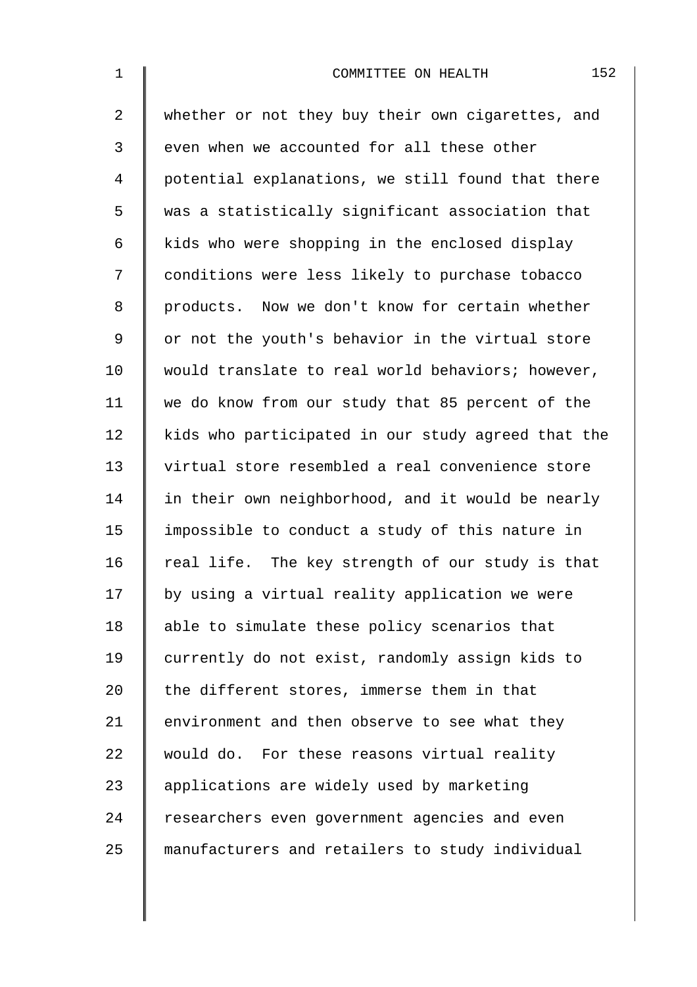| $1\,$          | 152<br>COMMITTEE ON HEALTH                         |
|----------------|----------------------------------------------------|
| $\overline{2}$ | whether or not they buy their own cigarettes, and  |
| 3              | even when we accounted for all these other         |
| 4              | potential explanations, we still found that there  |
| 5              | was a statistically significant association that   |
| 6              | kids who were shopping in the enclosed display     |
| 7              | conditions were less likely to purchase tobacco    |
| 8              | products. Now we don't know for certain whether    |
| $\mathsf 9$    | or not the youth's behavior in the virtual store   |
| 10             | would translate to real world behaviors; however,  |
| 11             | we do know from our study that 85 percent of the   |
| 12             | kids who participated in our study agreed that the |
| 13             | virtual store resembled a real convenience store   |
| 14             | in their own neighborhood, and it would be nearly  |
| 15             | impossible to conduct a study of this nature in    |
| 16             | real life. The key strength of our study is that   |
| 17             | by using a virtual reality application we were     |
| 18             | able to simulate these policy scenarios that       |
| 19             | currently do not exist, randomly assign kids to    |
| 20             | the different stores, immerse them in that         |
| 21             | environment and then observe to see what they      |
| 22             | would do. For these reasons virtual reality        |
| 23             | applications are widely used by marketing          |
| 24             | researchers even government agencies and even      |
| 25             | manufacturers and retailers to study individual    |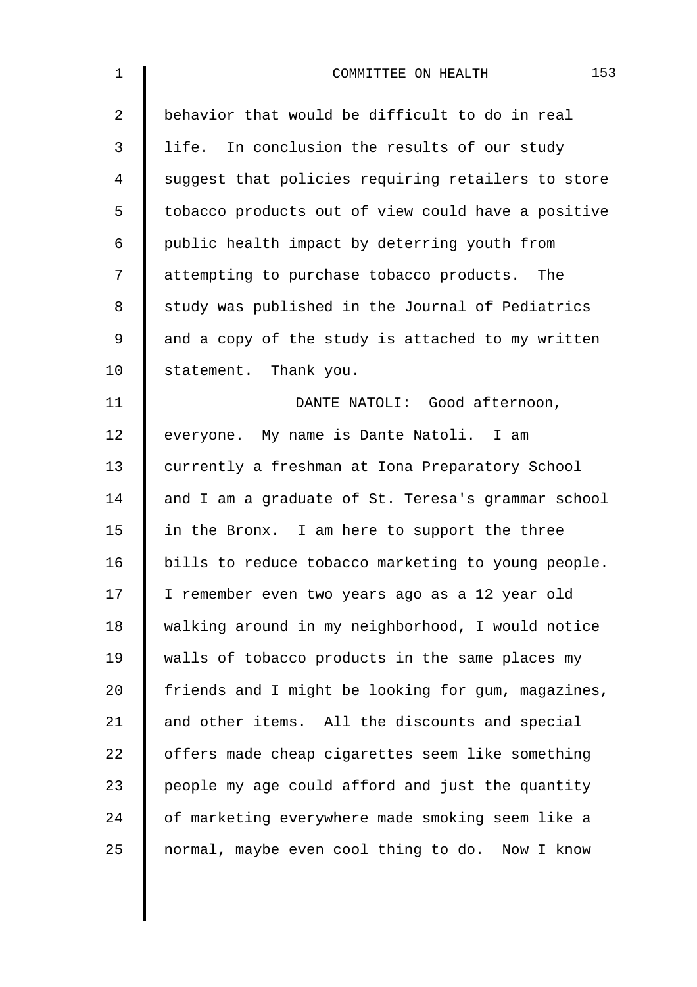| $\mathbf 1$    | 153<br>COMMITTEE ON HEALTH                         |
|----------------|----------------------------------------------------|
| $\overline{2}$ | behavior that would be difficult to do in real     |
| 3              | life. In conclusion the results of our study       |
| 4              | suggest that policies requiring retailers to store |
| 5              | tobacco products out of view could have a positive |
| 6              | public health impact by deterring youth from       |
| 7              | attempting to purchase tobacco products. The       |
| 8              | study was published in the Journal of Pediatrics   |
| 9              | and a copy of the study is attached to my written  |
| 10             | statement. Thank you.                              |
| 11             | DANTE NATOLI: Good afternoon,                      |
| 12             | everyone. My name is Dante Natoli. I am            |
| 13             | currently a freshman at Iona Preparatory School    |
| 14             | and I am a graduate of St. Teresa's grammar school |
| 15             | in the Bronx. I am here to support the three       |
| 16             | bills to reduce tobacco marketing to young people. |
| 17             | I remember even two years ago as a 12 year old     |
| 18             | walking around in my neighborhood, I would notice  |
| 19             | walls of tobacco products in the same places my    |
| 20             | friends and I might be looking for gum, magazines, |
| 21             | and other items. All the discounts and special     |
| 22             | offers made cheap cigarettes seem like something   |
| 23             | people my age could afford and just the quantity   |
| 24             | of marketing everywhere made smoking seem like a   |
| 25             | normal, maybe even cool thing to do. Now I know    |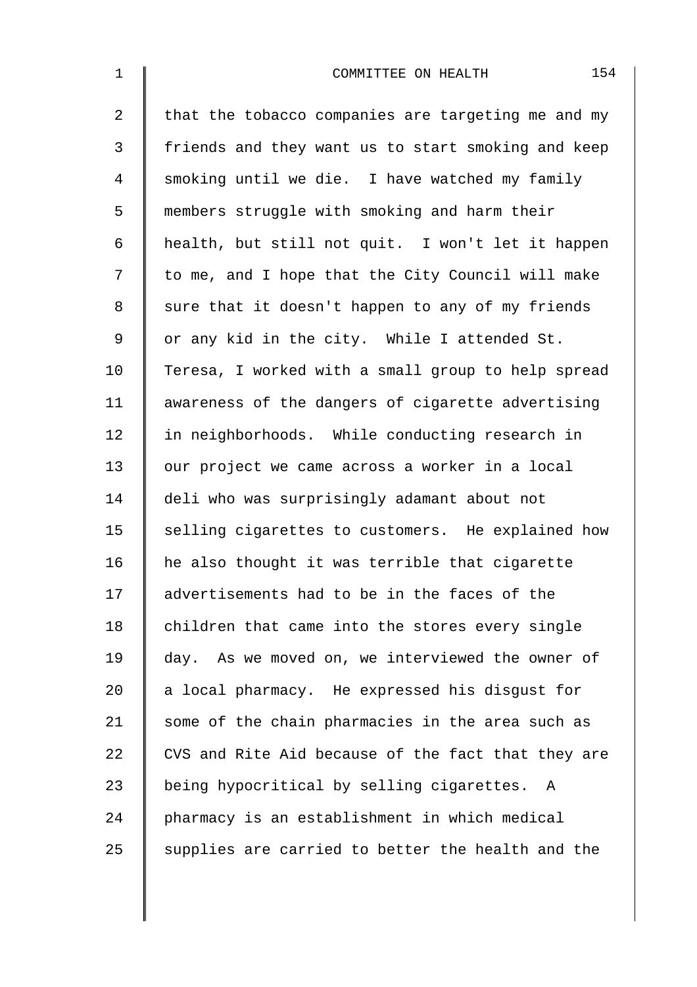| $\mathbf{1}$ | 154<br>COMMITTEE ON HEALTH                         |
|--------------|----------------------------------------------------|
| 2            | that the tobacco companies are targeting me and my |
| 3            | friends and they want us to start smoking and keep |
| 4            | smoking until we die. I have watched my family     |
| 5            | members struggle with smoking and harm their       |
| 6            | health, but still not quit. I won't let it happen  |
| 7            | to me, and I hope that the City Council will make  |
| 8            | sure that it doesn't happen to any of my friends   |
| 9            | or any kid in the city. While I attended St.       |
| 10           | Teresa, I worked with a small group to help spread |
| 11           | awareness of the dangers of cigarette advertising  |
| 12           | in neighborhoods. While conducting research in     |
| 13           | our project we came across a worker in a local     |
| 14           | deli who was surprisingly adamant about not        |
| 15           | selling cigarettes to customers. He explained how  |
| 16           | he also thought it was terrible that cigarette     |
| 17           | advertisements had to be in the faces of the       |
| 18           | children that came into the stores every single    |
| 19           | day. As we moved on, we interviewed the owner of   |
| 20           | a local pharmacy. He expressed his disgust for     |
| 21           | some of the chain pharmacies in the area such as   |
| 22           | CVS and Rite Aid because of the fact that they are |
| 23           | being hypocritical by selling cigarettes.<br>A     |
| 24           | pharmacy is an establishment in which medical      |
| 25           | supplies are carried to better the health and the  |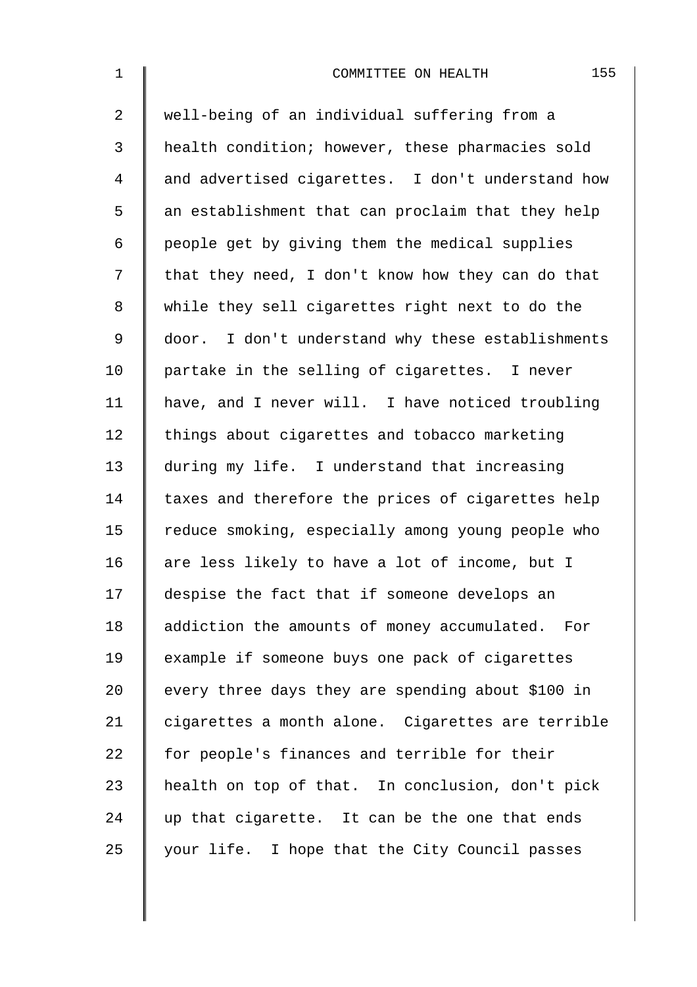| $\mathbf 1$    | 155<br>COMMITTEE ON HEALTH                        |
|----------------|---------------------------------------------------|
| $\overline{a}$ | well-being of an individual suffering from a      |
| 3              | health condition; however, these pharmacies sold  |
| 4              | and advertised cigarettes. I don't understand how |
| 5              | an establishment that can proclaim that they help |
| 6              | people get by giving them the medical supplies    |
| 7              | that they need, I don't know how they can do that |
| 8              | while they sell cigarettes right next to do the   |
| $\mathsf 9$    | door. I don't understand why these establishments |
| 10             | partake in the selling of cigarettes. I never     |
| 11             | have, and I never will. I have noticed troubling  |
| 12             | things about cigarettes and tobacco marketing     |
| 13             | during my life. I understand that increasing      |
| 14             | taxes and therefore the prices of cigarettes help |
| 15             | reduce smoking, especially among young people who |
| 16             | are less likely to have a lot of income, but I    |
| 17             | despise the fact that if someone develops an      |
| 18             | addiction the amounts of money accumulated. For   |
| 19             | example if someone buys one pack of cigarettes    |
| 20             | every three days they are spending about \$100 in |
| 21             | cigarettes a month alone. Cigarettes are terrible |
| 22             | for people's finances and terrible for their      |
| 23             | health on top of that. In conclusion, don't pick  |
| 24             | up that cigarette. It can be the one that ends    |
| 25             | your life. I hope that the City Council passes    |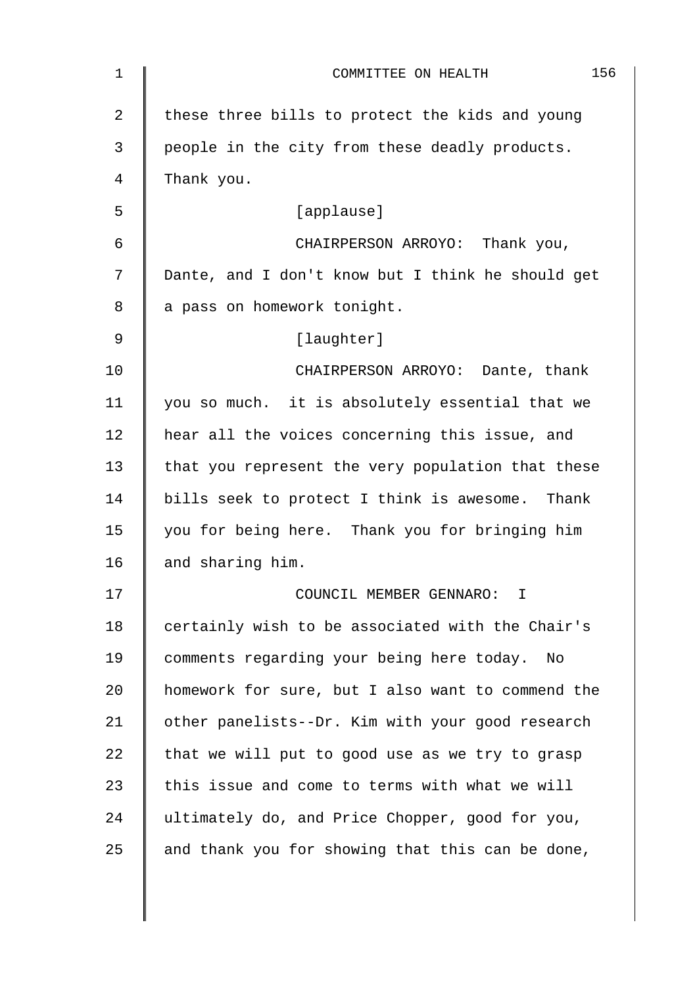| 1              | 156<br>COMMITTEE ON HEALTH                        |
|----------------|---------------------------------------------------|
| $\overline{2}$ | these three bills to protect the kids and young   |
| 3              | people in the city from these deadly products.    |
| 4              | Thank you.                                        |
| 5              | [applause]                                        |
| 6              | CHAIRPERSON ARROYO: Thank you,                    |
| 7              | Dante, and I don't know but I think he should get |
| 8              | a pass on homework tonight.                       |
| 9              | [laughter]                                        |
| 10             | CHAIRPERSON ARROYO: Dante, thank                  |
| 11             | you so much. it is absolutely essential that we   |
| 12             | hear all the voices concerning this issue, and    |
| 13             | that you represent the very population that these |
| 14             | bills seek to protect I think is awesome. Thank   |
| 15             | you for being here. Thank you for bringing him    |
| 16             | and sharing him.                                  |
| 17             | COUNCIL MEMBER GENNARO: I                         |
| 18             | certainly wish to be associated with the Chair's  |
| 19             | comments regarding your being here today.<br>No   |
| 20             | homework for sure, but I also want to commend the |
| 21             | other panelists--Dr. Kim with your good research  |
| 22             | that we will put to good use as we try to grasp   |
| 23             | this issue and come to terms with what we will    |
| 24             | ultimately do, and Price Chopper, good for you,   |
| 25             | and thank you for showing that this can be done,  |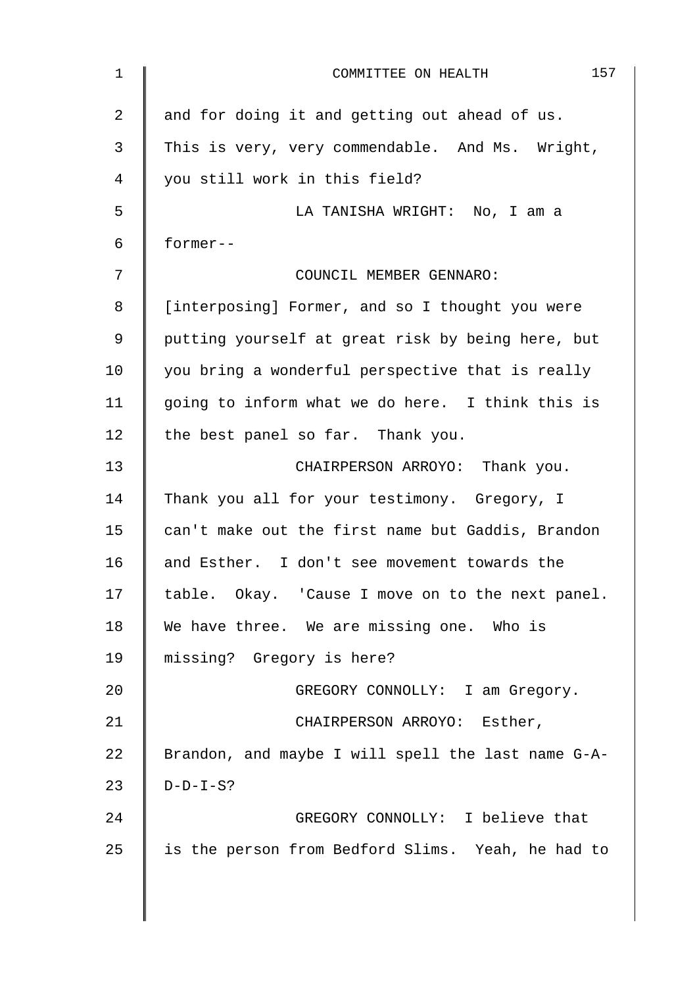| 1  | 157<br>COMMITTEE ON HEALTH                         |
|----|----------------------------------------------------|
| 2  | and for doing it and getting out ahead of us.      |
| 3  | This is very, very commendable. And Ms. Wright,    |
| 4  | you still work in this field?                      |
| 5  | LA TANISHA WRIGHT: No, I am a                      |
| 6  | former--                                           |
| 7  | COUNCIL MEMBER GENNARO:                            |
| 8  | [interposing] Former, and so I thought you were    |
| 9  | putting yourself at great risk by being here, but  |
| 10 | you bring a wonderful perspective that is really   |
| 11 | going to inform what we do here. I think this is   |
| 12 | the best panel so far. Thank you.                  |
| 13 | CHAIRPERSON ARROYO: Thank you.                     |
| 14 | Thank you all for your testimony. Gregory, I       |
| 15 | can't make out the first name but Gaddis, Brandon  |
| 16 | and Esther. I don't see movement towards the       |
| 17 | table. Okay. 'Cause I move on to the next panel.   |
| 18 | We have three. We are missing one. Who is          |
| 19 | missing? Gregory is here?                          |
| 20 | GREGORY CONNOLLY: I am Gregory.                    |
| 21 | CHAIRPERSON ARROYO: Esther,                        |
| 22 | Brandon, and maybe I will spell the last name G-A- |
| 23 | $D-D-I-S?$                                         |
| 24 | GREGORY CONNOLLY: I believe that                   |
| 25 | is the person from Bedford Slims. Yeah, he had to  |
|    |                                                    |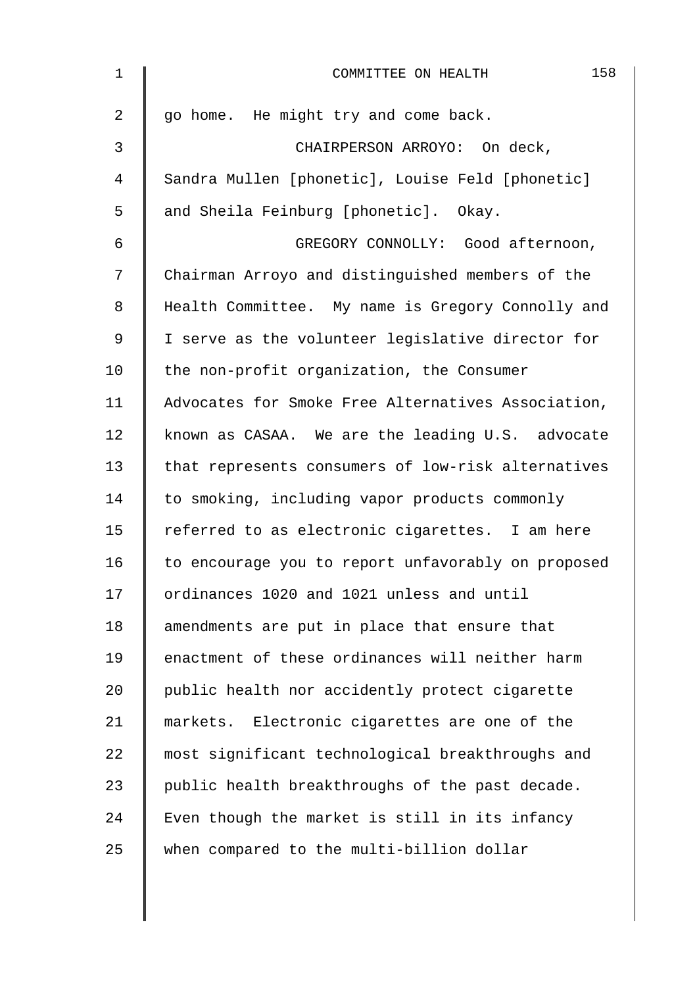| $\mathbf 1$    | 158<br>COMMITTEE ON HEALTH                         |
|----------------|----------------------------------------------------|
| $\overline{2}$ | go home. He might try and come back.               |
| 3              | CHAIRPERSON ARROYO: On deck,                       |
| 4              | Sandra Mullen [phonetic], Louise Feld [phonetic]   |
| 5              | and Sheila Feinburg [phonetic]. Okay.              |
| 6              | GREGORY CONNOLLY: Good afternoon,                  |
| 7              | Chairman Arroyo and distinguished members of the   |
| 8              | Health Committee. My name is Gregory Connolly and  |
| 9              | I serve as the volunteer legislative director for  |
| 10             | the non-profit organization, the Consumer          |
| 11             | Advocates for Smoke Free Alternatives Association, |
| 12             | known as CASAA. We are the leading U.S. advocate   |
| 13             | that represents consumers of low-risk alternatives |
| 14             | to smoking, including vapor products commonly      |
| 15             | referred to as electronic cigarettes. I am here    |
| 16             | to encourage you to report unfavorably on proposed |
| 17             | ordinances 1020 and 1021 unless and until          |
| 18             | amendments are put in place that ensure that       |
| 19             | enactment of these ordinances will neither harm    |
| 20             | public health nor accidently protect cigarette     |
| 21             | markets. Electronic cigarettes are one of the      |
| 22             | most significant technological breakthroughs and   |
| 23             | public health breakthroughs of the past decade.    |
| 24             | Even though the market is still in its infancy     |
| 25             | when compared to the multi-billion dollar          |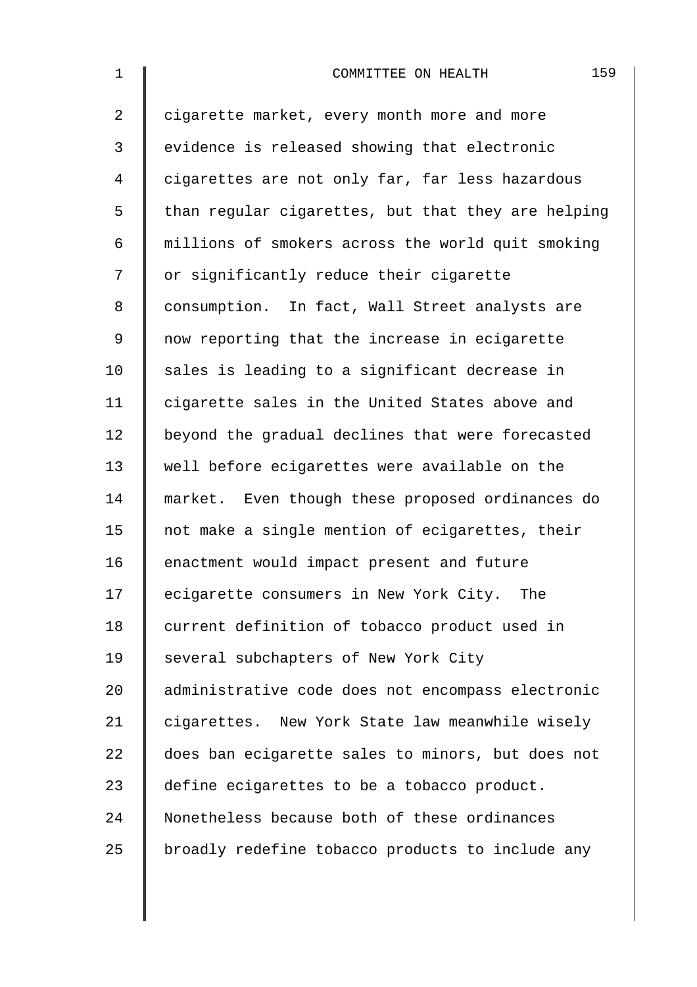| $\mathbf 1$    | 159<br>COMMITTEE ON HEALTH                         |
|----------------|----------------------------------------------------|
| $\overline{2}$ | cigarette market, every month more and more        |
| 3              | evidence is released showing that electronic       |
| 4              | cigarettes are not only far, far less hazardous    |
| 5              | than regular cigarettes, but that they are helping |
| 6              | millions of smokers across the world quit smoking  |
| 7              | or significantly reduce their cigarette            |
| 8              | consumption. In fact, Wall Street analysts are     |
| 9              | now reporting that the increase in ecigarette      |
| 10             | sales is leading to a significant decrease in      |
| 11             | cigarette sales in the United States above and     |
| 12             | beyond the gradual declines that were forecasted   |
| 13             | well before ecigarettes were available on the      |
| 14             | market. Even though these proposed ordinances do   |
| 15             | not make a single mention of ecigarettes, their    |
| 16             | enactment would impact present and future          |
| 17             | ecigarette consumers in New York City. The         |
| 18             | current definition of tobacco product used in      |
| 19             | several subchapters of New York City               |
| 20             | administrative code does not encompass electronic  |
| 21             | cigarettes. New York State law meanwhile wisely    |
| 22             | does ban ecigarette sales to minors, but does not  |
| 23             | define ecigarettes to be a tobacco product.        |
| 24             | Nonetheless because both of these ordinances       |
| 25             | broadly redefine tobacco products to include any   |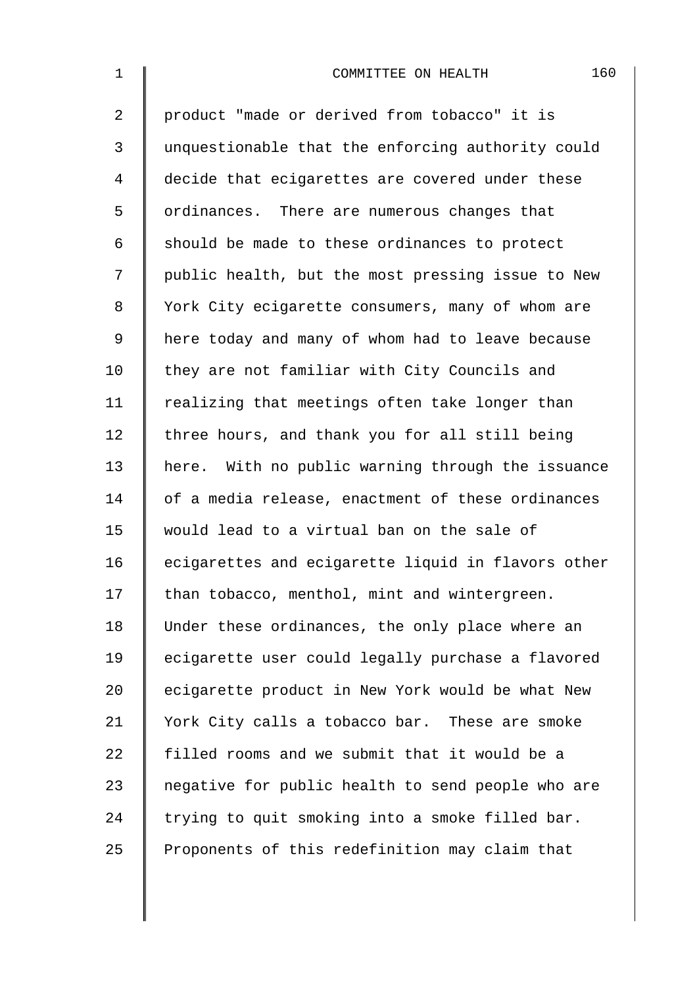| $\mathbf 1$    | 160<br>COMMITTEE ON HEALTH                         |
|----------------|----------------------------------------------------|
| $\overline{2}$ | product "made or derived from tobacco" it is       |
| 3              | unquestionable that the enforcing authority could  |
| $\overline{4}$ | decide that ecigarettes are covered under these    |
| 5              | ordinances. There are numerous changes that        |
| 6              | should be made to these ordinances to protect      |
| 7              | public health, but the most pressing issue to New  |
| 8              | York City ecigarette consumers, many of whom are   |
| $\mathsf 9$    | here today and many of whom had to leave because   |
| 10             | they are not familiar with City Councils and       |
| 11             | realizing that meetings often take longer than     |
| 12             | three hours, and thank you for all still being     |
| 13             | here. With no public warning through the issuance  |
| 14             | of a media release, enactment of these ordinances  |
| 15             | would lead to a virtual ban on the sale of         |
| 16             | ecigarettes and ecigarette liquid in flavors other |
| 17             | than tobacco, menthol, mint and wintergreen.       |
| 18             | Under these ordinances, the only place where an    |
| 19             | ecigarette user could legally purchase a flavored  |
| 20             | ecigarette product in New York would be what New   |
| 21             | York City calls a tobacco bar. These are smoke     |
| 22             | filled rooms and we submit that it would be a      |
| 23             | negative for public health to send people who are  |
| 24             | trying to quit smoking into a smoke filled bar.    |
| 25             | Proponents of this redefinition may claim that     |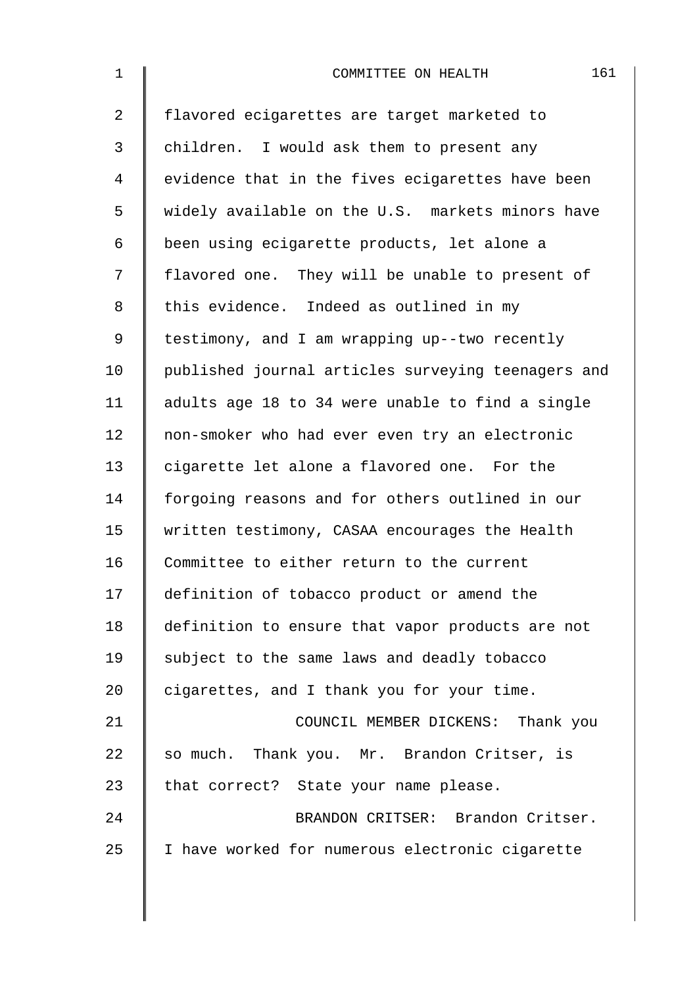| $\mathbf{1}$   | 161<br>COMMITTEE ON HEALTH                         |
|----------------|----------------------------------------------------|
| $\overline{a}$ | flavored ecigarettes are target marketed to        |
| 3              | children. I would ask them to present any          |
| 4              | evidence that in the fives ecigarettes have been   |
| 5              | widely available on the U.S. markets minors have   |
| 6              | been using ecigarette products, let alone a        |
| 7              | flavored one. They will be unable to present of    |
| 8              | this evidence. Indeed as outlined in my            |
| 9              | testimony, and I am wrapping up--two recently      |
| 10             | published journal articles surveying teenagers and |
| 11             | adults age 18 to 34 were unable to find a single   |
| 12             | non-smoker who had ever even try an electronic     |
| 13             | cigarette let alone a flavored one. For the        |
| 14             | forgoing reasons and for others outlined in our    |
| 15             | written testimony, CASAA encourages the Health     |
| 16             | Committee to either return to the current          |
| 17             | definition of tobacco product or amend the         |
| 18             | definition to ensure that vapor products are not   |
| 19             | subject to the same laws and deadly tobacco        |
| 20             | cigarettes, and I thank you for your time.         |
| 21             | COUNCIL MEMBER DICKENS: Thank you                  |
| 22             | so much. Thank you. Mr. Brandon Critser, is        |
| 23             | that correct? State your name please.              |
| 24             | BRANDON CRITSER: Brandon Critser.                  |
| 25             | I have worked for numerous electronic cigarette    |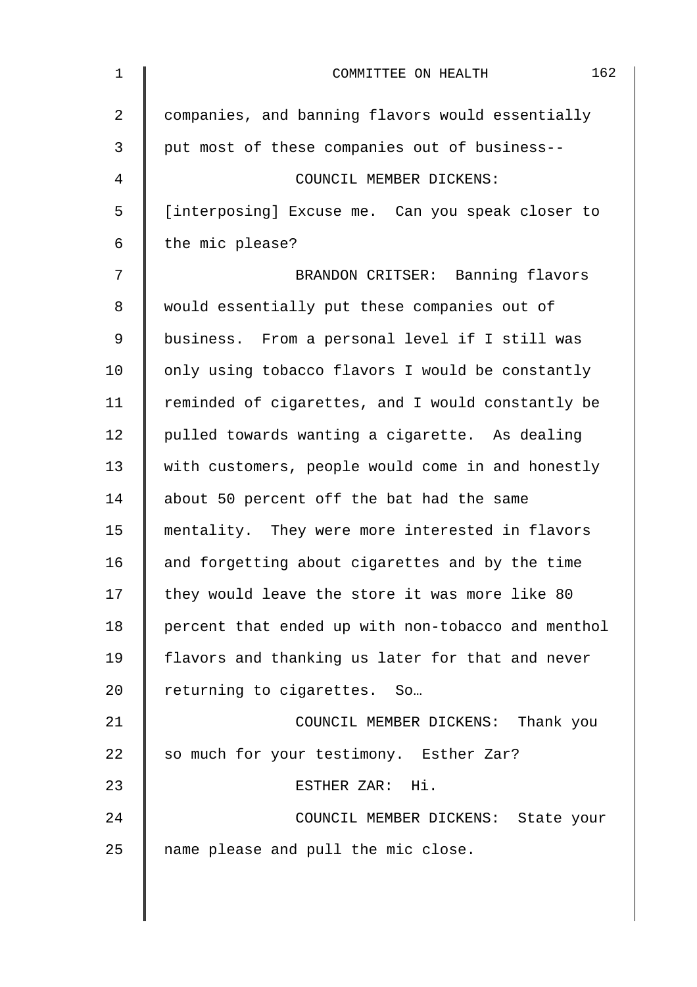| $\mathbf{1}$   | 162<br>COMMITTEE ON HEALTH                         |
|----------------|----------------------------------------------------|
| $\overline{2}$ | companies, and banning flavors would essentially   |
| 3              | put most of these companies out of business--      |
| 4              | COUNCIL MEMBER DICKENS:                            |
| 5              | [interposing] Excuse me. Can you speak closer to   |
| 6              | the mic please?                                    |
| 7              | BRANDON CRITSER: Banning flavors                   |
| 8              | would essentially put these companies out of       |
| 9              | business. From a personal level if I still was     |
| 10             | only using tobacco flavors I would be constantly   |
| 11             | reminded of cigarettes, and I would constantly be  |
| 12             | pulled towards wanting a cigarette. As dealing     |
| 13             | with customers, people would come in and honestly  |
| 14             | about 50 percent off the bat had the same          |
| 15             | mentality. They were more interested in flavors    |
| 16             | and forgetting about cigarettes and by the time    |
| 17             | they would leave the store it was more like 80     |
| 18             | percent that ended up with non-tobacco and menthol |
| 19             | flavors and thanking us later for that and never   |
| 20             | returning to cigarettes. So                        |
| 21             | COUNCIL MEMBER DICKENS: Thank you                  |
| 22             | so much for your testimony. Esther Zar?            |
| 23             | ESTHER ZAR: Hi.                                    |
| 24             | COUNCIL MEMBER DICKENS: State your                 |
| 25             | name please and pull the mic close.                |
|                |                                                    |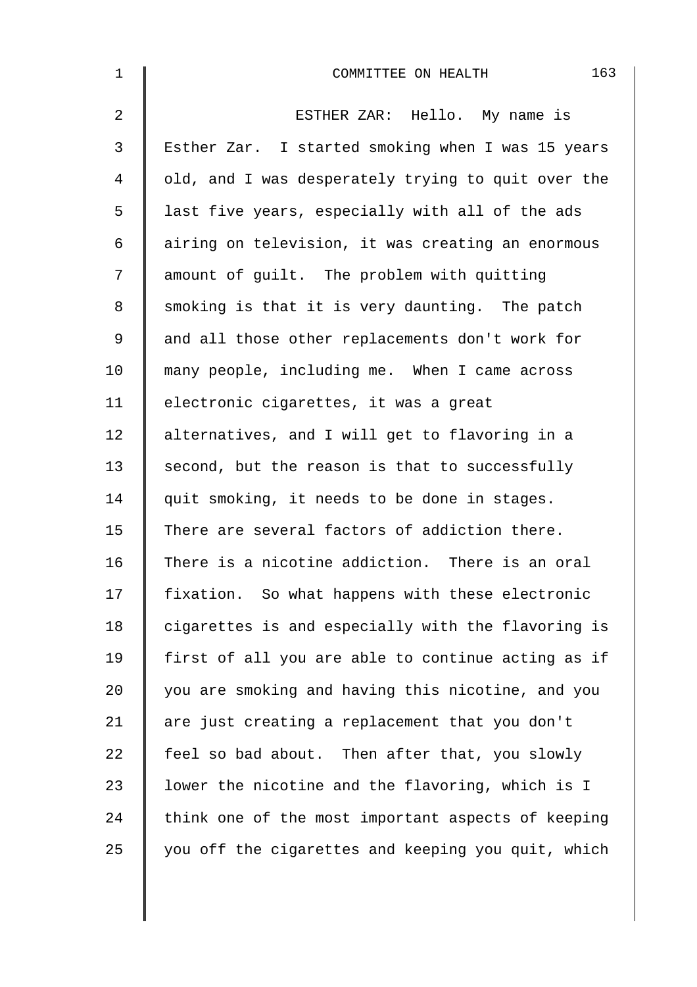| $\mathbf 1$    | 163<br>COMMITTEE ON HEALTH                         |
|----------------|----------------------------------------------------|
| $\overline{a}$ | ESTHER ZAR: Hello. My name is                      |
| $\mathfrak{Z}$ | Esther Zar. I started smoking when I was 15 years  |
| 4              | old, and I was desperately trying to quit over the |
| 5              | last five years, especially with all of the ads    |
| 6              | airing on television, it was creating an enormous  |
| 7              | amount of guilt. The problem with quitting         |
| 8              | smoking is that it is very daunting. The patch     |
| 9              | and all those other replacements don't work for    |
| 10             | many people, including me. When I came across      |
| 11             | electronic cigarettes, it was a great              |
| 12             | alternatives, and I will get to flavoring in a     |
| 13             | second, but the reason is that to successfully     |
| 14             | quit smoking, it needs to be done in stages.       |
| 15             | There are several factors of addiction there.      |
| 16             | There is a nicotine addiction. There is an oral    |
| 17             | fixation. So what happens with these electronic    |
| 18             | cigarettes is and especially with the flavoring is |
| 19             | first of all you are able to continue acting as if |
| 20             | you are smoking and having this nicotine, and you  |
| 21             | are just creating a replacement that you don't     |
| 22             | feel so bad about. Then after that, you slowly     |
| 23             | lower the nicotine and the flavoring, which is I   |
| 24             | think one of the most important aspects of keeping |
| 25             | you off the cigarettes and keeping you quit, which |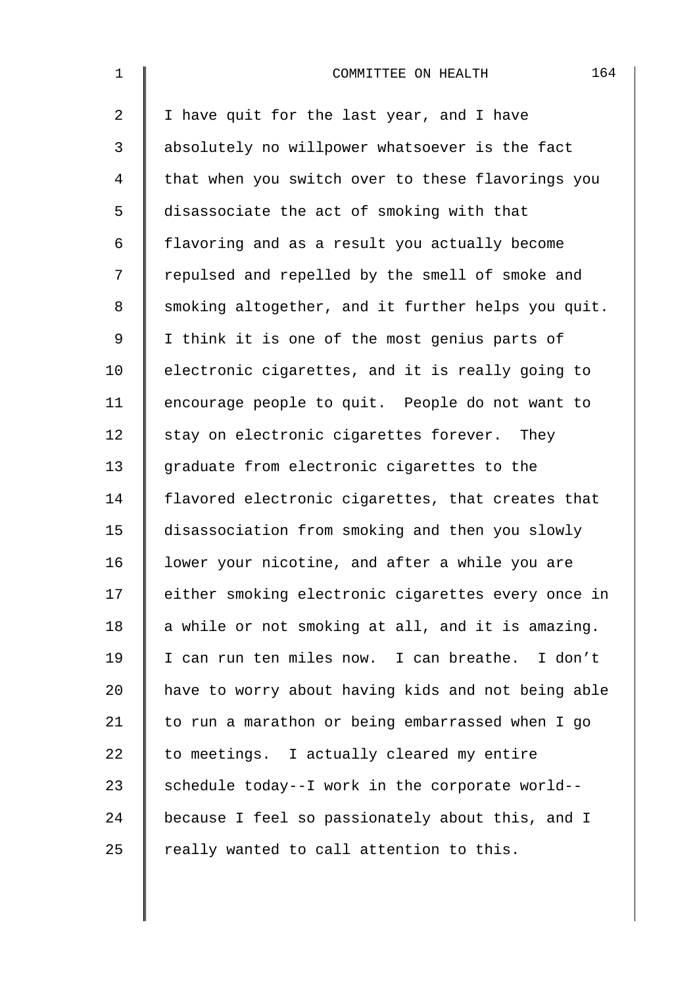| $\mathbf 1$    | 164<br>COMMITTEE ON HEALTH                         |
|----------------|----------------------------------------------------|
| $\overline{2}$ | I have quit for the last year, and I have          |
| 3              | absolutely no willpower whatsoever is the fact     |
| 4              | that when you switch over to these flavorings you  |
| 5              | disassociate the act of smoking with that          |
| 6              | flavoring and as a result you actually become      |
| 7              | repulsed and repelled by the smell of smoke and    |
| 8              | smoking altogether, and it further helps you quit. |
| 9              | I think it is one of the most genius parts of      |
| 10             | electronic cigarettes, and it is really going to   |
| 11             | encourage people to quit. People do not want to    |
| 12             | stay on electronic cigarettes forever. They        |
| 13             | graduate from electronic cigarettes to the         |
| 14             | flavored electronic cigarettes, that creates that  |
| 15             | disassociation from smoking and then you slowly    |
| 16             | lower your nicotine, and after a while you are     |
| 17             | either smoking electronic cigarettes every once in |
| 18             | a while or not smoking at all, and it is amazing.  |
| 19             | I can run ten miles now. I can breathe. I don't    |
| 20             | have to worry about having kids and not being able |
| 21             | to run a marathon or being embarrassed when I go   |
| 22             | to meetings. I actually cleared my entire          |
| 23             | schedule today--I work in the corporate world--    |
| 24             | because I feel so passionately about this, and I   |
| 25             | really wanted to call attention to this.           |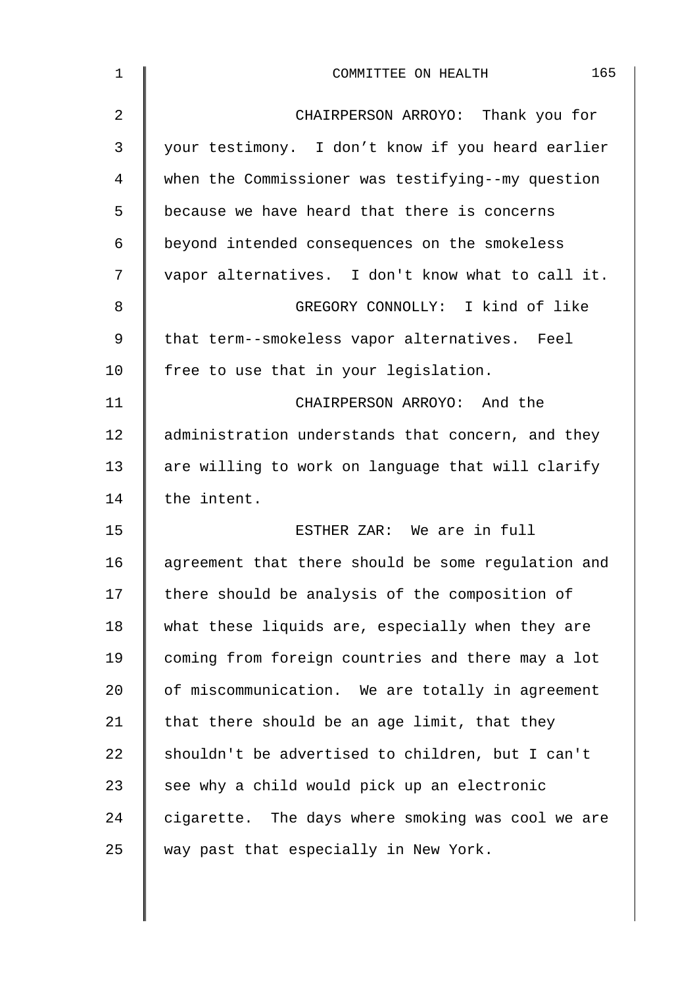| 1              | 165<br>COMMITTEE ON HEALTH                         |
|----------------|----------------------------------------------------|
| $\overline{2}$ | CHAIRPERSON ARROYO: Thank you for                  |
| 3              | your testimony. I don't know if you heard earlier  |
| 4              | when the Commissioner was testifying--my question  |
| 5              | because we have heard that there is concerns       |
| 6              | beyond intended consequences on the smokeless      |
| 7              | vapor alternatives. I don't know what to call it.  |
| 8              | GREGORY CONNOLLY: I kind of like                   |
| 9              | that term--smokeless vapor alternatives. Feel      |
| 10             | free to use that in your legislation.              |
| 11             | CHAIRPERSON ARROYO: And the                        |
| 12             | administration understands that concern, and they  |
| 13             | are willing to work on language that will clarify  |
| 14             | the intent.                                        |
| 15             | ESTHER ZAR: We are in full                         |
| 16             | agreement that there should be some regulation and |
| 17             | there should be analysis of the composition of     |
| 18             | what these liquids are, especially when they are   |
| 19             | coming from foreign countries and there may a lot  |
| 20             | of miscommunication. We are totally in agreement   |
| 21             | that there should be an age limit, that they       |
| 22             | shouldn't be advertised to children, but I can't   |
| 23             | see why a child would pick up an electronic        |
| 24             | cigarette. The days where smoking was cool we are  |
| 25             | way past that especially in New York.              |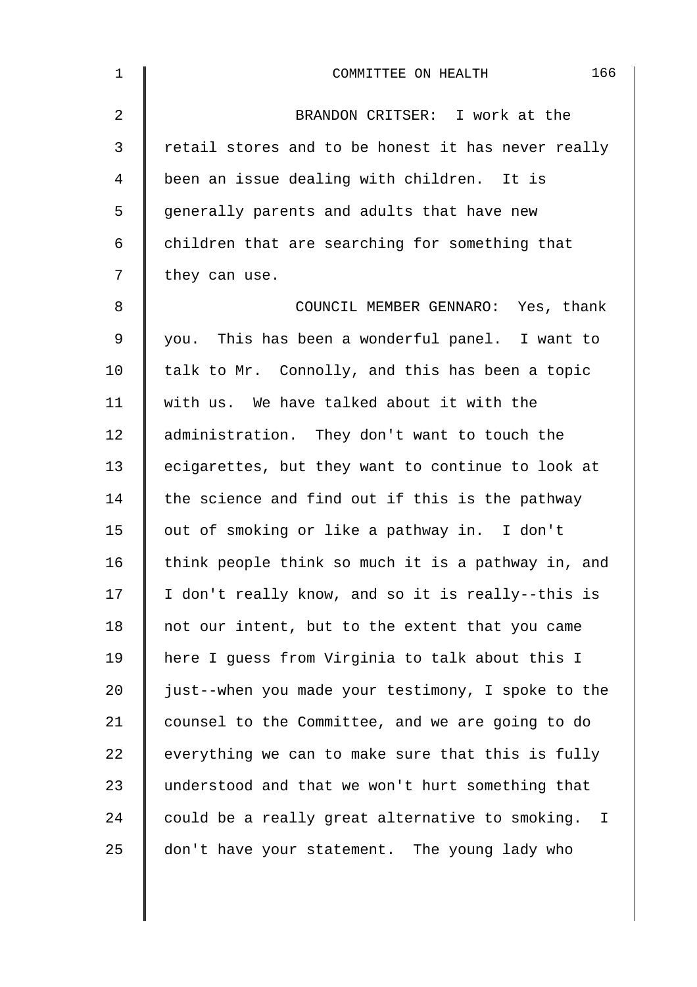| $\mathbf 1$ | 166<br>COMMITTEE ON HEALTH                         |
|-------------|----------------------------------------------------|
| 2           | BRANDON CRITSER: I work at the                     |
| 3           | retail stores and to be honest it has never really |
| 4           | been an issue dealing with children. It is         |
| 5           | generally parents and adults that have new         |
| 6           | children that are searching for something that     |
| 7           | they can use.                                      |
| 8           | COUNCIL MEMBER GENNARO: Yes, thank                 |
| 9           | you. This has been a wonderful panel. I want to    |
| 10          | talk to Mr. Connolly, and this has been a topic    |
| 11          | with us. We have talked about it with the          |
| 12          | administration. They don't want to touch the       |
| 13          | ecigarettes, but they want to continue to look at  |
| 14          | the science and find out if this is the pathway    |
| 15          | out of smoking or like a pathway in. I don't       |
| 16          | think people think so much it is a pathway in, and |
| 17          | I don't really know, and so it is really--this is  |
| 18          | not our intent, but to the extent that you came    |
| 19          | here I guess from Virginia to talk about this I    |
| 20          | just--when you made your testimony, I spoke to the |
| 21          | counsel to the Committee, and we are going to do   |
| 22          | everything we can to make sure that this is fully  |
| 23          | understood and that we won't hurt something that   |
| 24          | could be a really great alternative to smoking. I  |
| 25          | don't have your statement. The young lady who      |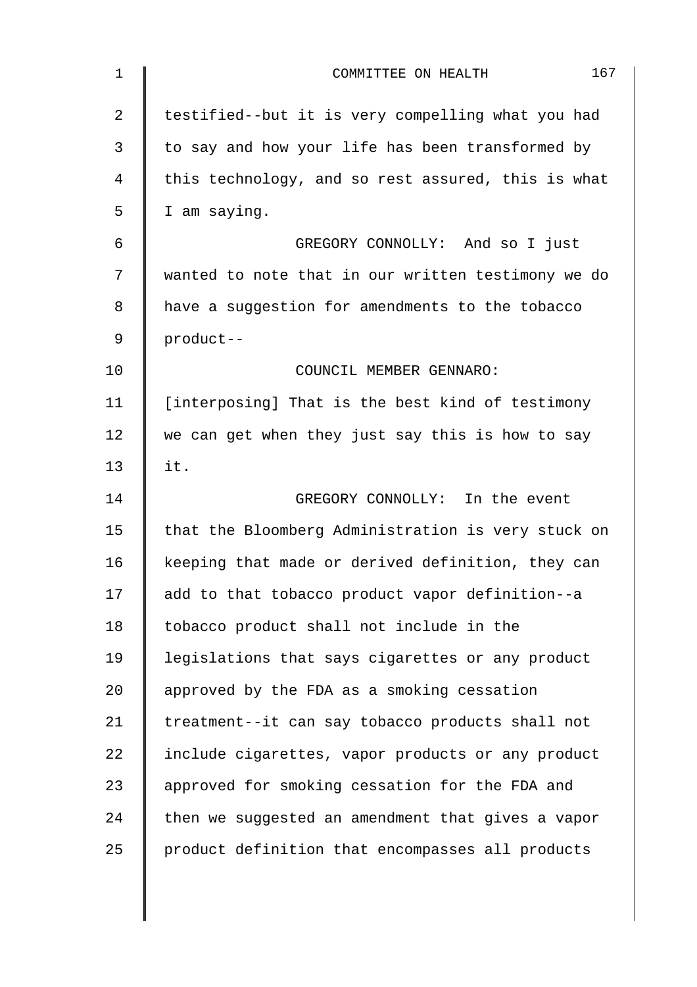| 1              | 167<br>COMMITTEE ON HEALTH                         |
|----------------|----------------------------------------------------|
| $\overline{2}$ | testified--but it is very compelling what you had  |
| 3              | to say and how your life has been transformed by   |
| 4              | this technology, and so rest assured, this is what |
| 5              | I am saying.                                       |
| 6              | GREGORY CONNOLLY: And so I just                    |
| 7              | wanted to note that in our written testimony we do |
| 8              | have a suggestion for amendments to the tobacco    |
| 9              | product--                                          |
| 10             | COUNCIL MEMBER GENNARO:                            |
| 11             | [interposing] That is the best kind of testimony   |
| 12             | we can get when they just say this is how to say   |
| 13             | it.                                                |
| 14             | GREGORY CONNOLLY: In the event                     |
| 15             | that the Bloomberg Administration is very stuck on |
| 16             | keeping that made or derived definition, they can  |
| 17             | add to that tobacco product vapor definition--a    |
| 18             | tobacco product shall not include in the           |
| 19             | legislations that says cigarettes or any product   |
| 20             | approved by the FDA as a smoking cessation         |
| 21             | treatment--it can say tobacco products shall not   |
| 22             | include cigarettes, vapor products or any product  |
| 23             | approved for smoking cessation for the FDA and     |
| 24             | then we suggested an amendment that gives a vapor  |
| 25             | product definition that encompasses all products   |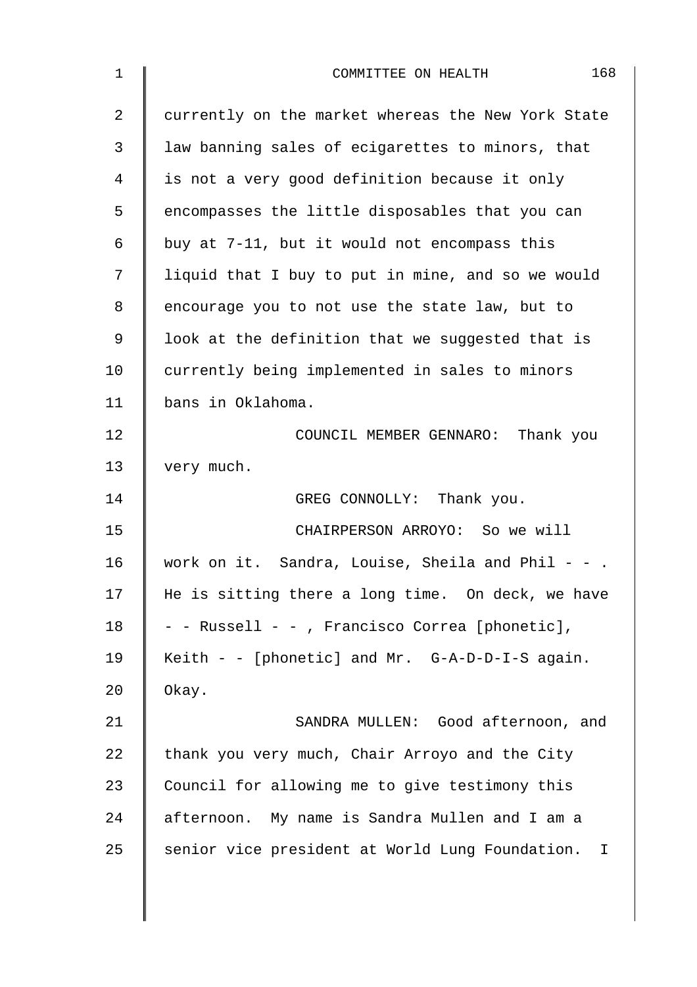| 1              | 168<br>COMMITTEE ON HEALTH                                      |
|----------------|-----------------------------------------------------------------|
| $\overline{2}$ | currently on the market whereas the New York State              |
| 3              | law banning sales of ecigarettes to minors, that                |
| 4              | is not a very good definition because it only                   |
| 5              | encompasses the little disposables that you can                 |
| 6              | buy at 7-11, but it would not encompass this                    |
| 7              | liquid that I buy to put in mine, and so we would               |
| 8              | encourage you to not use the state law, but to                  |
| 9              | look at the definition that we suggested that is                |
| 10             | currently being implemented in sales to minors                  |
| 11             | bans in Oklahoma.                                               |
| 12             | COUNCIL MEMBER GENNARO: Thank you                               |
| 13             | very much.                                                      |
| 14             | GREG CONNOLLY: Thank you.                                       |
| 15             | CHAIRPERSON ARROYO: So we will                                  |
| 16             | work on it. Sandra, Louise, Sheila and Phil - -                 |
| 17             | He is sitting there a long time. On deck, we have               |
| 18             | - - Russell - - , Francisco Correa [phonetic],                  |
| 19             | Keith - - [phonetic] and Mr. $G-A-D-D-I-S$ again.               |
| 20             | Okay.                                                           |
| 21             | SANDRA MULLEN: Good afternoon, and                              |
| 22             | thank you very much, Chair Arroyo and the City                  |
| 23             | Council for allowing me to give testimony this                  |
| 24             | afternoon. My name is Sandra Mullen and I am a                  |
| 25             | senior vice president at World Lung Foundation.<br>$\mathbf{I}$ |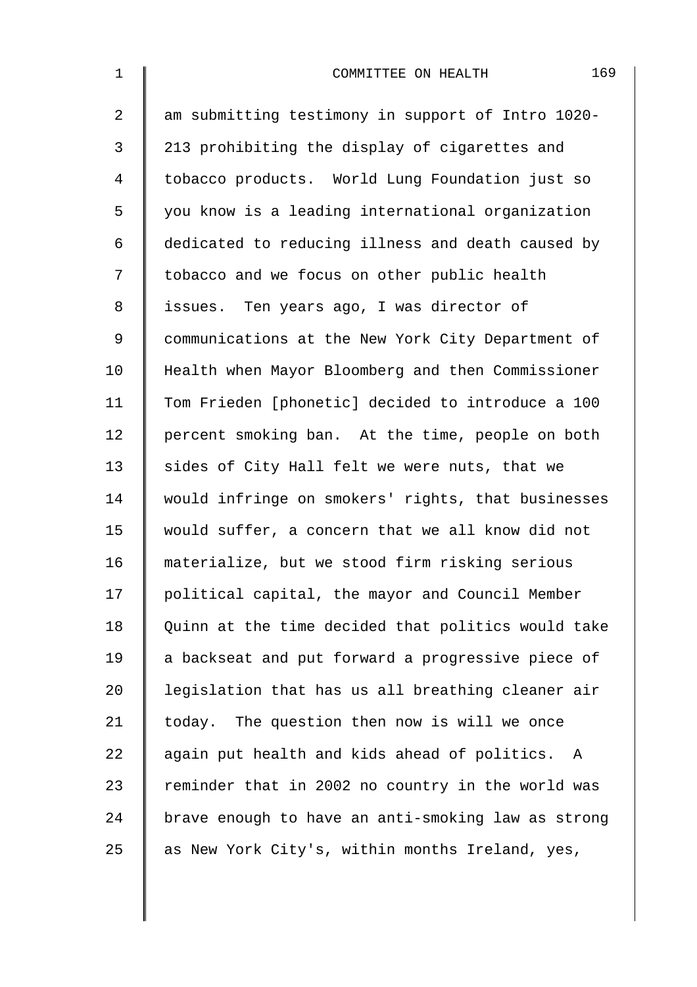| $\mathbf 1$    | 169<br>COMMITTEE ON HEALTH                         |
|----------------|----------------------------------------------------|
| $\overline{a}$ | am submitting testimony in support of Intro 1020-  |
| 3              | 213 prohibiting the display of cigarettes and      |
| $\overline{4}$ | tobacco products. World Lung Foundation just so    |
| 5              | you know is a leading international organization   |
| 6              | dedicated to reducing illness and death caused by  |
| 7              | tobacco and we focus on other public health        |
| 8              | issues. Ten years ago, I was director of           |
| 9              | communications at the New York City Department of  |
| 10             | Health when Mayor Bloomberg and then Commissioner  |
| 11             | Tom Frieden [phonetic] decided to introduce a 100  |
| 12             | percent smoking ban. At the time, people on both   |
| 13             | sides of City Hall felt we were nuts, that we      |
| 14             | would infringe on smokers' rights, that businesses |
| 15             | would suffer, a concern that we all know did not   |
| 16             | materialize, but we stood firm risking serious     |
| 17             | political capital, the mayor and Council Member    |
| 18             | Quinn at the time decided that politics would take |
| 19             | a backseat and put forward a progressive piece of  |
| 20             | legislation that has us all breathing cleaner air  |
| 21             | today. The question then now is will we once       |
| 22             | again put health and kids ahead of politics. A     |
| 23             | reminder that in 2002 no country in the world was  |
| 24             | brave enough to have an anti-smoking law as strong |
| 25             | as New York City's, within months Ireland, yes,    |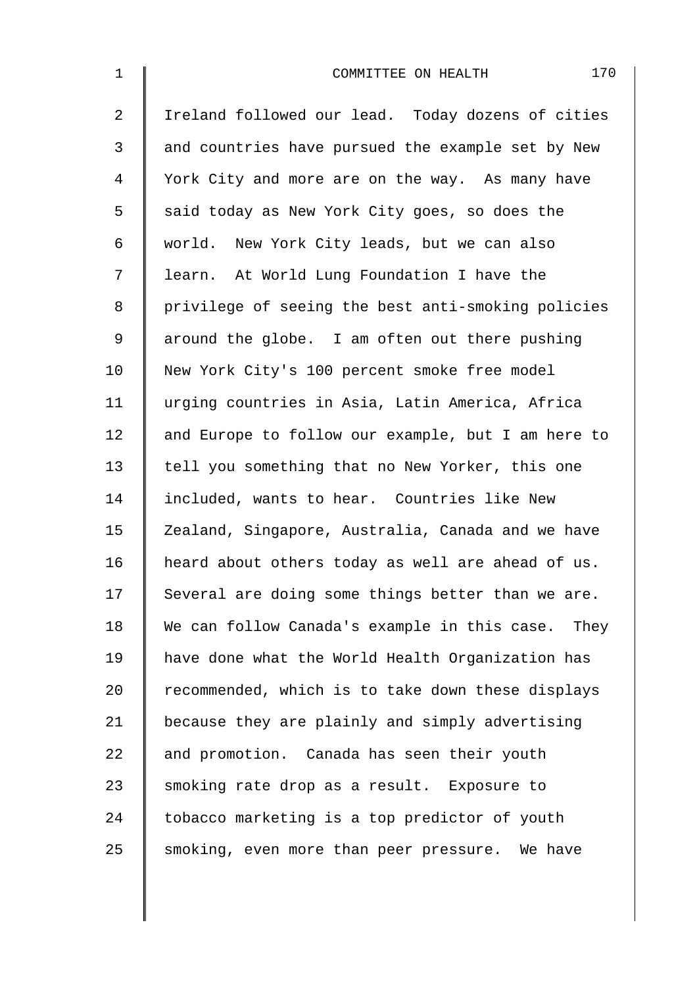| $\mathbf 1$    | 170<br>COMMITTEE ON HEALTH                         |
|----------------|----------------------------------------------------|
| $\overline{2}$ | Ireland followed our lead. Today dozens of cities  |
| 3              | and countries have pursued the example set by New  |
| 4              | York City and more are on the way. As many have    |
| 5              | said today as New York City goes, so does the      |
| 6              | world. New York City leads, but we can also        |
| 7              | learn. At World Lung Foundation I have the         |
| 8              | privilege of seeing the best anti-smoking policies |
| 9              | around the globe. I am often out there pushing     |
| 10             | New York City's 100 percent smoke free model       |
| 11             | urging countries in Asia, Latin America, Africa    |
| 12             | and Europe to follow our example, but I am here to |
| 13             | tell you something that no New Yorker, this one    |
| 14             | included, wants to hear. Countries like New        |
| 15             | Zealand, Singapore, Australia, Canada and we have  |
| 16             | heard about others today as well are ahead of us.  |
| 17             | Several are doing some things better than we are.  |
| 18             | We can follow Canada's example in this case. They  |
| 19             | have done what the World Health Organization has   |
| 20             | recommended, which is to take down these displays  |
| 21             | because they are plainly and simply advertising    |
| 22             | and promotion. Canada has seen their youth         |
| 23             | smoking rate drop as a result. Exposure to         |
| 24             | tobacco marketing is a top predictor of youth      |
| 25             | smoking, even more than peer pressure. We have     |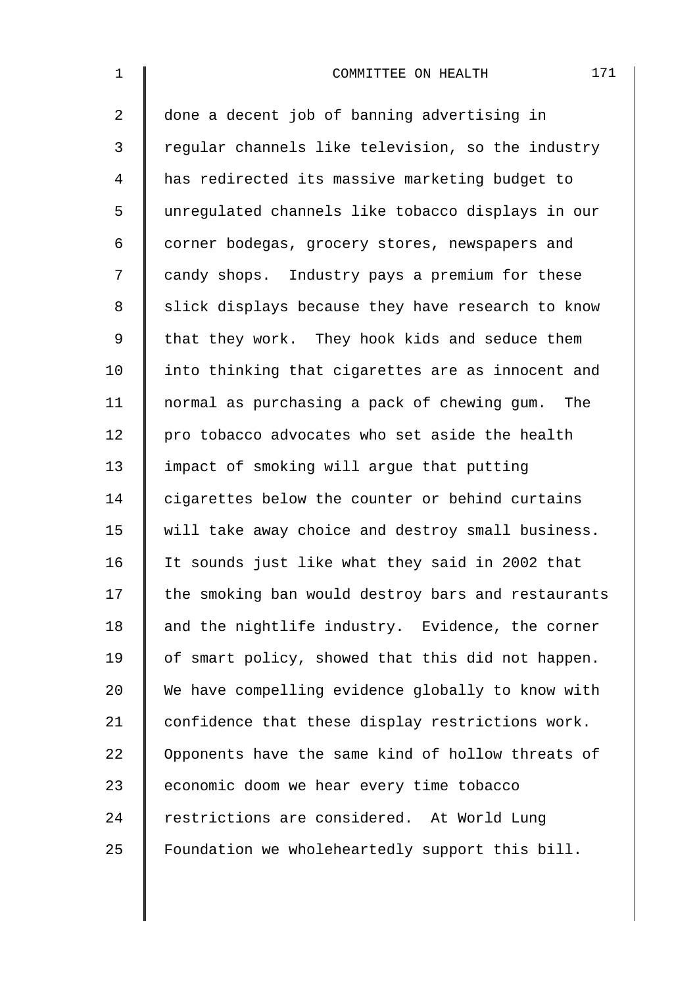1 **I** COMMITTEE ON HEALTH 171 2 done a decent job of banning advertising in 3 Teqular channels like television, so the industry 4 has redirected its massive marketing budget to 5 unregulated channels like tobacco displays in our 6 corner bodegas, grocery stores, newspapers and 7 candy shops. Industry pays a premium for these 8 | slick displays because they have research to know 9 | that they work. They hook kids and seduce them 10 I into thinking that cigarettes are as innocent and 11 normal as purchasing a pack of chewing gum. The 12  $\parallel$  pro tobacco advocates who set aside the health 13 I impact of smoking will arque that putting 14 cigarettes below the counter or behind curtains 15 | will take away choice and destroy small business. 16 | It sounds just like what they said in 2002 that 17 the smoking ban would destroy bars and restaurants 18  $\parallel$  and the nightlife industry. Evidence, the corner 19  $\parallel$  of smart policy, showed that this did not happen. 20 We have compelling evidence globally to know with 21 | confidence that these display restrictions work. 22 | Opponents have the same kind of hollow threats of 23 | economic doom we hear every time tobacco 24 restrictions are considered. At World Lung 25 Foundation we wholeheartedly support this bill.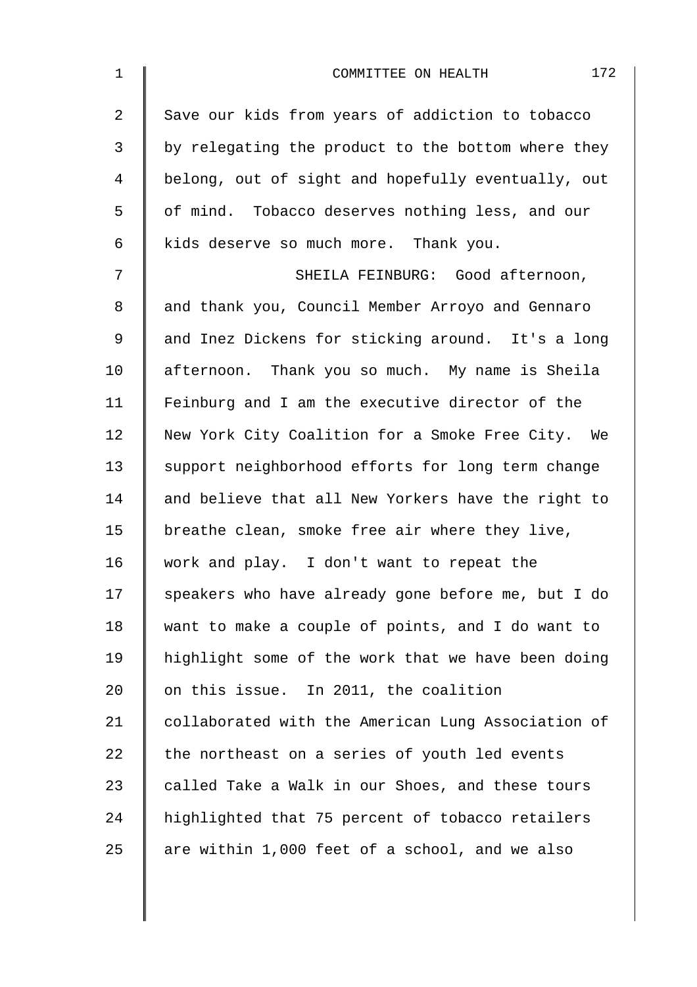| $\mathbf 1$    | 172<br>COMMITTEE ON HEALTH                         |
|----------------|----------------------------------------------------|
| $\overline{2}$ | Save our kids from years of addiction to tobacco   |
| 3              | by relegating the product to the bottom where they |
| 4              | belong, out of sight and hopefully eventually, out |
| 5              | of mind. Tobacco deserves nothing less, and our    |
| 6              | kids deserve so much more. Thank you.              |
| 7              | SHEILA FEINBURG: Good afternoon,                   |
| 8              | and thank you, Council Member Arroyo and Gennaro   |
| 9              | and Inez Dickens for sticking around. It's a long  |
| 10             | afternoon. Thank you so much. My name is Sheila    |
| 11             | Feinburg and I am the executive director of the    |
| 12             | New York City Coalition for a Smoke Free City. We  |
| 13             | support neighborhood efforts for long term change  |
| 14             | and believe that all New Yorkers have the right to |
| 15             | breathe clean, smoke free air where they live,     |
| 16             | work and play. I don't want to repeat the          |
| 17             | speakers who have already gone before me, but I do |
| 18             | want to make a couple of points, and I do want to  |
| 19             | highlight some of the work that we have been doing |
| 20             | on this issue. In 2011, the coalition              |
| 21             | collaborated with the American Lung Association of |
| 22             | the northeast on a series of youth led events      |
| 23             | called Take a Walk in our Shoes, and these tours   |
| 24             | highlighted that 75 percent of tobacco retailers   |
| 25             | are within 1,000 feet of a school, and we also     |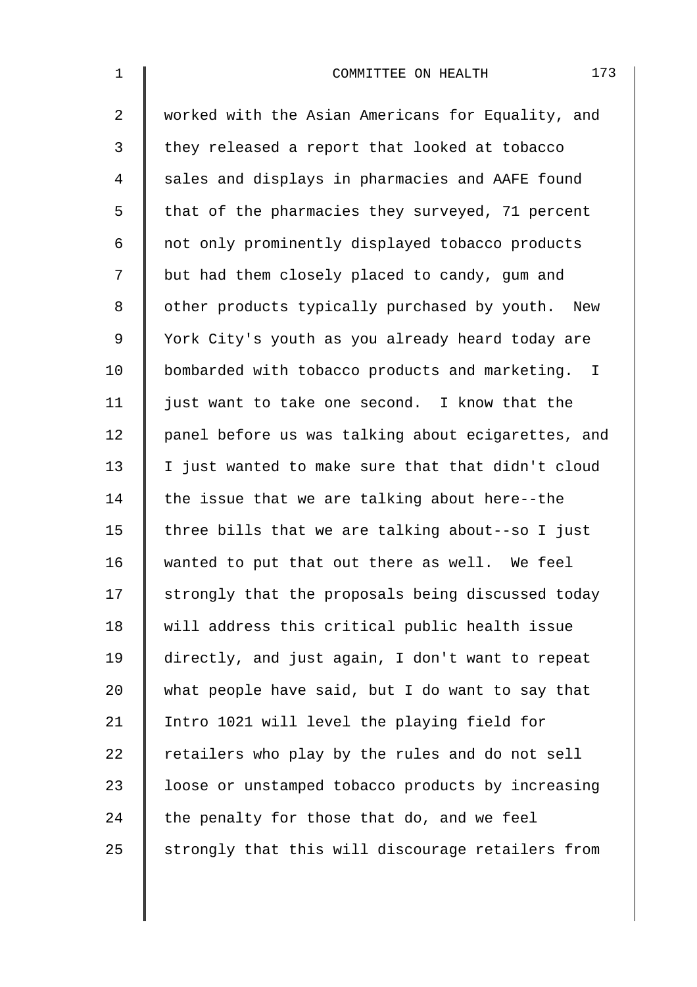| $\mathbf 1$    | 173<br>COMMITTEE ON HEALTH                         |
|----------------|----------------------------------------------------|
| $\overline{2}$ | worked with the Asian Americans for Equality, and  |
| 3              | they released a report that looked at tobacco      |
| 4              | sales and displays in pharmacies and AAFE found    |
| 5              | that of the pharmacies they surveyed, 71 percent   |
| 6              | not only prominently displayed tobacco products    |
| 7              | but had them closely placed to candy, gum and      |
| 8              | other products typically purchased by youth. New   |
| 9              | York City's youth as you already heard today are   |
| 10             | bombarded with tobacco products and marketing. I   |
| 11             | just want to take one second. I know that the      |
| 12             | panel before us was talking about ecigarettes, and |
| 13             | I just wanted to make sure that that didn't cloud  |
| 14             | the issue that we are talking about here--the      |
| 15             | three bills that we are talking about--so I just   |
| 16             | wanted to put that out there as well. We feel      |
| 17             | strongly that the proposals being discussed today  |
| 18             | will address this critical public health issue     |
| 19             | directly, and just again, I don't want to repeat   |
| 20             | what people have said, but I do want to say that   |
| 21             | Intro 1021 will level the playing field for        |
| 22             | retailers who play by the rules and do not sell    |
| 23             | loose or unstamped tobacco products by increasing  |
| 24             | the penalty for those that do, and we feel         |
| 25             | strongly that this will discourage retailers from  |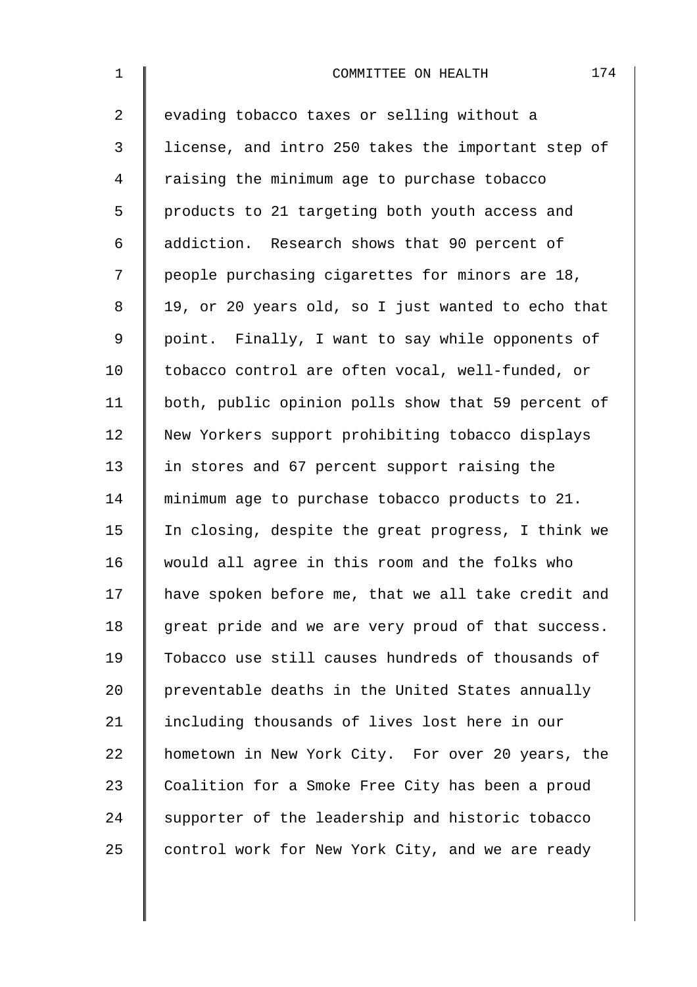| $\mathbf 1$    | 174<br>COMMITTEE ON HEALTH                         |
|----------------|----------------------------------------------------|
| 2              | evading tobacco taxes or selling without a         |
| 3              | license, and intro 250 takes the important step of |
| $\overline{4}$ | raising the minimum age to purchase tobacco        |
| 5              | products to 21 targeting both youth access and     |
| 6              | addiction. Research shows that 90 percent of       |
| 7              | people purchasing cigarettes for minors are 18,    |
| $\,8\,$        | 19, or 20 years old, so I just wanted to echo that |
| $\mathsf 9$    | point. Finally, I want to say while opponents of   |
| 10             | tobacco control are often vocal, well-funded, or   |
| 11             | both, public opinion polls show that 59 percent of |
| 12             | New Yorkers support prohibiting tobacco displays   |
| 13             | in stores and 67 percent support raising the       |
| 14             | minimum age to purchase tobacco products to 21.    |
| 15             | In closing, despite the great progress, I think we |
| 16             | would all agree in this room and the folks who     |
| 17             | have spoken before me, that we all take credit and |
| 18             | great pride and we are very proud of that success. |
| 19             | Tobacco use still causes hundreds of thousands of  |
| 20             | preventable deaths in the United States annually   |
| 21             | including thousands of lives lost here in our      |
| 22             | hometown in New York City. For over 20 years, the  |
| 23             | Coalition for a Smoke Free City has been a proud   |
| 24             | supporter of the leadership and historic tobacco   |
| 25             | control work for New York City, and we are ready   |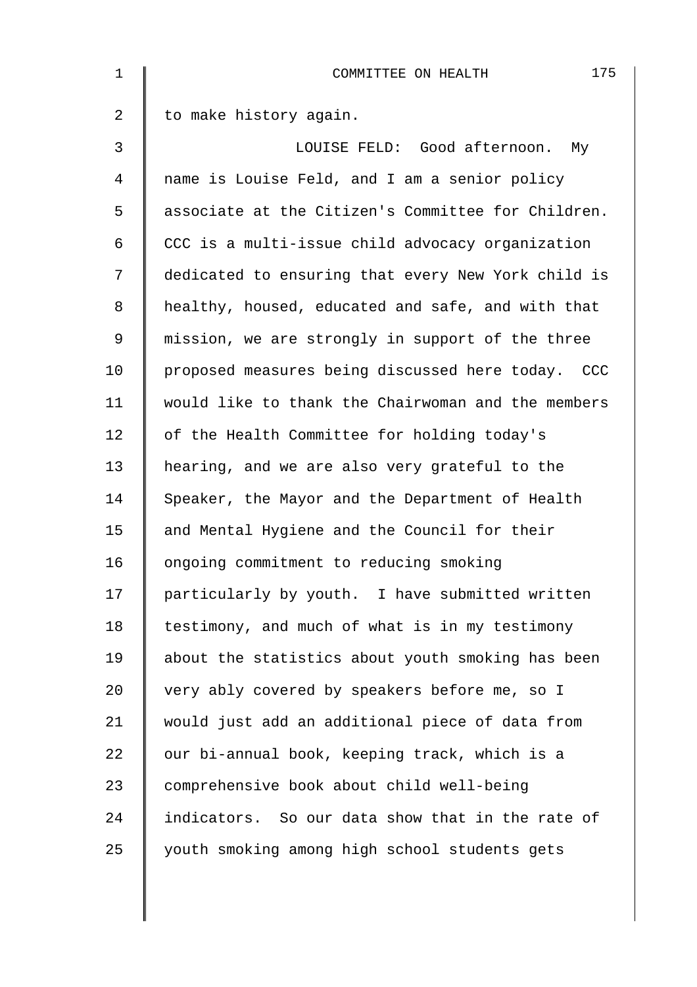| $\mathbf 1$    | 175<br>COMMITTEE ON HEALTH                         |
|----------------|----------------------------------------------------|
| $\overline{2}$ | to make history again.                             |
| 3              | LOUISE FELD: Good afternoon. My                    |
| $\overline{4}$ | name is Louise Feld, and I am a senior policy      |
| 5              | associate at the Citizen's Committee for Children. |
| 6              | CCC is a multi-issue child advocacy organization   |
| 7              | dedicated to ensuring that every New York child is |
| 8              | healthy, housed, educated and safe, and with that  |
| $\mathsf 9$    | mission, we are strongly in support of the three   |
| 10             | proposed measures being discussed here today. CCC  |
| 11             | would like to thank the Chairwoman and the members |
| 12             | of the Health Committee for holding today's        |
| 13             | hearing, and we are also very grateful to the      |
| 14             | Speaker, the Mayor and the Department of Health    |
| 15             | and Mental Hygiene and the Council for their       |
| 16             | ongoing commitment to reducing smoking             |
| 17             | particularly by youth. I have submitted written    |
| 18             | testimony, and much of what is in my testimony     |
| 19             | about the statistics about youth smoking has been  |
| 20             | very ably covered by speakers before me, so I      |
| 21             | would just add an additional piece of data from    |
| 22             | our bi-annual book, keeping track, which is a      |
| 23             | comprehensive book about child well-being          |
| 24             | indicators. So our data show that in the rate of   |
| 25             | youth smoking among high school students gets      |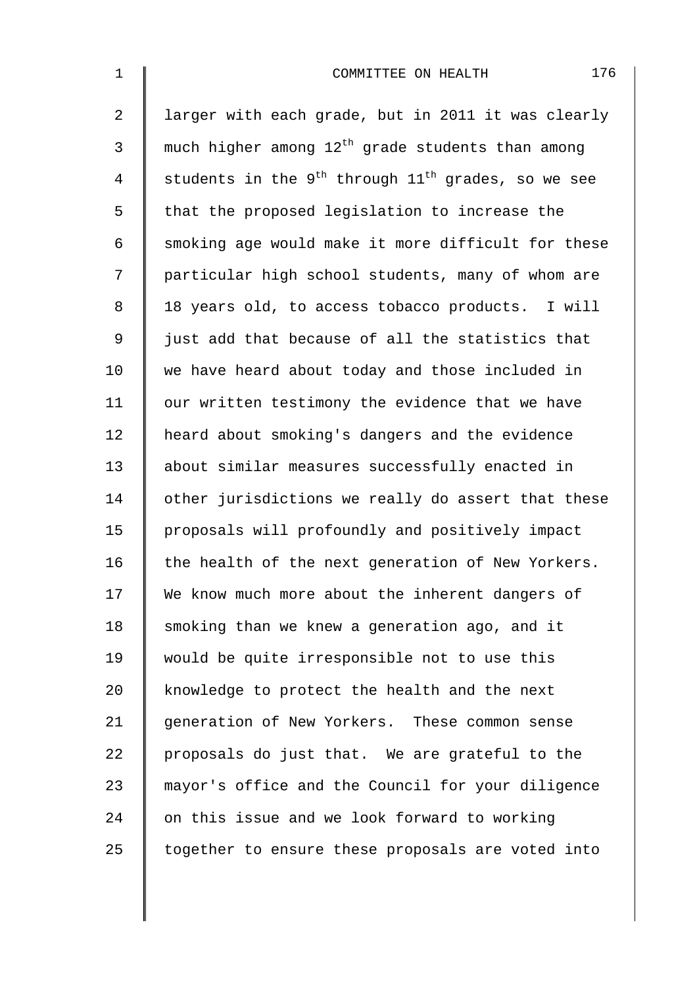| $\mathbf 1$    | 176<br>COMMITTEE ON HEALTH                                   |
|----------------|--------------------------------------------------------------|
| $\overline{2}$ | larger with each grade, but in 2011 it was clearly           |
| 3              | much higher among 12 <sup>th</sup> grade students than among |
| $\overline{4}$ | students in the $9^{th}$ through $11^{th}$ grades, so we see |
| 5              | that the proposed legislation to increase the                |
| 6              | smoking age would make it more difficult for these           |
| 7              | particular high school students, many of whom are            |
| $\,8\,$        | 18 years old, to access tobacco products. I will             |
| $\mathsf 9$    | just add that because of all the statistics that             |
| 10             | we have heard about today and those included in              |
| 11             | our written testimony the evidence that we have              |
| 12             | heard about smoking's dangers and the evidence               |
| 13             | about similar measures successfully enacted in               |
| 14             | other jurisdictions we really do assert that these           |
| 15             | proposals will profoundly and positively impact              |
| 16             | the health of the next generation of New Yorkers.            |
| 17             | We know much more about the inherent dangers of              |
| 18             | smoking than we knew a generation ago, and it                |
| 19             | would be quite irresponsible not to use this                 |
| 20             | knowledge to protect the health and the next                 |
| 21             | generation of New Yorkers. These common sense                |
| 22             | proposals do just that. We are grateful to the               |
| 23             | mayor's office and the Council for your diligence            |
| 24             | on this issue and we look forward to working                 |
| 25             | together to ensure these proposals are voted into            |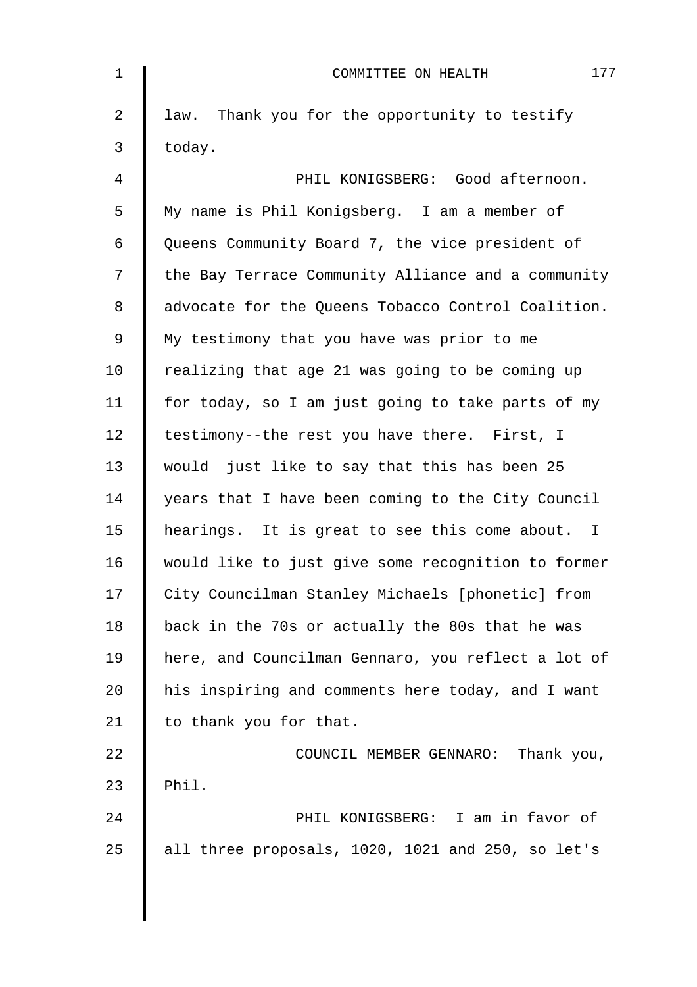| $\mathbf 1$    | 177<br>COMMITTEE ON HEALTH                         |
|----------------|----------------------------------------------------|
| $\overline{2}$ | law. Thank you for the opportunity to testify      |
| 3              | today.                                             |
| 4              | PHIL KONIGSBERG: Good afternoon.                   |
| 5              | My name is Phil Konigsberg. I am a member of       |
| 6              | Queens Community Board 7, the vice president of    |
| 7              | the Bay Terrace Community Alliance and a community |
| 8              | advocate for the Queens Tobacco Control Coalition. |
| $\mathsf 9$    | My testimony that you have was prior to me         |
| 10             | realizing that age 21 was going to be coming up    |
| 11             | for today, so I am just going to take parts of my  |
| 12             | testimony--the rest you have there. First, I       |
| 13             | would just like to say that this has been 25       |
| 14             | years that I have been coming to the City Council  |
| 15             | hearings. It is great to see this come about. I    |
| 16             | would like to just give some recognition to former |
| 17             | City Councilman Stanley Michaels [phonetic] from   |
| 18             | back in the 70s or actually the 80s that he was    |
| 19             | here, and Councilman Gennaro, you reflect a lot of |
| 20             | his inspiring and comments here today, and I want  |
| 21             | to thank you for that.                             |
| 22             | COUNCIL MEMBER GENNARO: Thank you,                 |
| 23             | Phil.                                              |
| 24             | PHIL KONIGSBERG: I am in favor of                  |
| 25             | all three proposals, 1020, 1021 and 250, so let's  |
|                |                                                    |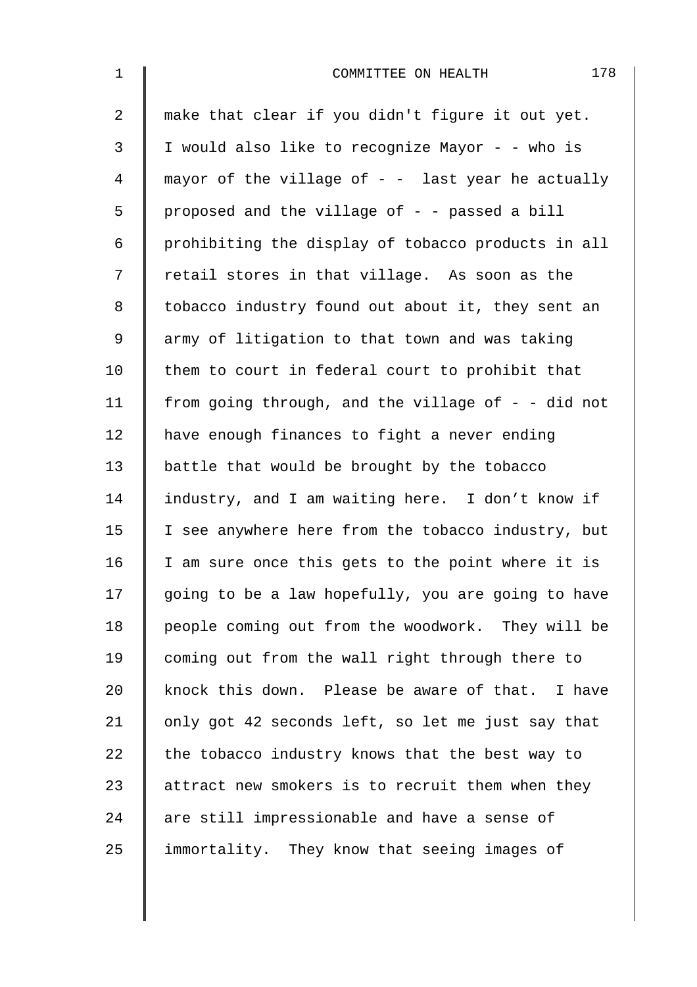| $\mathbf{1}$   | 178<br>COMMITTEE ON HEALTH                           |
|----------------|------------------------------------------------------|
| $\overline{a}$ | make that clear if you didn't figure it out yet.     |
| 3              | I would also like to recognize Mayor - - who is      |
| 4              | mayor of the village of $-$ - last year he actually  |
| 5              | proposed and the village of - - passed a bill        |
| 6              | prohibiting the display of tobacco products in all   |
| 7              | retail stores in that village. As soon as the        |
| $\,8\,$        | tobacco industry found out about it, they sent an    |
| $\mathsf 9$    | army of litigation to that town and was taking       |
| 10             | them to court in federal court to prohibit that      |
| 11             | from going through, and the village of $-$ - did not |
| 12             | have enough finances to fight a never ending         |
| 13             | battle that would be brought by the tobacco          |
| 14             | industry, and I am waiting here. I don't know if     |
| 15             | I see anywhere here from the tobacco industry, but   |
| 16             | I am sure once this gets to the point where it is    |
| 17             | going to be a law hopefully, you are going to have   |
| 18             | people coming out from the woodwork. They will be    |
| 19             | coming out from the wall right through there to      |
| 20             | knock this down. Please be aware of that. I have     |
| 21             | only got 42 seconds left, so let me just say that    |
| 22             | the tobacco industry knows that the best way to      |
| 23             | attract new smokers is to recruit them when they     |
| 24             | are still impressionable and have a sense of         |
| 25             | immortality. They know that seeing images of         |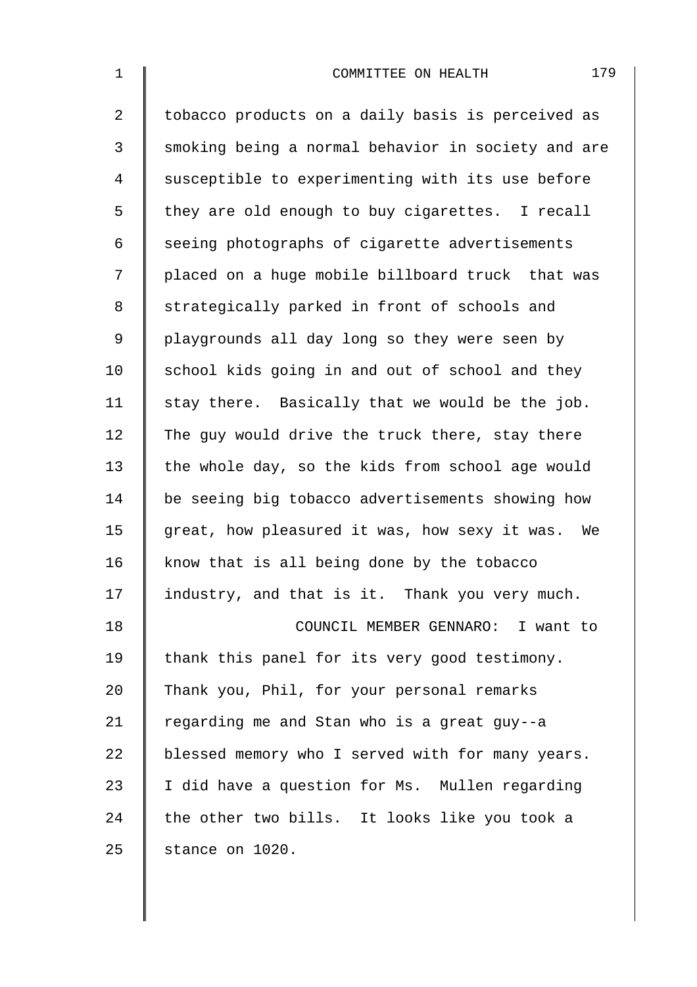| $\mathbf 1$    | 179<br>COMMITTEE ON HEALTH                         |
|----------------|----------------------------------------------------|
| $\overline{2}$ | tobacco products on a daily basis is perceived as  |
| 3              | smoking being a normal behavior in society and are |
| $\overline{4}$ | susceptible to experimenting with its use before   |
| 5              | they are old enough to buy cigarettes. I recall    |
| 6              | seeing photographs of cigarette advertisements     |
| 7              | placed on a huge mobile billboard truck that was   |
| 8              | strategically parked in front of schools and       |
| $\mathsf 9$    | playgrounds all day long so they were seen by      |
| 10             | school kids going in and out of school and they    |
| 11             | stay there. Basically that we would be the job.    |
| 12             | The guy would drive the truck there, stay there    |
| 13             | the whole day, so the kids from school age would   |
| 14             | be seeing big tobacco advertisements showing how   |
| 15             | great, how pleasured it was, how sexy it was. We   |
| 16             | know that is all being done by the tobacco         |
| 17             | industry, and that is it. Thank you very much.     |
| 18             | COUNCIL MEMBER GENNARO: I want to                  |
| 19             | thank this panel for its very good testimony.      |
| 20             | Thank you, Phil, for your personal remarks         |
| 21             | regarding me and Stan who is a great guy--a        |
| 22             | blessed memory who I served with for many years.   |
| 23             | I did have a question for Ms. Mullen regarding     |
| 24             | the other two bills. It looks like you took a      |
| 25             | stance on 1020.                                    |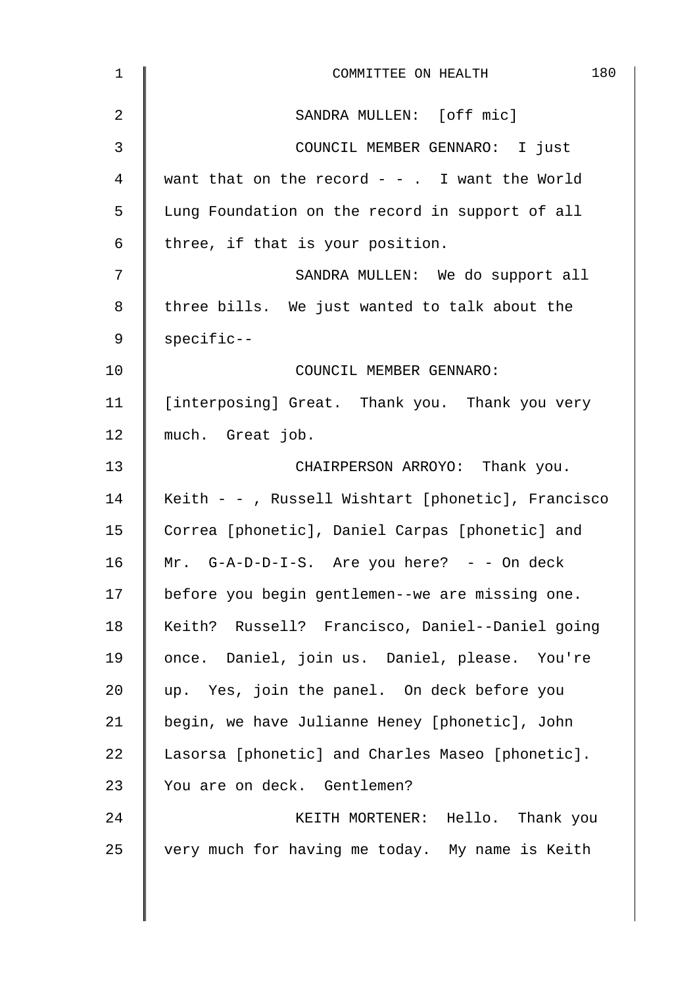| $\mathbf{1}$ | 180<br>COMMITTEE ON HEALTH                         |
|--------------|----------------------------------------------------|
| 2            | SANDRA MULLEN: [off mic]                           |
| 3            | COUNCIL MEMBER GENNARO: I just                     |
| 4            | want that on the record $-$ - . I want the World   |
| 5            | Lung Foundation on the record in support of all    |
| 6            | three, if that is your position.                   |
| 7            | SANDRA MULLEN: We do support all                   |
| 8            | three bills. We just wanted to talk about the      |
| 9            | specific--                                         |
| 10           | COUNCIL MEMBER GENNARO:                            |
| 11           | [interposing] Great. Thank you. Thank you very     |
| 12           | much. Great job.                                   |
| 13           | CHAIRPERSON ARROYO: Thank you.                     |
| 14           | Keith - - , Russell Wishtart [phonetic], Francisco |
| 15           | Correa [phonetic], Daniel Carpas [phonetic] and    |
| 16           | Mr. $G-A-D-D-I-S$ . Are you here? - - On deck      |
| 17           | before you begin gentlemen--we are missing one.    |
| 18           | Keith? Russell? Francisco, Daniel--Daniel going    |
| 19           | once. Daniel, join us. Daniel, please. You're      |
| 20           | up. Yes, join the panel. On deck before you        |
| 21           | begin, we have Julianne Heney [phonetic], John     |
| 22           | Lasorsa [phonetic] and Charles Maseo [phonetic].   |
| 23           | You are on deck. Gentlemen?                        |
| 24           | KEITH MORTENER: Hello. Thank you                   |
| 25           | very much for having me today. My name is Keith    |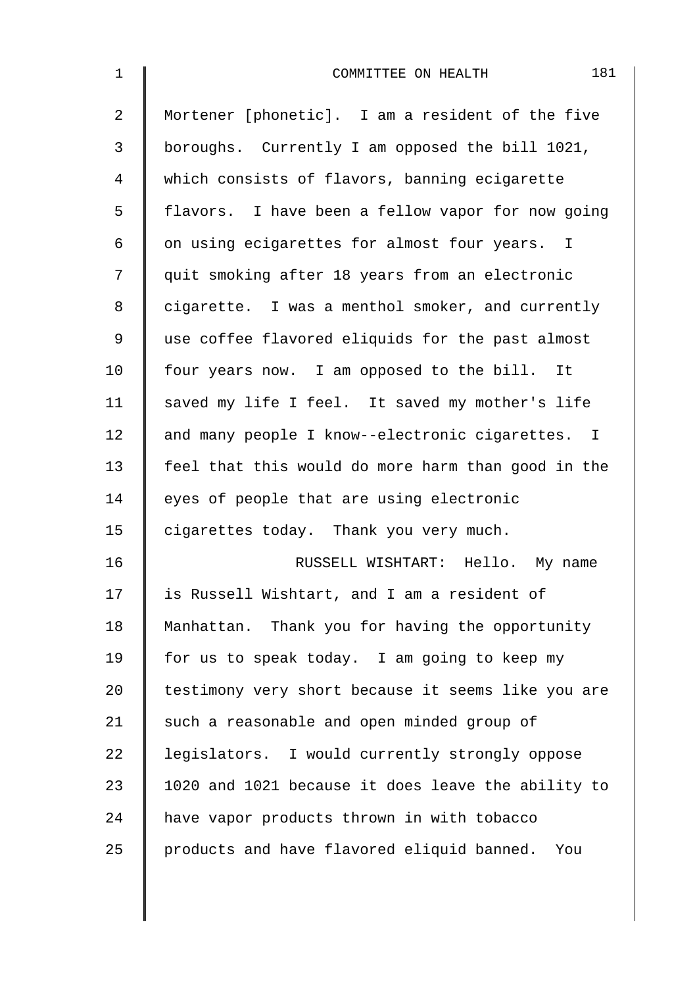| $\mathbf 1$ | 181<br>COMMITTEE ON HEALTH                         |
|-------------|----------------------------------------------------|
| 2           | Mortener [phonetic]. I am a resident of the five   |
| 3           | boroughs. Currently I am opposed the bill 1021,    |
| 4           | which consists of flavors, banning ecigarette      |
| 5           | flavors. I have been a fellow vapor for now going  |
| 6           | on using ecigarettes for almost four years. I      |
| 7           | quit smoking after 18 years from an electronic     |
| 8           | cigarette. I was a menthol smoker, and currently   |
| 9           | use coffee flavored eliquids for the past almost   |
| 10          | four years now. I am opposed to the bill. It       |
| 11          | saved my life I feel. It saved my mother's life    |
| 12          | and many people I know--electronic cigarettes. I   |
| 13          | feel that this would do more harm than good in the |
| 14          | eyes of people that are using electronic           |
| 15          | cigarettes today. Thank you very much.             |
| 16          | RUSSELL WISHTART: Hello. My name                   |
| 17          | is Russell Wishtart, and I am a resident of        |
| 18          | Manhattan. Thank you for having the opportunity    |
| 19          | for us to speak today. I am going to keep my       |
| 20          | testimony very short because it seems like you are |
| 21          | such a reasonable and open minded group of         |
| 22          | legislators. I would currently strongly oppose     |
| 23          | 1020 and 1021 because it does leave the ability to |
| 24          | have vapor products thrown in with tobacco         |
| 25          | products and have flavored eliquid banned. You     |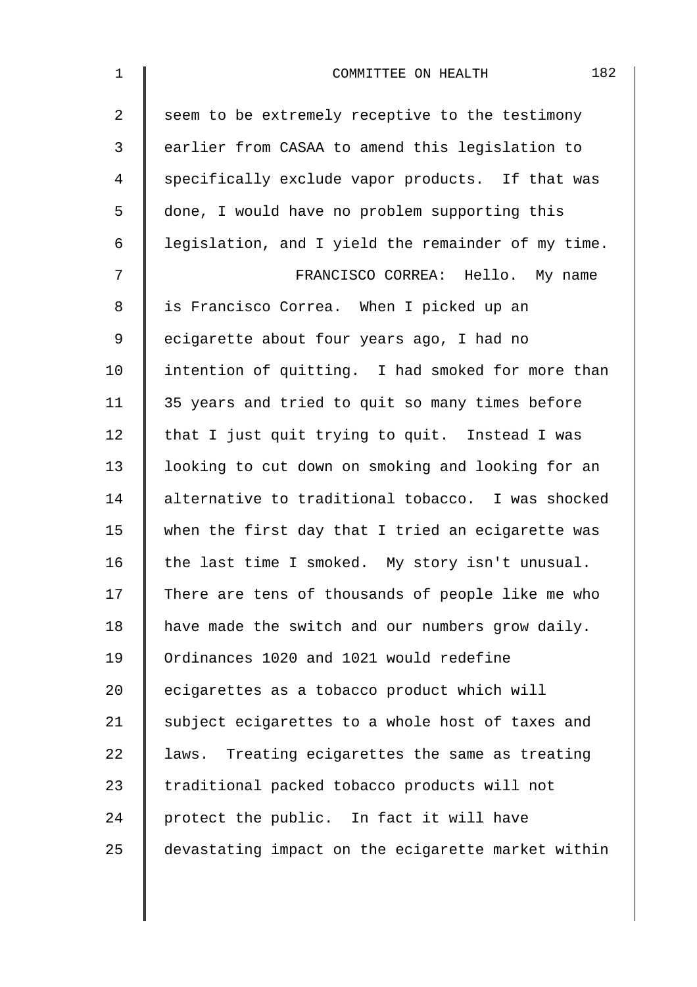| $\mathbf 1$    | 182<br>COMMITTEE ON HEALTH                         |
|----------------|----------------------------------------------------|
| $\overline{2}$ | seem to be extremely receptive to the testimony    |
| 3              | earlier from CASAA to amend this legislation to    |
| 4              | specifically exclude vapor products. If that was   |
| 5              | done, I would have no problem supporting this      |
| 6              | legislation, and I yield the remainder of my time. |
| 7              | FRANCISCO CORREA: Hello. My name                   |
| 8              | is Francisco Correa. When I picked up an           |
| 9              | ecigarette about four years ago, I had no          |
| 10             | intention of quitting. I had smoked for more than  |
| 11             | 35 years and tried to quit so many times before    |
| 12             | that I just quit trying to quit. Instead I was     |
| 13             | looking to cut down on smoking and looking for an  |
| 14             | alternative to traditional tobacco. I was shocked  |
| 15             | when the first day that I tried an ecigarette was  |
| 16             | the last time I smoked. My story isn't unusual.    |
| 17             | There are tens of thousands of people like me who  |
| 18             | have made the switch and our numbers grow daily.   |
| 19             | Ordinances 1020 and 1021 would redefine            |
| 20             | ecigarettes as a tobacco product which will        |
| 21             | subject ecigarettes to a whole host of taxes and   |
| 22             | laws. Treating ecigarettes the same as treating    |
| 23             | traditional packed tobacco products will not       |
| 24             | protect the public. In fact it will have           |
| 25             | devastating impact on the ecigarette market within |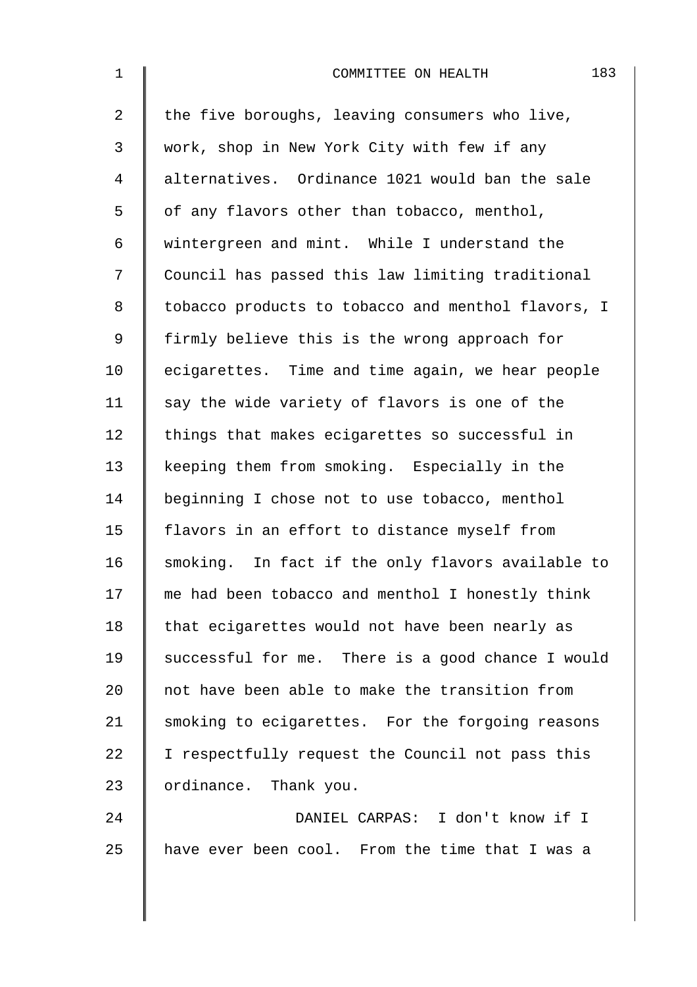| $\mathbf{1}$   | 183<br>COMMITTEE ON HEALTH                         |
|----------------|----------------------------------------------------|
| $\overline{a}$ | the five boroughs, leaving consumers who live,     |
| 3              | work, shop in New York City with few if any        |
| 4              | alternatives. Ordinance 1021 would ban the sale    |
| 5              | of any flavors other than tobacco, menthol,        |
| 6              | wintergreen and mint. While I understand the       |
| 7              | Council has passed this law limiting traditional   |
| 8              | tobacco products to tobacco and menthol flavors, I |
| 9              | firmly believe this is the wrong approach for      |
| 10             | ecigarettes. Time and time again, we hear people   |
| 11             | say the wide variety of flavors is one of the      |
| 12             | things that makes ecigarettes so successful in     |
| 13             | keeping them from smoking. Especially in the       |
| 14             | beginning I chose not to use tobacco, menthol      |
| 15             | flavors in an effort to distance myself from       |
| 16             | smoking. In fact if the only flavors available to  |
| 17             | me had been tobacco and menthol I honestly think   |
| 18             | that ecigarettes would not have been nearly as     |
| 19             | successful for me. There is a good chance I would  |
| 20             | not have been able to make the transition from     |
| 21             | smoking to ecigarettes. For the forgoing reasons   |
| 22             | I respectfully request the Council not pass this   |
| 23             | ordinance. Thank you.                              |
| 24             | DANIEL CARPAS: I don't know if I                   |
| 25             | have ever been cool. From the time that I was a    |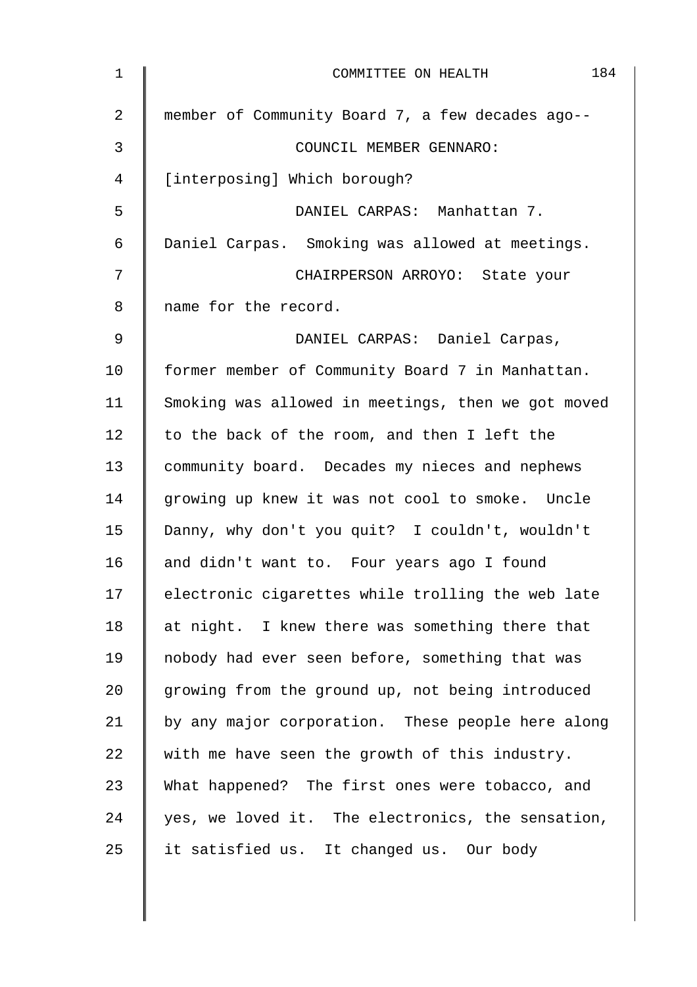| 1  | 184<br>COMMITTEE ON HEALTH                         |
|----|----------------------------------------------------|
| 2  | member of Community Board 7, a few decades ago--   |
| 3  | COUNCIL MEMBER GENNARO:                            |
| 4  | [interposing] Which borough?                       |
| 5  | DANIEL CARPAS: Manhattan 7.                        |
| 6  | Daniel Carpas. Smoking was allowed at meetings.    |
| 7  | CHAIRPERSON ARROYO: State your                     |
| 8  | name for the record.                               |
| 9  | DANIEL CARPAS: Daniel Carpas,                      |
| 10 | former member of Community Board 7 in Manhattan.   |
| 11 | Smoking was allowed in meetings, then we got moved |
| 12 | to the back of the room, and then I left the       |
| 13 | community board. Decades my nieces and nephews     |
| 14 | growing up knew it was not cool to smoke. Uncle    |
| 15 | Danny, why don't you quit? I couldn't, wouldn't    |
| 16 | and didn't want to. Four years ago I found         |
| 17 | electronic cigarettes while trolling the web late  |
| 18 | at night. I knew there was something there that    |
| 19 | nobody had ever seen before, something that was    |
| 20 | growing from the ground up, not being introduced   |
| 21 | by any major corporation. These people here along  |
| 22 | with me have seen the growth of this industry.     |
| 23 | What happened? The first ones were tobacco, and    |
| 24 | yes, we loved it. The electronics, the sensation,  |
| 25 | it satisfied us. It changed us. Our body           |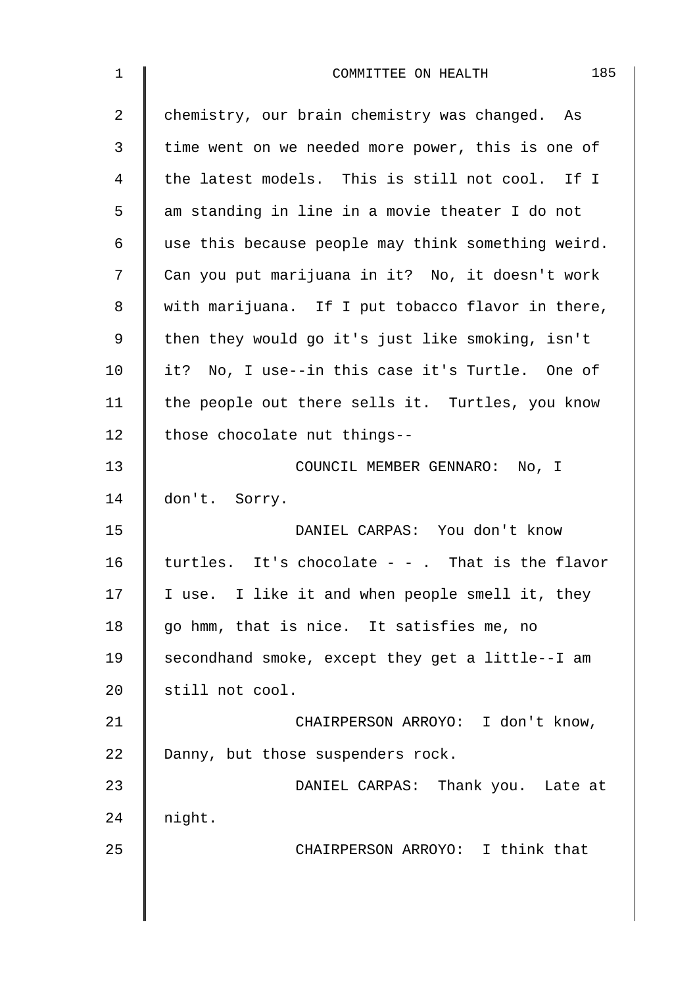| $\mathbf 1$ | 185<br>COMMITTEE ON HEALTH                         |
|-------------|----------------------------------------------------|
| 2           | chemistry, our brain chemistry was changed. As     |
| 3           | time went on we needed more power, this is one of  |
| 4           | the latest models. This is still not cool. If I    |
| 5           | am standing in line in a movie theater I do not    |
| 6           | use this because people may think something weird. |
| 7           | Can you put marijuana in it? No, it doesn't work   |
| 8           | with marijuana. If I put tobacco flavor in there,  |
| $\mathsf 9$ | then they would go it's just like smoking, isn't   |
| 10          | it? No, I use--in this case it's Turtle. One of    |
| 11          | the people out there sells it. Turtles, you know   |
| 12          | those chocolate nut things--                       |
| 13          | COUNCIL MEMBER GENNARO: No, I                      |
| 14          | don't. Sorry.                                      |
| 15          | DANIEL CARPAS: You don't know                      |
| 16          | turtles. It's chocolate $-$ - . That is the flavor |
| 17          | I use. I like it and when people smell it, they    |
| 18          | go hmm, that is nice. It satisfies me, no          |
| 19          | secondhand smoke, except they get a little--I am   |
| 20          | still not cool.                                    |
| 21          | CHAIRPERSON ARROYO: I don't know,                  |
| 22          | Danny, but those suspenders rock.                  |
| 23          | DANIEL CARPAS: Thank you. Late at                  |
| 24          | night.                                             |
| 25          | CHAIRPERSON ARROYO: I think that                   |
|             |                                                    |
|             |                                                    |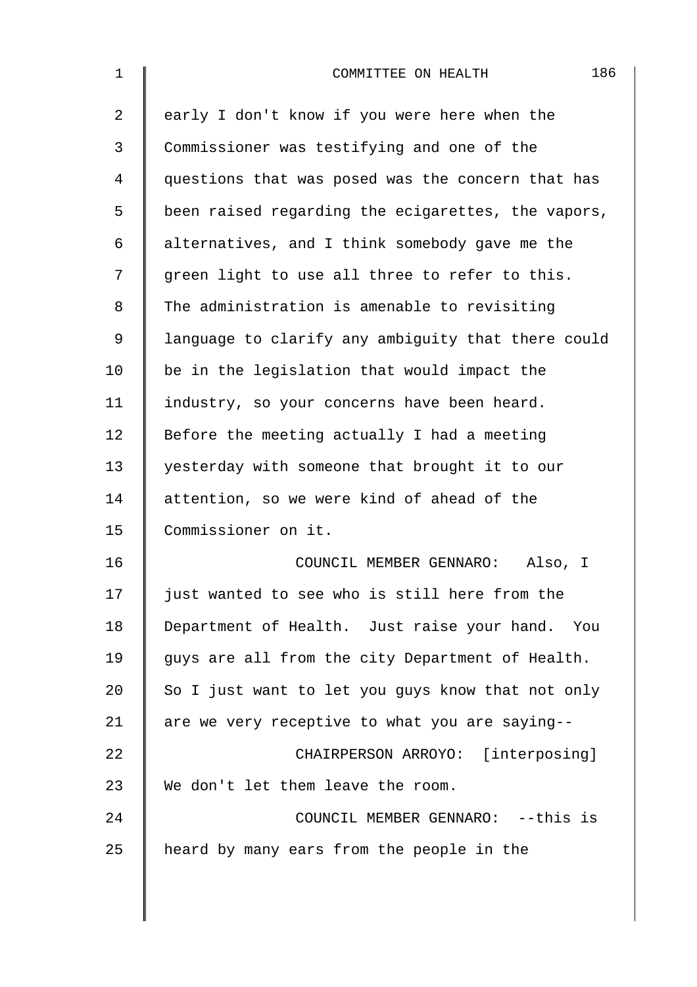| $\mathbf 1$ | 186<br>COMMITTEE ON HEALTH                         |
|-------------|----------------------------------------------------|
| 2           | early I don't know if you were here when the       |
| 3           | Commissioner was testifying and one of the         |
| 4           | questions that was posed was the concern that has  |
| 5           | been raised regarding the ecigarettes, the vapors, |
| 6           | alternatives, and I think somebody gave me the     |
| 7           | green light to use all three to refer to this.     |
| 8           | The administration is amenable to revisiting       |
| 9           | language to clarify any ambiguity that there could |
| 10          | be in the legislation that would impact the        |
| 11          | industry, so your concerns have been heard.        |
| 12          | Before the meeting actually I had a meeting        |
| 13          | yesterday with someone that brought it to our      |
| 14          | attention, so we were kind of ahead of the         |
| 15          | Commissioner on it.                                |
| 16          | COUNCIL MEMBER GENNARO:<br>Also, I                 |
| 17          | just wanted to see who is still here from the      |
| 18          | Department of Health. Just raise your hand. You    |
| 19          | guys are all from the city Department of Health.   |
| 20          | So I just want to let you guys know that not only  |
| 21          | are we very receptive to what you are saying--     |
| 22          | CHAIRPERSON ARROYO: [interposing]                  |
| 23          | We don't let them leave the room.                  |
| 24          | COUNCIL MEMBER GENNARO: -- this is                 |
| 25          | heard by many ears from the people in the          |
|             |                                                    |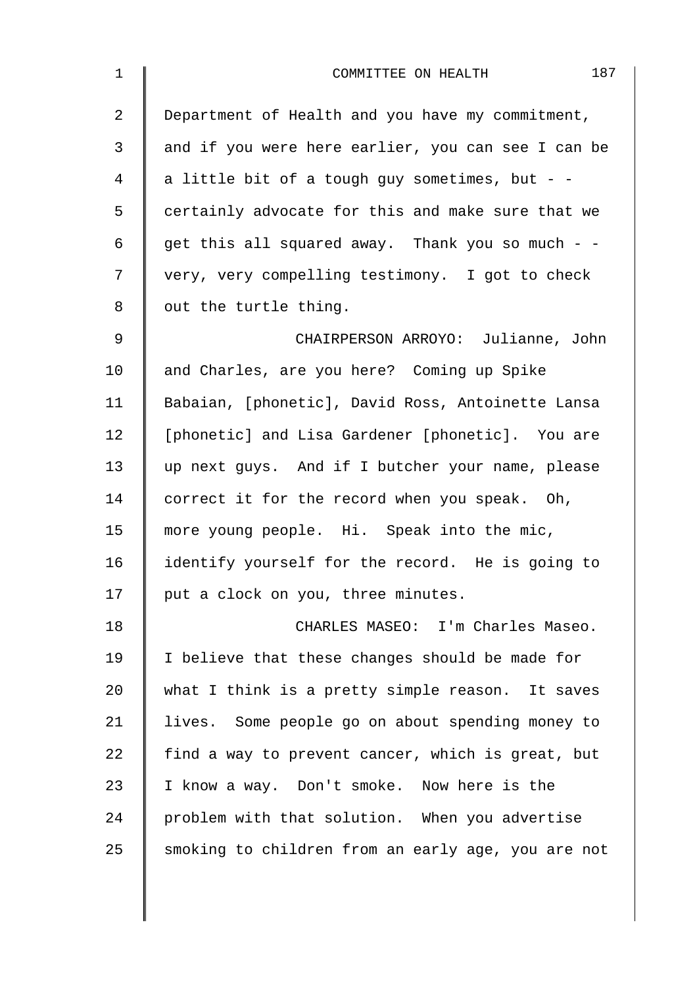| $\mathbf 1$    | 187<br>COMMITTEE ON HEALTH                         |
|----------------|----------------------------------------------------|
| $\overline{2}$ | Department of Health and you have my commitment,   |
| 3              | and if you were here earlier, you can see I can be |
| 4              | a little bit of a tough guy sometimes, but - -     |
| 5              | certainly advocate for this and make sure that we  |
| 6              | get this all squared away. Thank you so much - -   |
| 7              | very, very compelling testimony. I got to check    |
| 8              | out the turtle thing.                              |
| 9              | CHAIRPERSON ARROYO: Julianne, John                 |
| 10             | and Charles, are you here? Coming up Spike         |
| 11             | Babaian, [phonetic], David Ross, Antoinette Lansa  |
| 12             | [phonetic] and Lisa Gardener [phonetic]. You are   |
| 13             | up next guys. And if I butcher your name, please   |
| 14             | correct it for the record when you speak. Oh,      |
| 15             | more young people. Hi. Speak into the mic,         |
| 16             | identify yourself for the record. He is going to   |
| 17             | put a clock on you, three minutes.                 |
| 18             | CHARLES MASEO: I'm Charles Maseo.                  |
| 19             | I believe that these changes should be made for    |
| 20             | what I think is a pretty simple reason. It saves   |
| 21             | lives. Some people go on about spending money to   |
| 22             | find a way to prevent cancer, which is great, but  |
| 23             | I know a way. Don't smoke. Now here is the         |
| 24             | problem with that solution. When you advertise     |
| 25             | smoking to children from an early age, you are not |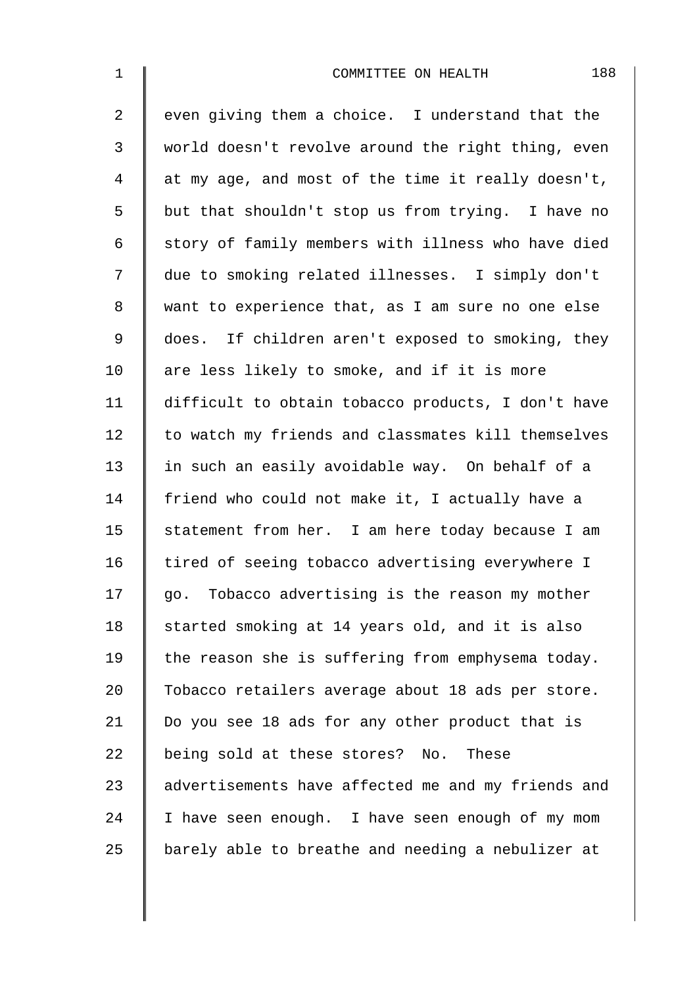| $\mathbf 1$    | 188<br>COMMITTEE ON HEALTH                         |
|----------------|----------------------------------------------------|
| $\overline{2}$ | even giving them a choice. I understand that the   |
| $\mathfrak{Z}$ | world doesn't revolve around the right thing, even |
| $\overline{4}$ | at my age, and most of the time it really doesn't, |
| 5              | but that shouldn't stop us from trying. I have no  |
| 6              | story of family members with illness who have died |
| 7              | due to smoking related illnesses. I simply don't   |
| $\,8\,$        | want to experience that, as I am sure no one else  |
| $\mathsf 9$    | does. If children aren't exposed to smoking, they  |
| 10             | are less likely to smoke, and if it is more        |
| 11             | difficult to obtain tobacco products, I don't have |
| 12             | to watch my friends and classmates kill themselves |
| 13             | in such an easily avoidable way. On behalf of a    |
| 14             | friend who could not make it, I actually have a    |
| 15             | statement from her. I am here today because I am   |
| 16             | tired of seeing tobacco advertising everywhere I   |
| 17             | go. Tobacco advertising is the reason my mother    |
| 18             | started smoking at 14 years old, and it is also    |
| 19             | the reason she is suffering from emphysema today.  |
| 20             | Tobacco retailers average about 18 ads per store.  |
| 21             | Do you see 18 ads for any other product that is    |
| 22             | being sold at these stores? No. These              |
| 23             | advertisements have affected me and my friends and |
| 24             | I have seen enough. I have seen enough of my mom   |
| 25             | barely able to breathe and needing a nebulizer at  |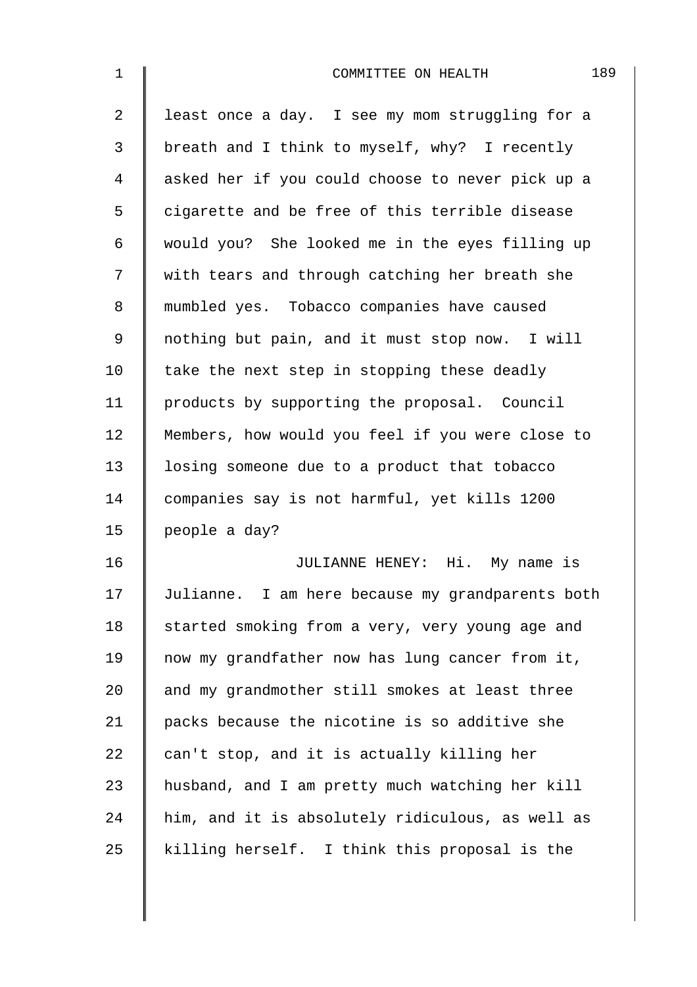| $\mathbf 1$    | 189<br>COMMITTEE ON HEALTH                       |
|----------------|--------------------------------------------------|
| $\overline{2}$ | least once a day. I see my mom struggling for a  |
| 3              | breath and I think to myself, why? I recently    |
| 4              | asked her if you could choose to never pick up a |
| 5              | cigarette and be free of this terrible disease   |
| 6              | would you? She looked me in the eyes filling up  |
| 7              | with tears and through catching her breath she   |
| 8              | mumbled yes. Tobacco companies have caused       |
| 9              | nothing but pain, and it must stop now. I will   |
| 10             | take the next step in stopping these deadly      |
| 11             | products by supporting the proposal. Council     |
| 12             | Members, how would you feel if you were close to |
| 13             | losing someone due to a product that tobacco     |
| 14             | companies say is not harmful, yet kills 1200     |
| 15             | people a day?                                    |
| 16             | JULIANNE HENEY: Hi. My name is                   |
| 17             | Julianne. I am here because my grandparents both |
| 18             | started smoking from a very, very young age and  |
| 19             | now my grandfather now has lung cancer from it,  |
| 20             | and my grandmother still smokes at least three   |
| 21             | packs because the nicotine is so additive she    |
| 22             | can't stop, and it is actually killing her       |
| 23             | husband, and I am pretty much watching her kill  |
| 24             | him, and it is absolutely ridiculous, as well as |
| 25             | killing herself. I think this proposal is the    |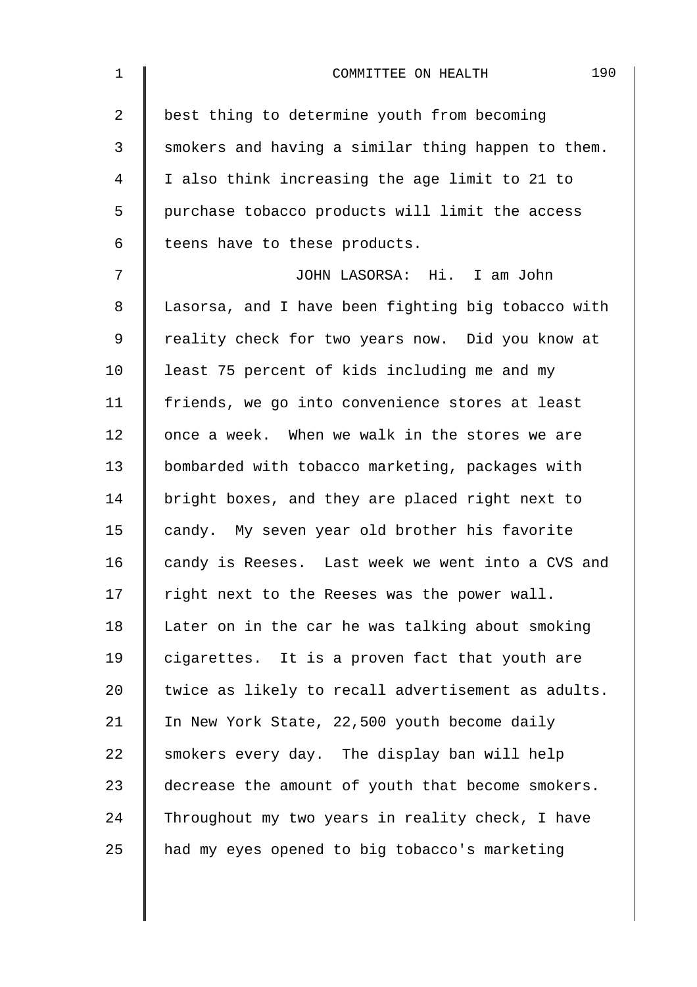| $\mathbf 1$    | 190<br>COMMITTEE ON HEALTH                         |
|----------------|----------------------------------------------------|
| $\overline{2}$ | best thing to determine youth from becoming        |
| 3              | smokers and having a similar thing happen to them. |
| 4              | I also think increasing the age limit to 21 to     |
| 5              | purchase tobacco products will limit the access    |
| 6              | teens have to these products.                      |
| 7              | JOHN LASORSA: Hi. I am John                        |
| 8              | Lasorsa, and I have been fighting big tobacco with |
| 9              | reality check for two years now. Did you know at   |
| 10             | least 75 percent of kids including me and my       |
| 11             | friends, we go into convenience stores at least    |
| 12             | once a week. When we walk in the stores we are     |
| 13             | bombarded with tobacco marketing, packages with    |
| 14             | bright boxes, and they are placed right next to    |
| 15             | candy. My seven year old brother his favorite      |
| 16             | candy is Reeses. Last week we went into a CVS and  |
| 17             | right next to the Reeses was the power wall.       |
| 18             | Later on in the car he was talking about smoking   |
| 19             | cigarettes. It is a proven fact that youth are     |
| 20             | twice as likely to recall advertisement as adults. |
| 21             | In New York State, 22,500 youth become daily       |
| 22             | smokers every day. The display ban will help       |
| 23             | decrease the amount of youth that become smokers.  |
| 24             | Throughout my two years in reality check, I have   |
| 25             | had my eyes opened to big tobacco's marketing      |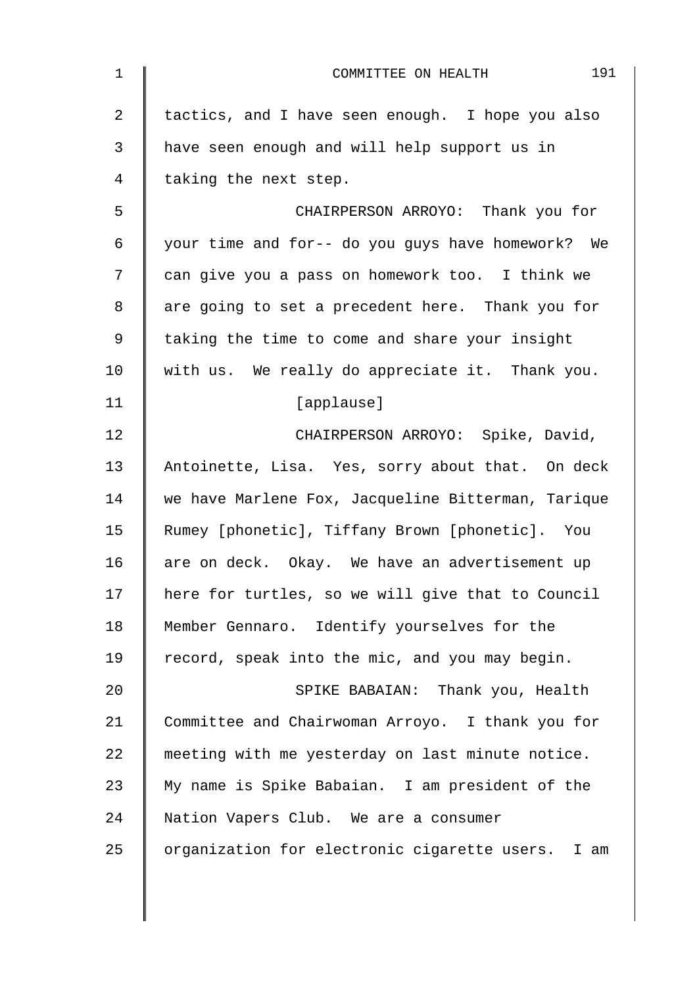| $\mathbf{1}$   | 191<br>COMMITTEE ON HEALTH                         |
|----------------|----------------------------------------------------|
| $\overline{2}$ | tactics, and I have seen enough. I hope you also   |
| 3              | have seen enough and will help support us in       |
| 4              | taking the next step.                              |
| 5              | CHAIRPERSON ARROYO: Thank you for                  |
| 6              | your time and for-- do you guys have homework? We  |
| 7              | can give you a pass on homework too. I think we    |
| 8              | are going to set a precedent here. Thank you for   |
| 9              | taking the time to come and share your insight     |
| 10             | with us. We really do appreciate it. Thank you.    |
| 11             | [applause]                                         |
| 12             | CHAIRPERSON ARROYO: Spike, David,                  |
| 13             | Antoinette, Lisa. Yes, sorry about that. On deck   |
| 14             | we have Marlene Fox, Jacqueline Bitterman, Tarique |
| 15             | Rumey [phonetic], Tiffany Brown [phonetic]. You    |
| 16             | are on deck. Okay. We have an advertisement up     |
| 17             | here for turtles, so we will give that to Council  |
| 18             | Member Gennaro. Identify yourselves for the        |
| 19             | record, speak into the mic, and you may begin.     |
| 20             | SPIKE BABAIAN: Thank you, Health                   |
| 21             | Committee and Chairwoman Arroyo. I thank you for   |
| 22             | meeting with me yesterday on last minute notice.   |
| 23             | My name is Spike Babaian. I am president of the    |
| 24             | Nation Vapers Club. We are a consumer              |
| 25             | organization for electronic cigarette users. I am  |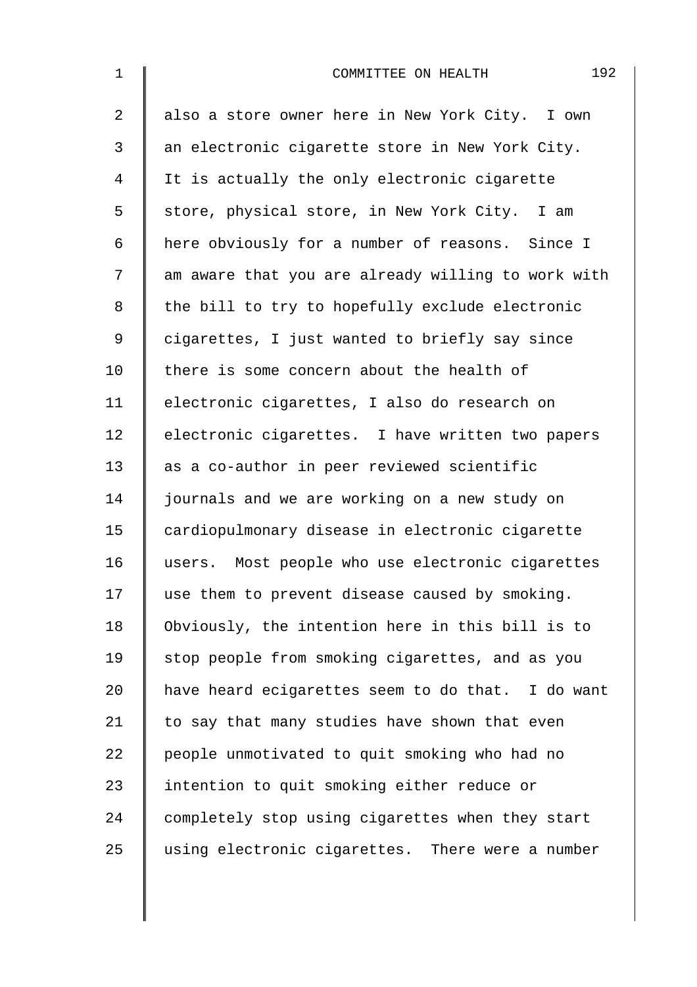| $\mathbf 1$    | 192<br>COMMITTEE ON HEALTH                         |
|----------------|----------------------------------------------------|
| $\overline{a}$ | also a store owner here in New York City. I own    |
| $\mathfrak{Z}$ | an electronic cigarette store in New York City.    |
| $\overline{4}$ | It is actually the only electronic cigarette       |
| 5              | store, physical store, in New York City. I am      |
| 6              | here obviously for a number of reasons. Since I    |
| 7              | am aware that you are already willing to work with |
| $\,8\,$        | the bill to try to hopefully exclude electronic    |
| $\mathsf 9$    | cigarettes, I just wanted to briefly say since     |
| 10             | there is some concern about the health of          |
| 11             | electronic cigarettes, I also do research on       |
| 12             | electronic cigarettes. I have written two papers   |
| 13             | as a co-author in peer reviewed scientific         |
| 14             | journals and we are working on a new study on      |
| 15             | cardiopulmonary disease in electronic cigarette    |
| 16             | users. Most people who use electronic cigarettes   |
| 17             | use them to prevent disease caused by smoking.     |
| 18             | Obviously, the intention here in this bill is to   |
| 19             | stop people from smoking cigarettes, and as you    |
| 20             | have heard ecigarettes seem to do that. I do want  |
| 21             | to say that many studies have shown that even      |
| 22             | people unmotivated to quit smoking who had no      |
| 23             | intention to quit smoking either reduce or         |
| 24             | completely stop using cigarettes when they start   |
| 25             | using electronic cigarettes. There were a number   |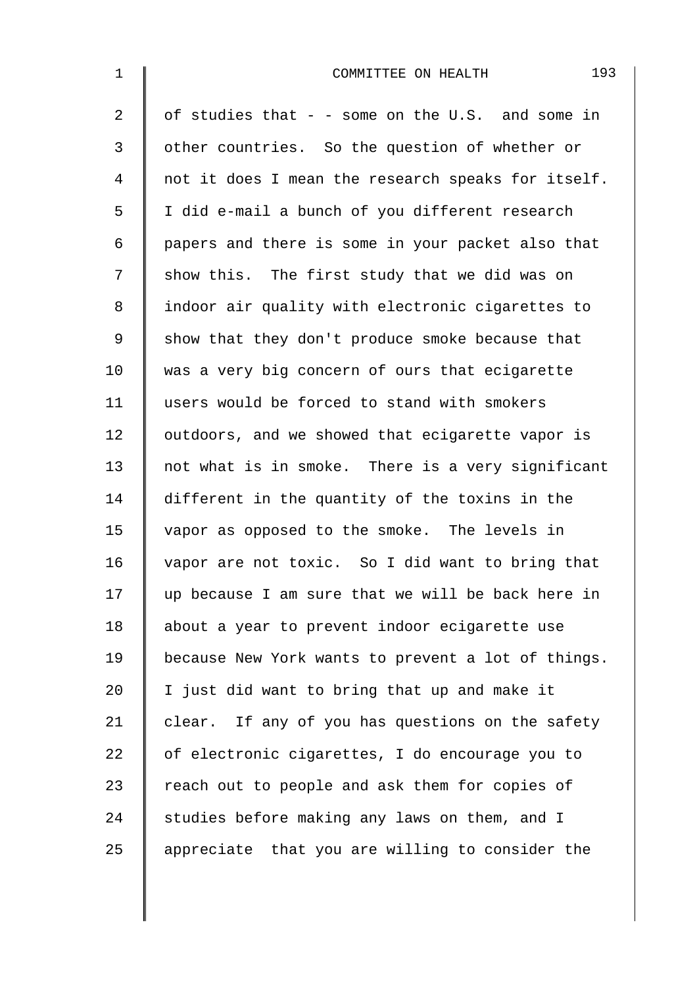| $\mathbf 1$    | 193<br>COMMITTEE ON HEALTH                         |
|----------------|----------------------------------------------------|
| $\overline{a}$ | of studies that $-$ - some on the U.S. and some in |
| 3              | other countries. So the question of whether or     |
| 4              | not it does I mean the research speaks for itself. |
| 5              | I did e-mail a bunch of you different research     |
| 6              | papers and there is some in your packet also that  |
| 7              | show this. The first study that we did was on      |
| 8              | indoor air quality with electronic cigarettes to   |
| 9              | show that they don't produce smoke because that    |
| 10             | was a very big concern of ours that ecigarette     |
| 11             | users would be forced to stand with smokers        |
| 12             | outdoors, and we showed that ecigarette vapor is   |
| 13             | not what is in smoke. There is a very significant  |
| 14             | different in the quantity of the toxins in the     |
| 15             | vapor as opposed to the smoke. The levels in       |
| 16             | vapor are not toxic. So I did want to bring that   |
| 17             | up because I am sure that we will be back here in  |
| 18             | about a year to prevent indoor ecigarette use      |
| 19             | because New York wants to prevent a lot of things. |
| 20             | I just did want to bring that up and make it       |
| 21             | clear. If any of you has questions on the safety   |
| 22             | of electronic cigarettes, I do encourage you to    |
| 23             | reach out to people and ask them for copies of     |
| 24             | studies before making any laws on them, and I      |
| 25             | appreciate that you are willing to consider the    |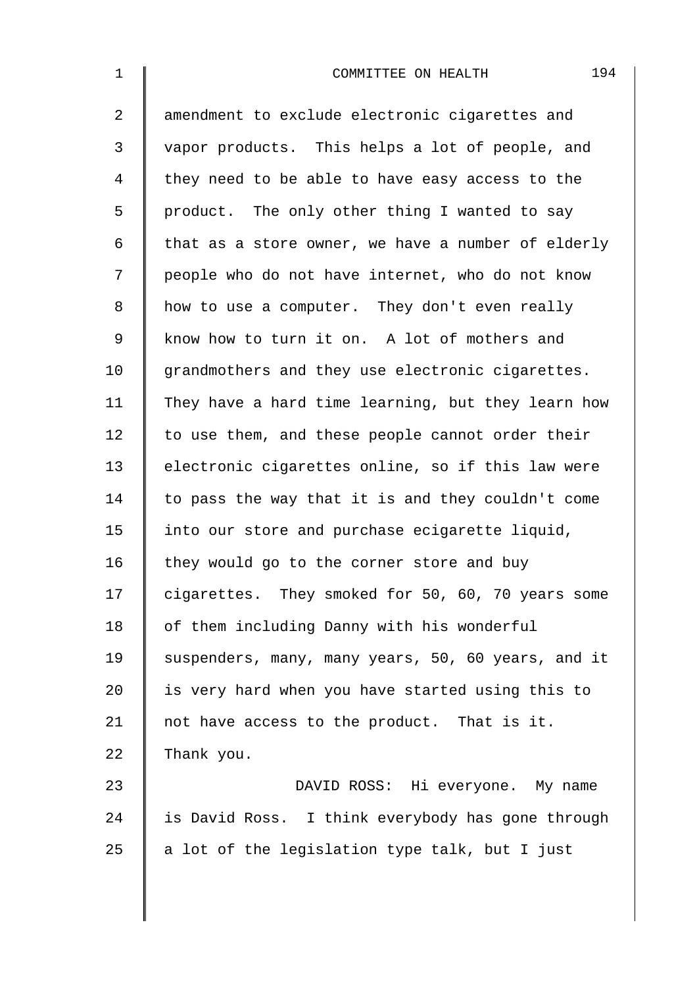| $\mathbf{1}$   | 194<br>COMMITTEE ON HEALTH                         |
|----------------|----------------------------------------------------|
| $\overline{2}$ | amendment to exclude electronic cigarettes and     |
| 3              | vapor products. This helps a lot of people, and    |
| 4              | they need to be able to have easy access to the    |
| 5              | product. The only other thing I wanted to say      |
| 6              | that as a store owner, we have a number of elderly |
| 7              | people who do not have internet, who do not know   |
| 8              | how to use a computer. They don't even really      |
| $\mathsf 9$    | know how to turn it on. A lot of mothers and       |
| 10             | grandmothers and they use electronic cigarettes.   |
| 11             | They have a hard time learning, but they learn how |
| 12             | to use them, and these people cannot order their   |
| 13             | electronic cigarettes online, so if this law were  |
| 14             | to pass the way that it is and they couldn't come  |
| 15             | into our store and purchase ecigarette liquid,     |
| 16             | they would go to the corner store and buy          |
| 17             | cigarettes. They smoked for 50, 60, 70 years some  |
| 18             | of them including Danny with his wonderful         |
| 19             | suspenders, many, many years, 50, 60 years, and it |
| 20             | is very hard when you have started using this to   |
| 21             | not have access to the product. That is it.        |
| 22             | Thank you.                                         |
| 23             | DAVID ROSS: Hi everyone. My name                   |
| 24             | is David Ross. I think everybody has gone through  |
| 25             | a lot of the legislation type talk, but I just     |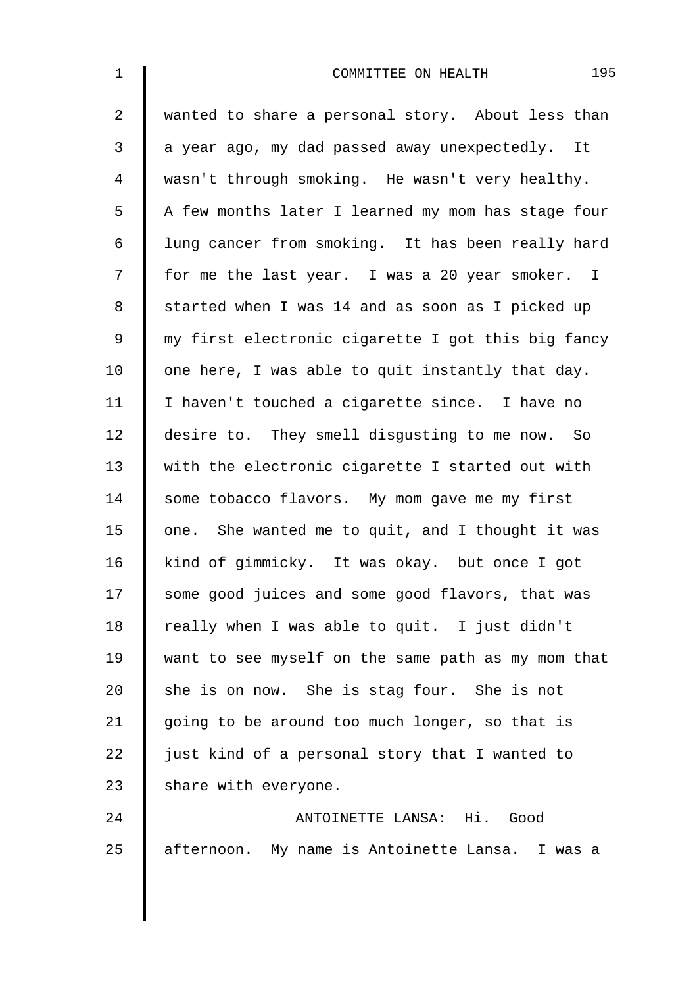| $\mathbf 1$    | 195<br>COMMITTEE ON HEALTH                         |
|----------------|----------------------------------------------------|
| $\overline{2}$ | wanted to share a personal story. About less than  |
| 3              | a year ago, my dad passed away unexpectedly. It    |
| 4              | wasn't through smoking. He wasn't very healthy.    |
| 5              | A few months later I learned my mom has stage four |
| 6              | lung cancer from smoking. It has been really hard  |
| 7              | for me the last year. I was a 20 year smoker. I    |
| 8              | started when I was 14 and as soon as I picked up   |
| 9              | my first electronic cigarette I got this big fancy |
| 10             | one here, I was able to quit instantly that day.   |
| 11             | I haven't touched a cigarette since. I have no     |
| 12             | desire to. They smell disgusting to me now. So     |
| 13             | with the electronic cigarette I started out with   |
| 14             | some tobacco flavors. My mom gave me my first      |
| 15             | one. She wanted me to quit, and I thought it was   |
| 16             | kind of gimmicky. It was okay. but once I got      |
| 17             | some good juices and some good flavors, that was   |
| 18             | really when I was able to quit. I just didn't      |
| 19             | want to see myself on the same path as my mom that |
| 20             | she is on now. She is stag four. She is not        |
| 21             | going to be around too much longer, so that is     |
| 22             | just kind of a personal story that I wanted to     |
| 23             | share with everyone.                               |
| 24             | ANTOINETTE LANSA: Hi. Good                         |
| 25             | afternoon. My name is Antoinette Lansa. I was a    |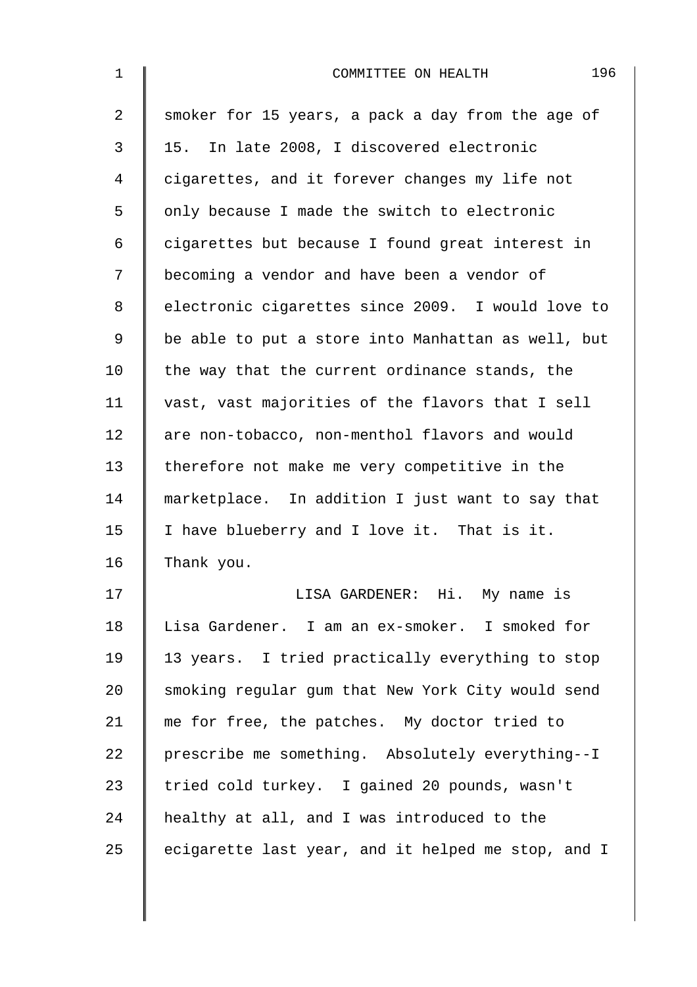| $\mathbf 1$    | 196<br>COMMITTEE ON HEALTH                         |
|----------------|----------------------------------------------------|
| $\overline{a}$ | smoker for 15 years, a pack a day from the age of  |
| 3              | 15. In late 2008, I discovered electronic          |
| 4              | cigarettes, and it forever changes my life not     |
| 5              | only because I made the switch to electronic       |
| 6              | cigarettes but because I found great interest in   |
| 7              | becoming a vendor and have been a vendor of        |
| 8              | electronic cigarettes since 2009. I would love to  |
| 9              | be able to put a store into Manhattan as well, but |
| 10             | the way that the current ordinance stands, the     |
| 11             | vast, vast majorities of the flavors that I sell   |
| 12             | are non-tobacco, non-menthol flavors and would     |
| 13             | therefore not make me very competitive in the      |
| 14             | marketplace. In addition I just want to say that   |
| 15             | I have blueberry and I love it. That is it.        |
| 16             | Thank you.                                         |
| 17             | LISA GARDENER: Hi. My name is                      |
| 18             | Lisa Gardener. I am an ex-smoker. I smoked for     |
| 19             | 13 years. I tried practically everything to stop   |
| 20             | smoking regular gum that New York City would send  |
| 21             | me for free, the patches. My doctor tried to       |
| 22             | prescribe me something. Absolutely everything--I   |
| 23             | tried cold turkey. I gained 20 pounds, wasn't      |
| 24             | healthy at all, and I was introduced to the        |
| 25             | ecigarette last year, and it helped me stop, and I |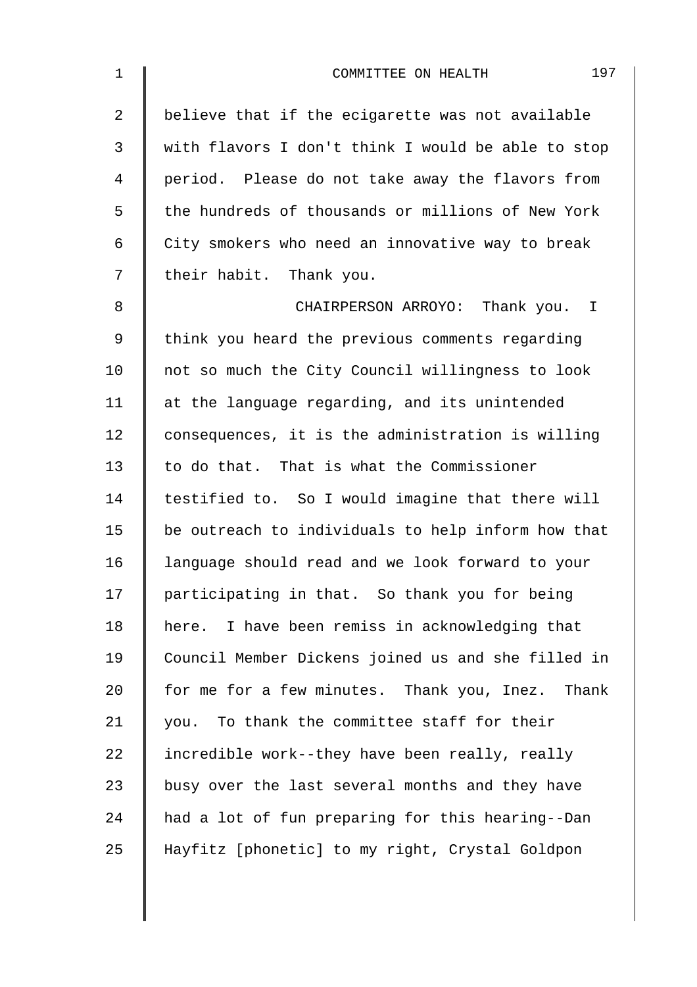| $\mathbf 1$    | 197<br>COMMITTEE ON HEALTH                         |
|----------------|----------------------------------------------------|
| $\overline{a}$ | believe that if the ecigarette was not available   |
| 3              | with flavors I don't think I would be able to stop |
| 4              | period. Please do not take away the flavors from   |
| 5              | the hundreds of thousands or millions of New York  |
| 6              | City smokers who need an innovative way to break   |
| 7              | their habit. Thank you.                            |
| 8              | CHAIRPERSON ARROYO: Thank you. I                   |
| $\mathsf 9$    | think you heard the previous comments regarding    |
| 10             | not so much the City Council willingness to look   |
| 11             | at the language regarding, and its unintended      |
| 12             | consequences, it is the administration is willing  |
| 13             | to do that. That is what the Commissioner          |
| 14             | testified to. So I would imagine that there will   |
| 15             | be outreach to individuals to help inform how that |
| 16             | language should read and we look forward to your   |
| 17             | participating in that. So thank you for being      |
| 18             | here. I have been remiss in acknowledging that     |
| 19             | Council Member Dickens joined us and she filled in |
| 20             | for me for a few minutes. Thank you, Inez. Thank   |
| 21             | you. To thank the committee staff for their        |
| 22             | incredible work--they have been really, really     |
| 23             | busy over the last several months and they have    |
| 24             | had a lot of fun preparing for this hearing--Dan   |
| 25             | Hayfitz [phonetic] to my right, Crystal Goldpon    |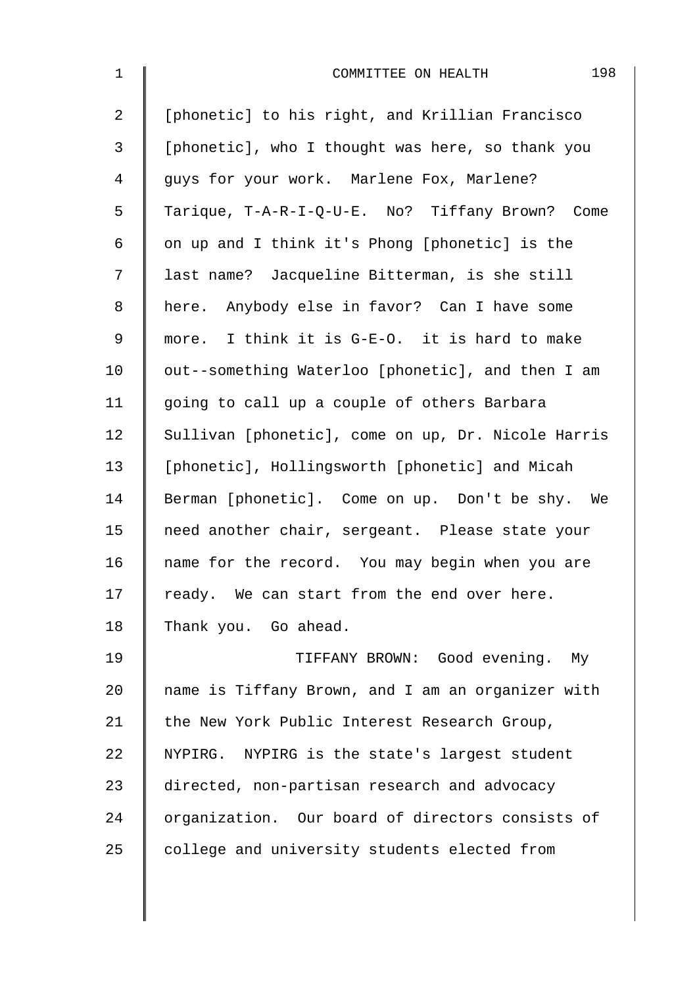| $\mathbf 1$    | 198<br>COMMITTEE ON HEALTH                         |
|----------------|----------------------------------------------------|
| $\overline{a}$ | [phonetic] to his right, and Krillian Francisco    |
| 3              | [phonetic], who I thought was here, so thank you   |
| 4              | guys for your work. Marlene Fox, Marlene?          |
| 5              | Tarique, T-A-R-I-Q-U-E. No? Tiffany Brown? Come    |
| 6              | on up and I think it's Phong [phonetic] is the     |
| 7              | last name? Jacqueline Bitterman, is she still      |
| 8              | here. Anybody else in favor? Can I have some       |
| 9              | more. I think it is G-E-O. it is hard to make      |
| 10             | out--something Waterloo [phonetic], and then I am  |
| 11             | going to call up a couple of others Barbara        |
| 12             | Sullivan [phonetic], come on up, Dr. Nicole Harris |
| 13             | [phonetic], Hollingsworth [phonetic] and Micah     |
| 14             | Berman [phonetic]. Come on up. Don't be shy. We    |
| 15             | need another chair, sergeant. Please state your    |
| 16             | name for the record. You may begin when you are    |
| 17             | ready. We can start from the end over here.        |
| 18             | Thank you. Go ahead.                               |
| 19             | TIFFANY BROWN: Good evening. My                    |
| 20             | name is Tiffany Brown, and I am an organizer with  |
| 21             | the New York Public Interest Research Group,       |
| 22             | NYPIRG. NYPIRG is the state's largest student      |
| 23             | directed, non-partisan research and advocacy       |
| 24             | organization. Our board of directors consists of   |
| 25             | college and university students elected from       |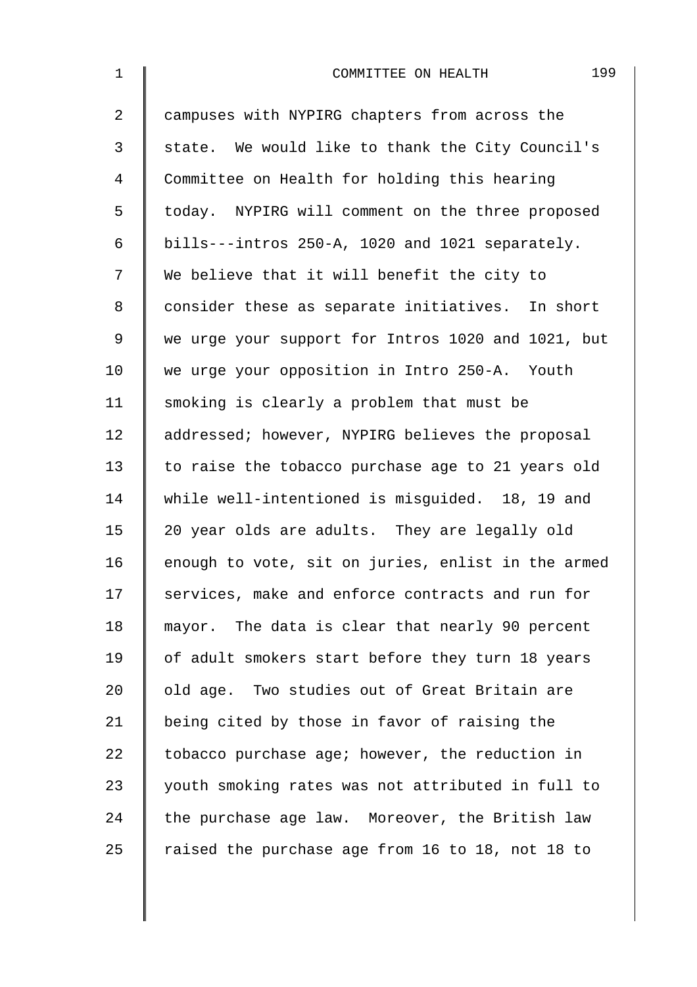| $\mathbf 1$    | 199<br>COMMITTEE ON HEALTH                         |
|----------------|----------------------------------------------------|
| $\overline{2}$ | campuses with NYPIRG chapters from across the      |
| 3              | state. We would like to thank the City Council's   |
| $\overline{4}$ | Committee on Health for holding this hearing       |
| 5              | today. NYPIRG will comment on the three proposed   |
| 6              | bills---intros 250-A, 1020 and 1021 separately.    |
| 7              | We believe that it will benefit the city to        |
| 8              | consider these as separate initiatives. In short   |
| $\mathsf 9$    | we urge your support for Intros 1020 and 1021, but |
| 10             | we urge your opposition in Intro 250-A. Youth      |
| 11             | smoking is clearly a problem that must be          |
| 12             | addressed; however, NYPIRG believes the proposal   |
| 13             | to raise the tobacco purchase age to 21 years old  |
| 14             | while well-intentioned is misguided. 18, 19 and    |
| 15             | 20 year olds are adults. They are legally old      |
| 16             | enough to vote, sit on juries, enlist in the armed |
| 17             | services, make and enforce contracts and run for   |
| 18             | mayor. The data is clear that nearly 90 percent    |
| 19             | of adult smokers start before they turn 18 years   |
| 20             | old age. Two studies out of Great Britain are      |
| 21             | being cited by those in favor of raising the       |
| 22             | tobacco purchase age; however, the reduction in    |
| 23             | youth smoking rates was not attributed in full to  |
| 24             | the purchase age law. Moreover, the British law    |
| 25             | raised the purchase age from 16 to 18, not 18 to   |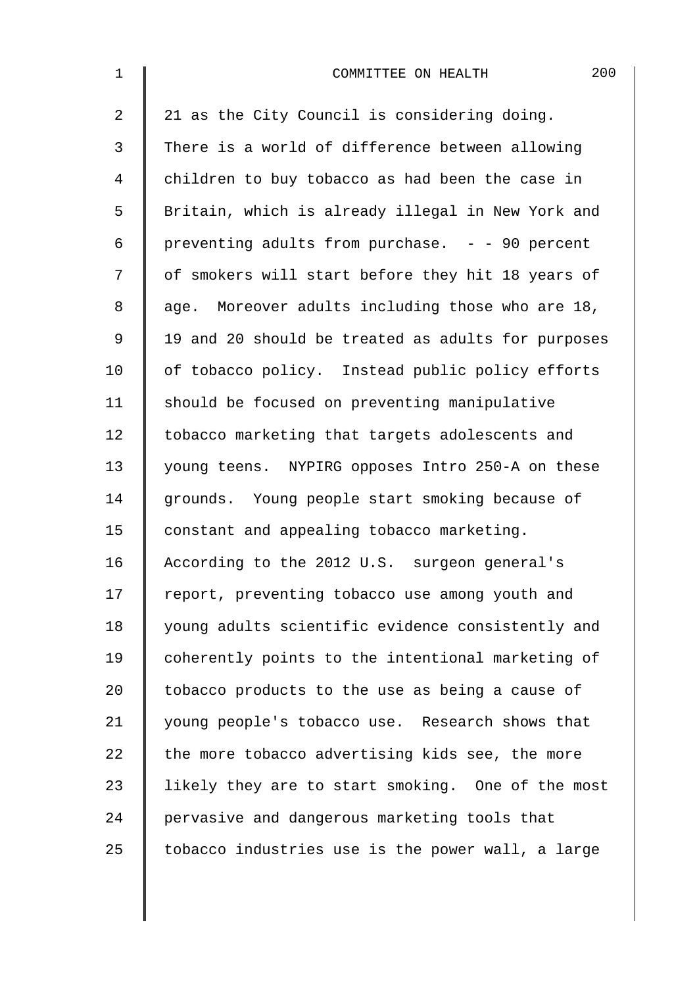| $\mathbf 1$    | 200<br>COMMITTEE ON HEALTH                         |
|----------------|----------------------------------------------------|
| $\overline{2}$ | 21 as the City Council is considering doing.       |
| 3              | There is a world of difference between allowing    |
| 4              | children to buy tobacco as had been the case in    |
| 5              | Britain, which is already illegal in New York and  |
| 6              | preventing adults from purchase. - - 90 percent    |
| 7              | of smokers will start before they hit 18 years of  |
| 8              | age. Moreover adults including those who are 18,   |
| 9              | 19 and 20 should be treated as adults for purposes |
| 10             | of tobacco policy. Instead public policy efforts   |
| 11             | should be focused on preventing manipulative       |
| 12             | tobacco marketing that targets adolescents and     |
| 13             | young teens. NYPIRG opposes Intro 250-A on these   |
| 14             | grounds. Young people start smoking because of     |
| 15             | constant and appealing tobacco marketing.          |
| 16             | According to the 2012 U.S. surgeon general's       |
| 17             | report, preventing tobacco use among youth and     |
| 18             | young adults scientific evidence consistently and  |
| 19             | coherently points to the intentional marketing of  |
| 20             | tobacco products to the use as being a cause of    |
| 21             | young people's tobacco use. Research shows that    |
| 22             | the more tobacco advertising kids see, the more    |
| 23             | likely they are to start smoking. One of the most  |
| 24             | pervasive and dangerous marketing tools that       |
| 25             | tobacco industries use is the power wall, a large  |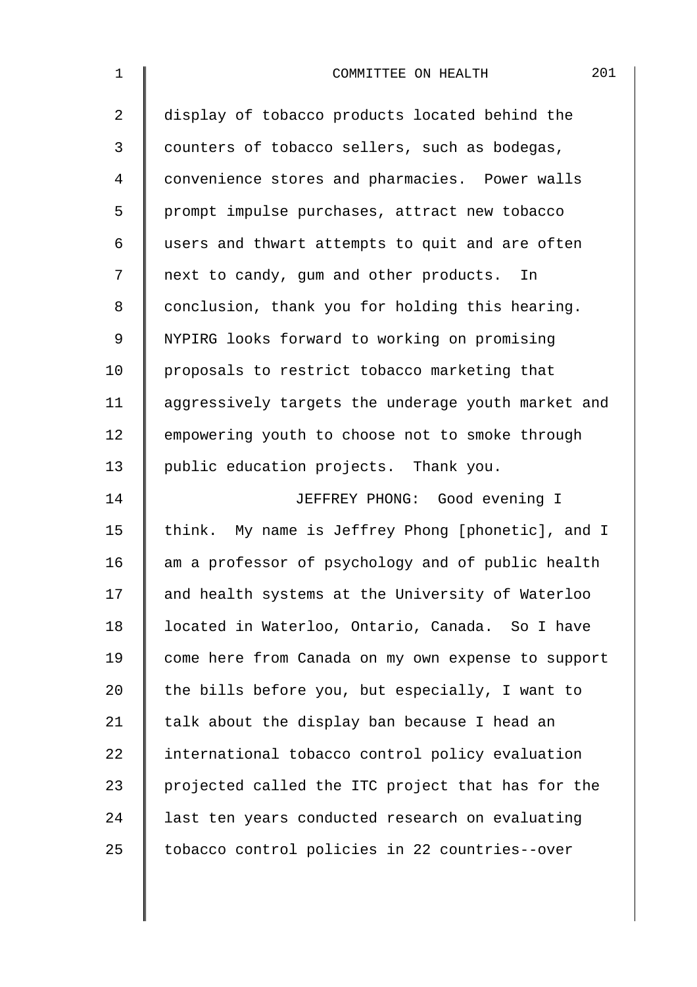| $\mathbf 1$ | 201<br>COMMITTEE ON HEALTH                         |
|-------------|----------------------------------------------------|
| 2           | display of tobacco products located behind the     |
| 3           | counters of tobacco sellers, such as bodegas,      |
| 4           | convenience stores and pharmacies. Power walls     |
| 5           | prompt impulse purchases, attract new tobacco      |
| 6           | users and thwart attempts to quit and are often    |
| 7           | next to candy, gum and other products. In          |
| 8           | conclusion, thank you for holding this hearing.    |
| 9           | NYPIRG looks forward to working on promising       |
| 10          | proposals to restrict tobacco marketing that       |
| 11          | aggressively targets the underage youth market and |
| 12          | empowering youth to choose not to smoke through    |
| 13          | public education projects. Thank you.              |
| 14          | JEFFREY PHONG: Good evening I                      |
| 15          | think. My name is Jeffrey Phong [phonetic], and I  |
| 16          | am a professor of psychology and of public health  |
| 17          | and health systems at the University of Waterloo   |
| 18          | located in Waterloo, Ontario, Canada. So I have    |
| 19          | come here from Canada on my own expense to support |
| 20          | the bills before you, but especially, I want to    |
| 21          | talk about the display ban because I head an       |
| 22          | international tobacco control policy evaluation    |
| 23          | projected called the ITC project that has for the  |
| 24          | last ten years conducted research on evaluating    |
| 25          | tobacco control policies in 22 countries--over     |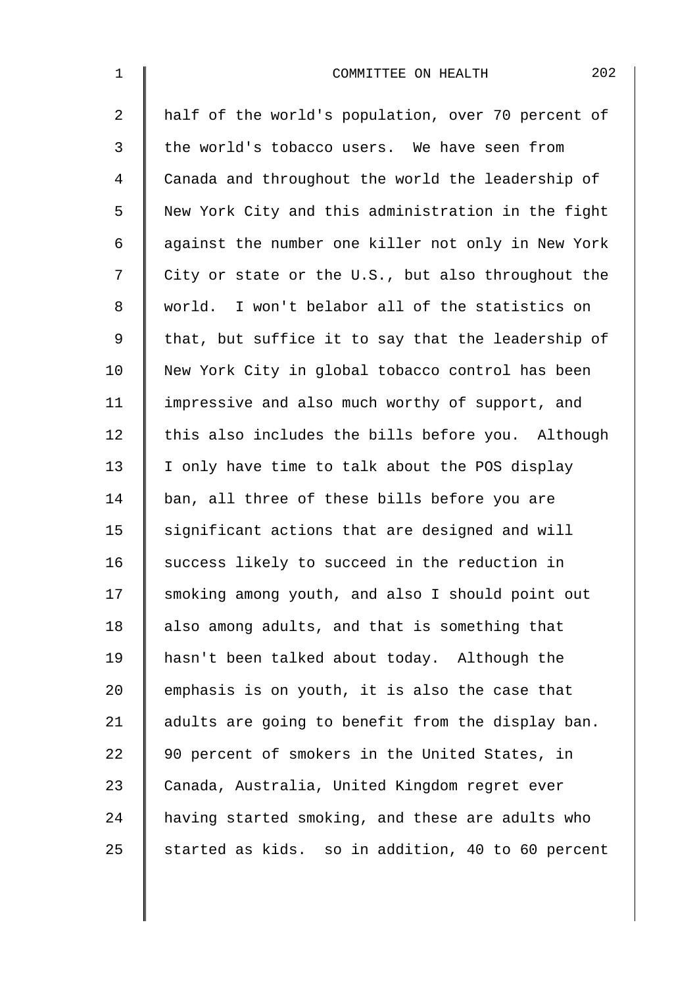| $\mathbf 1$    | 202<br>COMMITTEE ON HEALTH                         |
|----------------|----------------------------------------------------|
| 2              | half of the world's population, over 70 percent of |
| 3              | the world's tobacco users. We have seen from       |
| $\overline{4}$ | Canada and throughout the world the leadership of  |
| 5              | New York City and this administration in the fight |
| 6              | against the number one killer not only in New York |
| 7              | City or state or the U.S., but also throughout the |
| 8              | world. I won't belabor all of the statistics on    |
| 9              | that, but suffice it to say that the leadership of |
| 10             | New York City in global tobacco control has been   |
| 11             | impressive and also much worthy of support, and    |
| 12             | this also includes the bills before you. Although  |
| 13             | I only have time to talk about the POS display     |
| 14             | ban, all three of these bills before you are       |
| 15             | significant actions that are designed and will     |
| 16             | success likely to succeed in the reduction in      |
| 17             | smoking among youth, and also I should point out   |
| 18             | also among adults, and that is something that      |
| 19             | hasn't been talked about today. Although the       |
| 20             | emphasis is on youth, it is also the case that     |
| 21             | adults are going to benefit from the display ban.  |
| 22             | 90 percent of smokers in the United States, in     |
| 23             | Canada, Australia, United Kingdom regret ever      |
| 24             | having started smoking, and these are adults who   |
| 25             | started as kids. so in addition, 40 to 60 percent  |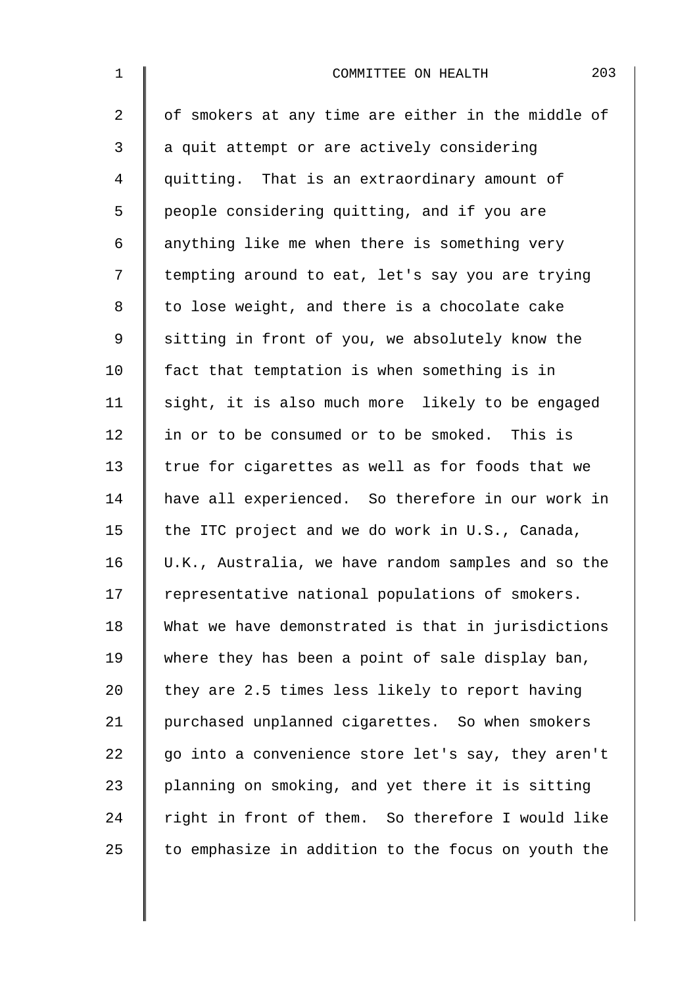| $\mathbf 1$    | 203<br>COMMITTEE ON HEALTH                         |
|----------------|----------------------------------------------------|
| $\overline{2}$ | of smokers at any time are either in the middle of |
| 3              | a quit attempt or are actively considering         |
| 4              | quitting. That is an extraordinary amount of       |
| 5              | people considering quitting, and if you are        |
| 6              | anything like me when there is something very      |
| 7              | tempting around to eat, let's say you are trying   |
| 8              | to lose weight, and there is a chocolate cake      |
| 9              | sitting in front of you, we absolutely know the    |
| 10             | fact that temptation is when something is in       |
| 11             | sight, it is also much more likely to be engaged   |
| 12             | in or to be consumed or to be smoked. This is      |
| 13             | true for cigarettes as well as for foods that we   |
| 14             | have all experienced. So therefore in our work in  |
| 15             | the ITC project and we do work in U.S., Canada,    |
| 16             | U.K., Australia, we have random samples and so the |
| 17             | representative national populations of smokers.    |
| 18             | What we have demonstrated is that in jurisdictions |
| 19             | where they has been a point of sale display ban,   |
| 20             | they are 2.5 times less likely to report having    |
| 21             | purchased unplanned cigarettes. So when smokers    |
| 22             | go into a convenience store let's say, they aren't |
| 23             | planning on smoking, and yet there it is sitting   |
| 24             | right in front of them. So therefore I would like  |
| 25             | to emphasize in addition to the focus on youth the |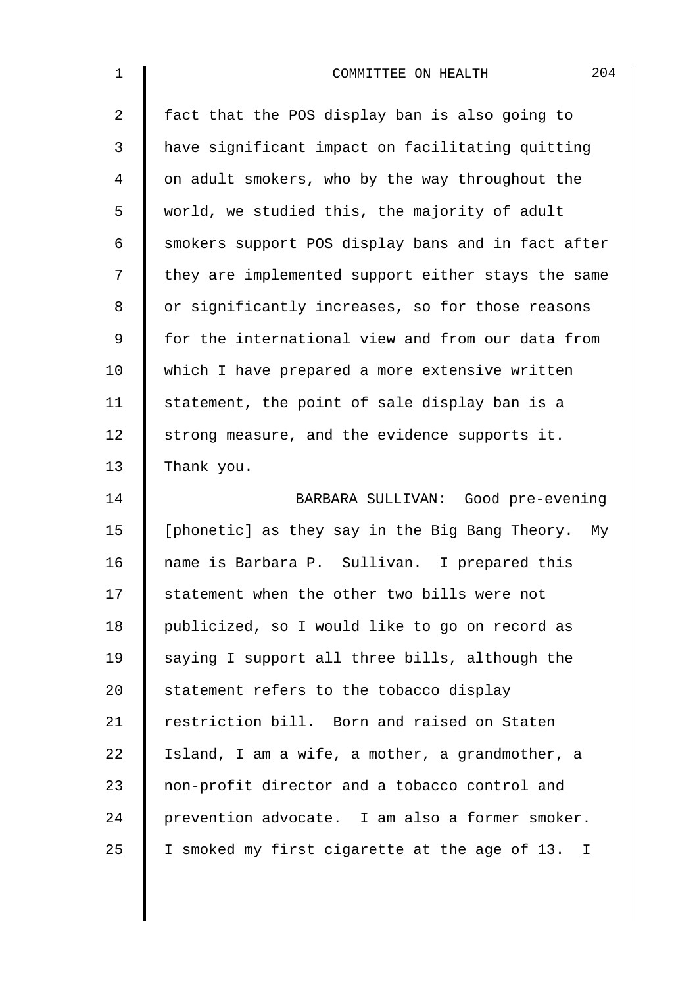| $\mathbf 1$    | 204<br>COMMITTEE ON HEALTH                          |
|----------------|-----------------------------------------------------|
| $\overline{2}$ | fact that the POS display ban is also going to      |
| 3              | have significant impact on facilitating quitting    |
| $\overline{4}$ | on adult smokers, who by the way throughout the     |
| 5              | world, we studied this, the majority of adult       |
| 6              | smokers support POS display bans and in fact after  |
| 7              | they are implemented support either stays the same  |
| 8              | or significantly increases, so for those reasons    |
| 9              | for the international view and from our data from   |
| 10             | which I have prepared a more extensive written      |
| 11             | statement, the point of sale display ban is a       |
| 12             | strong measure, and the evidence supports it.       |
| 13             | Thank you.                                          |
| 14             | BARBARA SULLIVAN: Good pre-evening                  |
| 15             | [phonetic] as they say in the Big Bang Theory. My   |
| 16             | name is Barbara P. Sullivan. I prepared this        |
| 17             | statement when the other two bills were not         |
| 18             | publicized, so I would like to go on record as      |
| 19             | saying I support all three bills, although the      |
| 20             | statement refers to the tobacco display             |
| 21             | restriction bill. Born and raised on Staten         |
| 22             | Island, I am a wife, a mother, a grandmother, a     |
| 23             | non-profit director and a tobacco control and       |
| 24             | prevention advocate. I am also a former smoker.     |
| 25             | I smoked my first cigarette at the age of 13.<br>Ι. |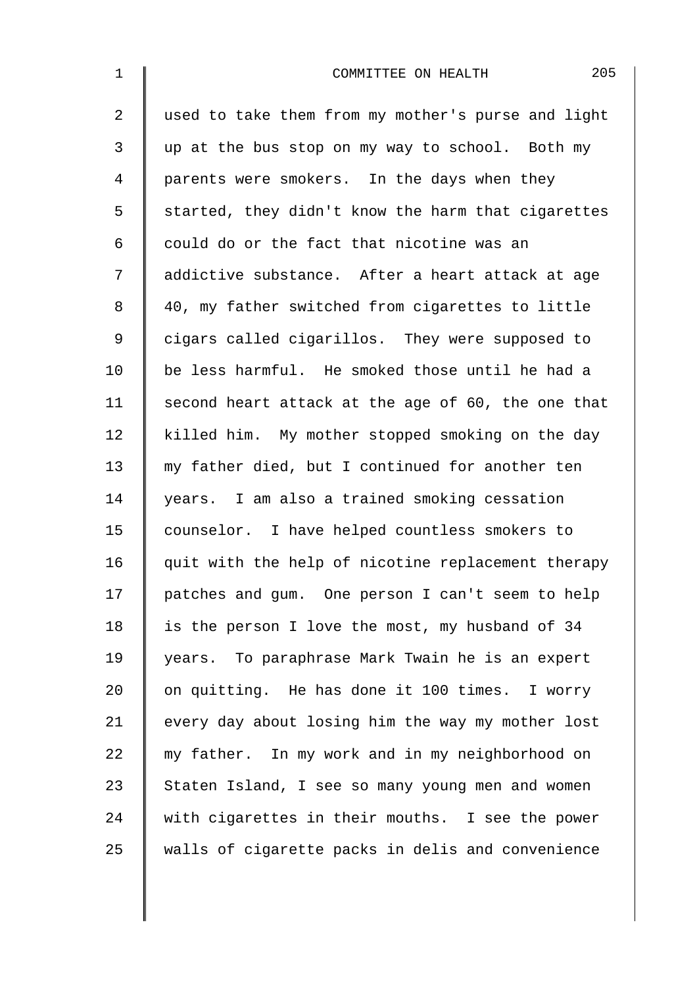| $\mathbf 1$    | 205<br>COMMITTEE ON HEALTH                         |
|----------------|----------------------------------------------------|
| $\overline{2}$ | used to take them from my mother's purse and light |
| 3              | up at the bus stop on my way to school. Both my    |
| $\overline{4}$ | parents were smokers. In the days when they        |
| 5              | started, they didn't know the harm that cigarettes |
| 6              | could do or the fact that nicotine was an          |
| 7              | addictive substance. After a heart attack at age   |
| 8              | 40, my father switched from cigarettes to little   |
| $\mathsf 9$    | cigars called cigarillos. They were supposed to    |
| 10             | be less harmful. He smoked those until he had a    |
| 11             | second heart attack at the age of 60, the one that |
| 12             | killed him. My mother stopped smoking on the day   |
| 13             | my father died, but I continued for another ten    |
| 14             | years. I am also a trained smoking cessation       |
| 15             | counselor. I have helped countless smokers to      |
| 16             | quit with the help of nicotine replacement therapy |
| 17             | patches and gum. One person I can't seem to help   |
| 18             | is the person I love the most, my husband of 34    |
| 19             | years. To paraphrase Mark Twain he is an expert    |
| 20             | on quitting. He has done it 100 times. I worry     |
| 21             | every day about losing him the way my mother lost  |
| 22             | my father. In my work and in my neighborhood on    |
| 23             | Staten Island, I see so many young men and women   |
| 24             | with cigarettes in their mouths. I see the power   |
| 25             | walls of cigarette packs in delis and convenience  |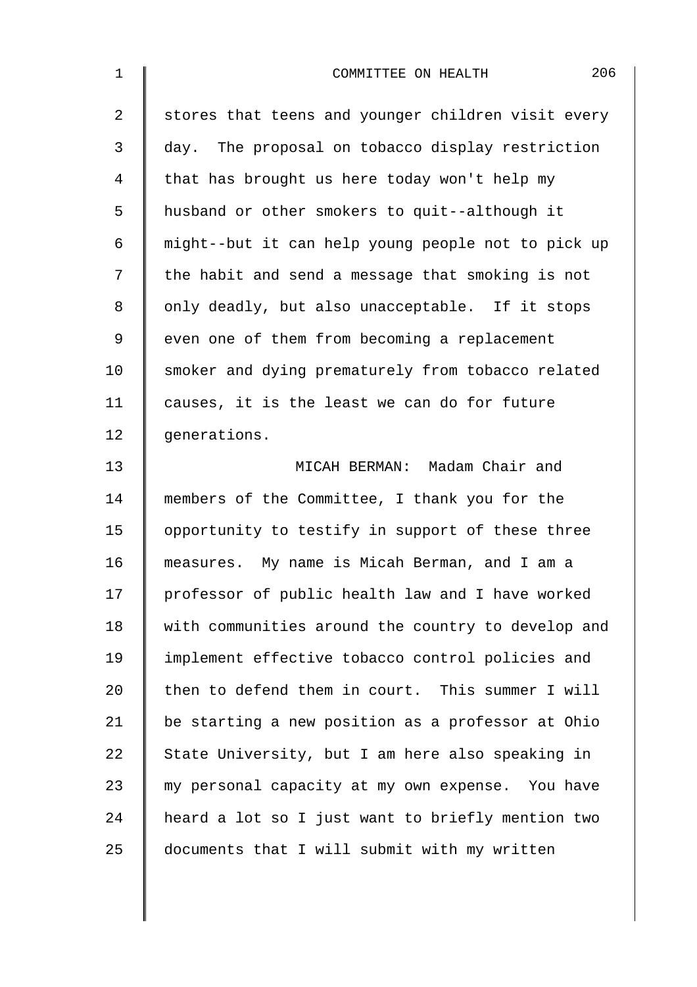| $\mathbf 1$    | 206<br>COMMITTEE ON HEALTH                         |
|----------------|----------------------------------------------------|
| $\overline{a}$ | stores that teens and younger children visit every |
| 3              | day. The proposal on tobacco display restriction   |
| 4              | that has brought us here today won't help my       |
| 5              | husband or other smokers to quit--although it      |
| 6              | might--but it can help young people not to pick up |
| 7              | the habit and send a message that smoking is not   |
| 8              | only deadly, but also unacceptable. If it stops    |
| 9              | even one of them from becoming a replacement       |
| 10             | smoker and dying prematurely from tobacco related  |
| 11             | causes, it is the least we can do for future       |
| 12             | generations.                                       |
| 13             | MICAH BERMAN: Madam Chair and                      |
| 14             | members of the Committee, I thank you for the      |
| 15             | opportunity to testify in support of these three   |
| 16             | measures. My name is Micah Berman, and I am a      |
| 17             | professor of public health law and I have worked   |
| 18             | with communities around the country to develop and |
| 19             | implement effective tobacco control policies and   |
| 20             | then to defend them in court. This summer I will   |
| 21             | be starting a new position as a professor at Ohio  |
| 22             | State University, but I am here also speaking in   |
| 23             | my personal capacity at my own expense. You have   |
| 24             | heard a lot so I just want to briefly mention two  |
| 25             | documents that I will submit with my written       |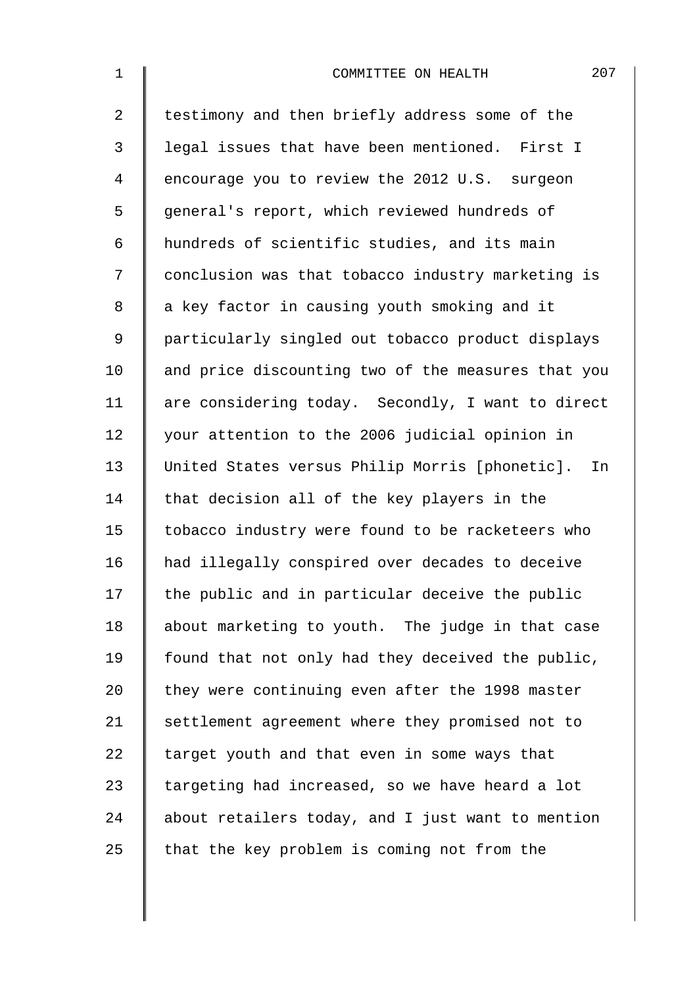| $\mathbf 1$    | 207<br>COMMITTEE ON HEALTH                         |
|----------------|----------------------------------------------------|
| $\overline{a}$ | testimony and then briefly address some of the     |
| 3              | legal issues that have been mentioned. First I     |
| 4              | encourage you to review the 2012 U.S. surgeon      |
| 5              | general's report, which reviewed hundreds of       |
| 6              | hundreds of scientific studies, and its main       |
| 7              | conclusion was that tobacco industry marketing is  |
| 8              | a key factor in causing youth smoking and it       |
| $\mathsf 9$    | particularly singled out tobacco product displays  |
| 10             | and price discounting two of the measures that you |
| 11             | are considering today. Secondly, I want to direct  |
| 12             | your attention to the 2006 judicial opinion in     |
| 13             | United States versus Philip Morris [phonetic]. In  |
| 14             | that decision all of the key players in the        |
| 15             | tobacco industry were found to be racketeers who   |
| 16             | had illegally conspired over decades to deceive    |
| 17             | the public and in particular deceive the public    |
| 18             | about marketing to youth. The judge in that case   |
| 19             | found that not only had they deceived the public,  |
| 20             | they were continuing even after the 1998 master    |
| 21             | settlement agreement where they promised not to    |
| 22             | target youth and that even in some ways that       |
| 23             | targeting had increased, so we have heard a lot    |
| 24             | about retailers today, and I just want to mention  |
| 25             | that the key problem is coming not from the        |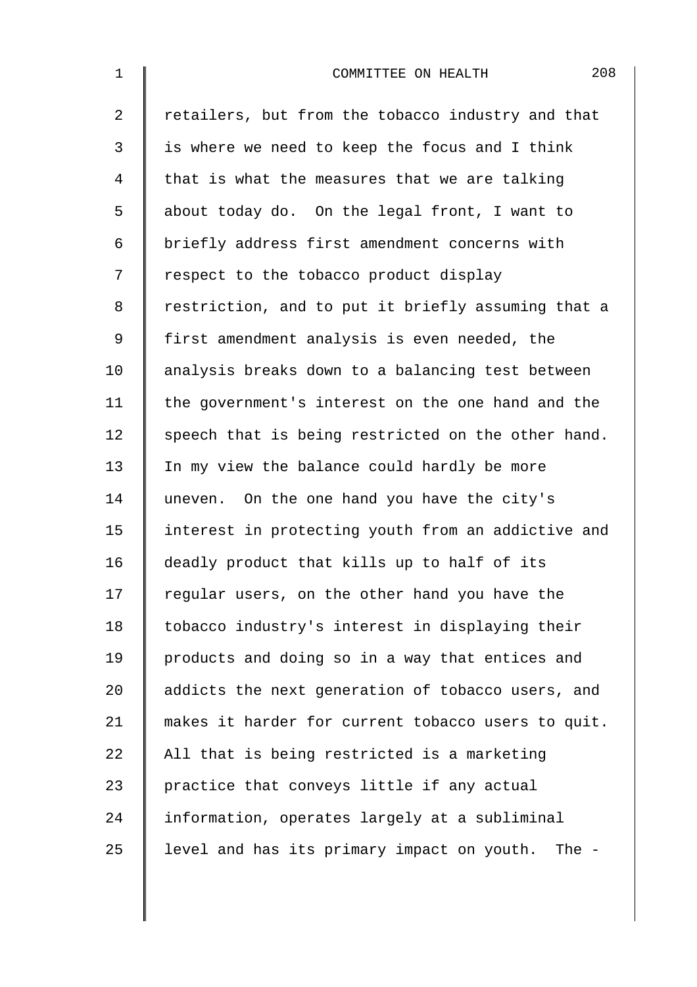| $\mathbf 1$    | 208<br>COMMITTEE ON HEALTH                            |
|----------------|-------------------------------------------------------|
| $\overline{2}$ | retailers, but from the tobacco industry and that     |
| 3              | is where we need to keep the focus and I think        |
| 4              | that is what the measures that we are talking         |
| 5              | about today do. On the legal front, I want to         |
| 6              | briefly address first amendment concerns with         |
| 7              | respect to the tobacco product display                |
| 8              | restriction, and to put it briefly assuming that a    |
| $\mathsf 9$    | first amendment analysis is even needed, the          |
| 10             | analysis breaks down to a balancing test between      |
| 11             | the government's interest on the one hand and the     |
| 12             | speech that is being restricted on the other hand.    |
| 13             | In my view the balance could hardly be more           |
| 14             | uneven. On the one hand you have the city's           |
| 15             | interest in protecting youth from an addictive and    |
| 16             | deadly product that kills up to half of its           |
| 17             | regular users, on the other hand you have the         |
| 18             | tobacco industry's interest in displaying their       |
| 19             | products and doing so in a way that entices and       |
| 20             | addicts the next generation of tobacco users, and     |
| 21             | makes it harder for current tobacco users to quit.    |
| 22             | All that is being restricted is a marketing           |
| 23             | practice that conveys little if any actual            |
| 24             | information, operates largely at a subliminal         |
| 25             | level and has its primary impact on youth.<br>The $-$ |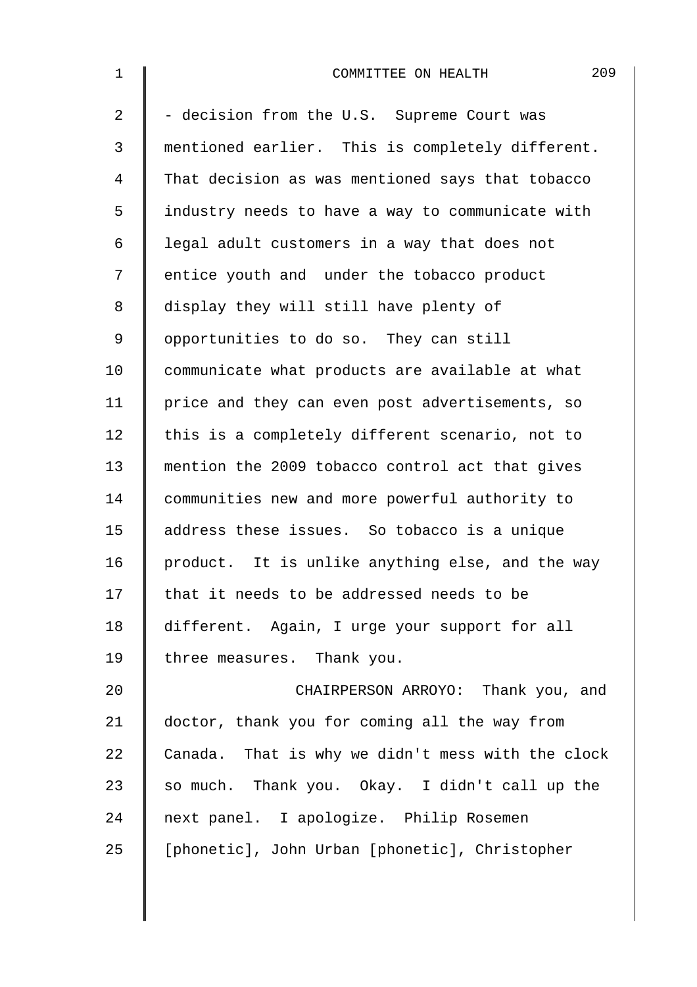| $\mathbf 1$    | 209<br>COMMITTEE ON HEALTH                        |
|----------------|---------------------------------------------------|
| $\overline{a}$ | - decision from the U.S. Supreme Court was        |
| 3              | mentioned earlier. This is completely different.  |
| 4              | That decision as was mentioned says that tobacco  |
| 5              | industry needs to have a way to communicate with  |
| 6              | legal adult customers in a way that does not      |
| 7              | entice youth and under the tobacco product        |
| 8              | display they will still have plenty of            |
| 9              | opportunities to do so. They can still            |
| 10             | communicate what products are available at what   |
| 11             | price and they can even post advertisements, so   |
| 12             | this is a completely different scenario, not to   |
| 13             | mention the 2009 tobacco control act that gives   |
| 14             | communities new and more powerful authority to    |
| 15             | address these issues. So tobacco is a unique      |
| 16             | product. It is unlike anything else, and the way  |
| 17             | that it needs to be addressed needs to be         |
| 18             | different. Again, I urge your support for all     |
| 19             | three measures. Thank you.                        |
| 20             | CHAIRPERSON ARROYO: Thank you, and                |
| 21             | doctor, thank you for coming all the way from     |
| 22             | Canada. That is why we didn't mess with the clock |
| 23             | so much. Thank you. Okay. I didn't call up the    |
| 24             | next panel. I apologize. Philip Rosemen           |
| 25             | [phonetic], John Urban [phonetic], Christopher    |
|                |                                                   |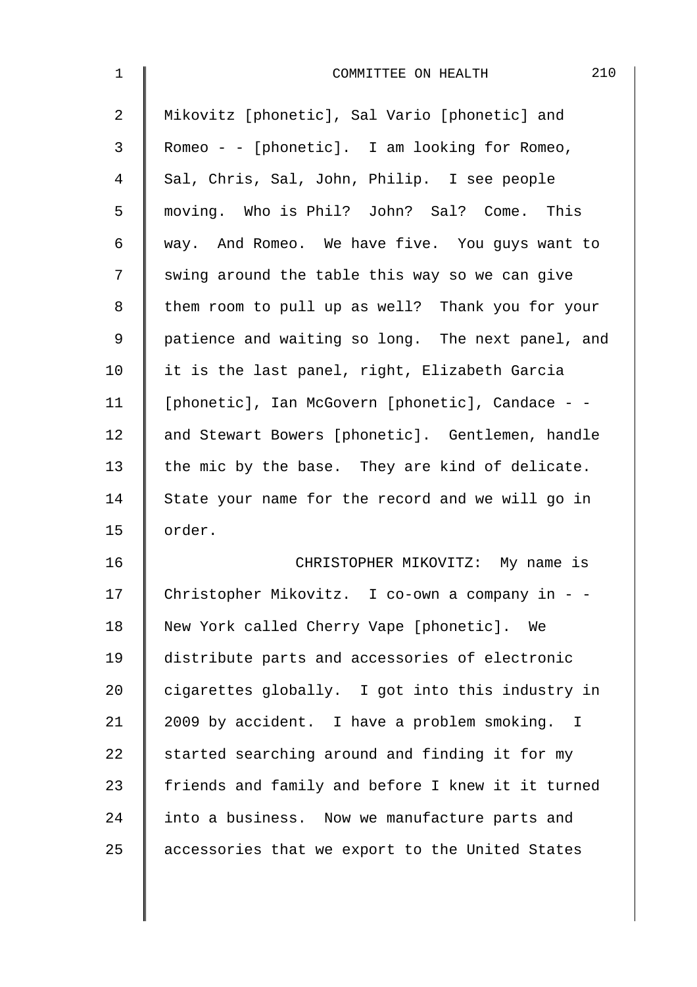| $\mathbf 1$ | 210<br>COMMITTEE ON HEALTH                        |
|-------------|---------------------------------------------------|
| 2           | Mikovitz [phonetic], Sal Vario [phonetic] and     |
| 3           | Romeo - - [phonetic]. I am looking for Romeo,     |
| 4           | Sal, Chris, Sal, John, Philip. I see people       |
| 5           | moving. Who is Phil? John? Sal? Come. This        |
| 6           | way. And Romeo. We have five. You guys want to    |
| 7           | swing around the table this way so we can give    |
| 8           | them room to pull up as well? Thank you for your  |
| $\mathsf 9$ | patience and waiting so long. The next panel, and |
| 10          | it is the last panel, right, Elizabeth Garcia     |
| 11          | [phonetic], Ian McGovern [phonetic], Candace - -  |
| 12          | and Stewart Bowers [phonetic]. Gentlemen, handle  |
| 13          | the mic by the base. They are kind of delicate.   |
| 14          | State your name for the record and we will go in  |
| 15          | order.                                            |
| 16          | CHRISTOPHER MIKOVITZ: My name is                  |
| 17          | Christopher Mikovitz. I co-own a company in - -   |
| 18          | New York called Cherry Vape [phonetic]. We        |
| 19          | distribute parts and accessories of electronic    |
| 20          | cigarettes globally. I got into this industry in  |
| 21          | 2009 by accident. I have a problem smoking. I     |
| 22          | started searching around and finding it for my    |
| 23          | friends and family and before I knew it it turned |
| 24          | into a business. Now we manufacture parts and     |
| 25          | accessories that we export to the United States   |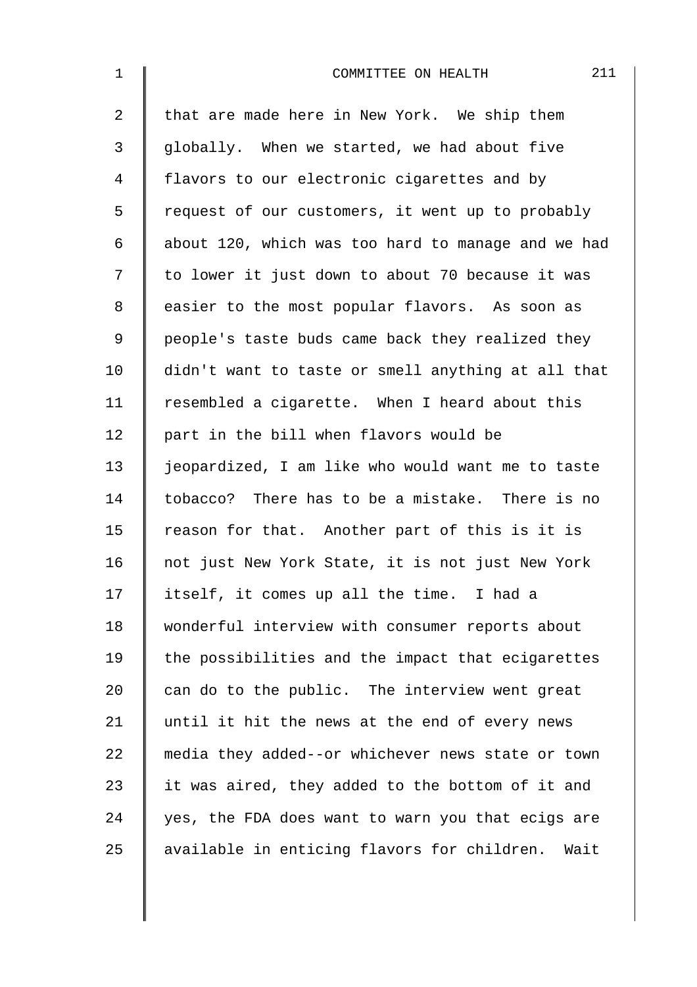| $\mathbf{1}$   | 211<br>COMMITTEE ON HEALTH                          |
|----------------|-----------------------------------------------------|
| $\overline{a}$ | that are made here in New York. We ship them        |
| 3              | globally. When we started, we had about five        |
| 4              | flavors to our electronic cigarettes and by         |
| 5              | request of our customers, it went up to probably    |
| 6              | about 120, which was too hard to manage and we had  |
| 7              | to lower it just down to about 70 because it was    |
| 8              | easier to the most popular flavors. As soon as      |
| $\mathsf 9$    | people's taste buds came back they realized they    |
| 10             | didn't want to taste or smell anything at all that  |
| 11             | resembled a cigarette. When I heard about this      |
| 12             | part in the bill when flavors would be              |
| 13             | jeopardized, I am like who would want me to taste   |
| 14             | tobacco? There has to be a mistake. There is no     |
| 15             | reason for that. Another part of this is it is      |
| 16             | not just New York State, it is not just New York    |
| 17             | itself, it comes up all the time. I had a           |
| 18             | wonderful interview with consumer reports about     |
| 19             | the possibilities and the impact that ecigarettes   |
| 20             | can do to the public. The interview went great      |
| 21             | until it hit the news at the end of every news      |
| 22             | media they added--or whichever news state or town   |
| 23             | it was aired, they added to the bottom of it and    |
| 24             | yes, the FDA does want to warn you that ecigs are   |
| 25             | available in enticing flavors for children.<br>Wait |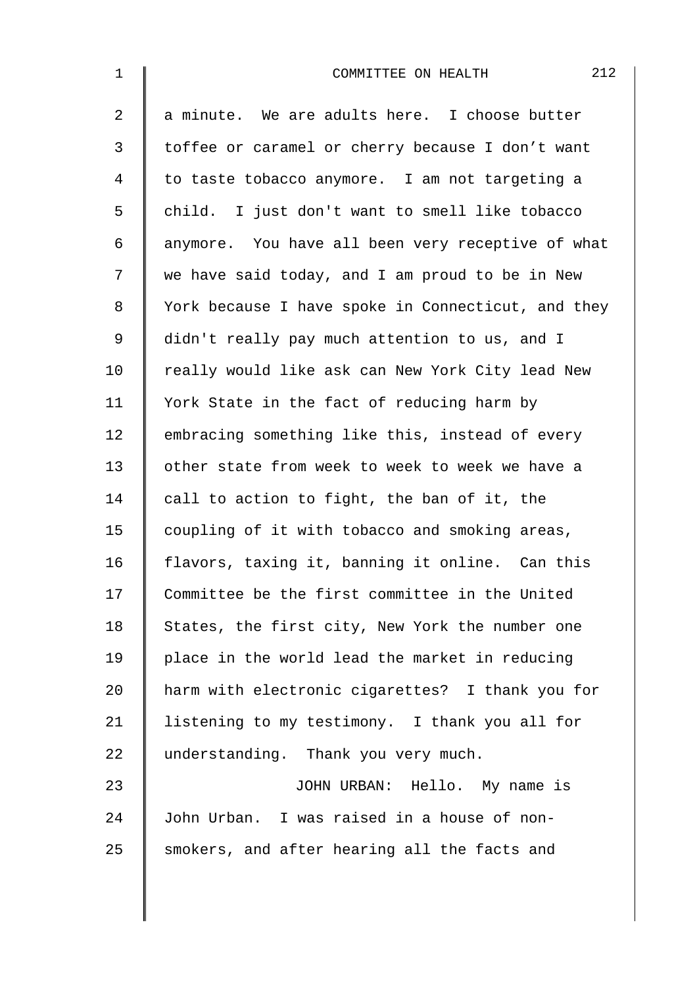| $\mathbf 1$ | 212<br>COMMITTEE ON HEALTH                         |
|-------------|----------------------------------------------------|
| 2           | a minute. We are adults here. I choose butter      |
| 3           | toffee or caramel or cherry because I don't want   |
| 4           | to taste tobacco anymore. I am not targeting a     |
| 5           | child. I just don't want to smell like tobacco     |
| 6           | anymore. You have all been very receptive of what  |
| 7           | we have said today, and I am proud to be in New    |
| 8           | York because I have spoke in Connecticut, and they |
| $\mathsf 9$ | didn't really pay much attention to us, and I      |
| 10          | really would like ask can New York City lead New   |
| 11          | York State in the fact of reducing harm by         |
| 12          | embracing something like this, instead of every    |
| 13          | other state from week to week to week we have a    |
| 14          | call to action to fight, the ban of it, the        |
| 15          | coupling of it with tobacco and smoking areas,     |
| 16          | flavors, taxing it, banning it online. Can this    |
| 17          | Committee be the first committee in the United     |
| 18          | States, the first city, New York the number one    |
| 19          | place in the world lead the market in reducing     |
| 20          | harm with electronic cigarettes? I thank you for   |
| 21          | listening to my testimony. I thank you all for     |
| 22          | understanding. Thank you very much.                |
| 23          | JOHN URBAN: Hello. My name is                      |
| 24          | John Urban. I was raised in a house of non-        |
| 25          | smokers, and after hearing all the facts and       |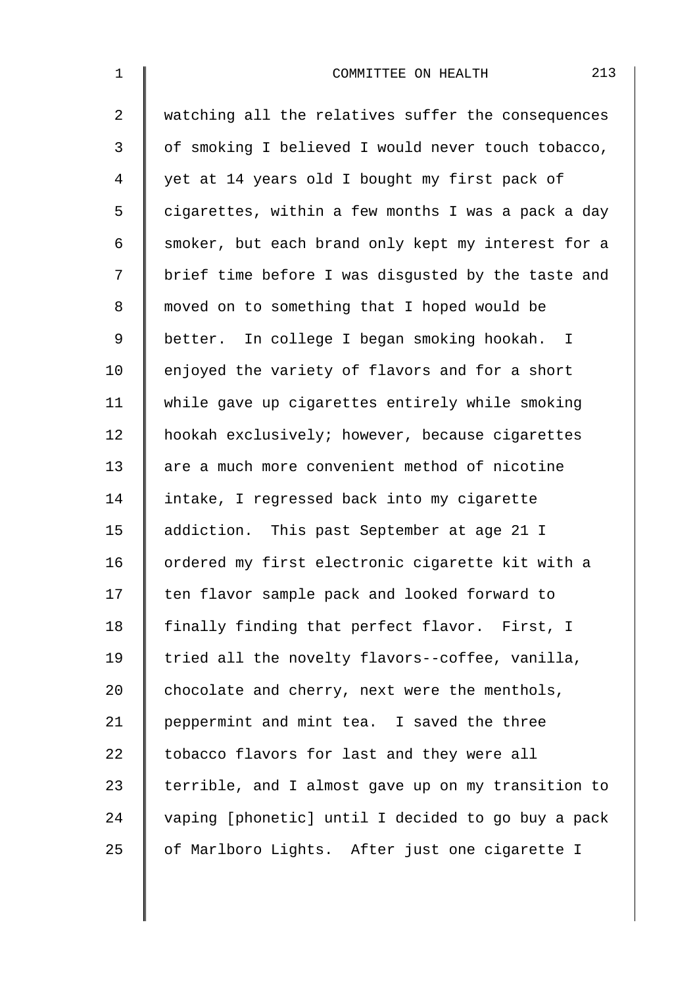| $\mathbf 1$    | 213<br>COMMITTEE ON HEALTH                         |
|----------------|----------------------------------------------------|
| $\overline{2}$ | watching all the relatives suffer the consequences |
| 3              | of smoking I believed I would never touch tobacco, |
| $\overline{4}$ | yet at 14 years old I bought my first pack of      |
| 5              | cigarettes, within a few months I was a pack a day |
| 6              | smoker, but each brand only kept my interest for a |
| 7              | brief time before I was disgusted by the taste and |
| $\,8\,$        | moved on to something that I hoped would be        |
| $\mathsf 9$    | better. In college I began smoking hookah. I       |
| 10             | enjoyed the variety of flavors and for a short     |
| 11             | while gave up cigarettes entirely while smoking    |
| 12             | hookah exclusively; however, because cigarettes    |
| 13             | are a much more convenient method of nicotine      |
| 14             | intake, I regressed back into my cigarette         |
| 15             | addiction. This past September at age 21 I         |
| 16             | ordered my first electronic cigarette kit with a   |
| 17             | ten flavor sample pack and looked forward to       |
| 18             | finally finding that perfect flavor. First, I      |
| 19             | tried all the novelty flavors--coffee, vanilla,    |
| 20             | chocolate and cherry, next were the menthols,      |
| 21             | peppermint and mint tea. I saved the three         |
| 22             | tobacco flavors for last and they were all         |
| 23             | terrible, and I almost gave up on my transition to |
| 24             | vaping [phonetic] until I decided to go buy a pack |
| 25             | of Marlboro Lights. After just one cigarette I     |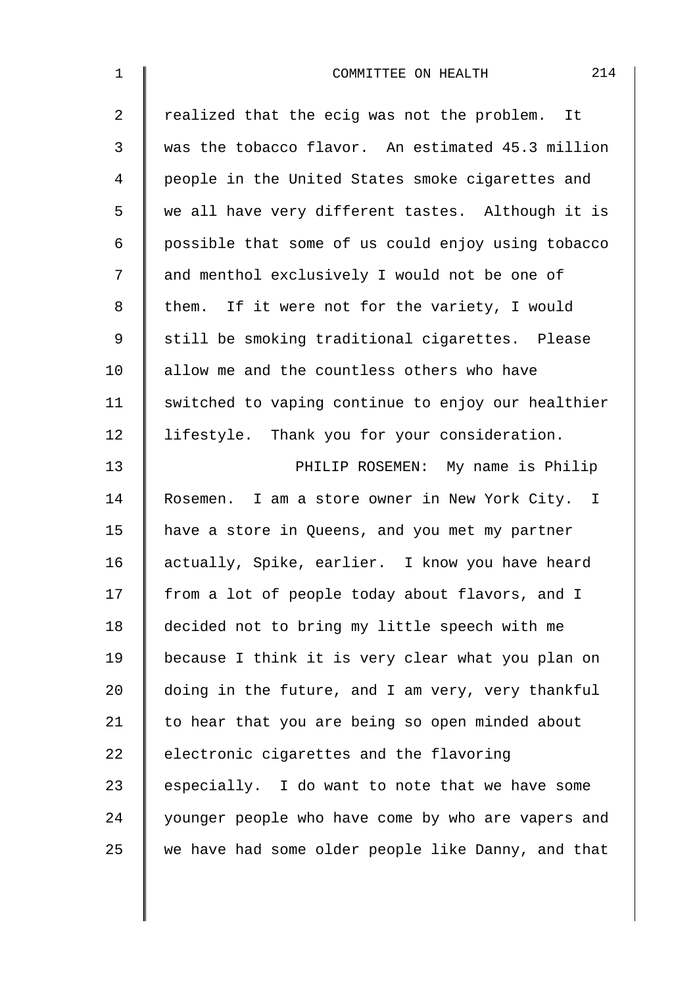| $\mathbf 1$    | 214<br>COMMITTEE ON HEALTH                         |
|----------------|----------------------------------------------------|
| $\overline{2}$ | realized that the ecig was not the problem. It     |
| 3              | was the tobacco flavor. An estimated 45.3 million  |
| 4              | people in the United States smoke cigarettes and   |
| 5              | we all have very different tastes. Although it is  |
| 6              | possible that some of us could enjoy using tobacco |
| 7              | and menthol exclusively I would not be one of      |
| 8              | them. If it were not for the variety, I would      |
| 9              | still be smoking traditional cigarettes. Please    |
| 10             | allow me and the countless others who have         |
| 11             | switched to vaping continue to enjoy our healthier |
| 12             | lifestyle. Thank you for your consideration.       |
| 13             | PHILIP ROSEMEN: My name is Philip                  |
| 14             | Rosemen. I am a store owner in New York City. I    |
| 15             | have a store in Queens, and you met my partner     |
| 16             | actually, Spike, earlier. I know you have heard    |
| 17             | from a lot of people today about flavors, and I    |
| 18             | decided not to bring my little speech with me      |
| 19             | because I think it is very clear what you plan on  |
| 20             | doing in the future, and I am very, very thankful  |
| 21             | to hear that you are being so open minded about    |
| 22             | electronic cigarettes and the flavoring            |
| 23             | especially. I do want to note that we have some    |
| 24             | younger people who have come by who are vapers and |
| 25             | we have had some older people like Danny, and that |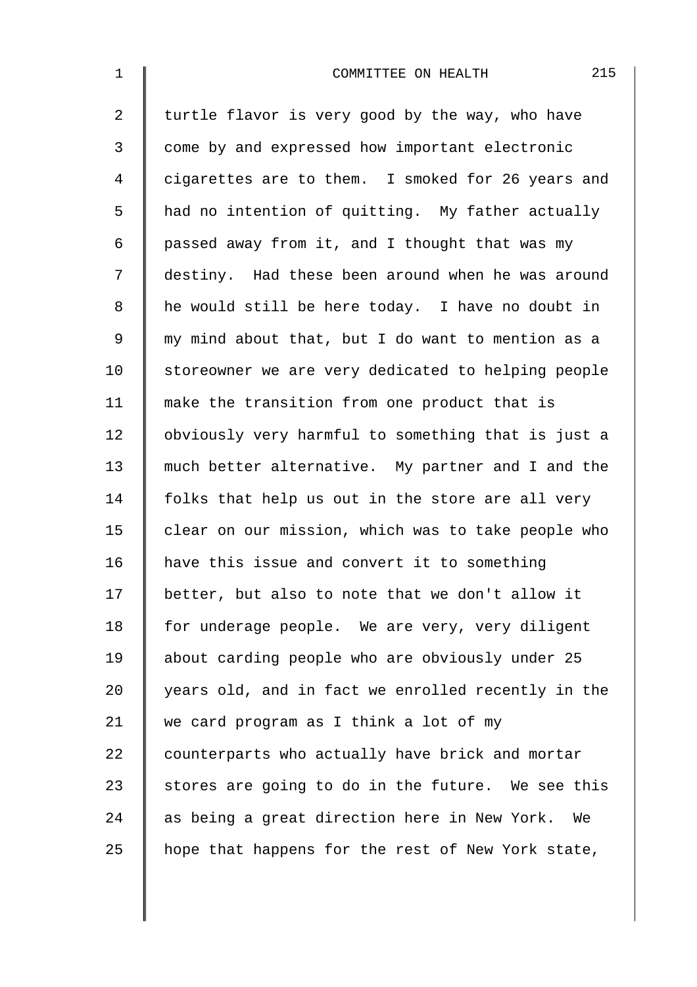| $\mathbf{1}$   | 215<br>COMMITTEE ON HEALTH                         |
|----------------|----------------------------------------------------|
| $\overline{a}$ | turtle flavor is very good by the way, who have    |
| 3              | come by and expressed how important electronic     |
| 4              | cigarettes are to them. I smoked for 26 years and  |
| 5              | had no intention of quitting. My father actually   |
| 6              | passed away from it, and I thought that was my     |
| 7              | destiny. Had these been around when he was around  |
| 8              | he would still be here today. I have no doubt in   |
| 9              | my mind about that, but I do want to mention as a  |
| 10             | storeowner we are very dedicated to helping people |
| 11             | make the transition from one product that is       |
| 12             | obviously very harmful to something that is just a |
| 13             | much better alternative. My partner and I and the  |
| 14             | folks that help us out in the store are all very   |
| 15             | clear on our mission, which was to take people who |
| 16             | have this issue and convert it to something        |
| 17             | better, but also to note that we don't allow it    |
| 18             | for underage people. We are very, very diligent    |
| 19             | about carding people who are obviously under 25    |
| 20             | years old, and in fact we enrolled recently in the |
| 21             | we card program as I think a lot of my             |
| 22             | counterparts who actually have brick and mortar    |
| 23             | stores are going to do in the future. We see this  |
| 24             | as being a great direction here in New York. We    |
| 25             | hope that happens for the rest of New York state,  |
|                |                                                    |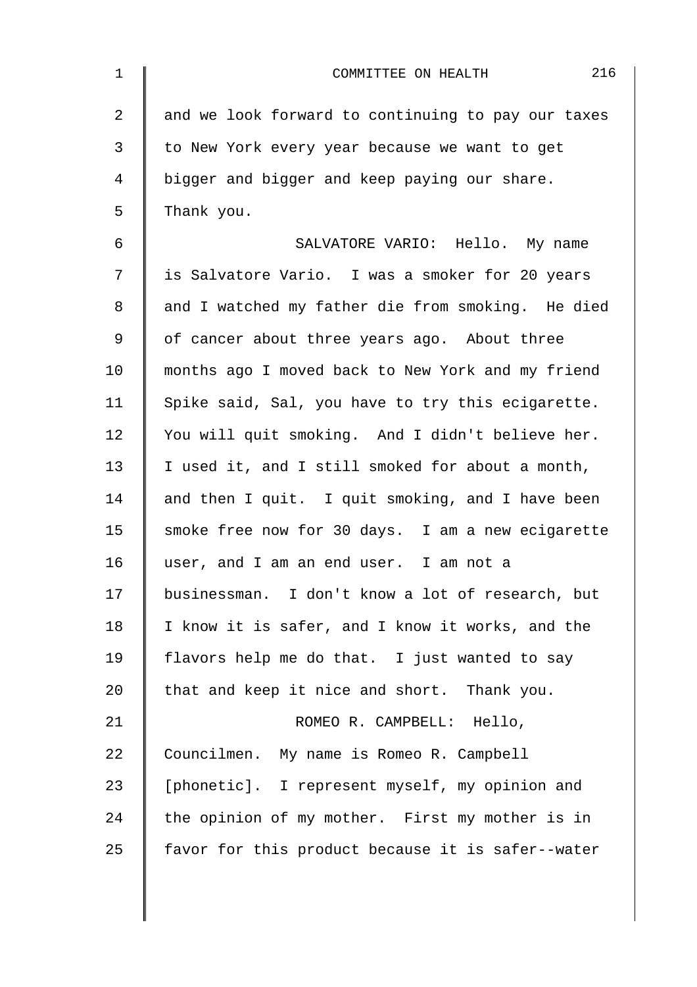| $\mathbf{1}$   | 216<br>COMMITTEE ON HEALTH                         |
|----------------|----------------------------------------------------|
| $\overline{2}$ | and we look forward to continuing to pay our taxes |
| 3              | to New York every year because we want to get      |
| 4              | bigger and bigger and keep paying our share.       |
| 5              | Thank you.                                         |
| 6              | SALVATORE VARIO: Hello. My name                    |
| 7              | is Salvatore Vario. I was a smoker for 20 years    |
| 8              | and I watched my father die from smoking. He died  |
| 9              | of cancer about three years ago. About three       |
| 10             | months ago I moved back to New York and my friend  |
| 11             | Spike said, Sal, you have to try this ecigarette.  |
| 12             | You will quit smoking. And I didn't believe her.   |
| 13             | I used it, and I still smoked for about a month,   |
| 14             | and then I quit. I quit smoking, and I have been   |
| 15             | smoke free now for 30 days. I am a new ecigarette  |
| 16             | user, and I am an end user. I am not a             |
| 17             | businessman. I don't know a lot of research, but   |
| 18             | I know it is safer, and I know it works, and the   |
| 19             | flavors help me do that. I just wanted to say      |
| 20             | that and keep it nice and short. Thank you.        |
| 21             | ROMEO R. CAMPBELL: Hello,                          |
| 22             | Councilmen. My name is Romeo R. Campbell           |
| 23             | [phonetic]. I represent myself, my opinion and     |
| 24             | the opinion of my mother. First my mother is in    |
| 25             | favor for this product because it is safer--water  |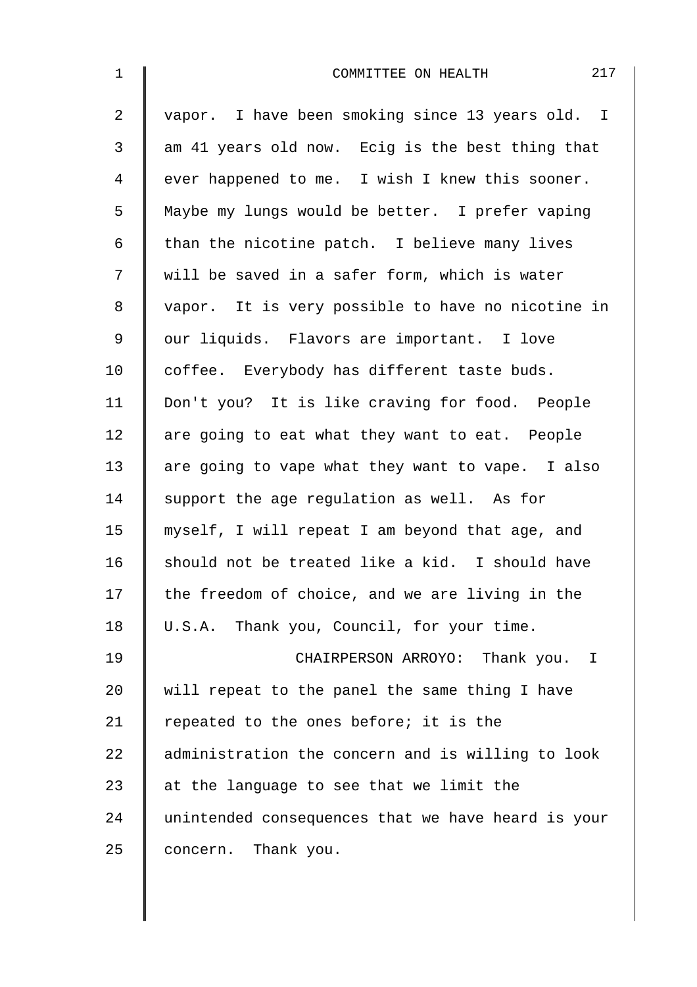| $\mathbf 1$    | 217<br>COMMITTEE ON HEALTH                         |
|----------------|----------------------------------------------------|
| $\overline{a}$ | vapor. I have been smoking since 13 years old. I   |
| $\mathfrak{Z}$ | am 41 years old now. Ecig is the best thing that   |
| 4              | ever happened to me. I wish I knew this sooner.    |
| 5              | Maybe my lungs would be better. I prefer vaping    |
| 6              | than the nicotine patch. I believe many lives      |
| 7              | will be saved in a safer form, which is water      |
| 8              | vapor. It is very possible to have no nicotine in  |
| 9              | our liquids. Flavors are important. I love         |
| 10             | coffee. Everybody has different taste buds.        |
| 11             | Don't you? It is like craving for food. People     |
| 12             | are going to eat what they want to eat. People     |
| 13             | are going to vape what they want to vape. I also   |
| 14             | support the age regulation as well. As for         |
| 15             | myself, I will repeat I am beyond that age, and    |
| 16             | should not be treated like a kid. I should have    |
| 17             | the freedom of choice, and we are living in the    |
| 18             | U.S.A. Thank you, Council, for your time.          |
| 19             | CHAIRPERSON ARROYO: Thank you. I                   |
| 20             | will repeat to the panel the same thing I have     |
| 21             | repeated to the ones before; it is the             |
| 22             | administration the concern and is willing to look  |
| 23             | at the language to see that we limit the           |
| 24             | unintended consequences that we have heard is your |
| 25             | concern. Thank you.                                |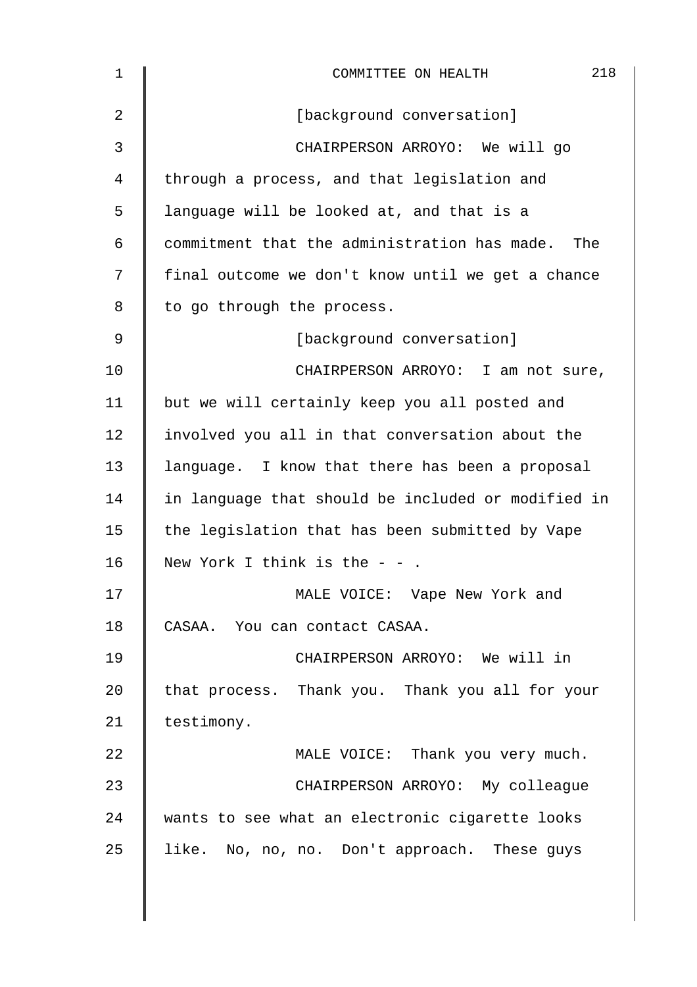| $\mathbf 1$ | 218<br>COMMITTEE ON HEALTH                         |  |  |  |  |  |  |
|-------------|----------------------------------------------------|--|--|--|--|--|--|
| 2           | [background conversation]                          |  |  |  |  |  |  |
| 3           | CHAIRPERSON ARROYO: We will go                     |  |  |  |  |  |  |
| 4           | through a process, and that legislation and        |  |  |  |  |  |  |
| 5           | language will be looked at, and that is a          |  |  |  |  |  |  |
| 6           | commitment that the administration has made. The   |  |  |  |  |  |  |
| 7           | final outcome we don't know until we get a chance  |  |  |  |  |  |  |
| 8           | to go through the process.                         |  |  |  |  |  |  |
| 9           | [background conversation]                          |  |  |  |  |  |  |
| 10          | CHAIRPERSON ARROYO: I am not sure,                 |  |  |  |  |  |  |
| 11          | but we will certainly keep you all posted and      |  |  |  |  |  |  |
| 12          | involved you all in that conversation about the    |  |  |  |  |  |  |
| 13          | language. I know that there has been a proposal    |  |  |  |  |  |  |
| 14          | in language that should be included or modified in |  |  |  |  |  |  |
| 15          | the legislation that has been submitted by Vape    |  |  |  |  |  |  |
| 16          | New York I think is the $ -$ .                     |  |  |  |  |  |  |
| 17          | MALE VOICE: Vape New York and                      |  |  |  |  |  |  |
| 18          | CASAA. You can contact CASAA.                      |  |  |  |  |  |  |
| 19          | CHAIRPERSON ARROYO: We will in                     |  |  |  |  |  |  |
| 20          | that process. Thank you. Thank you all for your    |  |  |  |  |  |  |
| 21          | testimony.                                         |  |  |  |  |  |  |
| 22          | MALE VOICE: Thank you very much.                   |  |  |  |  |  |  |
| 23          | CHAIRPERSON ARROYO: My colleague                   |  |  |  |  |  |  |
| 24          | wants to see what an electronic cigarette looks    |  |  |  |  |  |  |
| 25          | like. No, no, no. Don't approach. These guys       |  |  |  |  |  |  |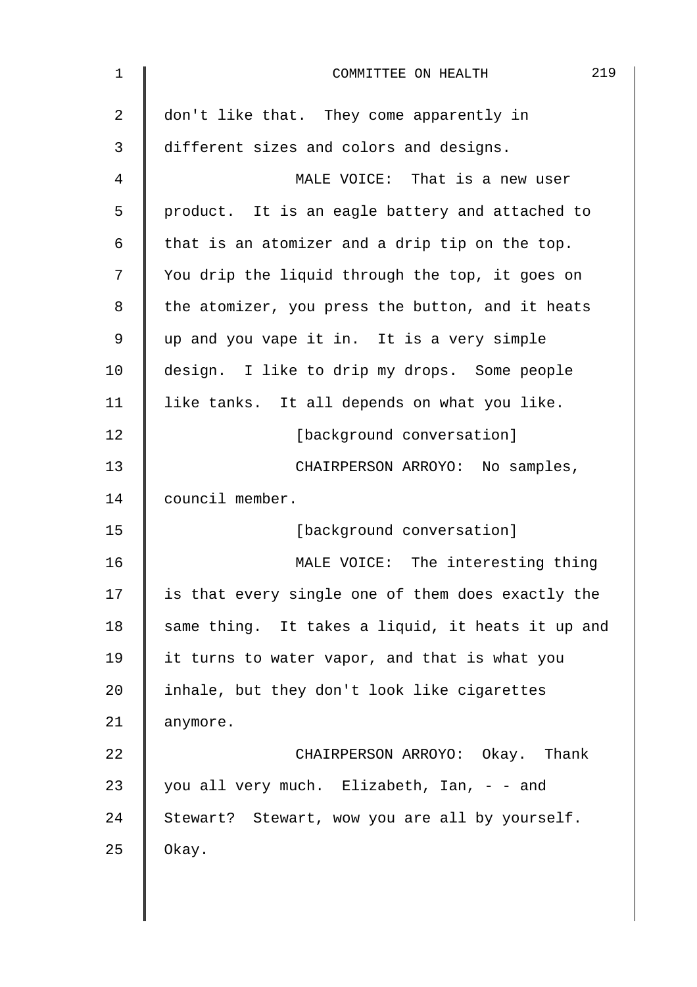| $\mathbf 1$ | 219<br>COMMITTEE ON HEALTH                        |  |  |  |  |  |
|-------------|---------------------------------------------------|--|--|--|--|--|
| 2           | don't like that. They come apparently in          |  |  |  |  |  |
| 3           | different sizes and colors and designs.           |  |  |  |  |  |
| 4           | MALE VOICE: That is a new user                    |  |  |  |  |  |
| 5           | product. It is an eagle battery and attached to   |  |  |  |  |  |
| 6           | that is an atomizer and a drip tip on the top.    |  |  |  |  |  |
| 7           | You drip the liquid through the top, it goes on   |  |  |  |  |  |
| 8           | the atomizer, you press the button, and it heats  |  |  |  |  |  |
| 9           | up and you vape it in. It is a very simple        |  |  |  |  |  |
| 10          | design. I like to drip my drops. Some people      |  |  |  |  |  |
| 11          | like tanks. It all depends on what you like.      |  |  |  |  |  |
| 12          | [background conversation]                         |  |  |  |  |  |
| 13          | CHAIRPERSON ARROYO: No samples,                   |  |  |  |  |  |
| 14          | council member.                                   |  |  |  |  |  |
| 15          | [background conversation]                         |  |  |  |  |  |
| 16          | MALE VOICE: The interesting thing                 |  |  |  |  |  |
| 17          | is that every single one of them does exactly the |  |  |  |  |  |
| 18          | same thing. It takes a liquid, it heats it up and |  |  |  |  |  |
| 19          | it turns to water vapor, and that is what you     |  |  |  |  |  |
| 20          | inhale, but they don't look like cigarettes       |  |  |  |  |  |
| 21          | anymore.                                          |  |  |  |  |  |
| 22          | CHAIRPERSON ARROYO: Okay. Thank                   |  |  |  |  |  |
| 23          | you all very much. Elizabeth, Ian, - - and        |  |  |  |  |  |
| 24          | Stewart? Stewart, wow you are all by yourself.    |  |  |  |  |  |
| 25          | Okay.                                             |  |  |  |  |  |
|             |                                                   |  |  |  |  |  |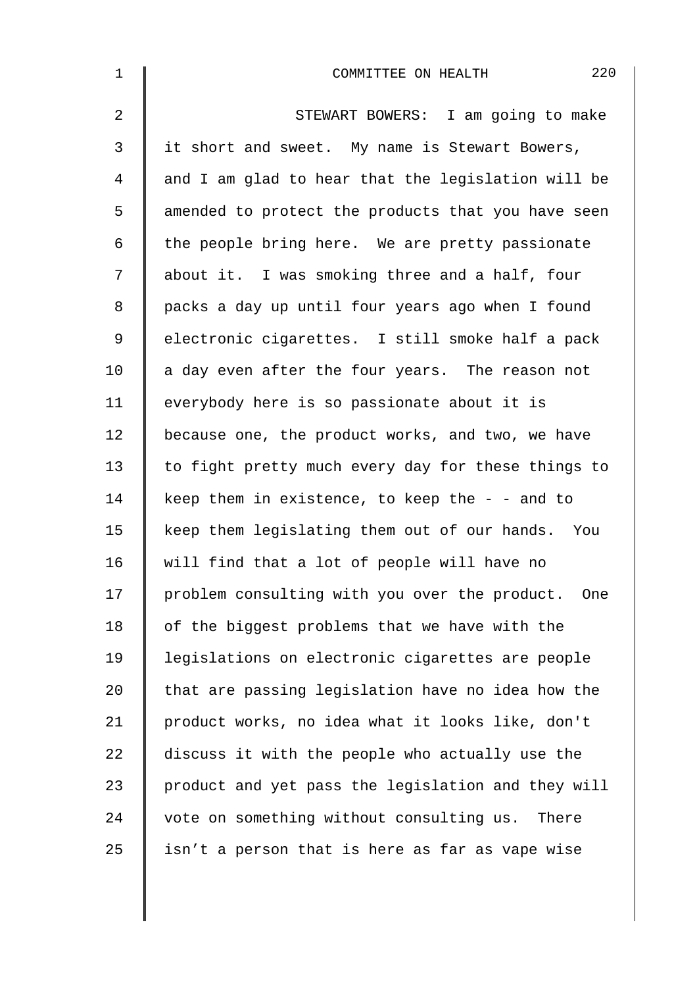| $\mathbf 1$    | 220<br>COMMITTEE ON HEALTH                         |
|----------------|----------------------------------------------------|
| $\overline{a}$ | STEWART BOWERS: I am going to make                 |
| 3              | it short and sweet. My name is Stewart Bowers,     |
| 4              | and I am glad to hear that the legislation will be |
| 5              | amended to protect the products that you have seen |
| 6              | the people bring here. We are pretty passionate    |
| 7              | about it. I was smoking three and a half, four     |
| 8              | packs a day up until four years ago when I found   |
| $\mathsf 9$    | electronic cigarettes. I still smoke half a pack   |
| 10             | a day even after the four years. The reason not    |
| 11             | everybody here is so passionate about it is        |
| 12             | because one, the product works, and two, we have   |
| 13             | to fight pretty much every day for these things to |
| 14             | keep them in existence, to keep the $-$ - and to   |
| 15             | keep them legislating them out of our hands. You   |
| 16             | will find that a lot of people will have no        |
| 17             | problem consulting with you over the product. One  |
| 18             | of the biggest problems that we have with the      |
| 19             | legislations on electronic cigarettes are people   |
| 20             | that are passing legislation have no idea how the  |
| 21             | product works, no idea what it looks like, don't   |
| 22             | discuss it with the people who actually use the    |
| 23             | product and yet pass the legislation and they will |
| 24             | vote on something without consulting us. There     |
| 25             | isn't a person that is here as far as vape wise    |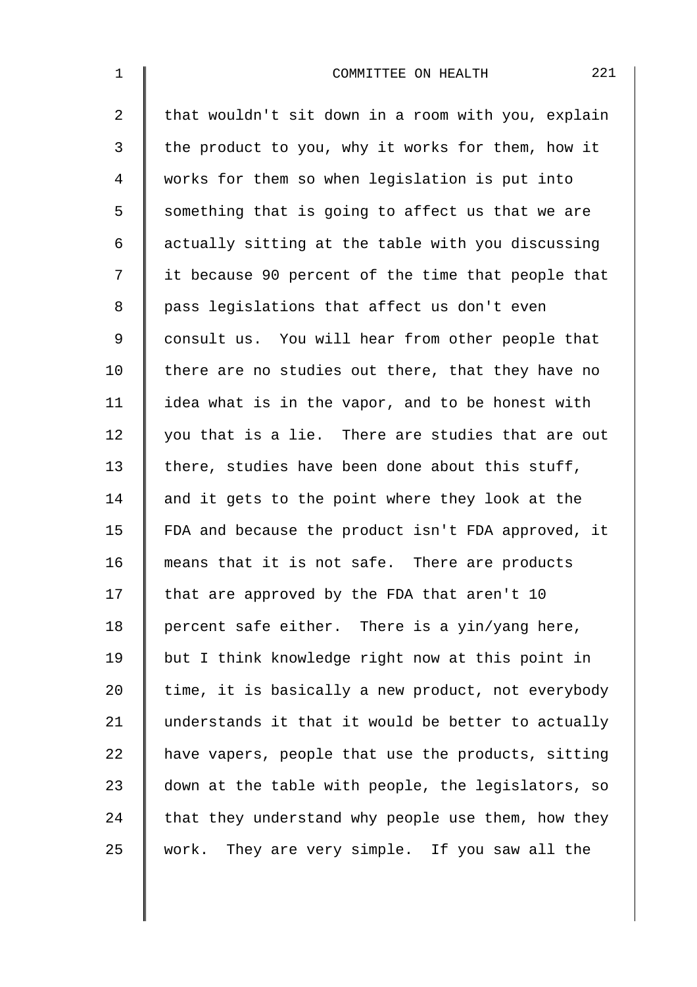| $\mathbf 1$    | 221<br>COMMITTEE ON HEALTH                         |
|----------------|----------------------------------------------------|
| $\overline{2}$ | that wouldn't sit down in a room with you, explain |
| 3              | the product to you, why it works for them, how it  |
| 4              | works for them so when legislation is put into     |
| 5              | something that is going to affect us that we are   |
| 6              | actually sitting at the table with you discussing  |
| 7              | it because 90 percent of the time that people that |
| 8              | pass legislations that affect us don't even        |
| $\mathsf 9$    | consult us. You will hear from other people that   |
| 10             | there are no studies out there, that they have no  |
| 11             | idea what is in the vapor, and to be honest with   |
| 12             | you that is a lie. There are studies that are out  |
| 13             | there, studies have been done about this stuff,    |
| 14             | and it gets to the point where they look at the    |
| 15             | FDA and because the product isn't FDA approved, it |
| 16             | means that it is not safe. There are products      |
| 17             | that are approved by the FDA that aren't 10        |
| 18             | percent safe either. There is a yin/yang here,     |
| 19             | but I think knowledge right now at this point in   |
| 20             | time, it is basically a new product, not everybody |
| 21             | understands it that it would be better to actually |
| 22             | have vapers, people that use the products, sitting |
| 23             | down at the table with people, the legislators, so |
| 24             | that they understand why people use them, how they |
| 25             | work. They are very simple. If you saw all the     |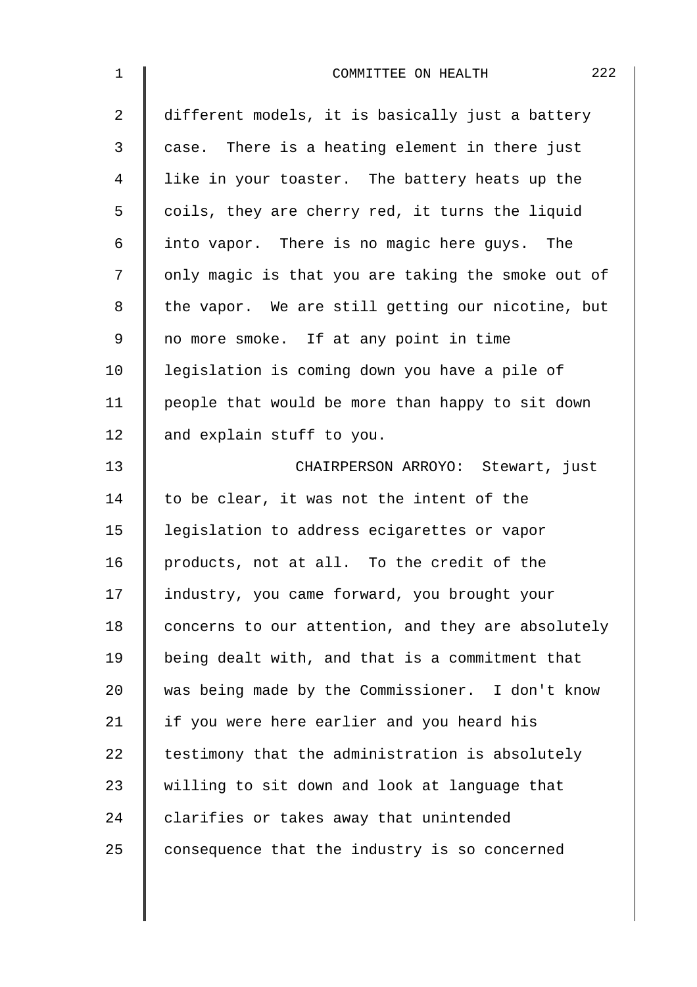| $\mathbf 1$    | 222<br>COMMITTEE ON HEALTH                         |  |  |  |  |  |  |
|----------------|----------------------------------------------------|--|--|--|--|--|--|
| $\overline{a}$ | different models, it is basically just a battery   |  |  |  |  |  |  |
| 3              | case. There is a heating element in there just     |  |  |  |  |  |  |
| 4              | like in your toaster. The battery heats up the     |  |  |  |  |  |  |
| 5              | coils, they are cherry red, it turns the liquid    |  |  |  |  |  |  |
| 6              | into vapor. There is no magic here guys. The       |  |  |  |  |  |  |
| 7              | only magic is that you are taking the smoke out of |  |  |  |  |  |  |
| 8              | the vapor. We are still getting our nicotine, but  |  |  |  |  |  |  |
| 9              | no more smoke. If at any point in time             |  |  |  |  |  |  |
| 10             | legislation is coming down you have a pile of      |  |  |  |  |  |  |
| 11             | people that would be more than happy to sit down   |  |  |  |  |  |  |
| 12             | and explain stuff to you.                          |  |  |  |  |  |  |
| 13             | CHAIRPERSON ARROYO: Stewart, just                  |  |  |  |  |  |  |
| 14             | to be clear, it was not the intent of the          |  |  |  |  |  |  |
| 15             | legislation to address ecigarettes or vapor        |  |  |  |  |  |  |
| 16             | products, not at all. To the credit of the         |  |  |  |  |  |  |
| 17             | industry, you came forward, you brought your       |  |  |  |  |  |  |
| 18             | concerns to our attention, and they are absolutely |  |  |  |  |  |  |
| 19             | being dealt with, and that is a commitment that    |  |  |  |  |  |  |
| 20             | was being made by the Commissioner. I don't know   |  |  |  |  |  |  |
| 21             | if you were here earlier and you heard his         |  |  |  |  |  |  |
| 22             | testimony that the administration is absolutely    |  |  |  |  |  |  |
| 23             | willing to sit down and look at language that      |  |  |  |  |  |  |
| 24             | clarifies or takes away that unintended            |  |  |  |  |  |  |
| 25             | consequence that the industry is so concerned      |  |  |  |  |  |  |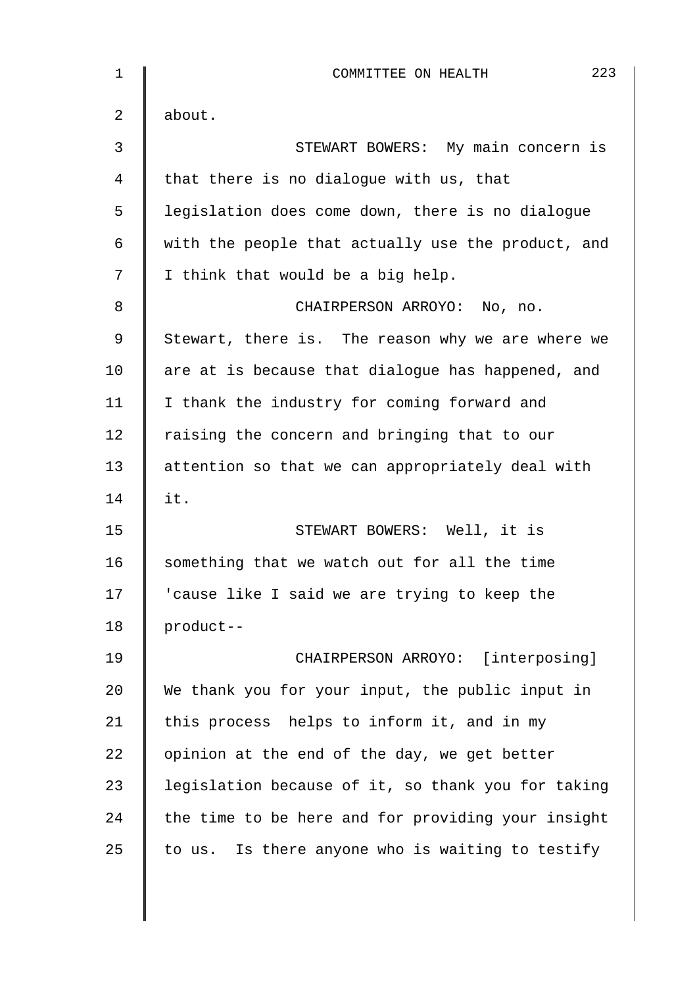| 1              | 223<br>COMMITTEE ON HEALTH                         |  |  |  |  |  |  |
|----------------|----------------------------------------------------|--|--|--|--|--|--|
| 2              | about.                                             |  |  |  |  |  |  |
| $\mathfrak{Z}$ | STEWART BOWERS: My main concern is                 |  |  |  |  |  |  |
| 4              | that there is no dialogue with us, that            |  |  |  |  |  |  |
| 5              | legislation does come down, there is no dialogue   |  |  |  |  |  |  |
| 6              | with the people that actually use the product, and |  |  |  |  |  |  |
| 7              | I think that would be a big help.                  |  |  |  |  |  |  |
| 8              | CHAIRPERSON ARROYO: No, no.                        |  |  |  |  |  |  |
| 9              | Stewart, there is. The reason why we are where we  |  |  |  |  |  |  |
| 10             | are at is because that dialogue has happened, and  |  |  |  |  |  |  |
| 11             | I thank the industry for coming forward and        |  |  |  |  |  |  |
| 12             | raising the concern and bringing that to our       |  |  |  |  |  |  |
| 13             | attention so that we can appropriately deal with   |  |  |  |  |  |  |
| 14             | it.                                                |  |  |  |  |  |  |
| 15             | STEWART BOWERS: Well, it is                        |  |  |  |  |  |  |
| 16             | something that we watch out for all the time       |  |  |  |  |  |  |
| 17             | cause like I said we are trying to keep the        |  |  |  |  |  |  |
| 18             | product--                                          |  |  |  |  |  |  |
| 19             | CHAIRPERSON ARROYO: [interposing]                  |  |  |  |  |  |  |
| 20             | We thank you for your input, the public input in   |  |  |  |  |  |  |
| 21             | this process helps to inform it, and in my         |  |  |  |  |  |  |
| 22             | opinion at the end of the day, we get better       |  |  |  |  |  |  |
| 23             | legislation because of it, so thank you for taking |  |  |  |  |  |  |
| 24             | the time to be here and for providing your insight |  |  |  |  |  |  |
| 25             | to us. Is there anyone who is waiting to testify   |  |  |  |  |  |  |
|                |                                                    |  |  |  |  |  |  |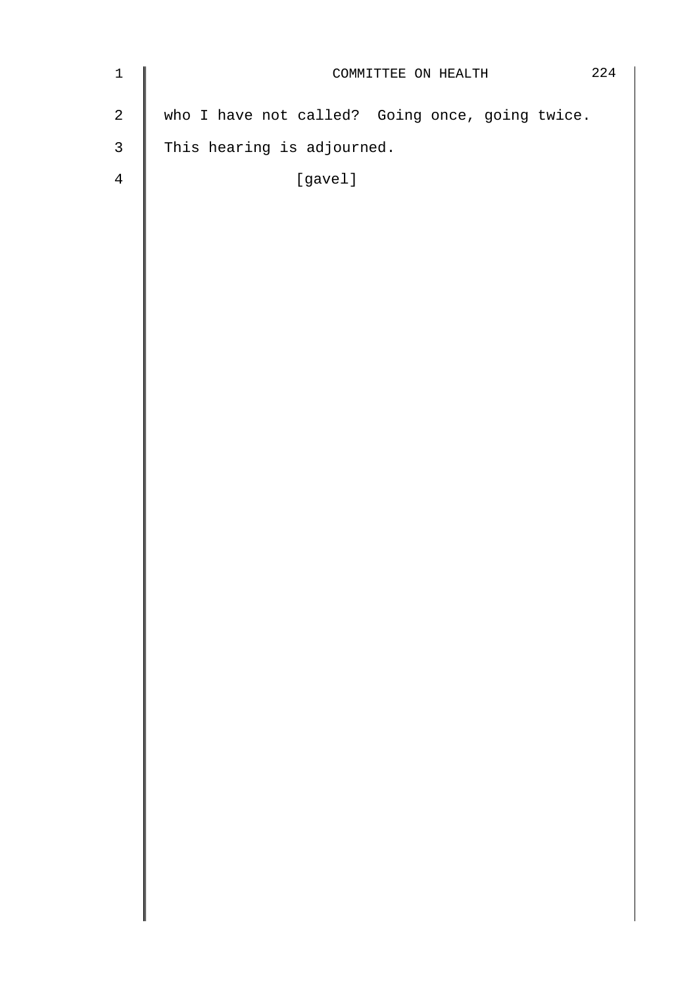| $\ensuremath{\mathbbm{1}}$ | COMMITTEE ON HEALTH                             |  |  |  |  | 224 |
|----------------------------|-------------------------------------------------|--|--|--|--|-----|
| $\sqrt{2}$                 | who I have not called? Going once, going twice. |  |  |  |  |     |
| $\mathbf{3}$               | This hearing is adjourned.                      |  |  |  |  |     |
| $\overline{4}$             | [gavel]                                         |  |  |  |  |     |
|                            |                                                 |  |  |  |  |     |
|                            |                                                 |  |  |  |  |     |
|                            |                                                 |  |  |  |  |     |
|                            |                                                 |  |  |  |  |     |
|                            |                                                 |  |  |  |  |     |
|                            |                                                 |  |  |  |  |     |
|                            |                                                 |  |  |  |  |     |
|                            |                                                 |  |  |  |  |     |
|                            |                                                 |  |  |  |  |     |
|                            |                                                 |  |  |  |  |     |
|                            |                                                 |  |  |  |  |     |
|                            |                                                 |  |  |  |  |     |
|                            |                                                 |  |  |  |  |     |
|                            |                                                 |  |  |  |  |     |
|                            |                                                 |  |  |  |  |     |
|                            |                                                 |  |  |  |  |     |
|                            |                                                 |  |  |  |  |     |
|                            |                                                 |  |  |  |  |     |
|                            |                                                 |  |  |  |  |     |
|                            |                                                 |  |  |  |  |     |
|                            |                                                 |  |  |  |  |     |
|                            |                                                 |  |  |  |  |     |
|                            |                                                 |  |  |  |  |     |